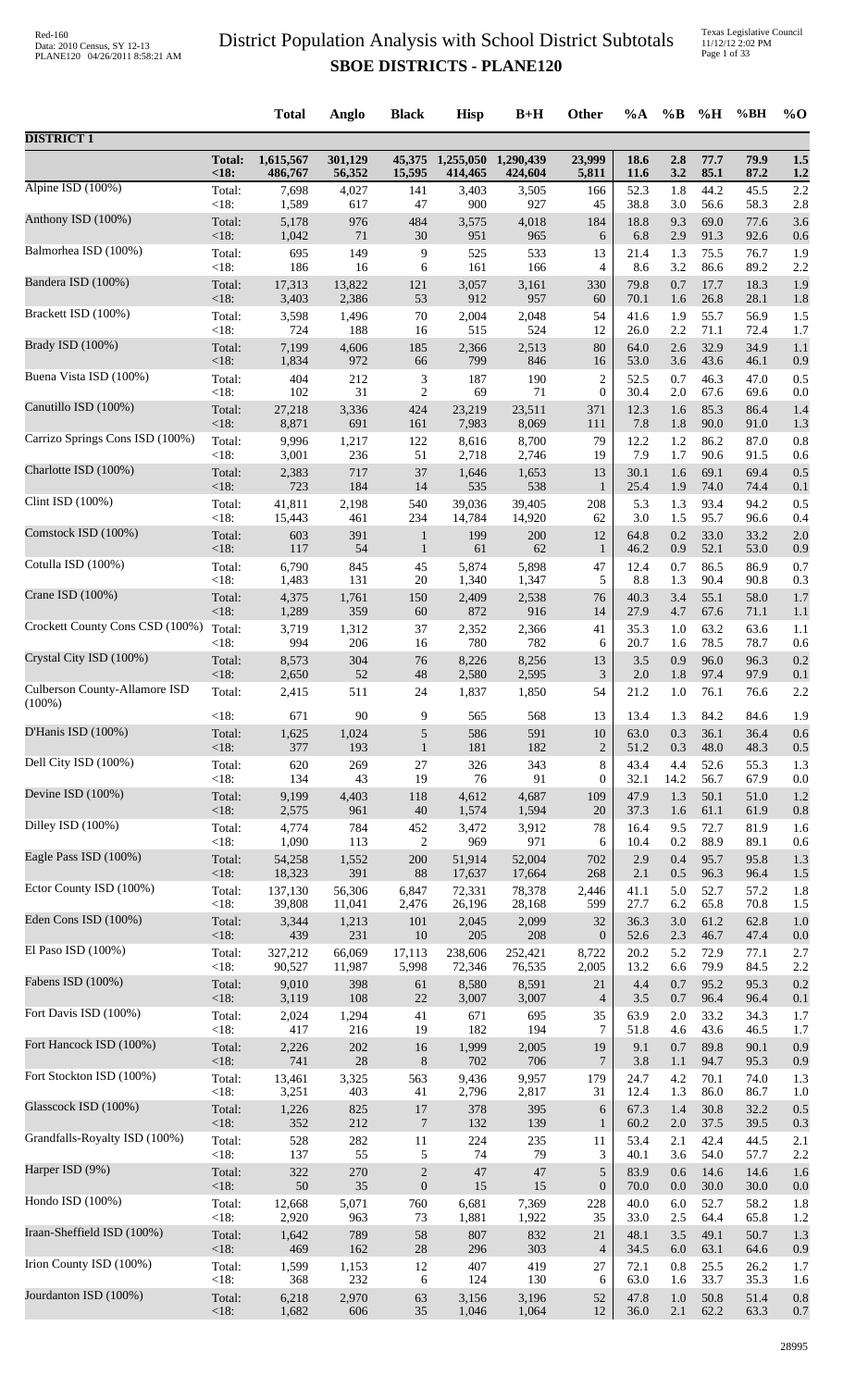|                                 |                       | <b>Total</b>         | Anglo             | <b>Black</b>     | <b>Hisp</b>                 | $B+H$                | Other            | $\%A$               | $\%B$      | %H           | %BH          | $\%$ O     |
|---------------------------------|-----------------------|----------------------|-------------------|------------------|-----------------------------|----------------------|------------------|---------------------|------------|--------------|--------------|------------|
| <b>DISTRICT 1</b>               |                       |                      |                   |                  |                             |                      |                  |                     |            |              |              |            |
|                                 | <b>Total:</b><br><18: | 1,615,567<br>486,767 | 301,129<br>56,352 | 15,595           | 45,375 1,255,050<br>414,465 | 1,290,439<br>424,604 | 23,999<br>5,811  | 18.6<br><b>11.6</b> | 2.8<br>3.2 | 77.7<br>85.1 | 79.9<br>87.2 | 1.5<br>1.2 |
| Alpine ISD (100%)               | Total:                | 7,698                | 4,027             | 141              | 3,403                       | 3,505                | 166              | 52.3                | 1.8        | 44.2         | 45.5         | 2.2        |
|                                 | <18:                  | 1,589                | 617               | 47               | 900                         | 927                  | 45               | 38.8                | 3.0        | 56.6         | 58.3         | 2.8        |
| Anthony ISD (100%)              | Total:                | 5,178                | 976               | 484              | 3,575                       | 4,018                | 184              | 18.8                | 9.3        | 69.0         | 77.6         | 3.6        |
| Balmorhea ISD (100%)            | $<18$ :               | 1,042                | 71                | 30               | 951                         | 965                  | 6                | 6.8                 | 2.9        | 91.3         | 92.6         | 0.6        |
|                                 | Total:                | 695                  | 149               | 9                | 525                         | 533                  | 13               | 21.4                | 1.3        | 75.5         | 76.7         | 1.9        |
| Bandera ISD (100%)              | <18:                  | 186                  | 16                | 6                | 161                         | 166                  | 4                | 8.6                 | 3.2        | 86.6         | 89.2         | 2.2        |
|                                 | Total:                | 17,313               | 13,822            | 121              | 3,057                       | 3,161                | 330              | 79.8                | 0.7        | 17.7         | 18.3         | 1.9        |
| Brackett ISD (100%)             | <18:                  | 3,403                | 2,386             | 53               | 912                         | 957                  | 60<br>54         | 70.1<br>41.6        | 1.6        | 26.8<br>55.7 | 28.1<br>56.9 | 1.8        |
|                                 | Total:<br><18:        | 3,598<br>724         | 1,496<br>188      | 70<br>16         | 2,004<br>515                | 2,048<br>524         | 12               | 26.0                | 1.9<br>2.2 | 71.1         | 72.4         | 1.5<br>1.7 |
| Brady ISD (100%)                | Total:                | 7,199                | 4,606             | 185              | 2,366                       | 2,513                | 80               | 64.0                | 2.6        | 32.9         | 34.9         | 1.1        |
|                                 | < 18:                 | 1,834                | 972               | 66               | 799                         | 846                  | 16               | 53.0                | 3.6        | 43.6         | 46.1         | 0.9        |
| Buena Vista ISD (100%)          | Total:                | 404                  | 212               | 3                | 187                         | 190                  | $\overline{c}$   | 52.5                | 0.7        | 46.3         | 47.0         | 0.5        |
|                                 | <18:                  | 102                  | 31                | $\overline{c}$   | 69                          | 71                   | $\mathbf{0}$     | 30.4                | 2.0        | 67.6         | 69.6         | 0.0        |
| Canutillo ISD (100%)            | Total:                | 27,218               | 3,336             | 424              | 23,219                      | 23,511               | 371              | 12.3                | 1.6        | 85.3         | 86.4         | 1.4        |
|                                 | <18:                  | 8,871                | 691               | 161              | 7,983                       | 8,069                | 111              | 7.8                 | 1.8        | 90.0         | 91.0         | 1.3        |
| Carrizo Springs Cons ISD (100%) | Total:                | 9,996                | 1,217             | 122              | 8,616                       | 8,700                | 79               | 12.2                | 1.2        | 86.2         | 87.0         | 0.8        |
|                                 | <18:                  | 3,001                | 236               | 51               | 2,718                       | 2,746                | 19               | 7.9                 | 1.7        | 90.6         | 91.5         | 0.6        |
| Charlotte ISD (100%)            | Total:                | 2,383                | 717               | 37               | 1,646                       | 1,653                | 13               | 30.1                | 1.6        | 69.1         | 69.4         | 0.5        |
| Clint ISD (100%)                | <18:                  | 723                  | 184               | 14               | 535                         | 538                  | $\mathbf{1}$     | 25.4                | 1.9        | 74.0         | 74.4         | 0.1        |
|                                 | Total:                | 41,811               | 2,198             | 540              | 39,036                      | 39,405               | 208              | 5.3                 | 1.3        | 93.4         | 94.2         | 0.5        |
| Comstock ISD (100%)             | <18:                  | 15,443               | 461               | 234              | 14,784                      | 14,920               | 62               | 3.0                 | 1.5        | 95.7         | 96.6         | 0.4        |
|                                 | Total:                | 603                  | 391               | $\mathbf{1}$     | 199                         | 200                  | 12               | 64.8                | 0.2        | 33.0         | 33.2         | 2.0        |
| Cotulla ISD (100%)              | <18:                  | 117                  | 54                | $\mathbf{1}$     | 61                          | 62                   | 1                | 46.2                | 0.9        | 52.1         | 53.0         | 0.9        |
|                                 | Total:                | 6,790                | 845               | 45               | 5,874                       | 5,898                | 47               | 12.4                | 0.7        | 86.5         | 86.9         | 0.7        |
|                                 | <18:                  | 1,483                | 131               | 20               | 1,340                       | 1,347                | 5                | 8.8                 | 1.3        | 90.4         | 90.8         | 0.3        |
| Crane ISD (100%)                | Total:                | 4,375                | 1,761             | 150              | 2,409                       | 2,538                | 76               | 40.3                | 3.4        | 55.1         | 58.0         | 1.7        |
|                                 | <18:                  | 1,289                | 359               | 60               | 872                         | 916                  | 14               | 27.9                | 4.7        | 67.6         | 71.1         | 1.1        |
| Crockett County Cons CSD (100%) | Total:                | 3,719                | 1,312             | 37               | 2,352                       | 2,366                | 41               | 35.3                | 1.0        | 63.2         | 63.6         | 1.1        |
|                                 | < 18:                 | 994                  | 206               | 16               | 780                         | 782                  | 6                | 20.7                | 1.6        | 78.5         | 78.7         | 0.6        |
| Crystal City ISD (100%)         | Total:                | 8,573                | 304               | 76               | 8,226                       | 8,256                | 13               | 3.5                 | 0.9        | 96.0         | 96.3         | 0.2        |
| Culberson County-Allamore ISD   | <18:                  | 2,650                | 52                | $\sqrt{48}$      | 2,580                       | 2,595                | 3                | 2.0                 | 1.8        | 97.4         | 97.9         | 0.1        |
|                                 | Total:                | 2,415                | 511               | 24               | 1,837                       | 1,850                | 54               | 21.2                | 1.0        | 76.1         | 76.6         | 2.2        |
| $(100\%)$                       | <18:                  | 671                  | 90                | 9                | 565                         | 568                  | 13               | 13.4                | 1.3        | 84.2         | 84.6         | 1.9        |
| D'Hanis ISD (100%)              | Total:                | 1,625                | 1,024             | 5                | 586                         | 591                  | 10               | 63.0                | 0.3        | 36.1         | 36.4         | 0.6        |
|                                 | $<18$ :               | 377                  | 193               | $\mathbf{1}$     | 181                         | 182                  | $\overline{2}$   | 51.2                | 0.3        | 48.0         | 48.3         | 0.5        |
| Dell City ISD (100%)            | Total:                | 620                  | 269               | 27               | 326                         | 343                  | $\,8\,$          | 43.4                | 4.4        | 52.6         | 55.3         | 1.3        |
| Devine ISD (100%)               | < 18:                 | 134                  | 43                | 19               | 76                          | 91                   | 0                | 32.1                | 14.2       | 56.7         | 67.9         | 0.0        |
|                                 | Total:                | 9,199                | 4,403             | 118              | 4,612                       | 4,687                | 109              | 47.9                | 1.3        | 50.1         | 51.0         | 1.2        |
| Dilley ISD (100%)               | $<18$ :               | 2,575                | 961               | 40               | 1,574                       | 1,594                | 20               | 37.3                | 1.6        | 61.1         | 61.9         | 0.8        |
|                                 | Total:                | 4,774                | 784               | 452              | 3,472                       | 3,912                | $78\,$           | 16.4                | 9.5        | 72.7         | 81.9         | 1.6        |
| Eagle Pass ISD (100%)           | <18:                  | 1,090                | 113               | 2                | 969                         | 971                  | 6                | 10.4                | 0.2        | 88.9         | 89.1         | 0.6        |
|                                 | Total:                | 54,258               | 1,552             | 200              | 51,914                      | 52,004               | 702              | 2.9                 | 0.4        | 95.7         | 95.8         | 1.3        |
|                                 | <18:                  | 18,323               | 391               | 88               | 17,637                      | 17,664               | 268              | 2.1                 | 0.5        | 96.3         | 96.4         | 1.5        |
| Ector County ISD (100%)         | Total:                | 137,130              | 56,306            | 6,847            | 72,331                      | 78,378               | 2,446            | 41.1                | 5.0        | 52.7         | 57.2         | 1.8        |
|                                 | $<18$ :               | 39,808               | 11,041            | 2,476            | 26,196                      | 28,168               | 599              | 27.7                | 6.2        | 65.8         | 70.8         | 1.5        |
| Eden Cons ISD (100%)            | Total:                | 3,344                | 1,213             | 101              | 2,045                       | 2,099                | 32               | 36.3                | 3.0        | 61.2         | 62.8         | 1.0        |
|                                 | $<18$ :               | 439                  | 231               | 10               | 205                         | 208                  | $\mathbf{0}$     | 52.6                | 2.3        | 46.7         | 47.4         | 0.0        |
| El Paso ISD (100%)              | Total:                | 327,212              | 66,069            | 17,113           | 238,606                     | 252,421              | 8,722            | 20.2                | 5.2        | 72.9         | 77.1         | 2.7        |
| Fabens ISD (100%)               | < 18:                 | 90,527               | 11,987            | 5,998            | 72,346                      | 76,535               | 2,005            | 13.2                | 6.6        | 79.9         | 84.5         | 2.2        |
|                                 | Total:                | 9,010                | 398               | 61               | 8,580                       | 8,591                | 21               | 4.4                 | 0.7        | 95.2         | 95.3         | 0.2        |
| Fort Davis ISD (100%)           | <18:                  | 3,119                | 108               | $22\,$           | 3,007                       | 3,007                | $\overline{4}$   | 3.5                 | 0.7        | 96.4         | 96.4         | 0.1        |
|                                 | Total:                | 2,024                | 1,294             | 41               | 671                         | 695                  | 35               | 63.9                | 2.0        | 33.2         | 34.3         | 1.7        |
| Fort Hancock ISD (100%)         | < 18:                 | 417                  | 216               | 19               | 182                         | 194                  | 7                | 51.8                | 4.6        | 43.6         | 46.5         | 1.7        |
|                                 | Total:                | 2,226                | 202               | 16               | 1,999                       | 2,005                | 19               | 9.1                 | 0.7        | 89.8         | 90.1         | 0.9        |
|                                 | <18:                  | 741                  | 28                | 8                | 702                         | 706                  | 7                | 3.8                 | 1.1        | 94.7         | 95.3         | 0.9        |
| Fort Stockton ISD (100%)        | Total:                | 13,461               | 3,325             | 563              | 9,436                       | 9,957                | 179              | 24.7                | 4.2        | 70.1         | 74.0         | 1.3        |
|                                 | <18:                  | 3,251                | 403               | 41               | 2,796                       | 2,817                | 31               | 12.4                | 1.3        | 86.0         | 86.7         | 1.0        |
| Glasscock ISD (100%)            | Total:                | 1,226                | 825               | 17               | 378                         | 395                  | 6                | 67.3                | 1.4        | 30.8         | 32.2         | 0.5        |
|                                 | $<18$ :               | 352                  | 212               | $\overline{7}$   | 132                         | 139                  | $\mathbf{1}$     | 60.2                | 2.0        | 37.5         | 39.5         | 0.3        |
| Grandfalls-Royalty ISD (100%)   | Total:                | 528                  | 282               | 11               | 224                         | 235                  | 11               | 53.4                | 2.1        | 42.4         | 44.5         | 2.1        |
| Harper ISD (9%)                 | <18:                  | 137                  | 55                | 5                | 74                          | 79                   | 3                | 40.1                | 3.6        | 54.0         | 57.7         | 2.2        |
|                                 | Total:                | 322                  | 270               | $\sqrt{2}$       | 47                          | 47                   | $\sqrt{5}$       | 83.9                | 0.6        | 14.6         | 14.6         | 1.6        |
| Hondo ISD (100%)                | $<18$ :               | 50                   | 35                | $\boldsymbol{0}$ | 15                          | 15                   | $\boldsymbol{0}$ | 70.0                | 0.0        | 30.0         | 30.0         | 0.0        |
|                                 | Total:                | 12,668               | 5,071             | 760              | 6,681                       | 7,369                | 228              | 40.0                | 6.0        | 52.7         | 58.2         | 1.8        |
|                                 | <18:                  | 2,920                | 963               | 73               | 1,881                       | 1,922                | 35               | 33.0                | 2.5        | 64.4         | 65.8         | 1.2        |
| Iraan-Sheffield ISD (100%)      | Total:                | 1,642                | 789               | $58\,$           | 807                         | 832                  | 21               | 48.1                | 3.5        | 49.1         | 50.7         | 1.3        |
|                                 | <18:                  | 469                  | 162               | $28\,$           | 296                         | 303                  | $\overline{4}$   | 34.5                | 6.0        | 63.1         | 64.6         | 0.9        |
| Irion County ISD (100%)         | Total:                | 1,599                | 1,153             | 12               | 407                         | 419                  | 27               | 72.1                | 0.8        | 25.5         | 26.2         | 1.7        |
|                                 | <18:                  | 368                  | 232               | 6                | 124                         | 130                  | 6                | 63.0                | 1.6        | 33.7         | 35.3         | 1.6        |
| Jourdanton ISD (100%)           | Total:                | 6,218                | 2,970             | 63               | 3,156                       | 3,196                | 52               | 47.8                | 1.0        | 50.8         | 51.4         | 0.8        |
|                                 | <18:                  | 1,682                | 606               | 35               | 1,046                       | 1,064                | 12               | 36.0                | 2.1        | 62.2         | 63.3         | 0.7        |
|                                 |                       |                      |                   |                  |                             |                      |                  |                     |            |              |              |            |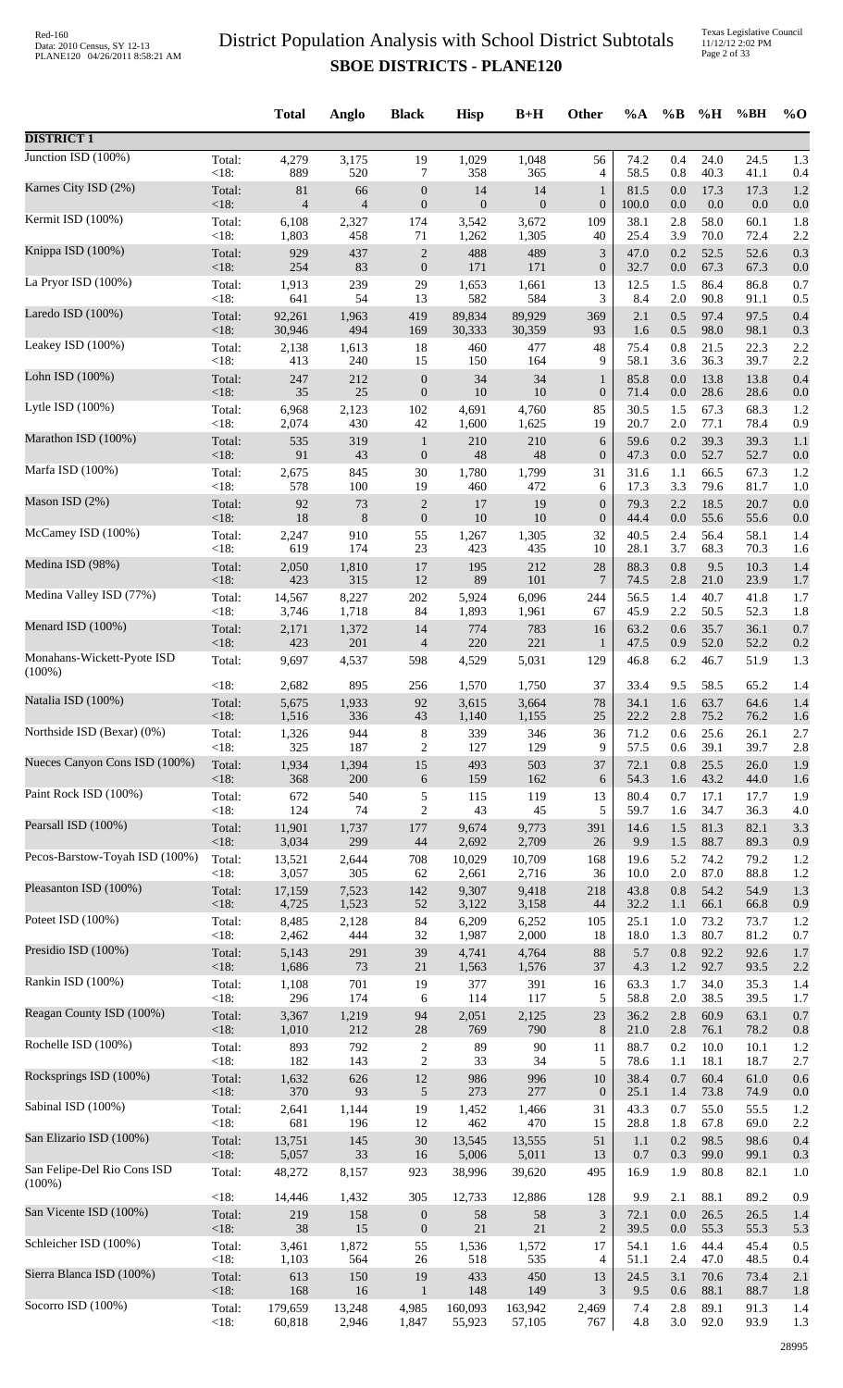Texas Legislative Council 11/12/12 2:02 PM Page 2 of 33

|                                |                 | <b>Total</b>    | Anglo                    | <b>Black</b>             | <b>Hisp</b>     | $B+H$           | Other            | $\%A$        | $\%B$          | %H           | %BH          | $\%$ O     |
|--------------------------------|-----------------|-----------------|--------------------------|--------------------------|-----------------|-----------------|------------------|--------------|----------------|--------------|--------------|------------|
| <b>DISTRICT 1</b>              |                 |                 |                          |                          |                 |                 |                  |              |                |              |              |            |
| Junction ISD $(100\%)$         | Total:          | 4,279           | 3,175                    | 19                       | 1,029           | 1,048           | 56               | 74.2         | 0.4            | 24.0         | 24.5         | 1.3        |
| Karnes City ISD (2%)           | <18:            | 889             | 520                      | 7                        | 358             | 365             | 4                | 58.5         | 0.8            | 40.3         | 41.1         | 0.4        |
|                                | Total:          | 81              | 66                       | $\boldsymbol{0}$         | 14              | 14              | $\mathbf{1}$     | 81.5         | 0.0            | 17.3         | 17.3         | 1.2        |
| Kermit ISD (100%)              | <18:            | $\overline{4}$  | $\overline{\mathcal{L}}$ | $\boldsymbol{0}$         | $\mathbf{0}$    | $\mathbf{0}$    | $\boldsymbol{0}$ | 100.0        | $0.0\,$        | 0.0          | 0.0          | 0.0        |
|                                | Total:          | 6,108           | 2,327                    | 174                      | 3,542           | 3,672           | 109              | 38.1         | 2.8            | 58.0         | 60.1         | 1.8        |
|                                | <18:            | 1,803           | 458                      | 71                       | 1,262           | 1,305           | 40               | 25.4         | 3.9            | 70.0         | 72.4         | 2.2        |
| Knippa ISD (100%)              | Total:          | 929             | 437                      | $\sqrt{2}$               | 488             | 489             | $\mathfrak{Z}$   | 47.0         | 0.2            | 52.5         | 52.6         | 0.3        |
|                                | $<18$ :         | 254             | 83                       | $\boldsymbol{0}$         | 171             | 171             | $\boldsymbol{0}$ | 32.7         | 0.0            | 67.3         | 67.3         | 0.0        |
| La Pryor ISD (100%)            | Total:          | 1,913           | 239                      | 29                       | 1,653           | 1,661           | 13               | 12.5         | 1.5            | 86.4         | 86.8         | 0.7        |
|                                | $<18$ :         | 641             | 54                       | 13                       | 582             | 584             | 3                | 8.4          | 2.0            | 90.8         | 91.1         | 0.5        |
| Laredo ISD $(100\%)$           | Total:          | 92,261          | 1,963                    | 419                      | 89,834          | 89,929          | 369              | 2.1          | 0.5            | 97.4         | 97.5         | 0.4        |
| Leakey ISD (100%)              | <18:            | 30,946          | 494                      | 169                      | 30,333          | 30,359          | 93               | 1.6          | 0.5            | 98.0         | 98.1         | 0.3        |
|                                | Total:          | 2,138           | 1,613                    | 18                       | 460             | 477             | 48               | 75.4         | 0.8            | 21.5         | 22.3         | 2.2        |
| Lohn ISD (100%)                | <18:            | 413             | 240                      | 15                       | 150             | 164             | 9                | 58.1         | 3.6            | 36.3         | 39.7         | 2.2        |
|                                | Total:          | 247             | 212                      | $\boldsymbol{0}$         | 34              | 34              | $\mathbf{1}$     | 85.8         | 0.0            | 13.8         | 13.8         | 0.4        |
|                                | $<18$ :         | 35              | 25                       | $\boldsymbol{0}$         | 10              | 10              | $\boldsymbol{0}$ | 71.4         | 0.0            | 28.6         | 28.6         | 0.0        |
| Lytle ISD $(100\%)$            | Total:          | 6,968           | 2,123                    | 102                      | 4,691           | 4,760           | 85               | 30.5         | 1.5            | 67.3         | 68.3         | 1.2        |
|                                | <18:            | 2,074           | 430                      | 42                       | 1,600           | 1,625           | 19               | 20.7         | 2.0            | 77.1         | 78.4         | 0.9        |
| Marathon ISD (100%)            | Total:          | 535             | 319                      | $\mathbf{1}$             | $210\,$         | 210             | 6                | 59.6         | 0.2            | 39.3         | 39.3         | 1.1        |
| Marfa ISD (100%)               | $<18$ :         | 91              | 43                       | $\boldsymbol{0}$         | 48              | 48              | $\boldsymbol{0}$ | 47.3         | 0.0            | 52.7         | 52.7         | 0.0        |
|                                | Total:          | 2,675           | 845                      | 30                       | 1,780           | 1,799           | 31               | 31.6         | 1.1            | 66.5         | 67.3         | 1.2        |
| Mason ISD (2%)                 | < 18:           | 578             | 100                      | 19                       | 460             | 472             | 6                | 17.3         | 3.3            | 79.6         | 81.7         | 1.0        |
|                                | Total:          | 92              | 73                       | $\sqrt{2}$               | 17              | 19              | $\boldsymbol{0}$ | 79.3         | 2.2            | 18.5         | 20.7         | 0.0        |
|                                | <18:            | 18              | $\,8\,$                  | $\boldsymbol{0}$         | $10\,$          | 10              | $\boldsymbol{0}$ | 44.4         | $0.0\,$        | 55.6         | 55.6         | 0.0        |
| McCamey ISD (100%)             | Total:          | 2,247           | 910                      | 55                       | 1,267           | 1,305           | 32               | 40.5         | 2.4            | 56.4         | 58.1         | 1.4        |
|                                | <18:            | 619             | 174                      | 23                       | 423             | 435             | 10               | 28.1         | 3.7            | 68.3         | 70.3         | 1.6        |
| Medina ISD (98%)               | Total:          | 2,050           | 1,810                    | 17                       | 195             | 212             | 28               | 88.3         | 0.8            | 9.5          | 10.3         | 1.4        |
|                                | $<18$ :         | 423             | 315                      | 12                       | 89              | 101             | $\overline{7}$   | 74.5         | 2.8            | 21.0         | 23.9         | 1.7        |
| Medina Valley ISD (77%)        | Total:          | 14,567          | 8,227                    | $202\,$                  | 5,924           | 6,096           | 244              | 56.5         | 1.4            | 40.7         | 41.8         | 1.7        |
| Menard ISD (100%)              | $<18$ :         | 3,746           | 1,718                    | 84                       | 1,893           | 1,961           | 67               | 45.9         | 2.2            | 50.5         | 52.3         | 1.8        |
|                                | Total:          | 2,171           | 1,372                    | 14                       | 774             | 783             | 16               | 63.2         | 0.6            | 35.7         | 36.1         | 0.7        |
| Monahans-Wickett-Pyote ISD     | <18:            | 423             | 201                      | $\overline{\mathcal{A}}$ | 220             | 221             | $\mathbf{1}$     | 47.5         | 0.9            | 52.0         | 52.2         | 0.2        |
|                                | Total:          | 9,697           | 4,537                    | 598                      | 4,529           | 5,031           | 129              | 46.8         | 6.2            | 46.7         | 51.9         | 1.3        |
| $(100\%)$                      | <18:            | 2,682           | 895                      | 256                      | 1,570           | 1,750           | 37               | 33.4         | 9.5            | 58.5         | 65.2         | 1.4        |
| Natalia ISD (100%)             | Total:          | 5,675           | 1,933                    | 92                       | 3,615           | 3,664           | 78               | 34.1         | 1.6            | 63.7         | 64.6         | 1.4        |
| Northside ISD (Bexar) (0%)     | ${<}18:$        | 1,516           | 336                      | 43                       | 1,140           | 1,155           | 25               | 22.2         | 2.8            | 75.2         | 76.2         | 1.6        |
|                                | Total:          | 1,326           | 944                      | 8                        | 339             | 346             | 36               | 71.2         | 0.6            | 25.6         | 26.1         | 2.7        |
| Nueces Canyon Cons ISD (100%)  | $<18$ :         | 325             | 187                      | $\overline{c}$           | 127             | 129             | 9                | 57.5         | 0.6            | 39.1         | 39.7         | 2.8        |
|                                | Total:          | 1,934           | 1,394                    | 15                       | 493             | 503             | 37               | 72.1         | 0.8            | 25.5         | 26.0         | 1.9        |
|                                | < 18:           | 368             | 200                      | 6                        | 159             | 162             | 6                | 54.3         | 1.6            | 43.2         | 44.0         | 1.6        |
| Paint Rock ISD (100%)          | Total:          | 672             | 540                      | 5                        | 115             | 119             | 13               | 80.4         | 0.7            | 17.1         | 17.7         | 1.9        |
|                                | $<18$ :         | 124             | 74                       | $\overline{2}$           | 43              | 45              | 5                | 59.7         | 1.6            | 34.7         | 36.3         | 4.0        |
| Pearsall ISD (100%)            | Total:          | 11,901          | 1,737                    | 177                      | 9,674           | 9,773           | 391              | 14.6         | 1.5            | 81.3         | 82.1         | 3.3        |
|                                | < 18:           | 3,034           | 299                      | 44                       | 2,692           | 2,709           | 26               | 9.9          | 1.5            | 88.7         | 89.3         | 0.9        |
| Pecos-Barstow-Toyah ISD (100%) | Total:          | 13,521          | 2,644                    | 708                      | 10,029          | 10,709          | 168              | 19.6         | 5.2            | 74.2         | 79.2         | 1.2        |
| Pleasanton ISD (100%)          | < 18:           | 3,057           | 305                      | 62                       | 2,661           | 2,716           | 36               | 10.0         | $2.0\,$        | 87.0         | 88.8         | 1.2        |
|                                | Total:          | 17,159          | 7,523                    | 142                      | 9,307           | 9,418           | 218              | 43.8         | 0.8            | 54.2         | 54.9         | 1.3        |
| Poteet ISD (100%)              | $<18$ :         | 4,725           | 1,523                    | 52                       | 3,122           | 3,158           | 44               | 32.2         | 1.1            | 66.1         | 66.8         | 0.9        |
|                                | Total:          | 8,485           | 2,128                    | 84                       | 6,209           | 6,252           | 105              | 25.1         | 1.0            | 73.2         | 73.7         | 1.2        |
|                                | < 18:           | 2,462           | 444                      | 32                       | 1,987           | 2,000           | 18               | 18.0         | 1.3            | 80.7         | 81.2         | 0.7        |
| Presidio ISD (100%)            | Total:          | 5,143           | 291                      | 39                       | 4,741           | 4,764           | 88               | 5.7          | 0.8            | 92.2         | 92.6         | 1.7        |
|                                | $<18$ :         | 1,686           | 73                       | $21\,$                   | 1,563           | 1,576           | 37               | 4.3          | $1.2\,$        | 92.7         | 93.5         | 2.2        |
| Rankin ISD (100%)              | Total:<br><18:  | 1,108<br>296    | 701<br>174               | 19                       | 377<br>114      | 391<br>117      | 16<br>5          | 63.3<br>58.8 | 1.7<br>$2.0\,$ | 34.0<br>38.5 | 35.3<br>39.5 | 1.4        |
| Reagan County ISD (100%)       | Total:          | 3,367           | 1,219                    | 6<br>94                  | 2,051           | 2,125           | 23               | 36.2         | 2.8            | 60.9         | 63.1         | 1.7<br>0.7 |
| Rochelle ISD (100%)            | $<18$ :         | 1,010           | 212                      | $28\,$                   | 769             | 790             | $\,8\,$          | 21.0         | 2.8            | 76.1         | 78.2         | 0.8        |
|                                | Total:          | 893             | 792                      | $\sqrt{2}$               | 89              | 90              | 11               | 88.7         | 0.2            | 10.0         | 10.1         | 1.2        |
| Rocksprings ISD (100%)         | <18:            | 182             | 143                      | $\overline{2}$           | 33              | 34              | 5                | 78.6         | 1.1            | 18.1         | 18.7         | 2.7        |
|                                | Total:          | 1,632           | 626                      | $12\,$                   | 986             | 996             | 10               | 38.4         | 0.7            | 60.4         | 61.0         | 0.6        |
|                                | $<18$ :         | 370             | 93                       | $\sqrt{5}$               | 273             | 277             | $\boldsymbol{0}$ | 25.1         | 1.4            | 73.8         | 74.9         | 0.0        |
| Sabinal ISD (100%)             | Total:          | 2,641           | 1,144                    | 19                       | 1,452           | 1,466           | 31               | 43.3         | 0.7            | 55.0         | 55.5         | 1.2        |
|                                | <18:            | 681             | 196                      | 12                       | 462             | 470             | 15               | 28.8         | 1.8            | 67.8         | 69.0         | 2.2        |
| San Elizario ISD (100%)        | Total:<br>< 18: | 13,751<br>5,057 | 145<br>33                | $30\,$                   | 13,545          | 13,555          | 51               | 1.1<br>0.7   | 0.2<br>0.3     | 98.5<br>99.0 | 98.6         | 0.4        |
| San Felipe-Del Rio Cons ISD    | Total:          | 48,272          | 8,157                    | 16<br>923                | 5,006<br>38,996 | 5,011<br>39,620 | 13<br>495        | 16.9         | 1.9            | 80.8         | 99.1<br>82.1 | 0.3<br>1.0 |
| $(100\%)$                      | <18:            | 14,446          | 1,432                    | 305                      | 12,733          | 12,886          | 128              | 9.9          | 2.1            | 88.1         | 89.2         | 0.9        |
| San Vicente ISD (100%)         | Total:          | 219             | 158                      | $\boldsymbol{0}$         | 58              | 58              | $\mathfrak{Z}$   | 72.1         | 0.0            | 26.5         | 26.5         | 1.4        |
|                                | $<18$ :         | $38\,$          | 15                       | $\boldsymbol{0}$         | 21              | $21\,$          | $\sqrt{2}$       | 39.5         | 0.0            | 55.3         | 55.3         | 5.3        |
| Schleicher ISD (100%)          | Total:          | 3,461           | 1,872                    | 55                       | 1,536           | 1,572           | 17               | 54.1         | 1.6            | 44.4         | 45.4         | 0.5        |
| Sierra Blanca ISD (100%)       | <18:            | 1,103           | 564                      | 26                       | 518             | 535             | 4                | 51.1         | 2.4            | 47.0         | 48.5         | 0.4        |
|                                | Total:          | 613             | 150                      | 19                       | 433             | 450             | 13               | 24.5         | 3.1            | 70.6         | 73.4         | 2.1        |
| Socorro ISD (100%)             | $<18$ :         | 168             | 16                       | $\mathbf{1}$             | 148             | 149             | 3                | 9.5          | 0.6            | 88.1         | 88.7         | 1.8        |
|                                | Total:          | 179,659         | 13,248                   | 4,985                    | 160,093         | 163,942         | 2,469            | 7.4          | 2.8            | 89.1         | 91.3         | 1.4        |
|                                | $<18$ :         | 60,818          | 2,946                    | 1,847                    | 55,923          | 57,105          | 767              | 4.8          | 3.0            | 92.0         | 93.9         | 1.3        |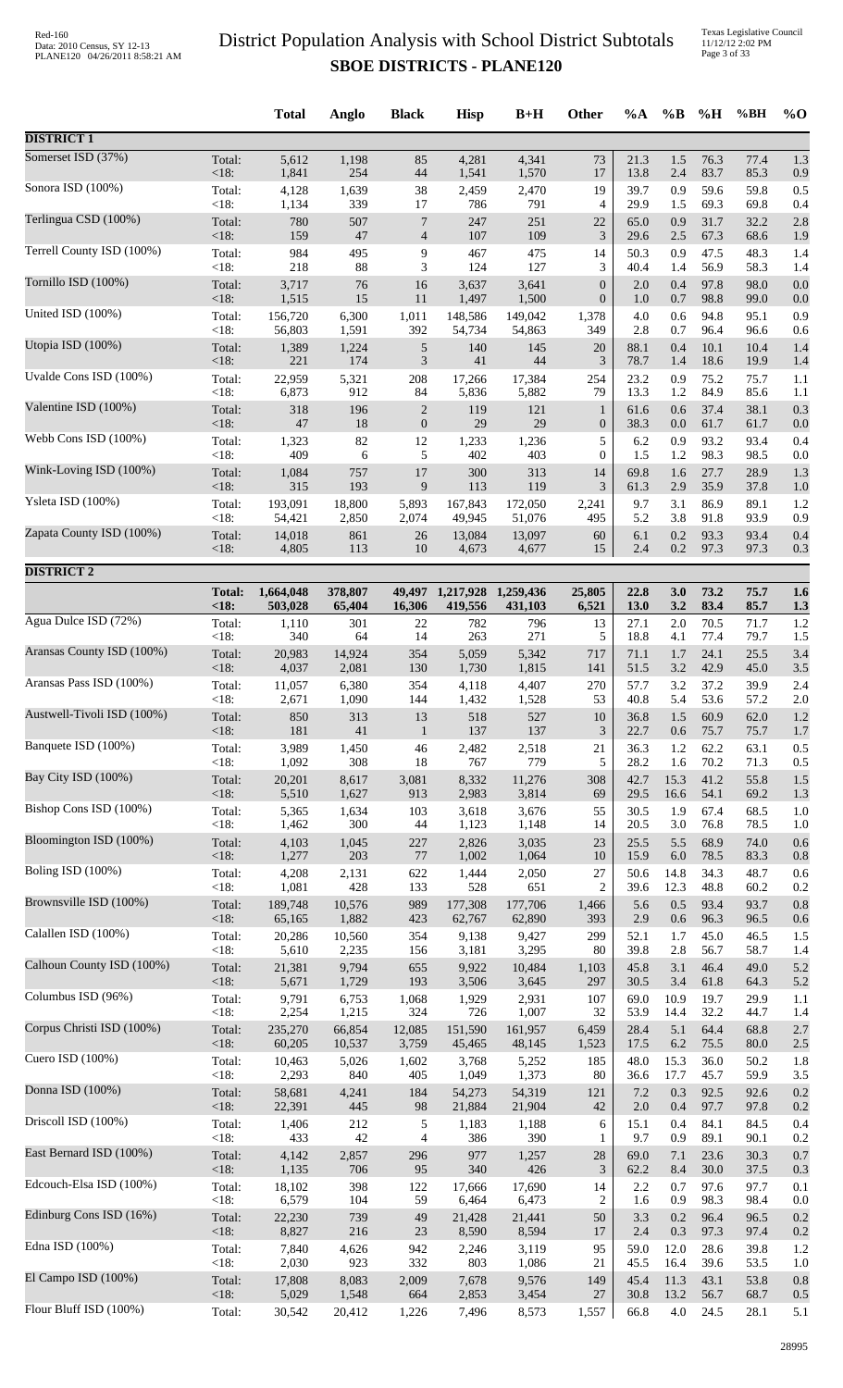Texas Legislative Council 11/12/12 2:02 PM Page 3 of 33

|                            |                       | <b>Total</b>         | Anglo             | <b>Black</b>     | <b>Hisp</b>                 | $B+H$                | <b>Other</b>     | $\%A$        | $\%B$       | %H           | %BH          | $\%$ O     |
|----------------------------|-----------------------|----------------------|-------------------|------------------|-----------------------------|----------------------|------------------|--------------|-------------|--------------|--------------|------------|
| <b>DISTRICT 1</b>          |                       |                      |                   |                  |                             |                      |                  |              |             |              |              |            |
| Somerset ISD (37%)         | Total:                | 5,612                | 1,198             | 85               | 4,281                       | 4,341                | 73               | 21.3         | 1.5         | 76.3         | 77.4         | 1.3        |
| Sonora ISD (100%)          | <18:                  | 1,841                | 254               | 44               | 1,541                       | 1,570                | 17               | 13.8         | 2.4         | 83.7         | 85.3         | 0.9        |
|                            | Total:                | 4,128                | 1,639             | 38               | 2,459                       | 2,470                | 19               | 39.7         | 0.9         | 59.6         | 59.8         | 0.5        |
| Terlingua CSD (100%)       | < 18:                 | 1,134                | 339               | 17               | 786                         | 791                  | 4                | 29.9         | 1.5         | 69.3         | 69.8         | 0.4        |
|                            | Total:                | 780                  | 507               | $\overline{7}$   | 247                         | 251                  | 22               | 65.0         | 0.9         | 31.7         | 32.2         | 2.8        |
|                            | $<18$ :               | 159                  | 47                | $\overline{4}$   | 107                         | 109                  | 3                | 29.6         | 2.5         | 67.3         | 68.6         | 1.9        |
| Terrell County ISD (100%)  | Total:                | 984                  | 495               | 9                | 467                         | 475                  | 14               | 50.3         | 0.9         | 47.5         | 48.3         | 1.4        |
|                            | < 18:                 | 218                  | 88                | 3                | 124                         | 127                  | 3                | 40.4         | 1.4         | 56.9         | 58.3         | 1.4        |
| Tornillo ISD (100%)        | Total:                | 3,717                | 76                | 16               | 3,637                       | 3,641                | $\boldsymbol{0}$ | 2.0          | 0.4         | 97.8         | 98.0         | 0.0        |
| United ISD (100%)          | <18:                  | 1,515                | 15                | 11               | 1,497                       | 1,500                | $\boldsymbol{0}$ | 1.0          | 0.7         | 98.8         | 99.0         | 0.0        |
|                            | Total:                | 156,720              | 6,300             | 1,011            | 148,586                     | 149,042              | 1,378            | 4.0          | 0.6         | 94.8         | 95.1         | 0.9        |
| Utopia ISD (100%)          | < 18:                 | 56,803               | 1,591             | 392              | 54,734                      | 54,863               | 349              | 2.8          | 0.7         | 96.4         | 96.6         | 0.6        |
|                            | Total:                | 1,389                | 1,224             | $\sqrt{5}$       | 140                         | 145                  | 20               | 88.1         | 0.4         | 10.1         | 10.4         | 1.4        |
| Uvalde Cons ISD (100%)     | <18:<br>Total:        | 221<br>22,959        | 174<br>5,321      | $\mathfrak{Z}$   | 41                          | 44                   | 3                | 78.7<br>23.2 | 1.4<br>0.9  | 18.6<br>75.2 | 19.9<br>75.7 | 1.4        |
|                            | $<18$ :               | 6,873                | 912               | 208<br>84        | 17,266<br>5,836             | 17,384<br>5,882      | 254<br>79        | 13.3         | 1.2         | 84.9         | 85.6         | 1.1<br>1.1 |
| Valentine ISD (100%)       | Total:                | 318                  | 196               | $\overline{c}$   | 119                         | 121                  | $\mathbf{1}$     | 61.6         | 0.6         | 37.4         | 38.1         | 0.3        |
|                            | <18:                  | $47\,$               | 18                | $\boldsymbol{0}$ | $29\,$                      | 29                   | $\mathbf{0}$     | 38.3         | $0.0\,$     | 61.7         | 61.7         | 0.0        |
| Webb Cons ISD (100%)       | Total:                | 1,323                | 82                | 12               | 1,233                       | 1,236                | 5                | 6.2          | 0.9         | 93.2         | 93.4         | 0.4        |
|                            | < 18:                 | 409                  | 6                 | 5                | 402                         | 403                  | $\overline{0}$   | 1.5          | 1.2         | 98.3         | 98.5         | 0.0        |
| Wink-Loving ISD (100%)     | Total:                | 1,084                | 757               | $17\,$           | 300                         | 313                  | 14               | 69.8         | 1.6         | 27.7         | 28.9         | 1.3        |
| Ysleta ISD (100%)          | < 18:                 | 315                  | 193               | 9                | 113                         | 119                  | 3                | 61.3         | 2.9         | 35.9         | 37.8         | 1.0        |
|                            | Total:                | 193,091              | 18,800            | 5,893            | 167,843                     | 172,050              | 2,241            | 9.7          | 3.1         | 86.9         | 89.1         | 1.2        |
| Zapata County ISD (100%)   | < 18:                 | 54,421               | 2,850             | 2,074            | 49,945                      | 51,076               | 495              | 5.2          | 3.8         | 91.8         | 93.9         | 0.9        |
|                            | Total:                | 14,018               | 861               | 26               | 13,084                      | 13,097               | 60               | 6.1          | 0.2         | 93.3         | 93.4         | 0.4        |
|                            | $<18$ :               | 4,805                | 113               | 10               | 4,673                       | 4,677                | 15               | 2.4          | 0.2         | 97.3         | 97.3         | 0.3        |
| <b>DISTRICT 2</b>          |                       |                      |                   |                  |                             |                      |                  |              |             |              |              |            |
|                            | <b>Total:</b><br><18: | 1,664,048<br>503,028 | 378,807<br>65,404 | 16,306           | 49,497 1,217,928<br>419,556 | 1,259,436<br>431,103 | 25,805<br>6,521  | 22.8<br>13.0 | 3.0<br>3.2  | 73.2<br>83.4 | 75.7<br>85.7 | 1.6<br>1.3 |
| Agua Dulce ISD (72%)       | Total:                | 1,110                | 301               | 22               | 782                         | 796                  | 13               | 27.1         | 2.0         | 70.5         | 71.7         | 1.2        |
| Aransas County ISD (100%)  | < 18:                 | 340                  | 64                | 14               | 263                         | 271                  | 5                | 18.8         | 4.1         | 77.4         | 79.7         | 1.5        |
|                            | Total:                | 20,983               | 14,924            | 354              | 5,059                       | 5,342                | 717              | 71.1         | 1.7         | 24.1         | 25.5         | 3.4        |
| Aransas Pass ISD (100%)    | <18:                  | 4,037                | 2,081             | 130              | 1,730                       | 1,815                | 141              | 51.5         | 3.2         | 42.9         | 45.0         | 3.5        |
|                            | Total:                | 11,057               | 6,380             | 354              | 4,118                       | 4,407                | 270              | 57.7         | 3.2         | 37.2         | 39.9         | 2.4        |
| Austwell-Tivoli ISD (100%) | < 18:                 | 2,671                | 1,090             | 144              | 1,432                       | 1,528                | 53               | 40.8         | 5.4         | 53.6         | 57.2         | 2.0        |
|                            | Total:                | 850                  | 313               | 13               | 518                         | 527                  | $10\,$           | 36.8         | 1.5         | 60.9         | 62.0         | 1.2        |
|                            | $<18$ :               | 181                  | 41                | $\mathbf{1}$     | 137                         | 137                  | 3                | 22.7         | 0.6         | 75.7         | 75.7         | 1.7        |
| Banquete ISD (100%)        | Total:                | 3,989                | 1,450             | 46               | 2,482                       | 2,518                | 21               | 36.3         | 1.2         | 62.2         | 63.1         | 0.5        |
|                            | < 18:                 | 1,092                | 308               | 18               | 767                         | 779                  | 5                | 28.2         | 1.6         | 70.2         | 71.3         | 0.5        |
| Bay City ISD (100%)        | Total:                | 20,201               | 8,617             | 3,081            | 8,332                       | 11,276               | 308              | 42.7         | 15.3        | 41.2         | 55.8         | 1.5        |
|                            | <18:                  | 5,510                | 1,627             | 913              | 2,983                       | 3,814                | 69               | 29.5         | 16.6        | 54.1         | 69.2         | 1.3        |
| Bishop Cons ISD (100%)     | Total:                | 5,365                | 1,634             | 103              | 3,618                       | 3,676                | 55               | 30.5         | 1.9         | 67.4         | 68.5         | 1.0        |
|                            | < 18:                 | 1,462                | 300               | 44               | 1,123                       | 1,148                | 14               | 20.5         | 3.0         | 76.8         | 78.5         | 1.0        |
| Bloomington ISD (100%)     | Total:                | 4,103                | 1,045             | 227              | 2,826                       | 3,035                | 23               | 25.5         | 5.5         | 68.9         | 74.0         | 0.6        |
| Boling ISD (100%)          | <18:                  | 1,277                | 203               | 77               | 1,002                       | 1,064                | 10               | 15.9         | 6.0         | 78.5         | 83.3         | 0.8        |
|                            | Total:                | 4,208                | 2,131             | 622              | 1,444                       | 2,050                | $27\,$           | 50.6         | 14.8        | 34.3         | 48.7         | 0.6        |
| Brownsville ISD (100%)     | < 18:                 | 1,081                | 428               | 133              | 528                         | 651                  | $\overline{c}$   | 39.6         | 12.3        | 48.8         | 60.2         | 0.2        |
|                            | Total:                | 189,748              | 10,576            | 989              | 177,308                     | 177,706              | 1,466            | 5.6          | 0.5         | 93.4         | 93.7         | 0.8        |
| Calallen ISD (100%)        | <18:                  | 65,165               | 1,882             | 423              | 62,767                      | 62,890               | 393              | 2.9          | 0.6         | 96.3         | 96.5         | 0.6        |
|                            | Total:                | 20,286               | 10,560            | 354              | 9,138                       | 9,427                | 299              | 52.1         | 1.7         | 45.0         | 46.5         | 1.5        |
|                            | < 18:                 | 5,610                | 2,235             | 156              | 3,181                       | 3,295                | 80               | 39.8         | 2.8         | 56.7         | 58.7         | 1.4        |
| Calhoun County ISD (100%)  | Total:                | 21,381               | 9,794             | 655              | 9,922                       | 10,484               | 1,103            | 45.8         | 3.1         | 46.4         | 49.0         | 5.2        |
|                            | <18:                  | 5,671                | 1,729             | 193              | 3,506                       | 3,645                | 297              | 30.5         | 3.4         | 61.8         | 64.3         | 5.2        |
| Columbus ISD (96%)         | Total:<br>< 18:       | 9,791                | 6,753             | 1,068<br>324     | 1,929                       | 2,931                | 107<br>32        | 69.0         | 10.9        | 19.7<br>32.2 | 29.9<br>44.7 | 1.1        |
| Corpus Christi ISD (100%)  | Total:                | 2,254<br>235,270     | 1,215<br>66,854   | 12,085           | 726<br>151,590              | 1,007<br>161,957     | 6,459            | 53.9<br>28.4 | 14.4<br>5.1 | 64.4         | 68.8         | 1.4<br>2.7 |
| Cuero ISD $(100\%)$        | <18:                  | 60,205               | 10,537            | 3,759            | 45,465                      | 48,145               | 1,523            | 17.5         | 6.2         | 75.5         | 80.0         | 2.5        |
|                            | Total:                | 10,463               | 5,026             | 1,602            | 3,768                       | 5,252                | 185              | 48.0         | 15.3        | 36.0         | 50.2         | 1.8        |
| Donna ISD (100%)           | < 18:                 | 2,293                | 840               | 405              | 1,049                       | 1,373                | 80               | 36.6         | 17.7        | 45.7         | 59.9         | 3.5        |
|                            | Total:                | 58,681               | 4,241             | 184              | 54,273                      | 54,319               | 121              | 7.2          | 0.3         | 92.5         | 92.6         | 0.2        |
| Driscoll ISD (100%)        | <18:                  | 22,391               | 445               | 98               | 21,884                      | 21,904               | 42               | 2.0          | 0.4         | 97.7         | 97.8         | 0.2        |
|                            | Total:                | 1,406                | 212               | 5                | 1,183                       | 1,188                | 6                | 15.1         | 0.4         | 84.1         | 84.5         | 0.4        |
|                            | < 18:                 | 433                  | 42                | 4                | 386                         | 390                  | 1                | 9.7          | 0.9         | 89.1         | 90.1         | 0.2        |
| East Bernard ISD (100%)    | Total:                | 4,142                | 2,857             | 296              | 977                         | 1,257                | $28\,$           | 69.0         | 7.1         | 23.6         | 30.3         | 0.7        |
|                            | <18:                  | 1,135                | 706               | 95               | 340                         | 426                  | $\mathfrak{Z}$   | 62.2         | 8.4         | 30.0         | 37.5         | 0.3        |
| Edcouch-Elsa ISD (100%)    | Total:                | 18,102               | 398               | 122              | 17,666                      | 17,690               | 14               | 2.2          | 0.7         | 97.6         | 97.7         | 0.1        |
|                            | < 18:                 | 6,579                | 104               | 59               | 6,464                       | 6,473                | $\overline{c}$   | 1.6          | 0.9         | 98.3         | 98.4         | 0.0        |
| Edinburg Cons ISD (16%)    | Total:<br><18:        | 22,230<br>8,827      | 739<br>216        | 49<br>23         | 21,428                      | 21,441               | 50<br>17         | 3.3<br>2.4   | 0.2         | 96.4<br>97.3 | 96.5         | 0.2        |
| Edna ISD (100%)            | Total:                | 7,840                | 4,626             | 942              | 8,590<br>2,246              | 8,594<br>3,119       | 95               | 59.0         | 0.3<br>12.0 | 28.6         | 97.4<br>39.8 | 0.2<br>1.2 |
| El Campo ISD (100%)        | <18:                  | 2,030                | 923               | 332              | 803                         | 1,086                | 21               | 45.5         | 16.4        | 39.6         | 53.5         | 1.0        |
|                            | Total:                | 17,808               | 8,083             | 2,009            | 7,678                       | 9,576                | 149              | 45.4         | 11.3        | 43.1         | 53.8         | 0.8        |
|                            | <18:                  | 5,029                | 1,548             | 664              | 2,853                       | 3,454                | 27               | 30.8         | 13.2        | 56.7         | 68.7         | 0.5        |
| Flour Bluff ISD (100%)     | Total:                | 30,542               | 20,412            | 1,226            | 7,496                       | 8,573                | 1,557            | 66.8         | 4.0         | 24.5         | 28.1         | 5.1        |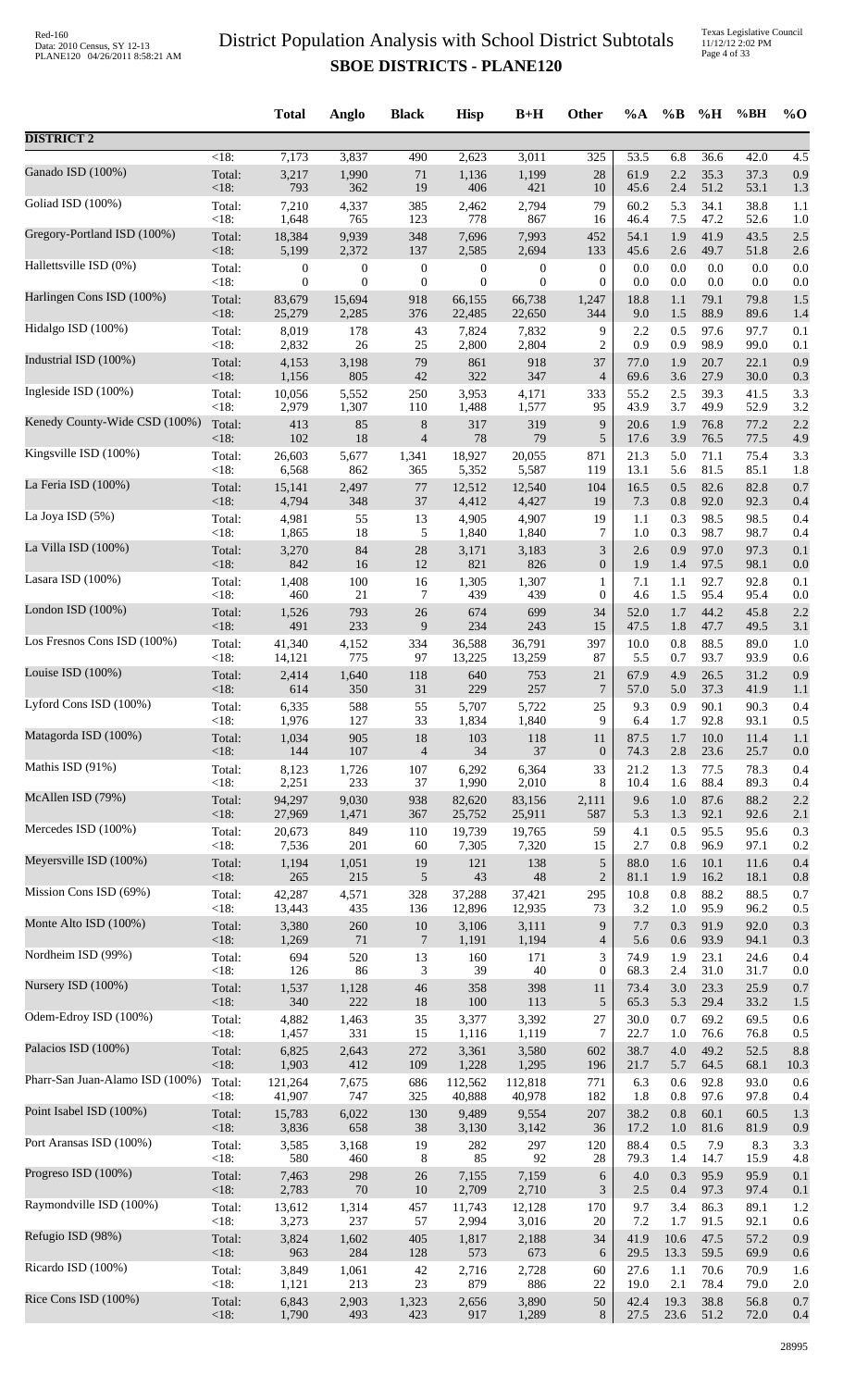|                                 |                    | <b>Total</b>     | Anglo            | <b>Black</b>             | <b>Hisp</b>      | $B+H$            | Other            | $\%A$      | $\%B$      | %H           | %BH          | $%$ <sup>O</sup> |
|---------------------------------|--------------------|------------------|------------------|--------------------------|------------------|------------------|------------------|------------|------------|--------------|--------------|------------------|
| <b>DISTRICT 2</b>               |                    |                  |                  |                          |                  |                  |                  |            |            |              |              |                  |
| Ganado ISD (100%)               | $\overline{<}18$ : | 7,173            | 3,837            | 490                      | 2,623            | 3,011            | 325              | 53.5       | 6.8        | 36.6         | 42.0         | 4.5              |
|                                 | Total:             | 3,217            | 1,990            | 71                       | 1,136            | 1,199            | $28\,$           | 61.9       | 2.2        | 35.3         | 37.3         | 0.9              |
|                                 | $<18$ :            | 793              | 362              | 19                       | 406              | 421              | 10               | 45.6       | 2.4        | 51.2         | 53.1         | 1.3              |
| Goliad ISD (100%)               | Total:             | 7,210            | 4,337            | 385                      | 2,462            | 2,794            | 79               | 60.2       | 5.3        | 34.1         | 38.8         | 1.1              |
|                                 | <18:               | 1,648            | 765              | 123                      | 778              | 867              | 16               | 46.4       | 7.5        | 47.2         | 52.6         | 1.0              |
| Gregory-Portland ISD (100%)     | Total:             | 18,384           | 9,939            | 348                      | 7,696            | 7,993            | 452              | 54.1       | 1.9        | 41.9         | 43.5         | 2.5              |
|                                 | <18:               | 5,199            | 2,372            | 137                      | 2,585            | 2,694            | 133              | 45.6       | 2.6        | 49.7         | 51.8         | 2.6              |
| Hallettsville ISD (0%)          | Total:             | $\boldsymbol{0}$ | $\boldsymbol{0}$ | $\boldsymbol{0}$         | $\boldsymbol{0}$ | $\boldsymbol{0}$ | $\boldsymbol{0}$ | 0.0        | 0.0        | 0.0          | 0.0          | 0.0              |
|                                 | <18:               | $\overline{0}$   | $\mathbf{0}$     | $\boldsymbol{0}$         | $\theta$         | $\overline{0}$   | $\overline{0}$   | 0.0        | 0.0        | 0.0          | 0.0          | 0.0              |
| Harlingen Cons ISD (100%)       | Total:<br><18:     | 83,679           | 15,694           | 918                      | 66,155           | 66,738           | 1,247<br>344     | 18.8       | 1.1        | 79.1<br>88.9 | 79.8         | 1.5              |
| Hidalgo ISD (100%)              | Total:             | 25,279<br>8,019  | 2,285<br>178     | 376<br>43                | 22,485<br>7,824  | 22,650<br>7,832  | 9                | 9.0<br>2.2 | 1.5<br>0.5 | 97.6         | 89.6<br>97.7 | 1.4<br>0.1       |
| Industrial ISD (100%)           | < 18:              | 2,832            | 26               | 25                       | 2,800            | 2,804            | $\overline{c}$   | 0.9        | 0.9        | 98.9         | 99.0         | 0.1              |
|                                 | Total:             | 4,153            | 3,198            | 79                       | 861              | 918              | 37               | 77.0       | 1.9        | 20.7         | 22.1         | 0.9              |
| Ingleside ISD (100%)            | <18:               | 1,156            | 805              | $42\,$                   | 322              | 347              | $\overline{4}$   | 69.6       | 3.6        | 27.9         | 30.0         | 0.3              |
|                                 | Total:             | 10,056           | 5,552            | 250                      | 3,953            | 4,171            | 333              | 55.2       | 2.5        | 39.3         | 41.5         | 3.3              |
| Kenedy County-Wide CSD (100%)   | <18:               | 2,979            | 1,307            | 110                      | 1,488            | 1,577            | 95               | 43.9       | 3.7        | 49.9         | 52.9         | 3.2              |
|                                 | Total:             | 413              | 85               | $8\,$                    | 317              | 319              | 9                | 20.6       | 1.9        | 76.8         | 77.2         | 2.2              |
| Kingsville ISD (100%)           | <18:               | 102              | 18               | $\overline{4}$           | 78               | 79               | 5                | 17.6       | 3.9        | 76.5         | 77.5         | 4.9              |
|                                 | Total:             | 26,603           | 5,677            | 1,341                    | 18,927           | 20,055           | 871              | 21.3       | 5.0        | 71.1         | 75.4         | 3.3              |
| La Feria ISD (100%)             | < 18:              | 6,568            | 862              | 365                      | 5,352            | 5,587            | 119              | 13.1       | 5.6        | 81.5         | 85.1         | 1.8              |
|                                 | Total:             | 15,141           | 2,497            | 77                       | 12,512           | 12,540           | 104              | 16.5       | 0.5        | 82.6         | 82.8         | 0.7              |
|                                 | $<18$ :            | 4,794            | 348              | 37                       | 4,412            | 4,427            | 19               | 7.3        | 0.8        | 92.0         | 92.3         | 0.4              |
| La Joya ISD (5%)                | Total:             | 4,981            | 55               | 13                       | 4,905            | 4,907            | 19               | 1.1        | 0.3        | 98.5         | 98.5         | 0.4              |
|                                 | < 18:              | 1,865            | 18               | 5                        | 1,840            | 1,840            | $\tau$           | 1.0        | 0.3        | 98.7         | 98.7         | 0.4              |
| La Villa ISD (100%)             | Total:             | 3,270            | 84               | $28\,$                   | 3,171            | 3,183            | 3                | 2.6        | 0.9        | 97.0         | 97.3         | 0.1              |
|                                 | <18:               | 842              | 16               | 12                       | 821              | 826              | $\boldsymbol{0}$ | 1.9        | 1.4        | 97.5         | 98.1         | 0.0              |
| Lasara ISD (100%)               | Total:             | 1,408            | 100              | 16                       | 1,305            | 1,307            | 1                | 7.1        | 1.1        | 92.7         | 92.8         | 0.1              |
|                                 | <18:               | 460              | $21\,$           | 7                        | 439              | 439              | $\boldsymbol{0}$ | 4.6        | 1.5        | 95.4         | 95.4         | 0.0              |
| London ISD (100%)               | Total:             | 1,526            | 793              | $26\,$                   | 674              | 699              | 34               | 52.0       | 1.7        | 44.2         | 45.8         | 2.2              |
| Los Fresnos Cons ISD (100%)     | <18:               | 491              | 233              | $\boldsymbol{9}$         | 234              | 243              | 15               | 47.5       | 1.8        | 47.7         | 49.5         | 3.1              |
|                                 | Total:             | 41,340           | 4,152            | 334                      | 36,588           | 36,791           | 397              | 10.0       | 0.8        | 88.5         | 89.0         | 1.0              |
| Louise ISD (100%)               | < 18:              | 14,121           | 775              | 97                       | 13,225           | 13,259           | 87               | 5.5        | 0.7        | 93.7         | 93.9         | 0.6              |
|                                 | Total:             | 2,414            | 1,640            | 118                      | 640              | 753              | 21               | 67.9       | 4.9        | 26.5         | 31.2         | 0.9              |
| Lyford Cons ISD (100%)          | < 18:              | 614              | 350              | 31                       | 229              | 257              | 7                | 57.0       | 5.0        | 37.3         | 41.9         | 1.1              |
|                                 | Total:             | 6,335            | 588              | 55                       | 5,707            | 5,722            | 25               | 9.3        | 0.9        | 90.1         | 90.3         | 0.4              |
| Matagorda ISD (100%)            | < 18:              | 1.976            | 127              | 33                       | 1,834            | 1,840            | 9                | 6.4        | 1.7        | 92.8         | 93.1         | 0.5              |
|                                 | Total:             | 1,034            | 905              | 18                       | 103              | 118              | 11               | 87.5       | 1.7        | 10.0         | 11.4         | 1.1              |
| Mathis ISD (91%)                | $<18$ :            | 144              | 107              | $\overline{\mathcal{L}}$ | 34               | 37               | $\boldsymbol{0}$ | 74.3       | 2.8        | 23.6         | 25.7         | 0.0              |
|                                 | Total:             | 8,123            | 1,726            | 107                      | 6,292            | 6,364            | 33               | 21.2       | 1.3        | 77.5         | 78.3         | 0.4              |
| McAllen ISD (79%)               | <18:               | 2,251            | 233              | 37                       | 1,990            | 2,010            | 8                | 10.4       | 1.6        | 88.4         | 89.3         | 0.4              |
|                                 | Total:             | 94,297           | 9,030            | 938                      | 82,620           | 83,156           | 2,111            | 9.6        | $1.0\,$    | 87.6         | 88.2         | 2.2              |
| Mercedes ISD (100%)             | <18:               | 27,969           | 1,471            | 367                      | 25,752           | 25,911           | 587              | 5.3        | 1.3        | 92.1         | 92.6         | 2.1              |
|                                 | Total:             | 20,673           | 849              | 110                      | 19,739           | 19,765           | 59               | 4.1        | 0.5        | 95.5         | 95.6         | 0.3              |
|                                 | < 18:              | 7,536            | 201              | 60                       | 7,305            | 7,320            | 15               | 2.7        | 0.8        | 96.9         | 97.1         | 0.2              |
| Meyersville ISD (100%)          | Total:             | 1,194            | 1,051            | 19                       | 121              | 138              | 5                | 88.0       | 1.6        | 10.1         | 11.6         | 0.4              |
|                                 | <18:               | 265              | 215              | 5                        | 43               | 48               | $\overline{c}$   | 81.1       | 1.9        | 16.2         | 18.1         | 0.8              |
| Mission Cons ISD (69%)          | Total:             | 42,287           | 4,571            | 328                      | 37,288           | 37,421           | 295              | 10.8       | 0.8        | 88.2         | 88.5         | 0.7              |
|                                 | <18:               | 13,443           | 435              | 136                      | 12,896           | 12,935           | 73               | 3.2        | 1.0        | 95.9         | 96.2         | 0.5              |
| Monte Alto ISD (100%)           | Total:             | 3,380            | 260              | $10\,$                   | 3,106            | 3,111            | 9                | 7.7        | 0.3        | 91.9         | 92.0         | 0.3              |
|                                 | $<18$ :            | 1,269            | $71\,$           | $\overline{7}$           | 1,191            | 1,194            | $\overline{4}$   | 5.6        | 0.6        | 93.9         | 94.1         | 0.3              |
| Nordheim ISD (99%)              | Total:             | 694              | 520              | 13                       | 160              | 171              | 3                | 74.9       | 1.9        | 23.1         | 24.6         | 0.4              |
| Nursery ISD (100%)              | <18:               | 126              | 86               | 3                        | 39               | 40               | $\boldsymbol{0}$ | 68.3       | $2.4\,$    | 31.0         | 31.7         | 0.0              |
|                                 | Total:             | 1,537            | 1,128            | $46\,$                   | 358              | 398              | 11               | 73.4       | 3.0        | 23.3         | 25.9         | 0.7              |
| Odem-Edroy ISD (100%)           | <18:               | 340              | 222              | 18                       | 100              | 113              | $\sqrt{5}$       | 65.3       | 5.3        | 29.4         | 33.2         | 1.5              |
|                                 | Total:             | 4,882            | 1,463            | 35                       | 3,377            | 3,392            | 27               | 30.0       | 0.7        | 69.2         | 69.5         | 0.6              |
| Palacios ISD (100%)             | <18:               | 1,457            | 331              | 15                       | 1,116            | 1,119            | 7                | 22.7       | 1.0        | 76.6         | 76.8         | 0.5              |
|                                 | Total:             | 6,825            | 2,643            | 272                      | 3,361            | 3,580            | 602              | 38.7       | 4.0        | 49.2         | 52.5         | 8.8              |
|                                 | <18:               | 1,903            | 412              | 109                      | 1,228            | 1,295            | 196              | 21.7       | 5.7        | 64.5         | 68.1         | 10.3             |
| Pharr-San Juan-Alamo ISD (100%) | Total:             | 121,264          | 7,675            | 686                      | 112,562          | 112,818          | 771              | 6.3        | 0.6        | 92.8         | 93.0         | 0.6              |
|                                 | $<18$ :            | 41,907           | 747              | 325                      | 40,888           | 40,978           | 182              | 1.8        | 0.8        | 97.6         | 97.8         | 0.4              |
| Point Isabel ISD (100%)         | Total:             | 15,783           | 6,022            | 130                      | 9,489            | 9,554            | 207              | 38.2       | 0.8        | 60.1         | 60.5         | 1.3              |
|                                 | <18:               | 3,836            | 658              | 38                       | 3,130            | 3,142            | 36               | 17.2       | 1.0        | 81.6         | 81.9         | 0.9              |
| Port Aransas ISD (100%)         | Total:             | 3,585            | 3,168            | 19                       | 282              | 297              | 120              | 88.4       | 0.5        | 7.9          | 8.3          | 3.3              |
|                                 | <18:               | 580              | 460              | 8                        | 85               | 92               | 28               | 79.3       | 1.4        | 14.7         | 15.9         | 4.8              |
| Progreso ISD (100%)             | Total:             | 7,463            | 298              | $26\,$                   | 7,155            | 7,159            | 6                | 4.0        | 0.3        | 95.9         | 95.9         | 0.1              |
|                                 | <18:               | 2,783            | 70               | 10                       | 2,709            | 2,710            | 3                | 2.5        | 0.4        | 97.3         | 97.4         | 0.1              |
| Raymondville ISD (100%)         | Total:             | 13,612           | 1,314            | 457                      | 11,743           | 12,128           | 170              | 9.7        | 3.4        | 86.3         | 89.1         | 1.2              |
|                                 | < 18:              | 3,273            | 237              | 57                       | 2,994            | 3,016            | 20               | 7.2        | 1.7        | 91.5         | 92.1         | 0.6              |
| Refugio ISD (98%)               | Total:             | 3,824            | 1,602            | 405                      | 1,817            | 2,188            | 34               | 41.9       | 10.6       | 47.5         | 57.2         | 0.9              |
|                                 | <18:               | 963              | 284              | 128                      | 573              | 673              | 6                | 29.5       | 13.3       | 59.5         | 69.9         | 0.6              |
| Ricardo ISD (100%)              | Total:             | 3,849            | 1,061            | 42                       | 2,716            | 2,728            | 60               | 27.6       | 1.1        | 70.6         | 70.9         | 1.6              |
| Rice Cons ISD (100%)            | <18:               | 1,121            | 213              | 23                       | 879              | 886              | 22               | 19.0       | 2.1        | 78.4         | 79.0         | 2.0              |
|                                 | Total:             | 6,843            | 2,903            | 1,323                    | 2,656            | 3,890            | 50               | 42.4       | 19.3       | 38.8         | 56.8         | 0.7              |
|                                 | <18:               | 1,790            | 493              | 423                      | 917              | 1,289            | 8                | 27.5       | 23.6       | 51.2         | 72.0         | 0.4              |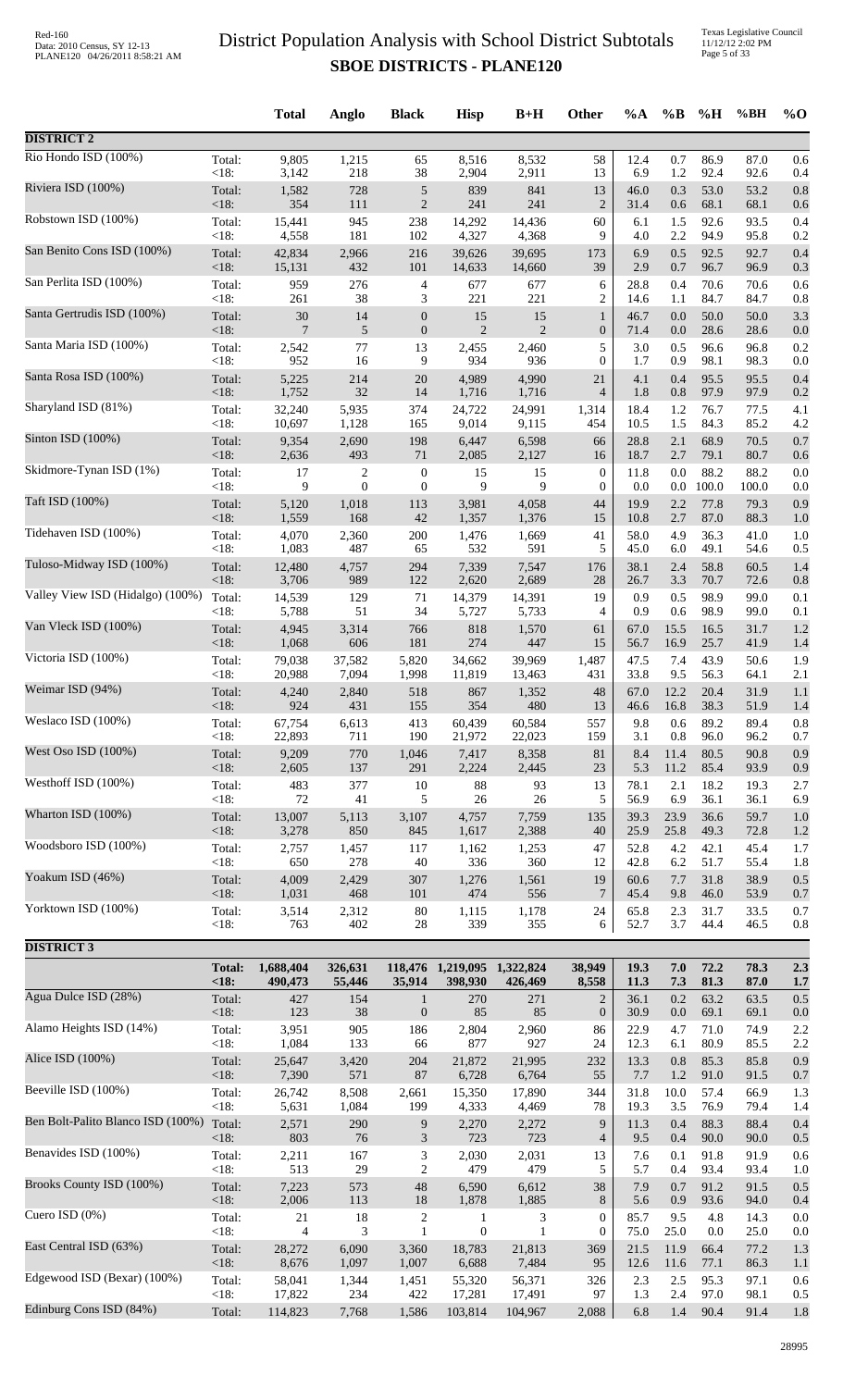Texas Legislative Council 11/12/12 2:02 PM Page 5 of 33

|                                          |                   | <b>Total</b>             | Anglo           | <b>Black</b>                         | <b>Hisp</b>                 | $B+H$                                       | <b>Other</b>                     | $\%A$        | $\%$ B         | %H            | %BH           | $%$ <sup>O</sup> |
|------------------------------------------|-------------------|--------------------------|-----------------|--------------------------------------|-----------------------------|---------------------------------------------|----------------------------------|--------------|----------------|---------------|---------------|------------------|
| <b>DISTRICT 2</b>                        |                   |                          |                 |                                      |                             |                                             |                                  |              |                |               |               |                  |
| Rio Hondo ISD (100%)                     | Total:            | 9,805                    | 1,215           | 65                                   | 8,516                       | 8,532                                       | 58                               | 12.4         | 0.7            | 86.9          | 87.0          | 0.6              |
| Riviera ISD (100%)                       | <18:<br>Total:    | 3,142<br>1,582           | 218<br>728      | 38<br>$\sqrt{5}$                     | 2,904<br>839                | 2,911<br>841                                | 13<br>13                         | 6.9<br>46.0  | 1.2<br>0.3     | 92.4<br>53.0  | 92.6<br>53.2  | 0.4<br>0.8       |
|                                          | <18:              | 354                      | 111             | $\sqrt{2}$                           | 241                         | 241                                         | $\overline{c}$                   | 31.4         | 0.6            | 68.1          | 68.1          | 0.6              |
| Robstown ISD (100%)                      | Total:<br><18:    | 15,441<br>4,558          | 945<br>181      | 238<br>102                           | 14,292<br>4,327             | 14,436<br>4,368                             | 60<br>9                          | 6.1<br>4.0   | 1.5<br>2.2     | 92.6<br>94.9  | 93.5<br>95.8  | 0.4<br>0.2       |
| San Benito Cons ISD (100%)               | Total:            | 42,834                   | 2,966           | 216                                  | 39,626                      | 39,695                                      | 173                              | 6.9          | 0.5            | 92.5          | 92.7          | 0.4              |
| San Perlita ISD (100%)                   | $<18$ :<br>Total: | 15,131<br>959            | 432<br>276      | 101<br>$\overline{4}$                | 14,633<br>677               | 14,660<br>677                               | 39<br>6                          | 2.9<br>28.8  | 0.7<br>0.4     | 96.7<br>70.6  | 96.9<br>70.6  | 0.3<br>0.6       |
|                                          | $<18$ :           | 261                      | 38              | 3                                    | 221                         | 221                                         | $\overline{c}$                   | 14.6         | 1.1            | 84.7          | 84.7          | 0.8              |
| Santa Gertrudis ISD (100%)               | Total:<br><18:    | $30\,$<br>7              | 14<br>5         | $\boldsymbol{0}$<br>$\boldsymbol{0}$ | 15<br>$\overline{2}$        | 15<br>$\overline{2}$                        | $\mathbf{1}$<br>$\mathbf{0}$     | 46.7<br>71.4 | 0.0<br>0.0     | 50.0<br>28.6  | 50.0<br>28.6  | 3.3<br>0.0       |
| Santa Maria ISD (100%)                   | Total:<br><18:    | 2,542<br>952             | 77<br>16        | 13                                   | 2,455<br>934                | 2,460                                       | 5<br>$\mathbf{0}$                | 3.0<br>1.7   | 0.5<br>0.9     | 96.6<br>98.1  | 96.8<br>98.3  | 0.2              |
| Santa Rosa ISD (100%)                    | Total:            | 5,225                    | 214             | 9<br>20                              | 4,989                       | 936<br>4,990                                | 21                               | 4.1          | 0.4            | 95.5          | 95.5          | 0.0<br>0.4       |
| Sharyland ISD (81%)                      | <18:<br>Total:    | 1,752<br>32,240          | 32<br>5,935     | 14<br>374                            | 1,716<br>24,722             | 1,716<br>24,991                             | 4<br>1,314                       | 1.8<br>18.4  | 0.8<br>1.2     | 97.9<br>76.7  | 97.9<br>77.5  | 0.2<br>4.1       |
|                                          | $<18$ :           | 10,697                   | 1,128           | 165                                  | 9,014                       | 9,115                                       | 454                              | 10.5         | 1.5            | 84.3          | 85.2          | 4.2              |
| Sinton ISD (100%)                        | Total:<br>$<18$ : | 9,354<br>2,636           | 2,690<br>493    | 198<br>71                            | 6,447<br>2,085              | 6,598<br>2,127                              | 66<br>16                         | 28.8<br>18.7 | 2.1<br>2.7     | 68.9<br>79.1  | 70.5<br>80.7  | 0.7<br>0.6       |
| Skidmore-Tynan ISD (1%)                  | Total:<br>$<18$ : | 17<br>9                  | 2<br>$\theta$   | $\boldsymbol{0}$<br>$\mathbf{0}$     | 15<br>9                     | 15<br>9                                     | $\mathbf{0}$<br>$\mathbf{0}$     | 11.8<br>0.0  | 0.0<br>$0.0\,$ | 88.2<br>100.0 | 88.2<br>100.0 | 0.0<br>0.0       |
| Taft ISD (100%)                          | Total:            | 5,120                    | 1,018           | 113                                  | 3,981                       | 4,058                                       | 44                               | 19.9         | 2.2            | 77.8          | 79.3          | 0.9              |
| Tidehaven ISD (100%)                     | <18:              | 1,559                    | 168             | 42                                   | 1,357                       | 1,376                                       | 15                               | 10.8         | 2.7            | 87.0          | 88.3          | 1.0              |
|                                          | Total:<br><18:    | 4,070<br>1,083           | 2,360<br>487    | 200<br>65                            | 1,476<br>532                | 1,669<br>591                                | 41<br>5                          | 58.0<br>45.0 | 4.9<br>6.0     | 36.3<br>49.1  | 41.0<br>54.6  | 1.0<br>0.5       |
| Tuloso-Midway ISD (100%)                 | Total:<br>$<18$ : | 12,480<br>3,706          | 4,757<br>989    | 294<br>122                           | 7,339<br>2,620              | 7,547<br>2,689                              | 176<br>28                        | 38.1<br>26.7 | 2.4<br>3.3     | 58.8<br>70.7  | 60.5<br>72.6  | 1.4<br>0.8       |
| Valley View ISD (Hidalgo) (100%)         | Total:            | 14,539                   | 129             | 71                                   | 14,379                      | 14,391                                      | 19                               | 0.9          | 0.5            | 98.9          | 99.0          | 0.1              |
| Van Vleck ISD (100%)                     | <18:<br>Total:    | 5,788<br>4,945           | 51<br>3,314     | 34<br>766                            | 5,727<br>818                | 5,733<br>1,570                              | 4<br>61                          | 0.9<br>67.0  | 0.6<br>15.5    | 98.9<br>16.5  | 99.0<br>31.7  | 0.1<br>1.2       |
|                                          | $<18$ :           | 1,068                    | 606             | 181                                  | 274                         | 447                                         | 15                               | 56.7         | 16.9           | 25.7          | 41.9          | 1.4              |
| Victoria ISD (100%)                      | Total:<br><18:    | 79,038<br>20,988         | 37,582<br>7,094 | 5,820<br>1,998                       | 34,662<br>11,819            | 39,969<br>13,463                            | 1,487<br>431                     | 47.5<br>33.8 | 7.4<br>9.5     | 43.9<br>56.3  | 50.6<br>64.1  | 1.9<br>2.1       |
| Weimar ISD (94%)                         | Total:            | 4,240                    | 2,840           | 518                                  | 867                         | 1,352                                       | 48                               | 67.0         | 12.2           | 20.4          | 31.9          | 1.1              |
| Weslaco ISD $(100\%)$                    | $<18$ :<br>Total: | 924<br>67,754            | 431<br>6,613    | 155<br>413                           | 354<br>60,439               | 480<br>60,584                               | 13<br>557                        | 46.6<br>9.8  | 16.8<br>0.6    | 38.3<br>89.2  | 51.9<br>89.4  | 1.4<br>0.8       |
| West Oso ISD (100%)                      | $<18$ :           | 22,893                   | 711             | 190                                  | 21,972                      | 22,023                                      | 159                              | 3.1          | 0.8            | 96.0          | 96.2          | 0.7              |
|                                          | Total:<br><18:    | 9,209<br>2,605           | 770<br>137      | 1,046<br>291                         | 7,417<br>2,224              | 8,358<br>2,445                              | 81<br>23                         | 8.4<br>5.3   | 11.4<br>11.2   | 80.5<br>85.4  | 90.8<br>93.9  | 0.9<br>0.9       |
| Westhoff ISD (100%)                      | Total:<br><18:    | 483<br>72                | 377<br>41       | $10\,$<br>5                          | 88<br>$26\,$                | 93<br>26                                    | 13<br>5                          | 78.1<br>56.9 | 2.1<br>6.9     | 18.2<br>36.1  | 19.3<br>36.1  | 2.7<br>6.9       |
| Wharton ISD (100%)                       | Total:            | 13,007                   | 5,113           | 3,107                                | 4,757                       | 7,759                                       | 135                              | 39.3         | 23.9           | 36.6          | 59.7          | 1.0              |
| Woodsboro ISD (100%)                     | $<18$ :<br>Total: | 3,278<br>2,757           | 850<br>1,457    | 845<br>117                           | 1,617<br>1,162              | 2,388<br>1,253                              | 40<br>47                         | 25.9<br>52.8 | 25.8<br>4.2    | 49.3<br>42.1  | 72.8<br>45.4  | 1.2<br>1.7       |
|                                          | <18:              | 650                      | 278             | 40                                   | 336                         | 360                                         | 12                               | 42.8         | 6.2            | 51.7          | 55.4          | 1.8              |
| Yoakum ISD (46%)                         | Total:<br>$<18$ : | 4,009<br>1,031           | 2,429<br>468    | 307<br>101                           | 1,276<br>474                | 1,561<br>556                                | 19<br>7                          | 60.6<br>45.4 | 7.7<br>9.8     | 31.8<br>46.0  | 38.9<br>53.9  | 0.5<br>0.7       |
| Yorktown ISD (100%)                      | Total:            | 3,514                    | 2,312           | $80\,$                               | 1,115                       | 1,178                                       | 24                               | 65.8         | 2.3            | 31.7          | 33.5          | 0.7              |
| <b>DISTRICT 3</b>                        | < 18:             | 763                      | 402             | 28                                   | 339                         | 355                                         | 6                                | 52.7         | 3.7            | 44.4          | 46.5          | 0.8              |
|                                          | <b>Total:</b>     | 1,688,404                | 326,631         |                                      | 118,476 1,219,095 1,322,824 |                                             | 38,949                           | 19.3         | 7.0            | 72.2          | 78.3          | 2.3              |
| Agua Dulce ISD (28%)                     | <18:              | 490,473                  | 55,446          | 35,914                               | 398,930                     | 426,469                                     | 8,558                            | 11.3         | 7.3            | 81.3          | 87.0          | 1.7              |
|                                          | Total:<br><18:    | 427<br>123               | 154<br>38       | $\mathbf{1}$<br>$\mathbf{0}$         | 270<br>85                   | 271<br>85                                   | $\overline{c}$<br>$\mathbf{0}$   | 36.1<br>30.9 | 0.2<br>0.0     | 63.2<br>69.1  | 63.5<br>69.1  | 0.5<br>0.0       |
| Alamo Heights ISD (14%)                  | Total:<br><18:    | 3,951<br>1,084           | 905<br>133      | 186<br>66                            | 2,804<br>877                | 2,960<br>927                                | 86<br>24                         | 22.9<br>12.3 | 4.7<br>6.1     | 71.0<br>80.9  | 74.9<br>85.5  | 2.2<br>2.2       |
| Alice ISD (100%)                         | Total:            | 25,647                   | 3,420           | 204                                  | 21,872                      | 21,995                                      | 232                              | 13.3         | 0.8            | 85.3          | 85.8          | 0.9              |
| Beeville ISD (100%)                      | $<18$ :<br>Total: | 7,390<br>26,742          | 571<br>8,508    | 87<br>2,661                          | 6,728<br>15,350             | 6,764<br>17,890                             | 55<br>344                        | 7.7<br>31.8  | 1.2<br>10.0    | 91.0<br>57.4  | 91.5<br>66.9  | 0.7<br>1.3       |
|                                          | <18:              | 5,631                    | 1,084           | 199                                  | 4,333                       | 4,469                                       | 78                               | 19.3         | 3.5            | 76.9          | 79.4          | 1.4              |
| Ben Bolt-Palito Blanco ISD (100%) Total: | $<18$ :           | 2,571<br>803             | 290<br>76       | 9<br>$\mathfrak{Z}$                  | 2,270<br>723                | 2,272<br>723                                | 9<br>$\overline{4}$              | 11.3<br>9.5  | 0.4<br>0.4     | 88.3<br>90.0  | 88.4<br>90.0  | 0.4<br>0.5       |
| Benavides ISD (100%)                     | Total:            | 2,211                    | 167             | $\ensuremath{\mathfrak{Z}}$          | 2,030                       | 2,031                                       | 13                               | 7.6          | 0.1            | 91.8          | 91.9          | 0.6              |
| Brooks County ISD (100%)                 | <18:<br>Total:    | 513<br>7,223             | 29<br>573       | $\overline{2}$<br>48                 | 479<br>6,590                | 479<br>6,612                                | 5<br>38                          | 5.7<br>7.9   | 0.4<br>0.7     | 93.4<br>91.2  | 93.4<br>91.5  | 1.0<br>0.5       |
| Cuero ISD $(0\%)$                        | $<18$ :           | 2,006                    | 113             | 18                                   | 1,878                       | 1,885                                       | 8                                | 5.6          | 0.9            | 93.6          | 94.0          | 0.4              |
|                                          | Total:<br><18:    | $21\,$<br>$\overline{4}$ | 18<br>3         | $\sqrt{2}$<br>$\mathbf{1}$           | 1<br>$\mathbf{0}$           | $\ensuremath{\mathfrak{Z}}$<br>$\mathbf{1}$ | $\boldsymbol{0}$<br>$\mathbf{0}$ | 85.7<br>75.0 | 9.5<br>25.0    | 4.8<br>0.0    | 14.3<br>25.0  | 0.0<br>0.0       |
| East Central ISD (63%)                   | Total:<br><18:    | 28,272<br>8,676          | 6,090<br>1,097  | 3,360<br>1,007                       | 18,783<br>6,688             | 21,813<br>7,484                             | 369<br>95                        | 21.5<br>12.6 | 11.9<br>11.6   | 66.4<br>77.1  | 77.2<br>86.3  | 1.3<br>1.1       |
| Edgewood ISD (Bexar) (100%)              | Total:            | 58,041                   | 1,344           | 1,451                                | 55,320                      | 56,371                                      | 326                              | 2.3          | 2.5            | 95.3          | 97.1          | 0.6              |
| Edinburg Cons ISD (84%)                  | $<18$ :<br>Total: | 17,822<br>114,823        | 234<br>7,768    | 422<br>1,586                         | 17,281<br>103,814           | 17,491<br>104,967                           | 97<br>2,088                      | 1.3<br>6.8   | 2.4<br>1.4     | 97.0<br>90.4  | 98.1<br>91.4  | 0.5<br>1.8       |
|                                          |                   |                          |                 |                                      |                             |                                             |                                  |              |                |               |               |                  |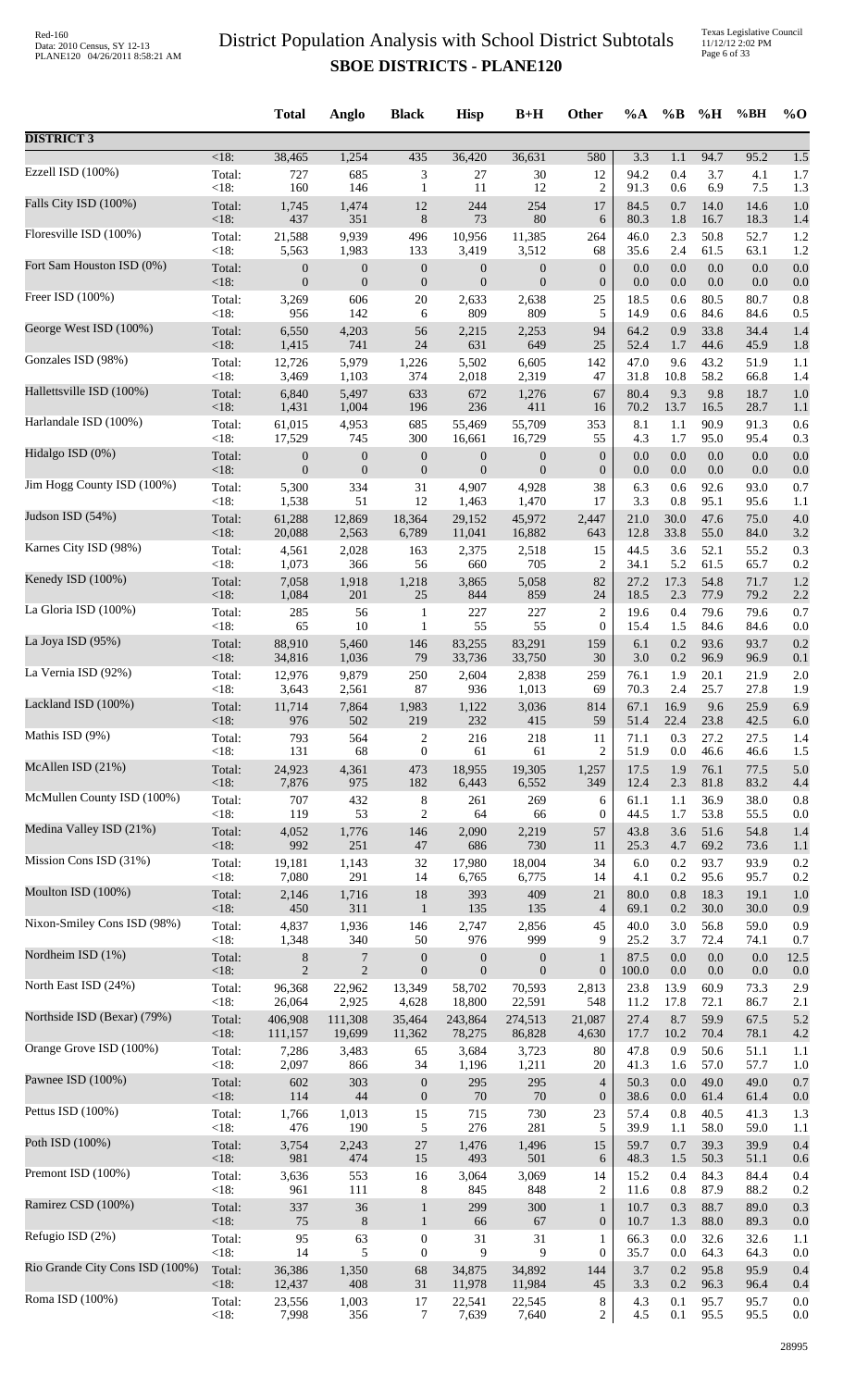Texas Legislative Council 11/12/12 2:02 PM Page 6 of 33

|                                 |                | <b>Total</b>     | Anglo            | <b>Black</b>     | <b>Hisp</b>      | $B+H$            | Other                | $\%A$        | $\%B$       | %H           | %BH          | $%$ <sup>O</sup> |
|---------------------------------|----------------|------------------|------------------|------------------|------------------|------------------|----------------------|--------------|-------------|--------------|--------------|------------------|
| <b>DISTRICT 3</b>               |                |                  |                  |                  |                  |                  |                      |              |             |              |              |                  |
|                                 | <18:           | 38,465           | 1,254            | 435              | 36,420           | 36,631           | 580                  | 3.3          | 1.1         | 94.7         | 95.2         | 1.5              |
| Ezzell ISD (100%)               | Total:         | 727              | 685              | 3                | 27               | 30               | 12                   | 94.2         | 0.4         | 3.7          | 4.1          | $1.7\,$          |
|                                 | <18:           | 160              | 146              | $\mathbf{1}$     | 11               | 12               | $\overline{c}$       | 91.3         | 0.6         | 6.9          | 7.5          | 1.3              |
| Falls City ISD (100%)           | Total:         | 1,745            | 1,474            | $12\,$           | 244              | 254              | 17                   | 84.5         | 0.7         | 14.0         | 14.6         | 1.0              |
| Floresville ISD (100%)          | $<18$ :        | 437              | 351              | $\,8\,$          | 73               | 80               | 6                    | 80.3         | 1.8         | 16.7         | 18.3         | 1.4              |
|                                 | Total:         | 21,588           | 9,939            | 496              | 10,956           | 11,385           | 264                  | 46.0         | 2.3         | 50.8         | 52.7         | 1.2              |
|                                 | <18:           | 5,563            | 1,983            | 133              | 3,419            | 3,512            | 68                   | 35.6         | 2.4         | 61.5         | 63.1         | 1.2              |
| Fort Sam Houston ISD (0%)       | Total:         | $\boldsymbol{0}$ | $\boldsymbol{0}$ | $\boldsymbol{0}$ | $\boldsymbol{0}$ | $\boldsymbol{0}$ | $\boldsymbol{0}$     | 0.0          | 0.0         | 0.0          | 0.0          | 0.0              |
|                                 | <18:           | $\boldsymbol{0}$ | $\mathbf{0}$     | $\boldsymbol{0}$ | $\mathbf{0}$     | $\mathbf{0}$     | $\mathbf{0}$         | 0.0          | 0.0         | 0.0          | 0.0          | 0.0              |
| Freer ISD (100%)                | Total:         | 3,269            | 606              | 20               | 2,633            | 2,638            | 25                   | 18.5         | 0.6         | 80.5         | 80.7         | 0.8              |
| George West ISD (100%)          | <18:           | 956              | 142              | 6                | 809              | 809              | 5                    | 14.9         | 0.6         | 84.6         | 84.6         | 0.5              |
|                                 | Total:         | 6,550            | 4,203            | 56               | 2,215            | 2,253            | 94                   | 64.2         | 0.9         | 33.8         | 34.4         | 1.4              |
| Gonzales ISD (98%)              | <18:           | 1,415            | 741              | 24               | 631              | 649              | 25                   | 52.4         | 1.7         | 44.6         | 45.9         | 1.8              |
|                                 | Total:         | 12,726           | 5,979            | 1,226            | 5,502            | 6,605            | 142                  | 47.0         | 9.6         | 43.2         | 51.9         | 1.1              |
|                                 | $<18$ :        | 3,469            | 1,103            | 374              | 2,018            | 2,319            | 47                   | 31.8         | 10.8        | 58.2         | 66.8         | 1.4              |
| Hallettsville ISD (100%)        | Total:         | 6,840            | 5,497            | 633              | 672              | 1,276            | 67                   | 80.4         | 9.3         | 9.8          | 18.7         | 1.0              |
|                                 | <18:           | 1,431            | 1,004            | 196              | 236              | 411              | 16                   | 70.2         | 13.7        | 16.5         | 28.7         | 1.1              |
| Harlandale ISD (100%)           | Total:         | 61,015           | 4,953            | 685              | 55,469           | 55,709           | 353                  | 8.1          | 1.1         | 90.9         | 91.3         | 0.6              |
|                                 | <18:           | 17,529           | 745              | 300              | 16,661           | 16,729           | 55                   | 4.3          | 1.7         | 95.0         | 95.4         | 0.3              |
| Hidalgo ISD (0%)                | Total:         | $\boldsymbol{0}$ | $\boldsymbol{0}$ | $\boldsymbol{0}$ | $\boldsymbol{0}$ | $\boldsymbol{0}$ | $\boldsymbol{0}$     | 0.0          | 0.0         | 0.0          | 0.0          | 0.0              |
| Jim Hogg County ISD (100%)      | <18:           | $\boldsymbol{0}$ | $\boldsymbol{0}$ | $\boldsymbol{0}$ | $\boldsymbol{0}$ | $\boldsymbol{0}$ | $\boldsymbol{0}$     | 0.0          | 0.0         | 0.0          | 0.0          | 0.0              |
|                                 | Total:         | 5,300            | 334              | 31               | 4,907            | 4,928            | 38                   | 6.3          | 0.6         | 92.6         | 93.0         | 0.7              |
|                                 | <18:           | 1,538            | 51               | 12               | 1,463            | 1,470            | 17                   | 3.3          | 0.8         | 95.1         | 95.6         | 1.1              |
| Judson ISD (54%)                | Total:         | 61,288           | 12,869           | 18,364           | 29,152           | 45,972           | 2,447                | 21.0         | 30.0        | 47.6         | 75.0         | 4.0              |
|                                 | <18:           | 20,088           | 2,563            | 6,789            | 11,041           | 16,882           | 643                  | 12.8         | 33.8        | 55.0         | 84.0         | 3.2              |
| Karnes City ISD (98%)           | Total:<br><18: | 4,561            | 2,028            | 163              | 2,375            | 2,518            | 15                   | 44.5         | 3.6         | 52.1         | 55.2         | 0.3              |
| Kenedy ISD (100%)               | Total:         | 1,073<br>7,058   | 366<br>1,918     | 56<br>1,218      | 660<br>3,865     | 705<br>5,058     | $\overline{c}$<br>82 | 34.1<br>27.2 | 5.2<br>17.3 | 61.5<br>54.8 | 65.7<br>71.7 | 0.2<br>1.2       |
| La Gloria ISD (100%)            | <18:           | 1,084            | 201              | 25               | 844              | 859              | 24                   | 18.5         | 2.3         | 77.9         | 79.2         | 2.2              |
|                                 | Total:         | 285              | 56               | $\mathbf{1}$     | 227              | 227              | $\overline{c}$       | 19.6         | 0.4         | 79.6         | 79.6         | 0.7              |
|                                 | <18:           | 65               | 10               | $\mathbf{1}$     | 55               | 55               | $\mathbf{0}$         | 15.4         | 1.5         | 84.6         | 84.6         | 0.0              |
| La Joya ISD (95%)               | Total:         | 88,910           | 5,460            | 146              | 83,255           | 83,291           | 159                  | 6.1          | 0.2         | 93.6         | 93.7         | 0.2              |
|                                 | $<18$ :        | 34,816           | 1,036            | 79               | 33,736           | 33,750           | 30                   | 3.0          | 0.2         | 96.9         | 96.9         | 0.1              |
| La Vernia ISD (92%)             | Total:         | 12,976           | 9,879            | 250<br>87        | 2,604            | 2,838            | 259                  | 76.1<br>70.3 | 1.9<br>2.4  | 20.1<br>25.7 | 21.9         | 2.0              |
| Lackland ISD (100%)             | <18:<br>Total: | 3,643<br>11,714  | 2,561<br>7,864   | 1,983            | 936<br>1,122     | 1,013<br>3,036   | 69<br>814            | 67.1         | 16.9        | 9.6          | 27.8<br>25.9 | 1.9<br>6.9       |
| Mathis ISD (9%)                 | < 18:          | 976              | 502              | 219              | 232              | 415              | 59                   | 51.4         | 22.4        | 23.8         | 42.5         | $6.0\,$          |
|                                 | Total:         | 793              | 564              | $\overline{c}$   | 216              | 218              | 11                   | 71.1         | 0.3         | 27.2         | 27.5         | 1.4              |
|                                 | <18:           | 131              | 68               | $\boldsymbol{0}$ | 61               | 61               | 2                    | 51.9         | 0.0         | 46.6         | 46.6         | 1.5              |
| McAllen ISD (21%)               | Total:         | 24,923           | 4,361            | 473              | 18,955           | 19,305           | 1,257                | 17.5         | 1.9         | 76.1         | 77.5         | 5.0              |
|                                 | <18:           | 7,876            | 975              | 182              | 6,443            | 6,552            | 349                  | 12.4         | 2.3         | 81.8         | 83.2         | 4.4              |
| McMullen County ISD (100%)      | Total:         | 707              | 432              | $\,8\,$          | 261              | 269              | 6                    | 61.1         | 1.1         | 36.9         | 38.0         | 0.8              |
|                                 | <18:           | 119              | 53               | $\overline{2}$   | 64               | 66               | $\boldsymbol{0}$     | 44.5         | 1.7         | 53.8         | 55.5         | 0.0              |
| Medina Valley ISD (21%)         | Total:         | 4,052            | 1,776            | 146              | 2,090            | 2,219            | 57                   | 43.8         | 3.6         | 51.6         | 54.8         | 1.4              |
| Mission Cons ISD (31%)          | <18:           | 992              | 251              | 47               | 686              | 730              | 11                   | 25.3         | 4.7         | 69.2         | 73.6         | 1.1              |
|                                 | Total:         | 19,181           | 1,143            | 32               | 17,980           | 18,004           | 34                   | 6.0          | 0.2         | 93.7         | 93.9         | 0.2              |
|                                 | <18:           | 7,080            | 291              | 14               | 6,765            | 6,775            | 14                   | 4.1          | 0.2         | 95.6         | 95.7         | 0.2              |
| Moulton ISD (100%)              | Total:         | 2,146            | 1,716            | 18               | 393              | 409              | 21                   | 80.0         | 0.8         | 18.3         | 19.1         | 1.0              |
|                                 | <18:           | 450              | 311              | $\mathbf{1}$     | 135              | 135              | $\overline{4}$       | 69.1         | 0.2         | 30.0         | 30.0         | 0.9              |
| Nixon-Smiley Cons ISD (98%)     | Total:         | 4,837            | 1,936            | 146              | 2,747            | 2,856            | 45                   | 40.0         | 3.0         | 56.8         | 59.0         | 0.9              |
|                                 | <18:           | 1,348            | 340              | 50               | 976              | 999              | 9                    | 25.2         | 3.7         | 72.4         | 74.1         | 0.7              |
| Nordheim ISD (1%)               | Total:         | $8\,$            | 7                | $\boldsymbol{0}$ | $\boldsymbol{0}$ | $\boldsymbol{0}$ | $\mathbf{1}$         | 87.5         | 0.0         | $0.0\,$      | 0.0          | 12.5             |
| North East ISD (24%)            | <18:           | 2                | $\sqrt{2}$       | $\boldsymbol{0}$ | $\mathbf{0}$     | $\boldsymbol{0}$ | $\mathbf{0}$         | 100.0        | 0.0         | 0.0          | 0.0          | 0.0              |
|                                 | Total:         | 96,368           | 22,962           | 13,349           | 58,702           | 70,593           | 2,813                | 23.8         | 13.9        | 60.9         | 73.3         | 2.9              |
|                                 | <18:           | 26,064           | 2,925            | 4,628            | 18,800           | 22,591           | 548                  | 11.2         | 17.8        | 72.1         | 86.7         | 2.1              |
| Northside ISD (Bexar) (79%)     | Total:         | 406,908          | 111,308          | 35,464           | 243,864          | 274,513          | 21,087               | 27.4         | 8.7         | 59.9         | 67.5         | 5.2              |
|                                 | <18:           | 111,157          | 19,699           | 11,362           | 78,275           | 86,828           | 4,630                | 17.7         | 10.2        | 70.4         | 78.1         | 4.2              |
| Orange Grove ISD (100%)         | Total:<br><18: | 7,286<br>2,097   | 3,483<br>866     | 65<br>34         | 3,684<br>1,196   | 3,723<br>1,211   | 80<br>20             | 47.8<br>41.3 | 0.9<br>1.6  | 50.6<br>57.0 | 51.1<br>57.7 | 1.1              |
| Pawnee ISD (100%)               | Total:         | 602              | 303              | $\boldsymbol{0}$ | 295              | 295              | $\overline{4}$       | 50.3         | 0.0         | 49.0         | 49.0         | 1.0<br>0.7       |
| Pettus ISD (100%)               | $<18$ :        | 114              | 44               | $\boldsymbol{0}$ | 70               | 70               | $\boldsymbol{0}$     | 38.6         | 0.0         | 61.4         | 61.4         | 0.0              |
|                                 | Total:         | 1,766            | 1,013            | 15               | 715              | 730              | 23                   | 57.4         | 0.8         | 40.5         | 41.3         | 1.3              |
|                                 | <18:           | 476              | 190              | 5                | 276              | 281              | 5                    | 39.9         | 1.1         | 58.0         | 59.0         | 1.1              |
| Poth ISD (100%)                 | Total:         | 3,754            | 2,243            | $27\,$           | 1,476            | 1,496            | 15                   | 59.7         | 0.7         | 39.3         | 39.9         | 0.4              |
|                                 | < 18:          | 981              | 474              | 15               | 493              | 501              | 6                    | 48.3         | 1.5         | 50.3         | 51.1         | 0.6              |
| Premont ISD (100%)              | Total:         | 3,636            | 553              | 16               | 3,064            | 3,069            | 14                   | 15.2         | 0.4         | 84.3         | 84.4         | 0.4              |
|                                 | <18:           | 961              | 111              | 8                | 845              | 848              | $\overline{c}$       | 11.6         | 0.8         | 87.9         | 88.2         | 0.2              |
| Ramirez CSD (100%)              | Total:         | 337              | 36               | $\mathbf{1}$     | 299              | 300              | $\mathbf{1}$         | 10.7         | 0.3         | 88.7         | 89.0         | 0.3              |
| Refugio ISD (2%)                | <18:           | 75               | $8\phantom{1}$   | $\mathbf{1}$     | 66               | 67               | $\boldsymbol{0}$     | 10.7         | 1.3         | 88.0         | 89.3         | 0.0              |
|                                 | Total:         | 95               | 63               | $\boldsymbol{0}$ | 31               | 31               | $\mathbf{1}$         | 66.3         | 0.0         | 32.6         | 32.6         | 1.1              |
|                                 | <18:           | 14               | 5                | $\boldsymbol{0}$ | 9                | 9                | $\boldsymbol{0}$     | 35.7         | 0.0         | 64.3         | 64.3         | 0.0              |
| Rio Grande City Cons ISD (100%) | Total:         | 36,386           | 1,350            | 68               | 34,875           | 34,892           | 144                  | 3.7          | 0.2         | 95.8         | 95.9         | 0.4              |
|                                 | < 18:          | 12,437           | 408              | 31               | 11,978           | 11,984           | 45                   | 3.3          | 0.2         | 96.3         | 96.4         | 0.4              |
| Roma ISD (100%)                 | Total:         | 23,556           | 1,003            | 17               | 22,541           | 22,545           | 8                    | 4.3          | 0.1         | 95.7         | 95.7         | 0.0              |
|                                 | <18:           | 7,998            | 356              | 7                | 7,639            | 7,640            | $\overline{c}$       | 4.5          | 0.1         | 95.5         | 95.5         | 0.0              |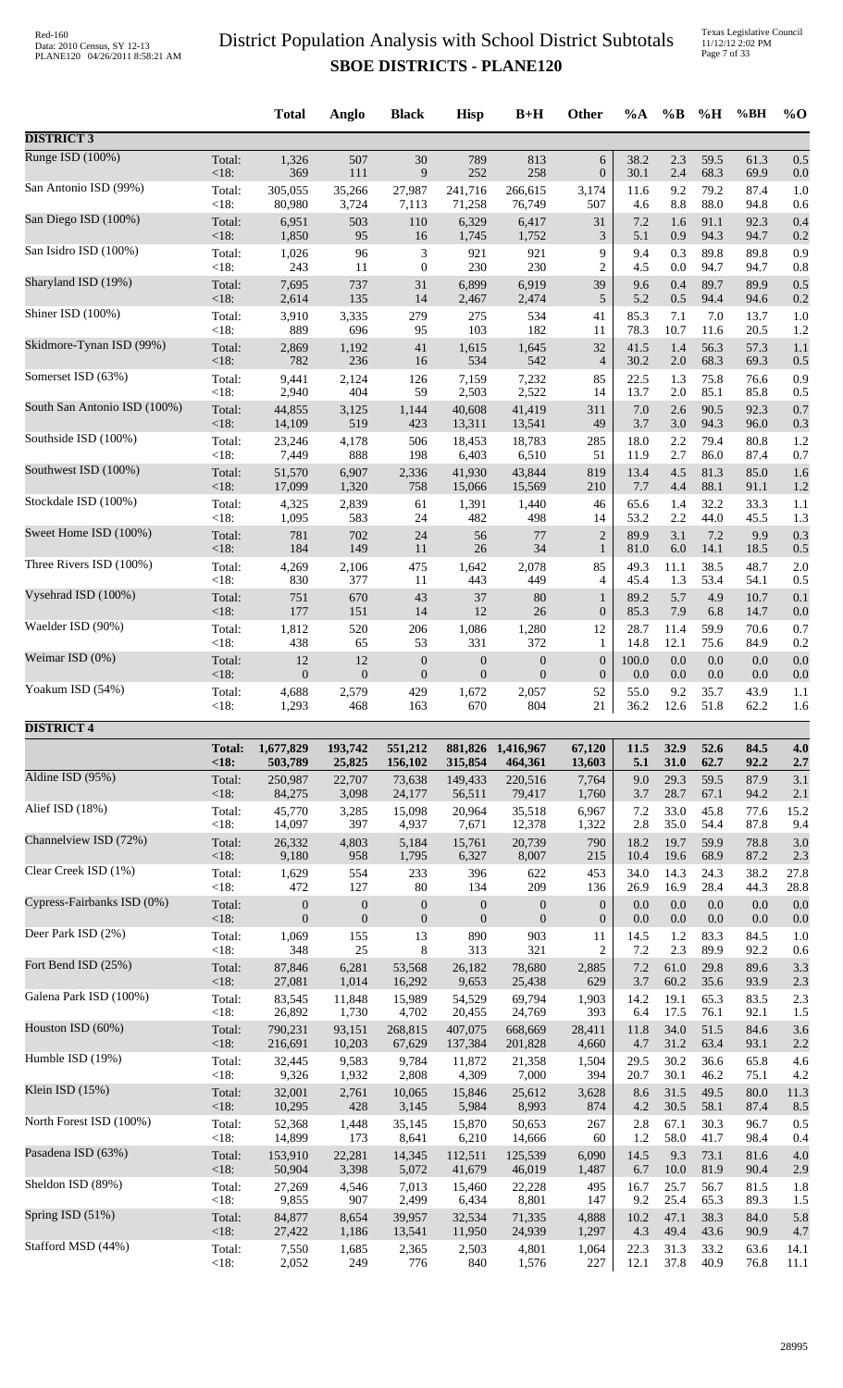Texas Legislative Council 11/12/12 2:02 PM Page 7 of 33

|                              |               | <b>Total</b>     | Anglo            | <b>Black</b>     | <b>Hisp</b>      | $B+H$            | <b>Other</b>     | $\%A$   | $\%$ B  | %H   | %BH  | $\%$ O |
|------------------------------|---------------|------------------|------------------|------------------|------------------|------------------|------------------|---------|---------|------|------|--------|
| <b>DISTRICT 3</b>            |               |                  |                  |                  |                  |                  |                  |         |         |      |      |        |
| Runge ISD (100%)             | Total:        | 1,326            | 507              | 30               | 789              | 813              | 6                | 38.2    | 2.3     | 59.5 | 61.3 | 0.5    |
|                              | <18:          | 369              | 111              | 9                | 252              | 258              | $\boldsymbol{0}$ | 30.1    | 2.4     | 68.3 | 69.9 | 0.0    |
| San Antonio ISD (99%)        | Total:        | 305,055          | 35,266           | 27,987           | 241,716          | 266,615          | 3,174            | 11.6    | 9.2     | 79.2 | 87.4 | 1.0    |
|                              | <18:          | 80,980           | 3,724            | 7,113            | 71,258           | 76,749           | 507              | 4.6     | 8.8     | 88.0 | 94.8 | 0.6    |
| San Diego ISD (100%)         | Total:        | 6,951            | 503              | 110              | 6,329            | 6,417            | 31               | 7.2     | 1.6     | 91.1 | 92.3 | 0.4    |
|                              | <18:          | 1,850            | 95               | 16               | 1,745            | 1,752            | $\mathfrak{Z}$   | 5.1     | 0.9     | 94.3 | 94.7 | 0.2    |
| San Isidro ISD (100%)        | Total:        | 1,026            | 96               | 3                | 921              | 921              | 9                | 9.4     | 0.3     | 89.8 | 89.8 | 0.9    |
| Sharyland ISD (19%)          | $<18$ :       | 243              | 11               | $\boldsymbol{0}$ | 230              | 230              | $\overline{c}$   | 4.5     | 0.0     | 94.7 | 94.7 | 0.8    |
|                              | Total:        | 7,695            | 737              | 31               | 6,899            | 6,919            | 39               | 9.6     | 0.4     | 89.7 | 89.9 | 0.5    |
| Shiner ISD (100%)            | <18:          | 2,614            | 135              | 14               | 2,467            | 2,474            | 5                | 5.2     | 0.5     | 94.4 | 94.6 | 0.2    |
|                              | Total:        | 3,910            | 3,335            | 279              | 275              | 534              | 41               | 85.3    | 7.1     | 7.0  | 13.7 | 1.0    |
| Skidmore-Tynan ISD (99%)     | $<18$ :       | 889              | 696              | 95               | 103              | 182              | 11               | 78.3    | 10.7    | 11.6 | 20.5 | 1.2    |
|                              | Total:        | 2,869            | 1,192            | $41\,$           | 1,615            | 1,645            | 32               | 41.5    | 1.4     | 56.3 | 57.3 | 1.1    |
| Somerset ISD (63%)           | <18:          | 782              | 236              | 16               | 534              | 542              | $\overline{4}$   | 30.2    | $2.0\,$ | 68.3 | 69.3 | 0.5    |
|                              | Total:        | 9,441            | 2,124            | 126              | 7,159            | 7,232            | 85               | 22.5    | 1.3     | 75.8 | 76.6 | 0.9    |
| South San Antonio ISD (100%) | <18:          | 2,940            | 404              | 59               | 2,503            | 2,522            | 14               | 13.7    | 2.0     | 85.1 | 85.8 | 0.5    |
|                              | Total:        | 44,855           | 3,125            | 1,144            | 40,608           | 41,419           | 311              | $7.0\,$ | 2.6     | 90.5 | 92.3 | 0.7    |
| Southside ISD (100%)         | $<18$ :       | 14,109           | 519              | 423              | 13,311           | 13,541           | 49               | 3.7     | 3.0     | 94.3 | 96.0 | 0.3    |
|                              | Total:        | 23,246           | 4,178            | 506              | 18,453           | 18,783           | 285              | 18.0    | 2.2     | 79.4 | 80.8 | 1.2    |
|                              | <18:          | 7,449            | 888              | 198              | 6,403            | 6,510            | 51               | 11.9    | 2.7     | 86.0 | 87.4 | 0.7    |
| Southwest ISD (100%)         | Total:        | 51,570           | 6,907            | 2,336            | 41,930           | 43,844           | 819              | 13.4    | 4.5     | 81.3 | 85.0 | 1.6    |
|                              | <18:          | 17,099           | 1,320            | 758              | 15,066           | 15,569           | 210              | 7.7     | 4.4     | 88.1 | 91.1 | 1.2    |
| Stockdale ISD (100%)         | Total:        | 4,325            | 2,839            | 61               | 1,391            | 1,440            | 46               | 65.6    | 1.4     | 32.2 | 33.3 | 1.1    |
|                              | <18:          | 1,095            | 583              | 24               | 482              | 498              | 14               | 53.2    | 2.2     | 44.0 | 45.5 | 1.3    |
| Sweet Home ISD (100%)        | Total:        | 781              | 702              | 24               | 56               | 77               | $\overline{2}$   | 89.9    | 3.1     | 7.2  | 9.9  | 0.3    |
|                              | <18:          | 184              | 149              | 11               | 26               | 34               | $\mathbf{1}$     | 81.0    | 6.0     | 14.1 | 18.5 | 0.5    |
| Three Rivers ISD (100%)      | Total:        | 4,269            | 2,106            | 475              | 1,642            | 2,078            | 85               | 49.3    | 11.1    | 38.5 | 48.7 | 2.0    |
|                              | $<18$ :       | 830              | 377              | 11               | 443              | 449              | 4                | 45.4    | 1.3     | 53.4 | 54.1 | 0.5    |
| Vysehrad ISD (100%)          | Total:        | 751              | 670              | 43               | 37               | 80               | $\mathbf{1}$     | 89.2    | 5.7     | 4.9  | 10.7 | 0.1    |
|                              | <18:          | 177              | 151              | 14               | 12               | 26               | $\boldsymbol{0}$ | 85.3    | 7.9     | 6.8  | 14.7 | 0.0    |
| Waelder ISD (90%)            | Total:        | 1,812            | 520              | 206              | 1,086            | 1,280            | 12               | 28.7    | 11.4    | 59.9 | 70.6 | 0.7    |
| Weimar ISD (0%)              | <18:          | 438              | 65               | 53               | 331              | 372              | 1                | 14.8    | 12.1    | 75.6 | 84.9 | 0.2    |
|                              | Total:        | 12               | 12               | $\boldsymbol{0}$ | $\boldsymbol{0}$ | $\boldsymbol{0}$ | $\boldsymbol{0}$ | 100.0   | 0.0     | 0.0  | 0.0  | 0.0    |
| Yoakum ISD (54%)             | <18:          | $\boldsymbol{0}$ | $\boldsymbol{0}$ | $\boldsymbol{0}$ | $\boldsymbol{0}$ | $\boldsymbol{0}$ | $\boldsymbol{0}$ | 0.0     | 0.0     | 0.0  | 0.0  | 0.0    |
|                              | Total:        | 4,688            | 2,579            | 429              | 1,672            | 2,057            | 52               | 55.0    | 9.2     | 35.7 | 43.9 | 1.1    |
|                              | $<18$ :       | 1,293            | 468              | 163              | 670              | 804              | 21               | 36.2    | 12.6    | 51.8 | 62.2 | 1.6    |
| <b>DISTRICT 4</b>            | <b>Total:</b> | 1,677,829        | 193,742          | 551,212          | 881,826          | 1,416,967        | 67,120           | 11.5    | 32.9    | 52.6 | 84.5 | 4.0    |
|                              | < 18:         | 503,789          | 25,825           | 156,102          | 315,854          | 464,361          | 13,603           | 5.1     | 31.0    | 62.7 | 92.2 | 2.7    |
| Aldine ISD (95%)             | Total:        | 250,987          | 22,707           | 73,638           | 149,433          | 220,516          | 7,764            | 9.0     | 29.3    | 59.5 | 87.9 | 3.1    |
|                              | <18:          | 84,275           | 3,098            | 24,177           | 56,511           | 79,417           | 1,760            | 3.7     | 28.7    | 67.1 | 94.2 | 2.1    |
| Alief ISD (18%)              | Total:        | 45,770           | 3,285            | 15,098           | 20,964           | 35,518           | 6,967            | 7.2     | 33.0    | 45.8 | 77.6 | 15.2   |
|                              | <18:          | 14,097           | 397              | 4,937            | 7,671            | 12,378           | 1,322            | 2.8     | 35.0    | 54.4 | 87.8 | 9.4    |
| Channelview ISD (72%)        | Total:        | 26,332           | 4,803            | 5,184            | 15,761           | 20,739           | 790              | 18.2    | 19.7    | 59.9 | 78.8 | 3.0    |
|                              | <18:          | 9,180            | 958              | 1,795            | 6,327            | 8,007            | 215              | 10.4    | 19.6    | 68.9 | 87.2 | 2.3    |
| Clear Creek ISD (1%)         | Total:        | 1,629            | 554              | 233              | 396              | 622              | 453              | 34.0    | 14.3    | 24.3 | 38.2 | 27.8   |
|                              | $<18$ :       | 472              | 127              | 80               | 134              | 209              | 136              | 26.9    | 16.9    | 28.4 | 44.3 | 28.8   |
| Cypress-Fairbanks ISD (0%)   | Total:        | $\boldsymbol{0}$ | $\boldsymbol{0}$ | $\boldsymbol{0}$ | $\boldsymbol{0}$ | $\boldsymbol{0}$ | $\boldsymbol{0}$ | 0.0     | 0.0     | 0.0  | 0.0  | 0.0    |
|                              | $<18$ :       | $\overline{0}$   | $\mathbf{0}$     | $\boldsymbol{0}$ | $\boldsymbol{0}$ | $\mathbf{0}$     | $\boldsymbol{0}$ | 0.0     | 0.0     | 0.0  | 0.0  | 0.0    |
| Deer Park ISD (2%)           | Total:        | 1,069            | 155              | 13               | 890              | 903              | 11               | 14.5    | 1.2     | 83.3 | 84.5 | 1.0    |
|                              | $<18$ :       | 348              | 25               | 8                | 313              | 321              | $\overline{c}$   | 7.2     | 2.3     | 89.9 | 92.2 | 0.6    |
| Fort Bend ISD (25%)          | Total:        | 87,846           | 6,281            | 53,568           | 26,182           | 78,680           | 2,885            | 7.2     | 61.0    | 29.8 | 89.6 | 3.3    |
| Galena Park ISD (100%)       | <18:          | 27,081           | 1,014            | 16,292           | 9,653            | 25,438           | 629              | 3.7     | 60.2    | 35.6 | 93.9 | 2.3    |
|                              | Total:        | 83,545           | 11,848           | 15,989           | 54,529           | 69,794           | 1,903            | 14.2    | 19.1    | 65.3 | 83.5 | 2.3    |
| Houston ISD (60%)            | <18:          | 26,892           | 1,730            | 4,702            | 20,455           | 24,769           | 393              | 6.4     | 17.5    | 76.1 | 92.1 | 1.5    |
|                              | Total:        | 790,231          | 93,151           | 268,815          | 407,075          | 668,669          | 28,411           | 11.8    | 34.0    | 51.5 | 84.6 | 3.6    |
| Humble ISD (19%)             | <18:          | 216,691          | 10,203           | 67,629           | 137,384          | 201,828          | 4,660            | 4.7     | 31.2    | 63.4 | 93.1 | 2.2    |
|                              | Total:        | 32,445           | 9,583            | 9,784            | 11,872           | 21,358           | 1,504            | 29.5    | 30.2    | 36.6 | 65.8 | 4.6    |
| Klein ISD (15%)              | < 18:         | 9,326            | 1,932            | 2,808            | 4,309            | 7,000            | 394              | 20.7    | 30.1    | 46.2 | 75.1 | 4.2    |
|                              | Total:        | 32,001           | 2,761            | 10,065           | 15,846           | 25,612           | 3,628            | 8.6     | 31.5    | 49.5 | 80.0 | 11.3   |
| North Forest ISD (100%)      | <18:          | 10,295           | 428              | 3,145            | 5,984            | 8,993            | 874              | 4.2     | 30.5    | 58.1 | 87.4 | 8.5    |
|                              | Total:        | 52,368           | 1,448            | 35,145           | 15,870           | 50,653           | 267              | 2.8     | 67.1    | 30.3 | 96.7 | 0.5    |
| Pasadena ISD (63%)           | <18:          | 14,899           | 173              | 8,641            | 6,210            | 14,666           | 60               | 1.2     | 58.0    | 41.7 | 98.4 | 0.4    |
|                              | Total:        | 153,910          | 22,281           | 14,345           | 112,511          | 125,539          | 6,090            | 14.5    | 9.3     | 73.1 | 81.6 | 4.0    |
|                              | <18:          | 50,904           | 3,398            | 5,072            | 41,679           | 46,019           | 1,487            | 6.7     | 10.0    | 81.9 | 90.4 | 2.9    |
| Sheldon ISD (89%)            | Total:        | 27,269           | 4,546            | 7,013            | 15,460           | 22,228           | 495              | 16.7    | 25.7    | 56.7 | 81.5 | 1.8    |
|                              | $<18$ :       | 9,855            | 907              | 2,499            | 6,434            | 8,801            | 147              | 9.2     | 25.4    | 65.3 | 89.3 | 1.5    |
| Spring ISD (51%)             | Total:        | 84,877           | 8,654            | 39,957           | 32,534           | 71,335           | 4,888            | 10.2    | 47.1    | 38.3 | 84.0 | 5.8    |
|                              | <18:          | 27,422           | 1,186            | 13,541           | 11,950           | 24,939           | 1,297            | 4.3     | 49.4    | 43.6 | 90.9 | 4.7    |
| Stafford MSD (44%)           | Total:        | 7,550            | 1,685            | 2,365            | 2,503            | 4,801            | 1,064            | 22.3    | 31.3    | 33.2 | 63.6 | 14.1   |
|                              | <18:          | 2,052            | 249              | 776              | 840              | 1,576            | 227              | 12.1    | 37.8    | 40.9 | 76.8 | 11.1   |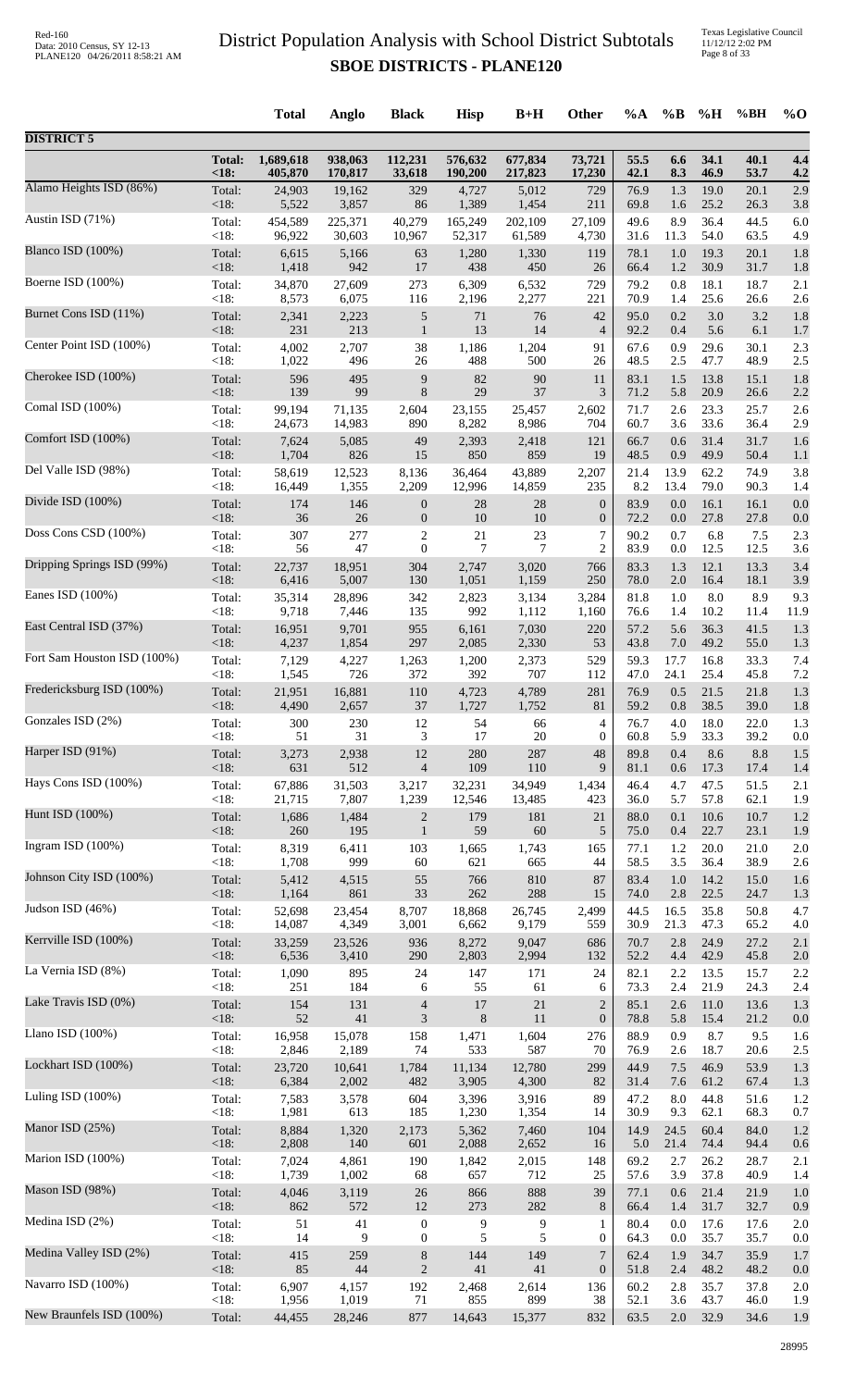|                             |                   | <b>Total</b>    | Anglo           | <b>Black</b>     | <b>Hisp</b>    | $B+H$          | Other                | $\%A$        | $\%$ B         | %H           | %BH          | $\%$ O     |
|-----------------------------|-------------------|-----------------|-----------------|------------------|----------------|----------------|----------------------|--------------|----------------|--------------|--------------|------------|
| <b>DISTRICT 5</b>           |                   |                 |                 |                  |                |                |                      |              |                |              |              |            |
|                             | <b>Total:</b>     | 1,689,618       | 938,063         | 112,231          | 576,632        | 677,834        | 73,721               | 55.5         | 6.6            | 34.1         | 40.1         | 4.4        |
|                             | <18:              | 405,870         | 170,817         | 33,618           | 190,200        | 217,823        | 17,230               | 42.1         | 8.3            | 46.9         | 53.7         | 4.2        |
| Alamo Heights ISD (86%)     | Total:            | 24,903          | 19,162          | 329              | 4,727          | 5,012          | 729                  | 76.9         | 1.3            | 19.0         | 20.1         | 2.9        |
| Austin ISD (71%)            | $<18$ :           | 5,522           | 3,857           | 86               | 1,389          | 1,454          | 211                  | 69.8         | 1.6            | 25.2         | 26.3         | 3.8        |
|                             | Total:            | 454,589         | 225,371         | 40,279           | 165,249        | 202,109        | 27,109               | 49.6         | 8.9            | 36.4         | 44.5         | 6.0        |
| Blanco ISD (100%)           | < 18:             | 96,922          | 30,603          | 10,967           | 52,317         | 61,589         | 4,730                | 31.6         | 11.3           | 54.0         | 63.5         | 4.9        |
|                             | Total:            | 6,615           | 5,166           | 63               | 1,280          | 1,330          | 119                  | 78.1         | 1.0            | 19.3         | 20.1         | 1.8        |
|                             | $<18$ :           | 1,418           | 942             | 17               | 438            | 450            | 26                   | 66.4         | 1.2            | 30.9         | 31.7         | 1.8        |
| Boerne ISD (100%)           | Total:            | 34,870          | 27,609          | 273              | 6,309          | 6,532          | 729                  | 79.2         | 0.8            | 18.1         | 18.7         | 2.1        |
|                             | < 18:             | 8,573           | 6,075           | 116              | 2,196          | 2,277          | 221                  | 70.9         | 1.4            | 25.6         | 26.6         | 2.6        |
| Burnet Cons ISD (11%)       | Total:            | 2,341           | 2,223           | 5                | 71             | 76             | 42                   | 95.0         | 0.2            | 3.0          | 3.2          | 1.8        |
|                             | $<18$ :           | 231             | 213             | $\mathbf{1}$     | 13             | 14             | $\overline{4}$       | 92.2         | 0.4            | 5.6          | 6.1          | 1.7        |
| Center Point ISD (100%)     | Total:            | 4,002           | 2,707           | 38               | 1,186          | 1,204          | 91                   | 67.6         | 0.9            | 29.6         | 30.1         | 2.3        |
|                             | <18:              | 1,022           | 496             | 26               | 488            | 500            | 26                   | 48.5         | 2.5            | 47.7         | 48.9         | 2.5        |
| Cherokee ISD (100%)         | Total:            | 596             | 495             | $\mathbf{9}$     | 82             | 90             | 11                   | 83.1         | 1.5            | 13.8         | 15.1         | 1.8        |
| Comal ISD (100%)            | <18:              | 139             | 99              | $\,8\,$          | $29\,$         | 37             | $\mathfrak{Z}$       | 71.2         | 5.8            | 20.9         | 26.6         | 2.2        |
|                             | Total:            | 99,194          | 71,135          | 2,604            | 23,155         | 25,457         | 2,602                | 71.7         | 2.6            | 23.3         | 25.7         | 2.6        |
| Comfort ISD (100%)          | <18:              | 24,673          | 14,983          | 890              | 8,282          | 8,986          | 704                  | 60.7         | 3.6            | 33.6         | 36.4         | 2.9        |
|                             | Total:            | 7,624           | 5,085           | 49               | 2,393          | 2,418          | 121                  | 66.7         | 0.6            | 31.4         | 31.7         | 1.6        |
| Del Valle ISD (98%)         | $<18$ :           | 1,704           | 826             | 15               | 850            | 859            | 19                   | 48.5         | 0.9            | 49.9         | 50.4         | 1.1        |
|                             | Total:            | 58,619          | 12,523          | 8,136            | 36,464         | 43,889         | 2,207                | 21.4         | 13.9           | 62.2         | 74.9         | 3.8        |
|                             | <18:              | 16,449          | 1,355           | 2,209            | 12,996         | 14,859         | 235                  | 8.2          | 13.4           | 79.0         | 90.3         | 1.4        |
| Divide ISD (100%)           | Total:            | 174             | 146             | $\boldsymbol{0}$ | $28\,$         | 28             | $\boldsymbol{0}$     | 83.9         | 0.0            | 16.1         | 16.1         | 0.0        |
|                             | <18:              | 36              | 26              | $\boldsymbol{0}$ | 10             | 10             | $\boldsymbol{0}$     | 72.2         | 0.0            | 27.8         | 27.8         | 0.0        |
| Doss Cons CSD (100%)        | Total:            | 307             | 277             | $\overline{2}$   | 21             | 23             | 7                    | 90.2         | 0.7            | 6.8          | 7.5          | 2.3        |
|                             | <18:              | 56              | 47              | $\boldsymbol{0}$ | $\overline{7}$ | $\tau$         | $\overline{2}$       | 83.9         | 0.0            | 12.5         | 12.5         | 3.6        |
| Dripping Springs ISD (99%)  | Total:            | 22,737          | 18,951          | 304              | 2,747          | 3,020          | 766                  | 83.3         | 1.3            | 12.1         | 13.3         | 3.4        |
| Eanes ISD (100%)            | $<18$ :           | 6,416           | 5,007           | 130              | 1,051          | 1,159          | 250                  | 78.0         | 2.0            | 16.4         | 18.1         | 3.9        |
|                             | Total:            | 35,314          | 28,896          | 342              | 2,823          | 3,134          | 3,284                | 81.8         | 1.0            | 8.0          | 8.9          | 9.3        |
|                             | <18:              | 9,718           | 7,446           | 135              | 992            | 1,112          | 1,160                | 76.6         | 1.4            | 10.2         | 11.4         | 11.9       |
| East Central ISD (37%)      | Total:            | 16,951          | 9,701           | 955              | 6,161          | 7,030          | 220                  | 57.2         | 5.6            | 36.3         | 41.5         | 1.3        |
|                             | <18:              | 4,237           | 1,854           | 297              | 2,085          | 2,330          | 53                   | 43.8         | 7.0            | 49.2         | 55.0         | 1.3        |
| Fort Sam Houston ISD (100%) | Total:            | 7,129           | 4,227           | 1,263            | 1,200          | 2,373          | 529                  | 59.3         | 17.7           | 16.8         | 33.3         | 7.4        |
|                             | <18:              | 1,545           | 726             | 372              | 392            | 707            | 112                  | 47.0         | 24.1           | 25.4         | 45.8         | 7.2        |
| Fredericksburg ISD (100%)   | Total:<br>$<18$ : | 21,951<br>4,490 | 16,881<br>2,657 | 110<br>37        | 4,723<br>1,727 | 4,789<br>1,752 | 281                  | 76.9<br>59.2 | 0.5<br>$0.8\,$ | 21.5<br>38.5 | 21.8<br>39.0 | 1.3        |
| Gonzales ISD (2%)           | Total:            | 300             | 230             | 12               | 54             | 66             | 81<br>$\overline{4}$ | 76.7         | 4.0            | 18.0         | 22.0         | 1.8<br>1.3 |
| Harper ISD (91%)            | $<18$ :           | 51              | 31              | 3                | 17             | 20             | $\boldsymbol{0}$     | 60.8         | 5.9            | 33.3         | 39.2         | 0.0        |
|                             | Total:            | 3,273           | 2,938           | 12               | 280            | 287            | 48                   | 89.8         | 0.4            | 8.6          | 8.8          | 1.5        |
| Hays Cons ISD (100%)        | $<18$ :           | 631             | 512             | $\overline{4}$   | 109            | 110            | 9                    | 81.1         | 0.6            | 17.3         | 17.4         | 1.4        |
|                             | Total:            | 67,886          | 31,503          | 3,217            | 32,231         | 34,949         | 1,434                | 46.4         | 4.7            | 47.5         | 51.5         | 2.1        |
|                             | < 18:             | 21,715          | 7,807           | 1,239            | 12,546         | 13,485         | 423                  | 36.0         | 5.7            | 57.8         | 62.1         | 1.9        |
| Hunt ISD (100%)             | Total:            | 1,686           | 1,484           | $\overline{c}$   | 179            | 181            | 21                   | 88.0         | 0.1            | 10.6         | 10.7         | 1.2        |
|                             | <18:              | 260             | 195             | $\mathbf{1}$     | 59             | 60             | 5                    | 75.0         | 0.4            | 22.7         | 23.1         | 1.9        |
| Ingram ISD $(100\%)$        | Total:            | 8,319           | 6,411           | 103              | 1,665          | 1,743          | 165                  | 77.1         | 1.2            | 20.0         | 21.0         | 2.0        |
|                             | <18:              | 1,708           | 999             | 60               | 621            | 665            | 44                   | 58.5         | 3.5            | 36.4         | 38.9         | 2.6        |
| Johnson City ISD (100%)     | Total:            | 5,412           | 4,515           | 55               | 766            | 810            | 87                   | 83.4         | 1.0            | 14.2         | 15.0         | 1.6        |
|                             | <18:              | 1,164           | 861             | 33               | 262            | 288            | 15                   | 74.0         | 2.8            | 22.5         | 24.7         | 1.3        |
| Judson ISD (46%)            | Total:            | 52,698          | 23,454          | 8,707            | 18,868         | 26,745         | 2,499                | 44.5         | 16.5           | 35.8         | 50.8         | 4.7        |
| Kerrville ISD (100%)        | <18:              | 14,087          | 4,349           | 3,001            | 6,662          | 9,179          | 559                  | 30.9         | 21.3           | 47.3         | 65.2         | 4.0        |
|                             | Total:            | 33,259          | 23,526          | 936              | 8,272          | 9,047          | 686                  | 70.7         | 2.8            | 24.9         | 27.2         | 2.1        |
|                             | <18:              | 6,536           | 3,410           | 290              | 2,803          | 2,994          | 132                  | 52.2         | 4.4            | 42.9         | 45.8         | 2.0        |
| La Vernia ISD (8%)          | Total:            | 1,090           | 895             | 24               | 147            | 171            | 24                   | 82.1         | 2.2            | 13.5         | 15.7         | 2.2        |
|                             | <18:              | 251             | 184             | 6                | 55             | 61             | 6                    | 73.3         | 2.4            | 21.9         | 24.3         | 2.4        |
| Lake Travis ISD (0%)        | Total:            | 154             | 131             | $\overline{4}$   | 17             | $21\,$         | $\overline{2}$       | 85.1         | 2.6            | 11.0         | 13.6         | 1.3        |
|                             | $<18$ :           | 52              | 41              | 3                | 8              | 11             | $\boldsymbol{0}$     | 78.8         | 5.8            | 15.4         | 21.2         | 0.0        |
| Llano ISD $(100\%)$         | Total:            | 16,958          | 15,078          | 158              | 1,471          | 1,604          | 276                  | 88.9         | 0.9            | 8.7          | 9.5          | 1.6        |
| Lockhart ISD (100%)         | <18:              | 2,846           | 2,189           | 74               | 533            | 587            | 70                   | 76.9         | 2.6            | 18.7         | 20.6         | 2.5        |
|                             | Total:            | 23,720          | 10,641          | 1,784            | 11,134         | 12,780         | 299                  | 44.9         | 7.5            | 46.9         | 53.9         | 1.3        |
| Luling ISD (100%)           | $<18$ :           | 6,384           | 2,002           | 482              | 3,905          | 4,300          | 82                   | 31.4         | 7.6            | 61.2         | 67.4         | 1.3        |
|                             | Total:            | 7,583           | 3,578           | 604              | 3,396          | 3,916          | 89                   | 47.2         | 8.0            | 44.8         | 51.6         | 1.2        |
| Manor ISD (25%)             | <18:              | 1,981           | 613             | 185              | 1,230          | 1,354          | 14                   | 30.9         | 9.3            | 62.1<br>60.4 | 68.3         | 0.7        |
|                             | Total:<br><18:    | 8,884<br>2,808  | 1,320<br>140    | 2,173<br>601     | 5,362<br>2,088 | 7,460<br>2,652 | 104<br>16            | 14.9<br>5.0  | 24.5<br>21.4   | 74.4         | 84.0<br>94.4 | 1.2<br>0.6 |
| Marion ISD (100%)           | Total:            | 7,024           | 4,861           | 190              | 1,842          | 2,015          | 148                  | 69.2         | 2.7            | 26.2         | 28.7         | 2.1        |
|                             | <18:              | 1,739           | 1,002           | 68               | 657            | 712            | 25                   | 57.6         | 3.9            | 37.8         | 40.9         | 1.4        |
| Mason ISD (98%)             | Total:            | 4,046           | 3,119           | $26\,$           | 866            | 888            | 39                   | 77.1         | 0.6            | 21.4         | 21.9         | 1.0        |
|                             | $<18$ :           | 862             | 572             | 12               | 273            | 282            | 8                    | 66.4         | 1.4            | 31.7         | 32.7         | 0.9        |
| Medina ISD (2%)             | Total:            | 51              | 41              | $\boldsymbol{0}$ | 9              | 9              | 1                    | 80.4         | 0.0            | 17.6         | 17.6         | 2.0        |
| Medina Valley ISD (2%)      | <18:              | 14              | 9               | $\boldsymbol{0}$ | 5              | 5              | $\boldsymbol{0}$     | 64.3         | 0.0            | 35.7         | 35.7         | 0.0        |
|                             | Total:            | 415             | 259             | $8\,$            | 144            | 149            | $\overline{7}$       | 62.4         | 1.9            | 34.7         | 35.9         | 1.7        |
| Navarro ISD (100%)          | <18:              | 85              | 44              | $\sqrt{2}$       | 41             | 41             | $\boldsymbol{0}$     | 51.8         | 2.4            | 48.2         | 48.2         | 0.0        |
|                             | Total:            | 6,907           | 4,157           | 192              | 2,468          | 2,614          | 136                  | 60.2         | 2.8            | 35.7         | 37.8         | 2.0        |
|                             | <18:              | 1,956           | 1,019           | 71               | 855            | 899            | 38                   | 52.1         | 3.6            | 43.7         | 46.0         | 1.9        |
| New Braunfels ISD (100%)    | Total:            | 44,455          | 28,246          | 877              | 14,643         | 15,377         | 832                  | 63.5         | $2.0\,$        | 32.9         | 34.6         | 1.9        |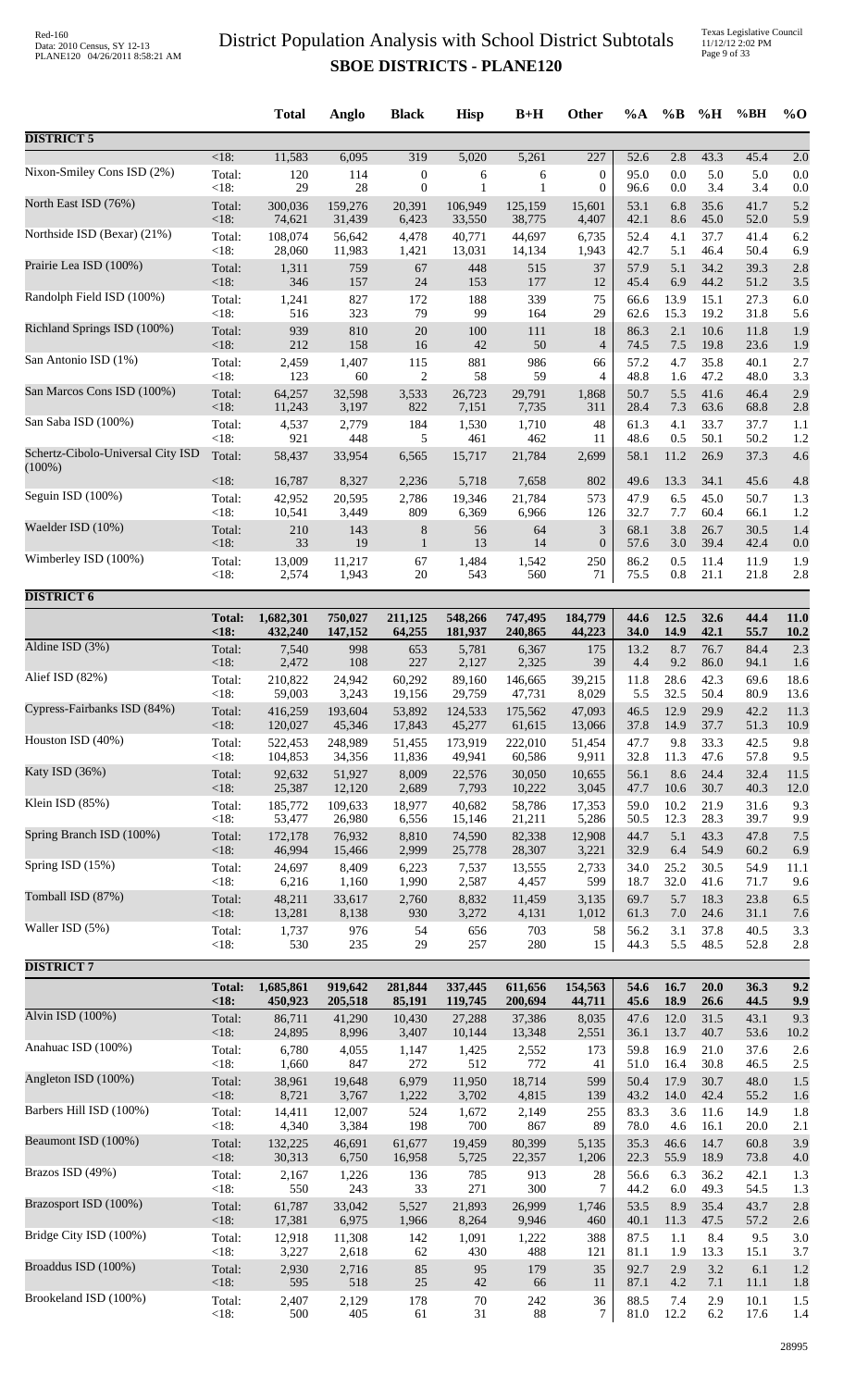Texas Legislative Council 11/12/12 2:02 PM Page 9 of 33

|                                                |                 | <b>Total</b>    | Anglo           | <b>Black</b>     | <b>Hisp</b>  | $B+H$        | Other            | $\%A$        | $\%B$       | %H           | %BH          | $\%$ O      |
|------------------------------------------------|-----------------|-----------------|-----------------|------------------|--------------|--------------|------------------|--------------|-------------|--------------|--------------|-------------|
| <b>DISTRICT 5</b>                              |                 |                 |                 |                  |              |              |                  |              |             |              |              |             |
| Nixon-Smiley Cons ISD (2%)                     | $<18$ :         | 11,583          | 6,095           | 319              | 5,020        | 5,261        | 227              | 52.6         | 2.8         | 43.3         | 45.4         | 2.0         |
|                                                | Total:          | 120             | 114             | $\boldsymbol{0}$ | 6            | 6            | $\boldsymbol{0}$ | 95.0         | 0.0         | 5.0          | 5.0          | 0.0         |
|                                                | < 18:           | 29              | 28              | $\boldsymbol{0}$ | 1            | $\mathbf{1}$ | $\mathbf{0}$     | 96.6         | 0.0         | 3.4          | 3.4          | 0.0         |
| North East ISD (76%)                           | Total:          | 300,036         | 159,276         | 20,391           | 106,949      | 125,159      | 15,601           | 53.1         | 6.8         | 35.6         | 41.7         | 5.2         |
|                                                | <18:            | 74,621          | 31,439          | 6,423            | 33,550       | 38,775       | 4,407            | 42.1         | 8.6         | 45.0         | 52.0         | 5.9         |
| Northside ISD (Bexar) (21%)                    | Total:          | 108,074         | 56,642          | 4,478            | 40,771       | 44,697       | 6,735            | 52.4         | 4.1         | 37.7         | 41.4         | 6.2         |
| Prairie Lea ISD (100%)                         | < 18:           | 28,060          | 11,983          | 1,421            | 13,031       | 14,134       | 1,943            | 42.7         | 5.1         | 46.4         | 50.4         | 6.9         |
|                                                | Total:          | 1,311           | 759             | 67               | 448          | 515          | 37               | 57.9         | 5.1         | 34.2         | 39.3         | 2.8         |
| Randolph Field ISD (100%)                      | < 18:           | 346             | 157             | 24               | 153          | 177          | 12               | 45.4         | 6.9         | 44.2         | 51.2         | 3.5         |
|                                                | Total:          | 1,241           | 827             | 172              | 188          | 339          | 75               | 66.6         | 13.9        | 15.1         | 27.3         | 6.0         |
|                                                | < 18:           | 516             | 323             | 79               | 99           | 164          | 29               | 62.6         | 15.3        | 19.2         | 31.8         | 5.6         |
| Richland Springs ISD (100%)                    | Total:          | 939             | 810             | 20               | 100          | 111          | 18               | 86.3         | 2.1         | 10.6         | 11.8         | 1.9         |
|                                                | < 18:           | 212             | 158             | 16               | 42           | 50           | $\overline{4}$   | 74.5         | 7.5         | 19.8         | 23.6         | 1.9         |
| San Antonio ISD (1%)                           | Total:          | 2,459           | 1,407           | 115              | 881          | 986          | 66               | 57.2         | 4.7         | 35.8         | 40.1         | 2.7         |
| San Marcos Cons ISD (100%)                     | <18:            | 123             | 60              | $\overline{2}$   | 58           | 59           | $\overline{4}$   | 48.8         | 1.6         | 47.2         | 48.0         | 3.3         |
|                                                | Total:          | 64,257          | 32,598          | 3,533            | 26,723       | 29,791       | 1,868            | 50.7         | 5.5         | 41.6         | 46.4         | 2.9         |
| San Saba ISD (100%)                            | < 18:           | 11,243          | 3,197           | 822              | 7,151        | 7,735        | 311              | 28.4         | 7.3         | 63.6         | 68.8         | 2.8         |
|                                                | Total:          | 4,537           | 2,779           | 184              | 1,530        | 1,710        | 48               | 61.3         | 4.1         | 33.7         | 37.7         | 1.1         |
|                                                | < 18:           | 921             | 448             | 5                | 461          | 462          | 11               | 48.6         | 0.5         | 50.1         | 50.2         | 1.2         |
| Schertz-Cibolo-Universal City ISD<br>$(100\%)$ | Total:          | 58,437          | 33,954          | 6,565            | 15,717       | 21,784       | 2,699            | 58.1         | 11.2        | 26.9         | 37.3         | 4.6         |
| Seguin ISD (100%)                              | < 18:           | 16,787          | 8,327           | 2,236            | 5,718        | 7,658        | 802              | 49.6         | 13.3        | 34.1         | 45.6         | 4.8         |
|                                                | Total:          | 42,952          | 20,595          | 2,786            | 19,346       | 21,784       | 573              | 47.9         | 6.5         | 45.0         | 50.7         | 1.3         |
| Waelder ISD (10%)                              | < 18:           | 10,541          | 3,449           | 809              | 6,369        | 6,966        | 126              | 32.7         | 7.7         | 60.4         | 66.1         | 1.2         |
|                                                | Total:          | 210             | 143             | 8                | 56           | 64           | 3                | 68.1         | 3.8         | 26.7         | 30.5         | 1.4         |
|                                                | <18:            | 33              | 19              | $\mathbf{1}$     | 13           | 14           | $\boldsymbol{0}$ | 57.6         | 3.0         | 39.4         | 42.4         | 0.0         |
| Wimberley ISD (100%)                           | Total:          | 13,009          | 11,217          | 67               | 1,484        | 1,542        | 250              | 86.2         | 0.5         | 11.4         | 11.9         | 1.9         |
|                                                | <18:            | 2,574           | 1,943           | 20               | 543          | 560          | 71               | 75.5         | 0.8         | 21.1         | 21.8         | 2.8         |
| <b>DISTRICT 6</b>                              |                 |                 |                 |                  |              |              |                  |              |             |              |              |             |
|                                                | <b>Total:</b>   | 1,682,301       | 750,027         | 211,125          | 548,266      | 747,495      | 184,779          | 44.6         | 12.5        | 32.6         | 44.4         | 11.0        |
|                                                | < 18:           | 432,240         | 147,152         | 64,255           | 181,937      | 240,865      | 44,223           | 34.0         | 14.9        | 42.1         | 55.7         | <b>10.2</b> |
| Aldine ISD (3%)                                | Total:          | 7,540           | 998             | 653              | 5,781        | 6,367        | 175              | 13.2         | 8.7         | 76.7         | 84.4         | 2.3         |
| Alief ISD (82%)                                | <18:            | 2,472           | 108             | 227              | 2,127        | 2,325        | 39               | 4.4          | 9.2         | 86.0         | 94.1         | 1.6         |
|                                                | Total:          | 210,822         | 24,942          | 60,292           | 89,160       | 146,665      | 39,215           | 11.8         | 28.6        | 42.3         | 69.6         | 18.6        |
| Cypress-Fairbanks ISD (84%)                    | < 18:           | 59,003          | 3,243           | 19,156           | 29,759       | 47,731       | 8,029            | 5.5          | 32.5        | 50.4         | 80.9         | 13.6        |
|                                                | Total:          | 416,259         | 193,604         | 53,892           | 124,533      | 175,562      | 47,093           | 46.5         | 12.9        | 29.9         | 42.2         | 11.3        |
|                                                | < 18:           | 120,027         | 45,346          | 17,843           | 45,277       | 61,615       | 13,066           | 37.8         | 14.9        | 37.7         | 51.3         | 10.9        |
| Houston ISD (40%)                              | Total:          | 522,453         | 248,989         | 51,455           | 173,919      | 222,010      | 51,454           | 47.7         | 9.8         | 33.3         | 42.5         | 9.8         |
|                                                | < 18:           | 104,853         | 34,356          | 11,836           | 49,941       | 60,586       | 9,911            | 32.8         | 11.3        | 47.6         | 57.8         | 9.5         |
| Katy ISD (36%)                                 | Total:          | 92,632          | 51,927          | 8,009            | 22,576       | 30.050       | 10,655           | 56.1         | 8.6         | 24.4         | 32.4         | 11.5        |
|                                                | <18:            | 25,387          | 12,120          | 2,689            | 7,793        | 10,222       | 3,045            | 47.7         | 10.6        | 30.7         | 40.3         | 12.0        |
| Klein ISD (85%)                                | Total:          | 185,772         | 109,633         | 18,977           | 40,682       | 58,786       | 17,353           | 59.0         | 10.2        | 21.9         | 31.6         | 9.3         |
| Spring Branch ISD (100%)                       | <18:            | 53,477          | 26,980          | 6,556            | 15,146       | 21,211       | 5,286            | 50.5         | 12.3        | 28.3         | 39.7         | 9.9         |
|                                                | Total:          | 172,178         | 76,932          | 8,810            | 74,590       | 82,338       | 12,908           | 44.7         | 5.1         | 43.3         | 47.8         | 7.5         |
| Spring ISD (15%)                               | <18:            | 46,994          | 15,466          | 2,999            | 25,778       | 28,307       | 3,221            | 32.9         | 6.4         | 54.9         | 60.2         | 6.9         |
|                                                | Total:          | 24,697          | 8,409           | 6,223            | 7,537        | 13,555       | 2,733            | 34.0         | 25.2        | 30.5         | 54.9         | 11.1        |
|                                                | < 18:           | 6,216           | 1,160           | 1,990            | 2,587        | 4,457        | 599              | 18.7         | 32.0        | 41.6         | 71.7         | 9.6         |
| Tomball ISD (87%)                              | Total:          | 48,211          | 33,617          | 2,760            | 8,832        | 11,459       | 3,135            | 69.7         | 5.7         | 18.3         | 23.8         | 6.5         |
|                                                | <18:            | 13,281          | 8,138           | 930              | 3,272        | 4,131        | 1,012            | 61.3         | 7.0         | 24.6         | 31.1         | 7.6         |
| Waller ISD (5%)                                | Total:          | 1,737           | 976             | 54               | 656          | 703          | 58               | 56.2         | 3.1         | 37.8         | 40.5         | 3.3         |
| <b>DISTRICT 7</b>                              | < 18:           | 530             | 235             | 29               | 257          | 280          | 15               | 44.3         | 5.5         | 48.5         | 52.8         | 2.8         |
|                                                | <b>Total:</b>   | 1,685,861       | 919,642         | 281,844          | 337,445      | 611,656      | 154,563          | 54.6         | 16.7        | 20.0         | 36.3         | 9.2         |
| Alvin ISD (100%)                               | <18:            | 450,923         | 205,518         | 85,191           | 119,745      | 200,694      | 44,711           | 45.6         | 18.9        | 26.6         | 44.5         | 9.9         |
|                                                | Total:          | 86,711          | 41,290          | 10,430           | 27,288       | 37,386       | 8,035            | 47.6         | 12.0        | 31.5         | 43.1         | 9.3         |
| Anahuac ISD (100%)                             | <18:            | 24,895          | 8,996           | 3,407            | 10,144       | 13,348       | 2,551            | 36.1         | 13.7        | 40.7         | 53.6         | 10.2        |
|                                                | Total:          | 6,780           | 4,055           | 1,147            | 1,425        | 2,552        | 173              | 59.8         | 16.9        | 21.0         | 37.6         | 2.6         |
|                                                | < 18:           | 1,660           | 847             | 272              | 512          | 772          | 41               | 51.0         | 16.4        | 30.8         | 46.5         | 2.5         |
| Angleton ISD (100%)                            | Total:          | 38,961          | 19,648          | 6,979            | 11,950       | 18,714       | 599              | 50.4         | 17.9        | 30.7         | 48.0         | 1.5         |
|                                                | <18:            | 8,721           | 3,767           | 1,222            | 3,702        | 4,815        | 139              | 43.2         | 14.0        | 42.4         | 55.2         | 1.6         |
| Barbers Hill ISD (100%)                        | Total:<br>< 18: | 14,411<br>4,340 | 12,007<br>3,384 | 524<br>198       | 1,672<br>700 | 2,149<br>867 | 255<br>89        | 83.3<br>78.0 | 3.6         | 11.6<br>16.1 | 14.9         | 1.8         |
| Beaumont ISD (100%)                            | Total:          | 132,225         | 46,691          | 61,677           | 19,459       | 80,399       | 5,135            | 35.3         | 4.6<br>46.6 | 14.7         | 20.0<br>60.8 | 2.1<br>3.9  |
| Brazos ISD (49%)                               | <18:            | 30,313          | 6,750           | 16,958           | 5,725        | 22,357       | 1,206            | 22.3         | 55.9        | 18.9         | 73.8         | 4.0         |
|                                                | Total:          | 2,167           | 1,226           | 136              | 785          | 913          | 28               | 56.6         | 6.3         | 36.2         | 42.1         | 1.3         |
|                                                | < 18:           | 550             | 243             | 33               | 271          | 300          | $\tau$           | 44.2         | 6.0         | 49.3         | 54.5         | 1.3         |
| Brazosport ISD (100%)                          | Total:          | 61,787          | 33,042          | 5,527            | 21,893       | 26,999       | 1,746            | 53.5         | 8.9         | 35.4         | 43.7         | 2.8         |
|                                                | <18:            | 17,381          | 6,975           | 1,966            | 8,264        | 9,946        | 460              | 40.1         | 11.3        | 47.5         | 57.2         | 2.6         |
| Bridge City ISD (100%)                         | Total:          | 12,918          | 11,308          | 142              | 1,091        | 1,222        | 388              | 87.5         | 1.1         | 8.4          | 9.5          | 3.0         |
|                                                | < 18:           | 3,227           | 2,618           | 62               | 430          | 488          | 121              | 81.1         | 1.9         | 13.3         | 15.1         | 3.7         |
| Broaddus ISD (100%)                            | Total:          | 2,930           | 2,716           | 85               | 95           | 179          | 35               | 92.7         | 2.9         | 3.2          | 6.1          | 1.2         |
| Brookeland ISD (100%)                          | < 18:           | 595             | 518             | 25               | 42           | 66           | 11               | 87.1         | 4.2         | 7.1          | 11.1         | 1.8         |
|                                                | Total:          | 2,407           | 2,129           | 178              | $70\,$       | 242          | 36               | 88.5         | 7.4         | 2.9          | 10.1         | 1.5         |
|                                                | < 18:           | 500             | 405             | 61               | 31           | 88           | $\tau$           | 81.0         | 12.2        | 6.2          | 17.6         | 1.4         |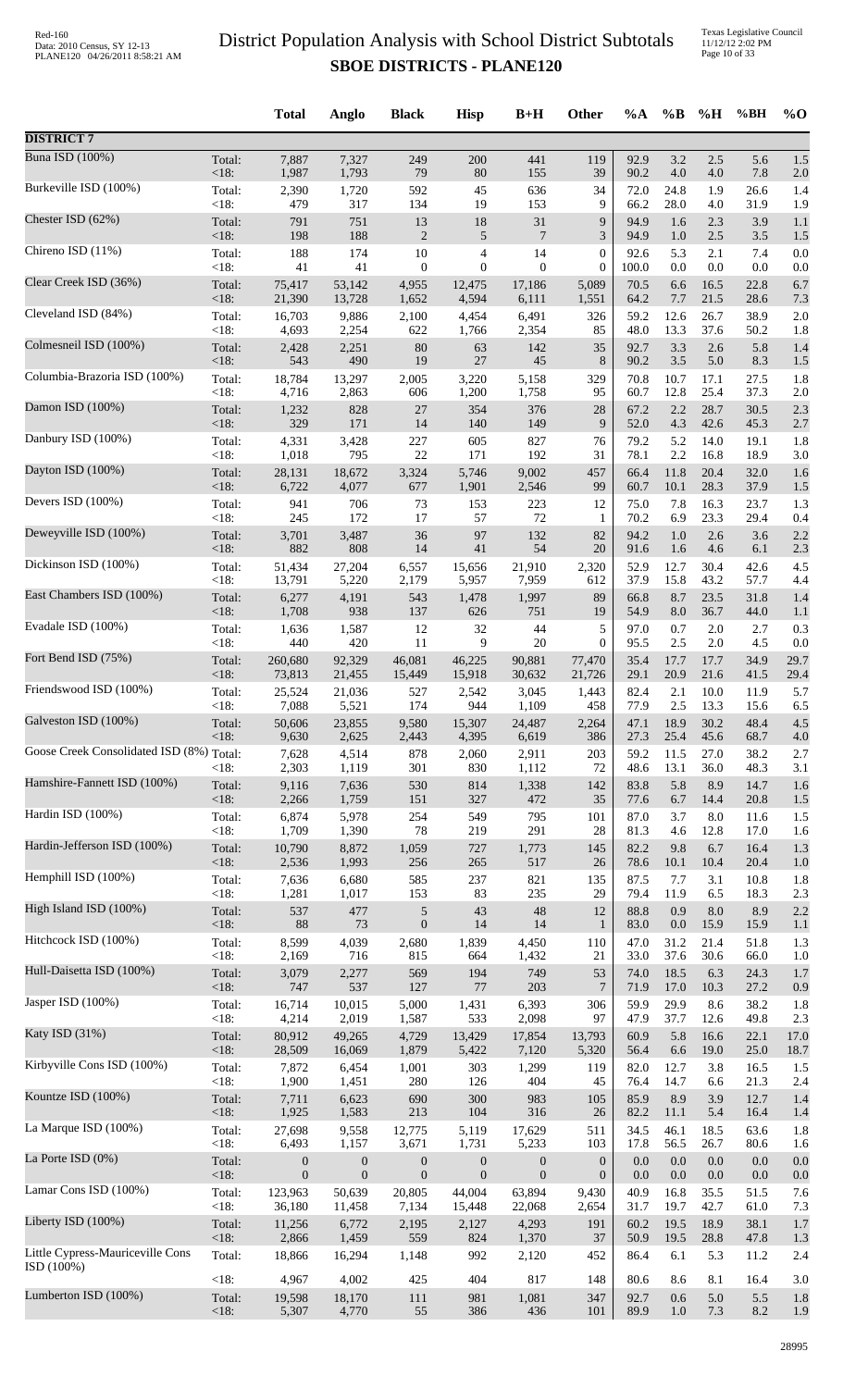|                                               |                | <b>Total</b>     | Anglo            | <b>Black</b>     | <b>Hisp</b>      | $B+H$            | Other            | $\%A$        | $\%B$        | %H           | %BH          | $\%$ O     |
|-----------------------------------------------|----------------|------------------|------------------|------------------|------------------|------------------|------------------|--------------|--------------|--------------|--------------|------------|
| <b>DISTRICT 7</b>                             |                |                  |                  |                  |                  |                  |                  |              |              |              |              |            |
| <b>Buna ISD (100%)</b>                        | Total:         | 7,887            | 7,327            | 249              | 200              | 441              | 119              | 92.9         | 3.2          | 2.5          | 5.6          | 1.5        |
| Burkeville ISD (100%)                         | <18:           | 1,987            | 1,793            | 79               | 80               | 155              | 39               | 90.2         | 4.0          | 4.0          | 7.8          | 2.0        |
|                                               | Total:         | 2,390            | 1,720            | 592              | 45               | 636              | 34               | 72.0         | 24.8         | 1.9          | 26.6         | 1.4        |
| Chester ISD (62%)                             | <18:           | 479              | 317              | 134              | 19               | 153              | 9                | 66.2         | 28.0         | 4.0          | 31.9         | 1.9        |
|                                               | Total:         | 791              | 751              | 13               | $18\,$           | 31               | 9                | 94.9         | 1.6          | 2.3          | 3.9          | 1.1        |
|                                               | < 18:          | 198              | 188              | $\overline{c}$   | 5                | $\overline{7}$   | 3                | 94.9         | 1.0          | $2.5\,$      | $3.5$        | 1.5        |
| Chireno ISD (11%)                             | Total:         | 188              | 174              | $10\,$           | 4                | 14               | $\boldsymbol{0}$ | 92.6         | 5.3          | 2.1          | 7.4          | 0.0        |
|                                               | < 18:          | 41               | 41               | $\mathbf{0}$     | $\mathbf{0}$     | $\mathbf{0}$     | $\mathbf{0}$     | 100.0        | 0.0          | 0.0          | 0.0          | 0.0        |
| Clear Creek ISD (36%)                         | Total:         | 75,417           | 53,142           | 4,955            | 12,475           | 17,186           | 5,089            | 70.5         | 6.6          | 16.5         | 22.8         | 6.7        |
|                                               | <18:           | 21,390           | 13,728           | 1,652            | 4,594            | 6,111            | 1,551            | 64.2         | 7.7          | 21.5         | 28.6         | 7.3        |
| Cleveland ISD (84%)                           | Total:<br><18: | 16,703           | 9,886<br>2,254   | 2,100<br>622     | 4,454            | 6,491            | 326              | 59.2<br>48.0 | 12.6         | 26.7<br>37.6 | 38.9         | 2.0        |
| Colmesneil ISD (100%)                         | Total:         | 4,693<br>2,428   | 2,251            | 80               | 1,766<br>63      | 2,354<br>142     | 85<br>35         | 92.7         | 13.3<br>3.3  | $2.6$        | 50.2<br>5.8  | 1.8<br>1.4 |
| Columbia-Brazoria ISD (100%)                  | <18:           | 543              | 490              | 19               | $27\,$           | 45               | 8                | 90.2         | 3.5          | 5.0          | 8.3          | 1.5        |
|                                               | Total:         | 18,784           | 13,297           | 2,005            | 3,220            | 5,158            | 329              | 70.8         | 10.7         | 17.1         | 27.5         | 1.8        |
| Damon ISD (100%)                              | < 18:          | 4,716            | 2,863            | 606              | 1,200            | 1,758            | 95               | 60.7         | 12.8         | 25.4         | 37.3         | 2.0        |
|                                               | Total:         | 1,232            | 828              | 27               | 354              | 376              | 28               | 67.2         | 2.2          | 28.7         | 30.5         | 2.3        |
|                                               | < 18:          | 329              | 171              | 14               | 140              | 149              | 9                | 52.0         | 4.3          | 42.6         | 45.3         | 2.7        |
| Danbury ISD (100%)                            | Total:         | 4,331            | 3,428            | 227              | 605              | 827              | 76               | 79.2         | 5.2          | 14.0         | 19.1         | 1.8        |
|                                               | $<18$ :        | 1,018            | 795              | 22               | 171              | 192              | 31               | 78.1         | 2.2          | 16.8         | 18.9         | 3.0        |
| Dayton ISD (100%)                             | Total:         | 28,131           | 18,672           | 3,324            | 5,746            | 9,002            | 457              | 66.4         | 11.8         | 20.4         | 32.0         | 1.6        |
|                                               | < 18:          | 6,722            | 4,077            | 677              | 1,901            | 2,546            | 99               | 60.7         | 10.1         | 28.3         | 37.9         | 1.5        |
| Devers ISD (100%)                             | Total:         | 941              | 706              | 73               | 153              | 223              | 12               | 75.0         | 7.8          | 16.3         | 23.7         | 1.3        |
|                                               | < 18:          | 245              | 172              | 17               | 57               | 72               | 1                | 70.2         | 6.9          | 23.3         | 29.4         | 0.4        |
| Deweyville ISD (100%)                         | Total:         | 3,701            | 3,487            | 36               | 97               | 132              | 82               | 94.2         | 1.0          | 2.6          | 3.6          | 2.2        |
| Dickinson ISD (100%)                          | < 18:          | 882              | 808              | 14               | 41               | 54               | 20               | 91.6         | 1.6          | 4.6          | 6.1          | 2.3        |
|                                               | Total:         | 51,434           | 27,204           | 6,557            | 15,656           | 21,910           | 2,320            | 52.9         | 12.7         | 30.4         | 42.6         | 4.5        |
| East Chambers ISD (100%)                      | <18:           | 13,791           | 5,220            | 2,179            | 5,957            | 7,959            | 612              | 37.9         | 15.8         | 43.2         | 57.7         | 4.4        |
|                                               | Total:         | 6,277            | 4,191            | 543              | 1,478            | 1,997            | 89               | 66.8         | 8.7          | 23.5         | 31.8         | 1.4        |
|                                               | < 18:          | 1,708            | 938              | 137              | 626              | 751              | 19               | 54.9         | 8.0          | 36.7         | 44.0         | 1.1        |
| Evadale ISD (100%)                            | Total:         | 1,636            | 1,587            | 12               | $32\,$           | 44               | 5                | 97.0         | 0.7          | 2.0          | 2.7          | 0.3        |
|                                               | <18:           | 440              | 420              | 11               | 9                | 20               | $\boldsymbol{0}$ | 95.5         | 2.5          | 2.0          | 4.5          | 0.0        |
| Fort Bend ISD (75%)                           | Total:         | 260,680          | 92,329           | 46,081           | 46,225           | 90,881           | 77,470           | 35.4         | 17.7         | 17.7         | 34.9         | 29.7       |
|                                               | <18:           | 73,813           | 21,455           | 15,449           | 15,918           | 30,632           | 21,726           | 29.1         | 20.9         | 21.6         | 41.5         | 29.4       |
| Friendswood ISD (100%)                        | Total:         | 25,524           | 21,036           | 527              | 2,542            | 3,045            | 1,443            | 82.4         | 2.1          | 10.0         | 11.9         | 5.7        |
|                                               | < 18:          | 7,088            | 5,521            | 174              | 944              | 1,109            | 458              | 77.9         | 2.5          | 13.3         | 15.6         | 6.5        |
| Galveston ISD (100%)                          | Total:         | 50,606           | 23,855           | 9,580            | 15,307           | 24,487           | 2,264            | 47.1         | 18.9         | 30.2         | 48.4         | 4.5        |
| Goose Creek Consolidated ISD (8%) Total:      | < 18:          | 9,630<br>7,628   | 2,625<br>4,514   | 2,443<br>878     | 4,395<br>2,060   | 6,619<br>2,911   | 386<br>203       | 27.3<br>59.2 | 25.4<br>11.5 | 45.6<br>27.0 | 68.7<br>38.2 | 4.0<br>2.7 |
| Hamshire-Fannett ISD (100%)                   | <18:           | 2,303            | 1,119            | 301              | 830              | 1,112            | 72               | 48.6         | 13.1         | 36.0         | 48.3         | 3.1        |
|                                               | Total:         | 9,116            | 7,636            | 530              | 814              | 1,338            | 142              | 83.8         | 5.8          | 8.9          | 14.7         | 1.6        |
|                                               | < 18:          | 2,266            | 1,759            | 151              | 327              | 472              | 35               | 77.6         | 6.7          | 14.4         | 20.8         | 1.5        |
| Hardin ISD (100%)                             | Total:         | 6,874            | 5,978            | 254              | 549              | 795              | 101              | 87.0         | 3.7          | 8.0          | 11.6         | 1.5        |
|                                               | < 18:          | 1,709            | 1,390            | 78               | 219              | 291              | 28               | 81.3         | 4.6          | 12.8         | 17.0         | 1.6        |
| Hardin-Jefferson ISD (100%)                   | Total:         | 10,790           | 8,872            | 1,059            | 727              | 1,773            | 145              | 82.2         | 9.8          | 6.7          | 16.4         | 1.3        |
|                                               | < 18:          | 2,536            | 1,993            | 256              | 265              | 517              | 26               | 78.6         | 10.1         | 10.4         | 20.4         | 1.0        |
| Hemphill ISD (100%)                           | Total:         | 7,636            | 6,680            | 585              | 237              | 821              | 135              | 87.5         | 7.7          | 3.1          | 10.8         | 1.8        |
|                                               | <18:           | 1,281            | 1,017            | 153              | 83               | 235              | 29               | 79.4         | 11.9         | 6.5          | 18.3         | 2.3        |
| High Island ISD (100%)                        | Total:         | 537              | 477              | $\sqrt{5}$       | 43               | 48               | 12               | 88.8         | 0.9          | 8.0          | 8.9          | 2.2        |
| Hitchcock ISD (100%)                          | <18:           | 88               | 73               | $\mathbf{0}$     | 14               | 14               | 1                | 83.0         | 0.0          | 15.9         | 15.9         | 1.1        |
|                                               | Total:         | 8,599            | 4,039            | 2,680            | 1,839            | 4,450            | 110              | 47.0         | 31.2         | 21.4         | 51.8         | 1.3        |
| Hull-Daisetta ISD (100%)                      | <18:           | 2,169            | 716              | 815              | 664              | 1,432            | 21               | 33.0         | 37.6         | 30.6         | 66.0         | 1.0        |
|                                               | Total:         | 3,079            | 2,277            | 569              | 194              | 749              | 53               | 74.0         | 18.5         | 6.3          | 24.3         | 1.7        |
| Jasper ISD (100%)                             | < 18:          | 747              | 537              | 127              | $77\,$           | 203              | $7\phantom{.0}$  | 71.9         | 17.0         | 10.3         | 27.2         | 0.9        |
|                                               | Total:         | 16,714           | 10,015           | 5,000            | 1,431            | 6,393            | 306              | 59.9         | 29.9         | 8.6          | 38.2         | 1.8        |
|                                               | < 18:          | 4,214            | 2,019            | 1,587            | 533              | 2,098            | 97               | 47.9         | 37.7         | 12.6         | 49.8         | 2.3        |
| Katy ISD (31%)                                | Total:         | 80,912           | 49,265           | 4,729            | 13,429           | 17,854           | 13,793           | 60.9         | 5.8          | 16.6         | 22.1         | 17.0       |
|                                               | <18:           | 28,509           | 16,069           | 1,879            | 5,422            | 7,120            | 5,320            | 56.4         | 6.6          | 19.0         | 25.0         | 18.7       |
| Kirbyville Cons ISD (100%)                    | Total:         | 7,872            | 6,454            | 1,001            | 303              | 1,299            | 119              | 82.0         | 12.7         | 3.8          | 16.5         | 1.5        |
|                                               | <18:           | 1,900            | 1,451            | 280              | 126              | 404              | 45               | 76.4         | 14.7         | 6.6          | 21.3         | 2.4        |
| Kountze ISD (100%)                            | Total:         | 7,711            | 6,623            | 690              | 300              | 983              | 105              | 85.9         | 8.9          | 3.9          | 12.7         | 1.4        |
| La Marque ISD (100%)                          | < 18:          | 1,925            | 1,583            | 213              | 104              | 316              | 26               | 82.2         | 11.1         | 5.4          | 16.4         | 1.4        |
|                                               | Total:         | 27,698           | 9,558            | 12,775           | 5,119            | 17,629           | 511              | 34.5         | 46.1         | 18.5         | 63.6         | 1.8        |
| La Porte ISD (0%)                             | < 18:          | 6,493            | 1,157            | 3,671            | 1,731            | 5,233            | 103              | 17.8         | 56.5         | 26.7         | 80.6         | 1.6        |
|                                               | Total:         | $\boldsymbol{0}$ | $\boldsymbol{0}$ | $\boldsymbol{0}$ | $\boldsymbol{0}$ | $\boldsymbol{0}$ | $\boldsymbol{0}$ | 0.0          | 0.0          | 0.0          | 0.0          | 0.0        |
|                                               | <18:           | $\overline{0}$   | $\mathbf{0}$     | $\mathbf{0}$     | $\boldsymbol{0}$ | $\mathbf{0}$     | $\boldsymbol{0}$ | 0.0          | 0.0          | 0.0          | 0.0          | 0.0        |
| Lamar Cons ISD (100%)                         | Total:         | 123,963          | 50,639           | 20,805           | 44,004           | 63,894           | 9,430            | 40.9         | 16.8         | 35.5         | 51.5         | 7.6        |
|                                               | <18:           | 36,180           | 11,458           | 7,134            | 15,448           | 22,068           | 2,654            | 31.7         | 19.7         | 42.7         | 61.0         | 7.3        |
| Liberty ISD (100%)                            | Total:         | 11,256           | 6,772            | 2,195            | 2,127            | 4,293            | 191              | 60.2         | 19.5         | 18.9         | 38.1         | 1.7        |
|                                               | <18:           | 2,866            | 1,459            | 559              | 824              | 1,370            | 37               | 50.9         | 19.5         | 28.8         | 47.8         | 1.3        |
| Little Cypress-Mauriceville Cons<br>ISD(100%) | Total:         | 18,866           | 16,294           | 1,148            | 992              | 2,120            | 452              | 86.4         | 6.1          | 5.3          | 11.2         | 2.4        |
| Lumberton ISD (100%)                          | <18:           | 4,967            | 4,002            | 425              | 404              | 817              | 148              | 80.6         | 8.6          | 8.1          | 16.4         | 3.0        |
|                                               | Total:         | 19,598           | 18,170           | $111\,$          | 981              | 1,081            | 347              | 92.7         | 0.6          | 5.0          | 5.5          | 1.8        |
|                                               | <18:           | 5,307            | 4,770            | 55               | 386              | 436              | 101              | 89.9         | 1.0          | 7.3          | 8.2          | 1.9        |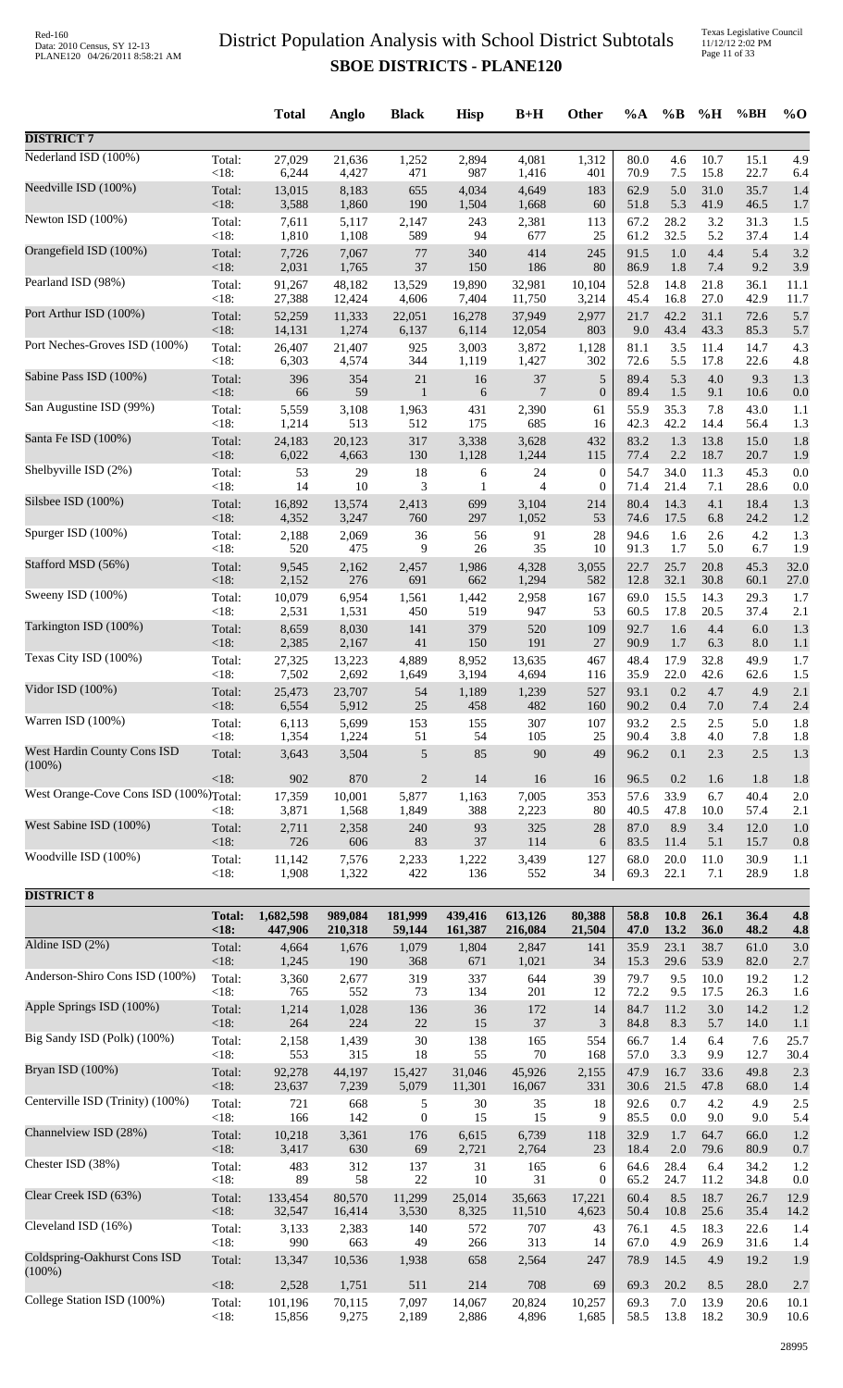Texas Legislative Council 11/12/12 2:02 PM Page 11 of 33

|                                                 |                | <b>Total</b>     | Anglo           | <b>Black</b>     | <b>Hisp</b>    | $B+H$           | Other            | $\%A$        | $\%B$        | %H           | %BH          | $\%$ O     |
|-------------------------------------------------|----------------|------------------|-----------------|------------------|----------------|-----------------|------------------|--------------|--------------|--------------|--------------|------------|
| <b>DISTRICT 7</b>                               |                |                  |                 |                  |                |                 |                  |              |              |              |              |            |
| Nederland ISD (100%)                            | Total:         | 27,029           | 21,636          | 1,252            | 2,894          | 4,081           | 1,312            | 80.0         | 4.6          | 10.7         | 15.1         | 4.9        |
| Needville ISD (100%)                            | < 18:          | 6,244            | 4,427           | 471              | 987            | 1,416           | 401              | 70.9         | 7.5          | 15.8         | 22.7         | 6.4        |
|                                                 | Total:         | 13,015           | 8,183           | 655              | 4,034          | 4,649           | 183              | 62.9         | 5.0          | 31.0         | 35.7         | 1.4        |
| Newton ISD (100%)                               | < 18:          | 3,588            | 1,860           | 190              | 1,504          | 1,668           | 60               | 51.8         | 5.3          | 41.9         | 46.5         | 1.7        |
|                                                 | Total:         | 7,611            | 5,117           | 2,147            | 243            | 2,381           | 113              | 67.2         | 28.2         | 3.2          | 31.3         | 1.5        |
|                                                 | < 18:          | 1,810            | 1,108           | 589              | 94             | 677             | 25               | 61.2         | 32.5         | 5.2          | 37.4         | 1.4        |
| Orangefield ISD (100%)                          | Total:         | 7,726            | 7,067           | $77\,$           | 340            | 414             | 245              | 91.5         | 1.0          | 4.4          | 5.4          | 3.2        |
|                                                 | < 18:          | 2,031            | 1,765           | 37               | 150            | 186             | 80               | 86.9         | 1.8          | 7.4          | 9.2          | 3.9        |
| Pearland ISD (98%)                              | Total:         | 91,267           | 48,182          | 13,529           | 19,890         | 32,981          | 10,104           | 52.8         | 14.8         | 21.8         | 36.1         | 11.1       |
|                                                 | <18:           | 27,388           | 12,424          | 4,606            | 7,404          | 11,750          | 3,214            | 45.4         | 16.8         | 27.0         | 42.9         | 11.7       |
| Port Arthur ISD (100%)                          | Total:         | 52,259           | 11,333          | 22,051           | 16,278         | 37,949          | 2,977            | 21.7         | 42.2         | 31.1<br>43.3 | 72.6<br>85.3 | 5.7        |
| Port Neches-Groves ISD (100%)                   | <18:<br>Total: | 14,131<br>26,407 | 1,274<br>21,407 | 6,137<br>925     | 6,114<br>3,003 | 12,054<br>3,872 | 803<br>1,128     | 9.0<br>81.1  | 43.4<br>3.5  | 11.4         | 14.7         | 5.7<br>4.3 |
| Sabine Pass ISD (100%)                          | < 18:          | 6,303            | 4,574           | 344              | 1,119          | 1,427           | 302              | 72.6         | 5.5          | 17.8         | 22.6         | 4.8        |
|                                                 | Total:         | 396              | 354             | $21\,$           | 16             | 37              | 5                | 89.4         | 5.3          | 4.0          | 9.3          | 1.3        |
| San Augustine ISD (99%)                         | <18:           | 66               | 59              | $\mathbf{1}$     | 6              | 7               | $\boldsymbol{0}$ | 89.4         | 1.5          | 9.1          | 10.6         | 0.0        |
|                                                 | Total:         | 5,559            | 3,108           | 1,963            | 431            | 2,390           | 61               | 55.9         | 35.3         | 7.8          | 43.0         | 1.1        |
| Santa Fe ISD (100%)                             | <18:<br>Total: | 1,214            | 513<br>20,123   | 512<br>317       | 175<br>3,338   | 685             | 16               | 42.3<br>83.2 | 42.2<br>1.3  | 14.4<br>13.8 | 56.4<br>15.0 | 1.3        |
|                                                 | < 18:          | 24,183<br>6,022  | 4,663           | 130              | 1,128          | 3,628<br>1,244  | 432<br>115       | 77.4         | 2.2          | 18.7         | 20.7         | 1.8<br>1.9 |
| Shelbyville ISD (2%)                            | Total:         | 53               | 29              | 18               | 6              | 24              | $\boldsymbol{0}$ | 54.7         | 34.0         | 11.3         | 45.3         | 0.0        |
|                                                 | < 18:          | 14               | 10              | 3                | 1              | $\overline{4}$  | $\boldsymbol{0}$ | 71.4         | 21.4         | 7.1          | 28.6         | 0.0        |
| Silsbee ISD (100%)                              | Total:         | 16,892           | 13,574          | 2,413            | 699            | 3,104           | 214              | 80.4         | 14.3         | 4.1          | 18.4         | 1.3        |
|                                                 | < 18:          | 4,352            | 3,247           | 760              | 297            | 1,052           | 53               | 74.6         | 17.5         | 6.8          | 24.2         | 1.2        |
| Spurger ISD (100%)                              | Total:         | 2,188            | 2,069           | 36               | 56             | 91              | 28               | 94.6         | 1.6          | 2.6          | 4.2          | 1.3        |
|                                                 | <18:           | 520              | 475             | 9                | $26\,$         | 35              | 10               | 91.3         | 1.7          | 5.0          | 6.7          | 1.9        |
| Stafford MSD (56%)                              | Total:         | 9,545            | 2,162           | 2,457            | 1,986          | 4,328           | 3,055            | 22.7         | 25.7         | 20.8         | 45.3         | 32.0       |
| Sweeny ISD (100%)                               | <18:           | 2,152            | 276             | 691              | 662            | 1,294           | 582              | 12.8         | 32.1         | 30.8         | 60.1         | 27.0       |
|                                                 | Total:         | 10,079           | 6,954           | 1,561            | 1,442          | 2,958           | 167              | 69.0         | 15.5         | 14.3         | 29.3         | 1.7        |
| Tarkington ISD (100%)                           | <18:           | 2,531            | 1,531           | 450              | 519            | 947             | 53               | 60.5         | 17.8         | 20.5         | 37.4         | 2.1        |
|                                                 | Total:         | 8,659            | 8,030           | 141              | 379            | 520             | 109              | 92.7         | 1.6          | 4.4          | 6.0          | 1.3        |
| Texas City ISD (100%)                           | <18:           | 2,385            | 2,167           | 41               | 150            | 191             | 27               | 90.9         | 1.7          | 6.3          | 8.0          | 1.1        |
|                                                 | Total:         | 27,325           | 13,223          | 4,889            | 8,952          | 13,635          | 467              | 48.4         | 17.9         | 32.8         | 49.9         | 1.7        |
|                                                 | <18:           | 7,502            | 2,692           | 1,649            | 3,194          | 4,694           | 116              | 35.9         | 22.0         | 42.6         | 62.6         | 1.5        |
| Vidor ISD (100%)                                | Total:         | 25,473           | 23,707          | 54               | 1,189          | 1,239           | 527              | 93.1         | 0.2          | 4.7          | 4.9          | 2.1        |
|                                                 | $<18$ :        | 6,554            | 5,912           | 25               | 458            | 482             | 160              | 90.2         | 0.4          | 7.0          | 7.4          | 2.4        |
| Warren ISD (100%)                               | Total:         | 6,113            | 5,699           | 153              | 155            | 307             | 107              | 93.2         | 2.5          | 2.5          | 5.0          | 1.8        |
|                                                 | < 18:          | 1,354            | 1,224           | 51               | 54             | 105             | 25               | 90.4         | 3.8          | 4.0          | 7.8          | 1.8        |
| <b>West Hardin County Cons ISD</b><br>$(100\%)$ | Total:         | 3,643            | 3,504           | 5                | 85             | 90              | 49               | 96.2         | 0.1          | 2.3          | 2.5          | 1.3        |
|                                                 | <18:           | 902              | 870             | $\overline{2}$   | 14             | 16              | 16               | 96.5         | 0.2          | 1.6          | 1.8          | 1.8        |
| West Orange-Cove Cons ISD (100%)Total:          | <18:           | 17,359<br>3,871  | 10,001<br>1,568 | 5,877<br>1,849   | 1,163<br>388   | 7,005<br>2,223  | 353<br>80        | 57.6<br>40.5 | 33.9<br>47.8 | 6.7<br>10.0  | 40.4<br>57.4 | 2.0<br>2.1 |
| West Sabine ISD (100%)                          | Total:         | 2,711            | 2,358           | 240              | 93             | 325             | $28\,$           | 87.0         | 8.9          | 3.4          | 12.0         | 1.0        |
|                                                 | < 18:          | 726              | 606             | 83               | 37             | 114             | 6                | 83.5         | 11.4         | 5.1          | 15.7         | 0.8        |
| Woodville ISD (100%)                            | Total:         | 11,142           | 7,576           | 2,233            | 1,222          | 3,439           | 127              | 68.0         | 20.0         | 11.0         | 30.9         | 1.1        |
|                                                 | <18:           | 1,908            | 1,322           | 422              | 136            | 552             | 34               | 69.3         | 22.1         | 7.1          | 28.9         | 1.8        |
| <b>DISTRICT 8</b>                               |                |                  |                 |                  |                |                 |                  |              |              |              |              |            |
|                                                 | <b>Total:</b>  | 1,682,598        | 989,084         | 181,999          | 439,416        | 613,126         | 80,388           | 58.8         | 10.8         | 26.1         | 36.4         | 4.8        |
| Aldine ISD (2%)                                 | <18            | 447,906          | 210,318         | 59,144           | 161,387        | 216,084         | 21,504           | 47.0         | 13.2         | 36.0         | 48.2         | 4.8        |
|                                                 | Total:         | 4,664            | 1,676           | 1,079            | 1,804          | 2,847           | 141              | 35.9         | 23.1         | 38.7         | 61.0         | 3.0        |
| Anderson-Shiro Cons ISD (100%)                  | < 18:          | 1,245            | 190             | 368              | 671            | 1,021           | 34               | 15.3         | 29.6         | 53.9         | 82.0         | 2.7        |
|                                                 | Total:         | 3,360            | 2,677           | 319              | 337            | 644             | 39               | 79.7         | 9.5          | 10.0         | 19.2         | 1.2        |
|                                                 | <18:           | 765              | 552             | 73               | 134            | 201             | 12               | 72.2         | 9.5          | 17.5         | 26.3         | 1.6        |
| Apple Springs ISD (100%)                        | Total:         | 1,214            | 1,028           | 136              | 36             | 172             | 14               | 84.7         | 11.2         | 3.0          | 14.2         | 1.2        |
|                                                 | < 18:          | 264              | 224             | $22\,$           | 15             | 37              | 3                | 84.8         | 8.3          | 5.7          | 14.0         | 1.1        |
| Big Sandy ISD (Polk) (100%)                     | Total:         | 2,158            | 1,439           | 30               | 138            | 165             | 554              | 66.7         | 1.4          | 6.4          | 7.6          | 25.7       |
|                                                 | < 18:          | 553              | 315             | 18               | 55             | 70              | 168              | 57.0         | 3.3          | 9.9          | 12.7         | 30.4       |
| Bryan ISD (100%)                                | Total:         | 92,278           | 44,197          | 15,427           | 31,046         | 45,926          | 2,155            | 47.9         | 16.7         | 33.6         | 49.8         | 2.3        |
|                                                 | <18:           | 23,637           | 7,239           | 5,079            | 11,301         | 16,067          | 331              | 30.6         | 21.5         | 47.8         | 68.0         | 1.4        |
| Centerville ISD (Trinity) (100%)                | Total:         | 721              | 668             | 5                | 30             | 35              | 18               | 92.6         | 0.7          | 4.2          | 4.9          | 2.5        |
|                                                 | < 18:          | 166              | 142             | $\boldsymbol{0}$ | 15             | 15              | 9                | 85.5         | 0.0          | 9.0          | 9.0          | 5.4        |
| Channelview ISD (28%)                           | Total:         | 10,218           | 3,361           | 176              | 6,615          | 6,739           | 118              | 32.9         | 1.7          | 64.7         | 66.0         | 1.2        |
|                                                 | < 18:          | 3,417            | 630             | 69               | 2,721          | 2,764           | 23               | 18.4         | $2.0\,$      | 79.6         | 80.9         | 0.7        |
| Chester ISD (38%)                               | Total:         | 483              | 312             | 137              | 31             | 165             | 6                | 64.6         | 28.4         | 6.4          | 34.2         | 1.2        |
| Clear Creek ISD (63%)                           | < 18:          | 89               | 58              | $22\,$           | 10             | 31              | $\boldsymbol{0}$ | 65.2         | 24.7         | 11.2         | 34.8         | 0.0        |
|                                                 | Total:         | 133,454          | 80,570          | 11,299           | 25,014         | 35,663          | 17,221           | 60.4         | 8.5          | 18.7         | 26.7         | 12.9       |
| Cleveland ISD (16%)                             | <18:           | 32,547           | 16,414          | 3,530            | 8,325          | 11,510          | 4,623            | 50.4         | 10.8         | 25.6         | 35.4         | 14.2       |
|                                                 | Total:         | 3,133            | 2,383           | 140              | 572            | 707             | 43               | 76.1         | 4.5          | 18.3         | 22.6         | 1.4        |
|                                                 | <18:           | 990              | 663             | 49               | 266            | 313             | 14               | 67.0         | 4.9          | 26.9         | 31.6         | 1.4        |
| Coldspring-Oakhurst Cons ISD<br>$(100\%)$       | Total:         | 13,347           | 10,536          | 1,938            | 658            | 2,564           | 247              | 78.9         | 14.5         | 4.9          | 19.2         | 1.9        |
| College Station ISD (100%)                      | <18:           | 2,528            | 1,751           | 511              | 214            | 708             | 69               | 69.3         | 20.2         | 8.5          | 28.0         | 2.7        |
|                                                 | Total:         | 101,196          | 70,115          | 7,097            | 14,067         | 20,824          | 10,257           | 69.3         | 7.0          | 13.9         | 20.6         | 10.1       |
|                                                 | < 18:          | 15,856           | 9,275           | 2,189            | 2,886          | 4,896           | 1,685            | 58.5         | 13.8         | 18.2         | 30.9         | 10.6       |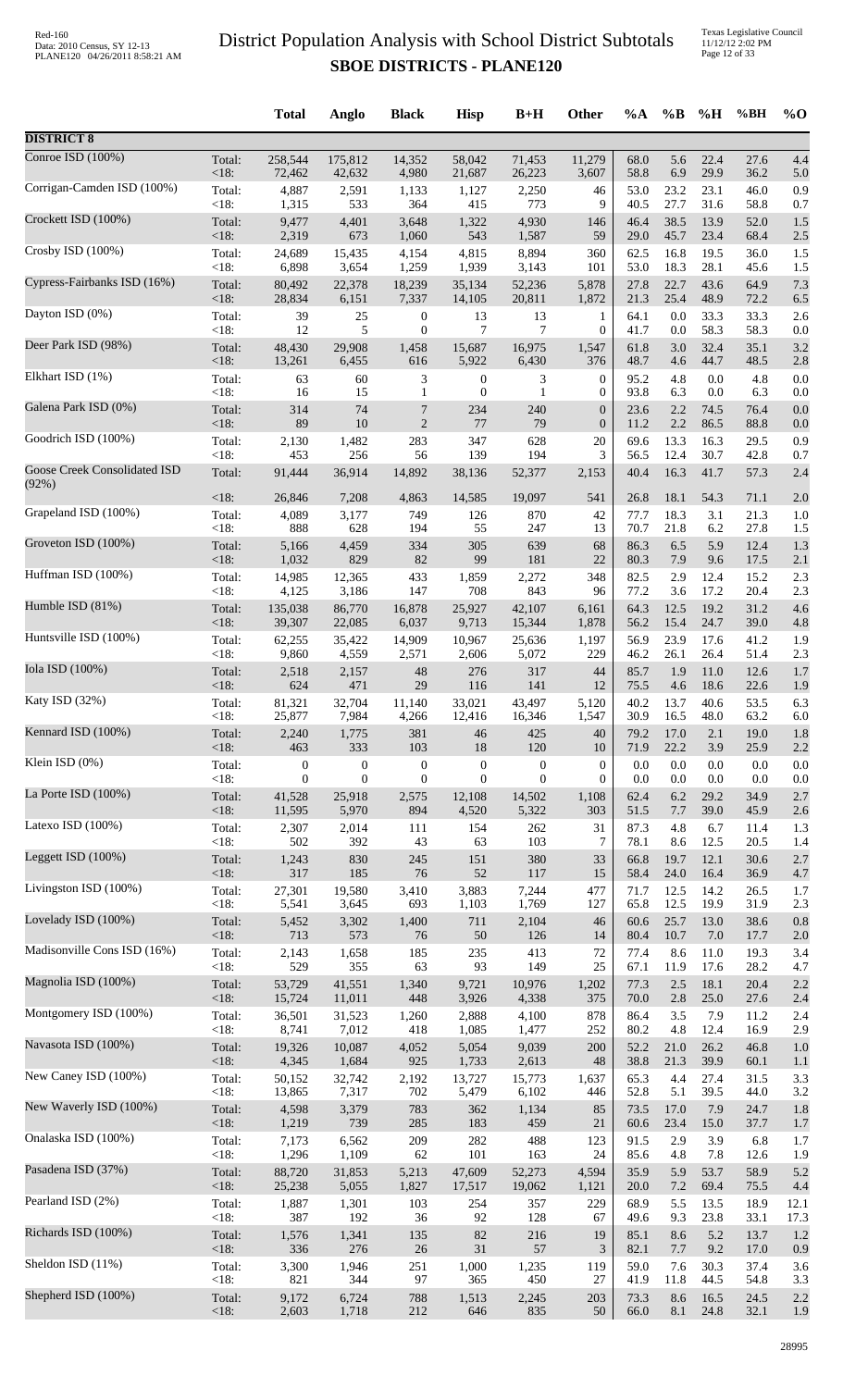|                                       |                 | <b>Total</b>     | Anglo            | <b>Black</b>      | <b>Hisp</b>                          | $B+H$            | <b>Other</b>          | $\%A$        | $\%B$        | %H           | %BH          | $\%$ O     |
|---------------------------------------|-----------------|------------------|------------------|-------------------|--------------------------------------|------------------|-----------------------|--------------|--------------|--------------|--------------|------------|
| <b>DISTRICT 8</b>                     |                 |                  |                  |                   |                                      |                  |                       |              |              |              |              |            |
| Conroe ISD (100%)                     | Total:          | 258,544          | 175,812          | 14,352            | 58,042                               | 71,453           | 11,279                | 68.0         | 5.6          | 22.4         | 27.6         | 4.4        |
| Corrigan-Camden ISD (100%)            | <18:            | 72,462           | 42,632           | 4,980             | 21,687                               | 26,223           | 3,607                 | 58.8         | 6.9          | 29.9         | 36.2         | 5.0        |
|                                       | Total:          | 4,887            | 2,591            | 1,133             | 1,127                                | 2,250            | 46                    | 53.0         | 23.2         | 23.1         | 46.0         | 0.9        |
| Crockett ISD (100%)                   | <18:            | 1,315            | 533              | 364               | 415                                  | 773              | 9                     | 40.5         | 27.7         | 31.6         | 58.8         | 0.7        |
|                                       | Total:          | 9,477            | 4,401            | 3,648             | 1,322                                | 4,930            | 146                   | 46.4         | 38.5         | 13.9         | 52.0         | 1.5        |
|                                       | <18:            | 2,319            | 673              | 1,060             | 543                                  | 1,587            | 59                    | 29.0         | 45.7         | 23.4         | 68.4         | 2.5        |
| Crosby ISD (100%)                     | Total:          | 24,689           | 15,435           | 4,154             | 4,815                                | 8,894            | 360                   | 62.5         | 16.8         | 19.5         | 36.0         | 1.5        |
|                                       | <18:            | 6,898            | 3,654            | 1,259             | 1,939                                | 3,143            | 101                   | 53.0         | 18.3         | 28.1         | 45.6         | 1.5        |
| Cypress-Fairbanks ISD (16%)           | Total:          | 80,492           | 22,378           | 18,239            | 35,134                               | 52,236           | 5,878                 | 27.8         | 22.7         | 43.6         | 64.9         | 7.3        |
| Dayton ISD (0%)                       | <18:            | 28,834           | 6,151            | 7,337             | 14,105                               | 20,811           | 1,872                 | 21.3         | 25.4         | 48.9         | 72.2         | 6.5        |
|                                       | Total:          | 39               | 25               | $\boldsymbol{0}$  | 13                                   | 13               | 1                     | 64.1         | 0.0          | 33.3         | 33.3         | 2.6        |
| Deer Park ISD (98%)                   | <18:            | 12               | 5                | $\boldsymbol{0}$  | 7                                    | 7                | $\boldsymbol{0}$      | 41.7         | 0.0          | 58.3         | 58.3         | 0.0        |
|                                       | Total:          | 48,430           | 29,908           | 1,458             | 15,687                               | 16,975           | 1,547                 | 61.8         | 3.0          | 32.4         | 35.1         | 3.2        |
| Elkhart ISD (1%)                      | <18:            | 13,261           | 6,455            | 616               | 5,922                                | 6,430            | 376<br>$\overline{0}$ | 48.7<br>95.2 | 4.6<br>4.8   | 44.7<br>0.0  | 48.5<br>4.8  | 2.8<br>0.0 |
|                                       | Total:<br><18:  | 63<br>16         | 60<br>15         | 3<br>$\mathbf{1}$ | $\boldsymbol{0}$<br>$\boldsymbol{0}$ | 3<br>1           | $\overline{0}$        | 93.8         | 6.3          | 0.0          | 6.3          | 0.0        |
| Galena Park ISD (0%)                  | Total:          | 314              | 74               | $\overline{7}$    | 234                                  | 240              | $\boldsymbol{0}$      | 23.6         | 2.2          | 74.5         | 76.4         | 0.0        |
|                                       | $<18$ :         | 89               | 10               | $\overline{2}$    | 77                                   | 79               | $\boldsymbol{0}$      | 11.2         | 2.2          | 86.5         | 88.8         | 0.0        |
| Goodrich ISD (100%)                   | Total:          | 2,130            | 1,482            | 283               | 347                                  | 628              | 20                    | 69.6         | 13.3         | 16.3         | 29.5         | 0.9        |
|                                       | <18:            | 453              | 256              | 56                | 139                                  | 194              | 3                     | 56.5         | 12.4         | 30.7         | 42.8         | 0.7        |
| Goose Creek Consolidated ISD<br>(92%) | Total:          | 91,444           | 36,914           | 14,892            | 38,136                               | 52,377           | 2,153                 | 40.4         | 16.3         | 41.7         | 57.3         | 2.4        |
| Grapeland ISD (100%)                  | <18:            | 26,846           | 7,208            | 4,863             | 14,585                               | 19,097           | 541                   | 26.8         | 18.1         | 54.3         | 71.1         | 2.0        |
|                                       | Total:          | 4,089            | 3,177            | 749               | 126                                  | 870              | 42                    | 77.7         | 18.3         | 3.1          | 21.3         | 1.0        |
|                                       | < 18:           | 888              | 628              | 194               | 55                                   | 247              | 13                    | 70.7         | 21.8         | 6.2          | 27.8         | 1.5        |
| Groveton ISD (100%)                   | Total:          | 5,166            | 4,459            | 334               | 305                                  | 639              | 68                    | 86.3         | 6.5          | 5.9          | 12.4         | 1.3        |
|                                       | <18:            | 1,032            | 829              | 82                | 99                                   | 181              | 22                    | 80.3         | 7.9          | 9.6          | 17.5         | 2.1        |
| Huffman ISD (100%)                    | Total:<br>< 18: | 14,985           | 12,365           | 433               | 1,859                                | 2,272            | 348                   | 82.5         | 2.9          | 12.4         | 15.2         | 2.3        |
| Humble ISD (81%)                      | Total:          | 4,125<br>135,038 | 3,186<br>86,770  | 147<br>16,878     | 708<br>25,927                        | 843<br>42,107    | 96<br>6,161           | 77.2<br>64.3 | 3.6<br>12.5  | 17.2<br>19.2 | 20.4<br>31.2 | 2.3<br>4.6 |
| Huntsville ISD (100%)                 | $<18$ :         | 39,307           | 22,085           | 6,037             | 9,713                                | 15,344           | 1,878                 | 56.2         | 15.4         | 24.7         | 39.0         | 4.8        |
|                                       | Total:          | 62,255           | 35,422           | 14,909            | 10,967                               | 25,636           | 1,197                 | 56.9         | 23.9         | 17.6         | 41.2         | 1.9        |
| Iola ISD (100%)                       | <18:            | 9,860            | 4,559            | 2,571             | 2,606                                | 5,072            | 229                   | 46.2         | 26.1         | 26.4         | 51.4         | 2.3        |
|                                       | Total:          | 2,518            | 2,157            | 48                | 276                                  | 317              | 44                    | 85.7         | 1.9          | 11.0         | 12.6         | 1.7        |
| Katy ISD (32%)                        | $<18$ :         | 624              | 471              | 29                | 116                                  | 141              | 12                    | 75.5         | 4.6          | 18.6         | 22.6         | 1.9        |
|                                       | Total:          | 81,321           | 32,704           | 11,140            | 33,021                               | 43,497           | 5,120                 | 40.2         | 13.7         | 40.6         | 53.5         | 6.3        |
|                                       | $<18$ :         | 25,877           | 7,984            | 4,266             | 12,416                               | 16,346           | 1,547                 | 30.9         | 16.5         | 48.0         | 63.2         | 6.0        |
| Kennard ISD (100%)                    | Total:          | 2,240            | 1,775            | 381               | 46                                   | 425              | 40                    | 79.2         | 17.0         | 2.1          | 19.0         | 1.8        |
|                                       | <18:            | 463              | 333              | 103               | 18                                   | 120              | 10                    | 71.9         | 22.2         | 3.9          | 25.9         | 2.2        |
| Klein ISD $(0\%)$                     | Total:          | $\boldsymbol{0}$ | $\boldsymbol{0}$ | $\boldsymbol{0}$  | $\boldsymbol{0}$                     | $\boldsymbol{0}$ | $\overline{0}$        | 0.0          | 0.0          | 0.0          | 0.0          | 0.0        |
|                                       | < 18:           | $\overline{0}$   | $\theta$         | $\boldsymbol{0}$  | $\mathbf{0}$                         | $\theta$         | $\mathbf{0}$          | 0.0          | 0.0          | 0.0          | 0.0          | 0.0        |
| La Porte ISD (100%)                   | Total:          | 41,528           | 25,918           | 2,575             | 12,108                               | 14,502           | 1,108                 | 62.4         | 6.2          | 29.2         | 34.9         | 2.7        |
|                                       | <18:            | 11,595           | 5,970            | 894               | 4,520                                | 5,322            | 303                   | 51.5         | 7.7          | 39.0         | 45.9         | 2.6        |
| Latexo ISD $(100\%)$                  | Total:          | 2,307            | 2,014            | 111               | 154                                  | 262              | 31                    | 87.3         | 4.8          | 6.7          | 11.4         | 1.3        |
| Leggett ISD (100%)                    | < 18:           | 502              | 392              | 43                | 63                                   | 103              | 7                     | 78.1         | 8.6          | 12.5         | 20.5         | 1.4        |
|                                       | Total:          | 1,243            | 830              | 245               | 151                                  | 380              | 33                    | 66.8         | 19.7         | 12.1         | 30.6         | 2.7        |
| Livingston ISD (100%)                 | <18:            | 317              | 185              | 76                | 52                                   | 117              | 15                    | 58.4         | 24.0         | 16.4         | 36.9         | 4.7        |
|                                       | Total:          | 27,301           | 19,580           | 3,410             | 3,883                                | 7,244            | 477                   | 71.7         | 12.5         | 14.2         | 26.5         | 1.7        |
| Lovelady ISD (100%)                   | < 18:<br>Total: | 5,541            | 3,645<br>3,302   | 693<br>1,400      | 1,103<br>711                         | 1,769            | 127<br>46             | 65.8<br>60.6 | 12.5<br>25.7 | 19.9<br>13.0 | 31.9<br>38.6 | 2.3<br>0.8 |
|                                       | <18:            | 5,452<br>713     | 573              | 76                | 50                                   | 2,104<br>126     | 14                    | 80.4         | 10.7         | 7.0          | 17.7         | 2.0        |
| Madisonville Cons ISD (16%)           | Total:          | 2,143            | 1,658            | 185               | 235                                  | 413              | 72                    | 77.4         | 8.6          | 11.0         | 19.3         | 3.4        |
|                                       | < 18:           | 529              | 355              | 63                | 93                                   | 149              | 25                    | 67.1         | 11.9         | 17.6         | 28.2         | 4.7        |
| Magnolia ISD (100%)                   | Total:          | 53,729           | 41,551           | 1,340             | 9,721                                | 10,976           | 1,202                 | 77.3         | 2.5          | 18.1         | 20.4         | 2.2        |
| Montgomery ISD (100%)                 | <18:            | 15,724           | 11,011           | 448               | 3,926                                | 4,338            | 375                   | 70.0         | 2.8          | 25.0         | 27.6         | 2.4        |
|                                       | Total:          | 36,501           | 31,523           | 1,260             | 2,888                                | 4,100            | 878                   | 86.4         | 3.5          | 7.9          | 11.2         | 2.4        |
| Navasota ISD (100%)                   | <18:            | 8,741            | 7,012            | 418               | 1,085                                | 1,477            | 252                   | 80.2         | 4.8          | 12.4         | 16.9         | 2.9        |
|                                       | Total:          | 19,326           | 10,087           | 4,052             | 5,054                                | 9,039            | 200                   | 52.2         | 21.0         | 26.2         | 46.8         | 1.0        |
| New Caney ISD (100%)                  | <18:            | 4,345            | 1,684            | 925               | 1,733                                | 2,613            | 48                    | 38.8         | 21.3         | 39.9         | 60.1         | 1.1        |
|                                       | Total:          | 50,152           | 32,742           | 2,192             | 13,727                               | 15,773           | 1,637                 | 65.3         | 4.4          | 27.4         | 31.5         | 3.3        |
| New Waverly ISD (100%)                | < 18:<br>Total: | 13,865           | 7,317<br>3,379   | 702               | 5,479<br>362                         | 6,102            | 446<br>85             | 52.8<br>73.5 | 5.1<br>17.0  | 39.5<br>7.9  | 44.0         | 3.2        |
|                                       | <18:            | 4,598<br>1,219   | 739              | 783<br>285        | 183                                  | 1,134<br>459     | 21                    | 60.6         | 23.4         | 15.0         | 24.7<br>37.7 | 1.8<br>1.7 |
| Onalaska ISD (100%)                   | Total:          | 7,173            | 6,562            | 209               | 282                                  | 488              | 123                   | 91.5         | 2.9          | 3.9          | 6.8          | 1.7        |
|                                       | < 18:           | 1,296            | 1,109            | 62                | 101                                  | 163              | 24                    | 85.6         | 4.8          | 7.8          | 12.6         | 1.9        |
| Pasadena ISD (37%)                    | Total:          | 88,720           | 31,853           | 5,213             | 47,609                               | 52,273           | 4,594                 | 35.9         | 5.9          | 53.7         | 58.9         | 5.2        |
|                                       | <18:            | 25,238           | 5,055            | 1,827             | 17,517                               | 19,062           | 1,121                 | 20.0         | 7.2          | 69.4         | 75.5         | 4.4        |
| Pearland ISD (2%)                     | Total:          | 1,887            | 1,301            | 103               | 254                                  | 357              | 229                   | 68.9         | 5.5          | 13.5         | 18.9         | 12.1       |
|                                       | < 18:           | 387              | 192              | 36                | 92                                   | 128              | 67                    | 49.6         | 9.3          | 23.8         | 33.1         | 17.3       |
| Richards ISD (100%)                   | Total:<br><18:  | 1,576<br>336     | 1,341<br>276     | 135<br>$26\,$     | 82<br>31                             | 216<br>57        | 19<br>3               | 85.1         | 8.6          | 5.2          | 13.7         | 1.2        |
| Sheldon ISD (11%)                     | Total:          | 3,300            | 1,946            | 251               | 1,000                                | 1,235            | 119                   | 82.1<br>59.0 | 7.7<br>7.6   | 9.2<br>30.3  | 17.0<br>37.4 | 0.9<br>3.6 |
| Shepherd ISD (100%)                   | <18:            | 821              | 344              | 97                | 365                                  | 450              | $27\,$                | 41.9         | 11.8         | 44.5         | 54.8         | 3.3        |
|                                       | Total:          | 9,172            | 6,724            | 788               | 1,513                                | 2,245            | 203                   | 73.3         | 8.6          | 16.5         | 24.5         | 2.2        |
|                                       | <18:            | 2,603            | 1,718            | 212               | 646                                  | 835              | 50                    | 66.0         | 8.1          | 24.8         | 32.1         | 1.9        |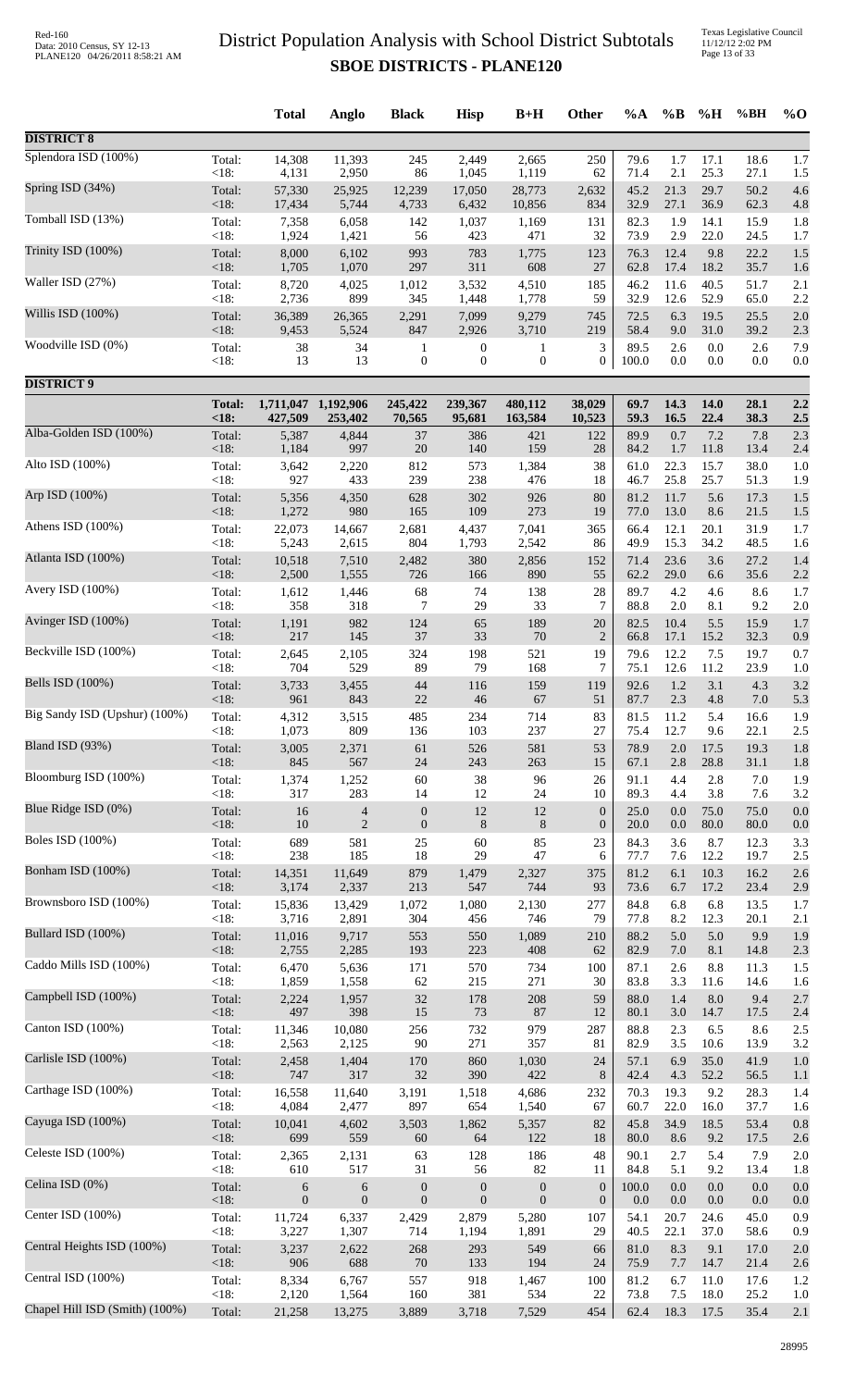Texas Legislative Council 11/12/12 2:02 PM Page 13 of 33

|                                |                 | <b>Total</b>     | Anglo            | <b>Black</b>     | <b>Hisp</b>      | $B+H$            | Other                | $\%A$        | $\%B$        | %H          | %BH          | $%$ <sup>O</sup> |
|--------------------------------|-----------------|------------------|------------------|------------------|------------------|------------------|----------------------|--------------|--------------|-------------|--------------|------------------|
| <b>DISTRICT 8</b>              |                 |                  |                  |                  |                  |                  |                      |              |              |             |              |                  |
| Splendora ISD (100%)           | Total:          | 14,308           | 11,393           | 245              | 2,449            | 2,665            | 250                  | 79.6         | 1.7          | 17.1        | 18.6         | 1.7              |
| Spring ISD (34%)               | < 18:           | 4,131            | 2,950            | 86               | 1,045            | 1,119            | 62                   | 71.4         | 2.1          | 25.3        | 27.1         | 1.5              |
|                                | Total:          | 57,330           | 25,925           | 12,239           | 17,050           | 28,773           | 2,632                | 45.2         | 21.3         | 29.7        | 50.2         | 4.6              |
| Tomball ISD (13%)              | <18:            | 17,434           | 5,744            | 4,733            | 6,432            | 10,856           | 834                  | 32.9         | 27.1         | 36.9        | 62.3         | 4.8              |
|                                | Total:          | 7,358            | 6,058            | 142              | 1,037            | 1,169            | 131                  | 82.3         | 1.9          | 14.1        | 15.9         | 1.8              |
|                                | < 18:           | 1,924            | 1,421            | 56               | 423              | 471              | 32                   | 73.9         | 2.9          | 22.0        | 24.5         | 1.7              |
| Trinity ISD (100%)             | Total:          | 8,000            | 6,102            | 993              | 783              | 1,775            | 123                  | 76.3         | 12.4         | 9.8         | 22.2         | 1.5              |
|                                | < 18:           | 1,705            | 1,070            | 297              | 311              | 608              | 27                   | 62.8         | 17.4         | 18.2        | 35.7         | 1.6              |
| Waller ISD (27%)               | Total:          | 8,720            | 4,025            | 1,012            | 3,532            | 4,510            | 185                  | 46.2         | 11.6         | 40.5        | 51.7         | 2.1              |
|                                | < 18:           | 2,736            | 899              | 345              | 1,448            | 1,778            | 59                   | 32.9         | 12.6         | 52.9        | 65.0         | 2.2              |
| Willis ISD (100%)              | Total:          | 36,389           | 26,365           | 2,291            | 7,099            | 9,279            | 745                  | 72.5         | 6.3          | 19.5        | 25.5         | 2.0              |
| Woodville ISD (0%)             | < 18:           | 9,453            | 5,524            | 847              | 2,926            | 3,710            | 219                  | 58.4         | 9.0          | 31.0        | 39.2         | 2.3              |
|                                | Total:          | 38               | 34               | 1                | $\boldsymbol{0}$ | 1                | 3                    | 89.5         | 2.6          | 0.0         | 2.6          | 7.9              |
| <b>DISTRICT 9</b>              | $<18$ :         | 13               | 13               | $\boldsymbol{0}$ | $\boldsymbol{0}$ | $\mathbf{0}$     | $\boldsymbol{0}$     | 100.0        | 0.0          | 0.0         | 0.0          | 0.0              |
|                                | <b>Total:</b>   | 1,711,047        | 1,192,906        | 245,422          | 239,367          | 480,112          | 38,029               | 69.7         | 14.3         | 14.0        | 28.1         | 2.2              |
|                                | <18:            | 427,509          | 253,402          | 70,565           | 95,681           | 163,584          | 10,523               | 59.3         | 16.5         | 22.4        | 38.3         | 2.5              |
| Alba-Golden ISD (100%)         | Total:          | 5,387            | 4,844            | 37               | 386              | 421              | 122                  | 89.9         | 0.7          | 7.2         | 7.8          | 2.3              |
|                                | < 18:           | 1,184            | 997              | 20               | 140              | 159              | 28                   | 84.2         | 1.7          | 11.8        | 13.4         | 2.4              |
| Alto ISD (100%)                | Total:          | 3,642            | 2,220            | 812              | 573              | 1,384            | 38                   | 61.0         | 22.3         | 15.7        | 38.0         | 1.0              |
|                                | < 18:           | 927              | 433              | 239              | 238              | 476              | 18                   | 46.7         | 25.8         | 25.7        | 51.3         | 1.9              |
| Arp ISD (100%)                 | Total:          | 5,356            | 4,350            | 628              | 302              | 926              | 80                   | 81.2         | 11.7         | 5.6         | 17.3         | 1.5              |
| Athens ISD (100%)              | < 18:           | 1,272            | 980              | 165              | 109              | 273              | 19                   | 77.0         | 13.0         | 8.6         | 21.5         | 1.5              |
|                                | Total:          | 22,073           | 14,667           | 2,681            | 4,437            | 7,041            | 365                  | 66.4         | 12.1         | 20.1        | 31.9         | 1.7              |
|                                | <18:            | 5,243            | 2,615            | 804              | 1,793            | 2,542            | 86                   | 49.9         | 15.3         | 34.2        | 48.5         | 1.6              |
| Atlanta ISD (100%)             | Total:          | 10,518           | 7,510            | 2,482            | 380              | 2,856            | 152                  | 71.4         | 23.6         | 3.6         | 27.2         | 1.4              |
|                                | < 18:           | 2,500            | 1,555            | 726              | 166              | 890              | 55                   | 62.2         | 29.0         | 6.6         | 35.6         | 2.2              |
| Avery ISD $(100\%)$            | Total:          | 1,612            | 1,446            | 68               | 74               | 138              | 28                   | 89.7         | 4.2          | 4.6         | 8.6          | 1.7              |
|                                | < 18:           | 358              | 318              | 7                | 29               | 33               | $\overline{7}$       | 88.8         | 2.0          | 8.1         | 9.2          | 2.0              |
| Avinger ISD (100%)             | Total:<br>< 18: | 1,191<br>217     | 982              | 124<br>37        | 65<br>33         | 189<br>70        | 20<br>$\overline{2}$ | 82.5<br>66.8 | 10.4<br>17.1 | 5.5<br>15.2 | 15.9<br>32.3 | 1.7              |
| Beckville ISD (100%)           | Total:          | 2,645            | 145<br>2,105     | 324              | 198              | 521              | 19                   | 79.6         | 12.2         | 7.5         | 19.7         | 0.9<br>0.7       |
| Bells ISD (100%)               | < 18:           | 704              | 529              | 89               | 79               | 168              | 7                    | 75.1         | 12.6         | 11.2        | 23.9         | 1.0              |
|                                | Total:          | 3,733            | 3,455            | 44               | 116              | 159              | 119                  | 92.6         | 1.2          | 3.1         | 4.3          | 3.2              |
| Big Sandy ISD (Upshur) (100%)  | < 18:           | 961              | 843              | 22               | 46               | 67               | 51                   | 87.7         | 2.3          | 4.8         | $7.0\,$      | 5.3              |
|                                | Total:          | 4,312            | 3,515            | 485              | 234              | 714              | 83                   | 81.5         | 11.2         | 5.4         | 16.6         | 1.9              |
| Bland ISD (93%)                | <18:            | 1,073            | 809              | 136              | 103              | 237              | 27                   | 75.4         | 12.7         | 9.6         | 22.1         | 2.5              |
|                                | Total:          | 3,005            | 2,371            | 61               | 526              | 581              | 53                   | 78.9         | $2.0\,$      | 17.5        | 19.3         | 1.8              |
|                                | < 18:           | 845              | 567              | 24               | 243              | 263              | 15                   | 67.1         | 2.8          | 28.8        | 31.1         | 1.8              |
| Bloomburg ISD (100%)           | Total:          | 1,374            | 1,252            | 60               | 38               | 96               | 26                   | 91.1         | 4.4          | 2.8         | 7.0          | 1.9              |
|                                | < 18:           | 317              | 283              | 14               | 12               | 24               | 10                   | 89.3         | 4.4          | 3.8         | 7.6          | 3.2              |
| Blue Ridge ISD (0%)            | Total:          | 16               | $\overline{4}$   | $\boldsymbol{0}$ | 12               | 12               | $\boldsymbol{0}$     | 25.0         | 0.0          | 75.0        | 75.0         | 0.0              |
|                                | < 18:           | 10               | $\overline{2}$   | $\boldsymbol{0}$ | 8                | 8                | $\boldsymbol{0}$     | 20.0         | 0.0          | 80.0        | 80.0         | 0.0              |
| <b>Boles ISD</b> (100%)        | Total:          | 689              | 581              | 25               | 60               | 85               | 23                   | 84.3         | 3.6          | 8.7         | 12.3         | 3.3              |
|                                | < 18:           | 238              | 185              | 18               | 29               | 47               | 6                    | 77.7         | 7.6          | 12.2        | 19.7         | 2.5              |
| Bonham ISD (100%)              | Total:          | 14,351           | 11,649           | 879              | 1,479            | 2,327            | 375                  | 81.2         | 6.1          | 10.3        | 16.2         | 2.6              |
|                                | < 18:           | 3,174            | 2,337            | 213              | 547              | 744              | 93                   | 73.6         | 6.7          | 17.2        | 23.4         | 2.9              |
| Brownsboro ISD (100%)          | Total:          | 15,836           | 13,429           | 1,072            | 1,080            | 2,130            | 277                  | 84.8         | 6.8          | 6.8         | 13.5         | 1.7              |
| Bullard ISD (100%)             | < 18:           | 3,716            | 2,891            | 304              | 456              | 746              | 79                   | 77.8         | 8.2          | 12.3        | 20.1         | 2.1              |
|                                | Total:          | 11,016           | 9,717            | 553              | 550              | 1,089            | 210                  | 88.2         | 5.0          | 5.0         | 9.9          | 1.9              |
| Caddo Mills ISD (100%)         | < 18:           | 2,755            | 2,285            | 193              | 223              | 408              | 62                   | 82.9         | 7.0          | 8.1         | 14.8         | 2.3              |
|                                | Total:          | 6,470            | 5,636            | 171              | 570              | 734              | 100                  | 87.1         | 2.6          | 8.8         | 11.3         | 1.5              |
|                                | < 18:           | 1,859            | 1,558            | 62               | 215              | 271              | 30                   | 83.8         | 3.3          | 11.6        | 14.6         | 1.6              |
| Campbell ISD (100%)            | Total:          | 2,224            | 1,957            | 32               | 178              | 208              | 59                   | 88.0         | 1.4          | 8.0         | 9.4          | 2.7              |
|                                | < 18:           | 497              | 398              | 15               | 73               | 87               | 12                   | 80.1         | 3.0          | 14.7        | 17.5         | 2.4              |
| Canton ISD (100%)              | Total:          | 11,346           | 10,080           | 256              | 732              | 979              | 287                  | 88.8         | 2.3          | 6.5         | 8.6          | 2.5              |
|                                | < 18:           | 2,563            | 2,125            | 90               | 271              | 357              | 81                   | 82.9         | 3.5          | 10.6        | 13.9         | 3.2              |
| Carlisle ISD (100%)            | Total:          | 2,458            | 1,404            | 170              | 860              | 1,030            | 24                   | 57.1         | 6.9          | 35.0        | 41.9         | 1.0              |
| Carthage ISD (100%)            | < 18:           | 747              | 317              | 32               | 390              | 422              | 8                    | 42.4         | 4.3          | 52.2        | 56.5         | 1.1              |
|                                | Total:          | 16,558           | 11,640           | 3,191            | 1,518            | 4,686            | 232                  | 70.3         | 19.3         | 9.2         | 28.3         | 1.4              |
| Cayuga ISD (100%)              | < 18:           | 4,084            | 2,477            | 897              | 654              | 1,540            | 67                   | 60.7         | 22.0         | 16.0        | 37.7         | 1.6              |
|                                | Total:          | 10,041           | 4,602            | 3,503            | 1,862            | 5,357            | 82                   | 45.8         | 34.9         | 18.5        | 53.4         | 0.8              |
| Celeste ISD (100%)             | < 18:           | 699              | 559              | 60               | 64               | 122              | 18<br>48             | 80.0<br>90.1 | 8.6          | 9.2         | 17.5<br>7.9  | 2.6              |
|                                | Total:<br>< 18: | 2,365<br>610     | 2,131<br>517     | 63<br>31         | 128<br>56        | 186<br>82        | 11                   | 84.8         | 2.7<br>5.1   | 5.4<br>9.2  | 13.4         | 2.0<br>1.8       |
| Celina ISD (0%)                | Total:          | 6                | 6                | $\boldsymbol{0}$ | $\boldsymbol{0}$ | $\boldsymbol{0}$ | $\boldsymbol{0}$     | 100.0        | 0.0          | 0.0         | 0.0          | 0.0              |
|                                | <18:            | $\boldsymbol{0}$ | $\boldsymbol{0}$ | $\boldsymbol{0}$ | $\boldsymbol{0}$ | $\mathbf{0}$     | $\boldsymbol{0}$     | 0.0          | 0.0          | 0.0         | 0.0          | 0.0              |
| Center ISD (100%)              | Total:          | 11,724           | 6,337            | 2,429            | 2,879            | 5,280            | 107                  | 54.1         | 20.7         | 24.6        | 45.0         | 0.9              |
|                                | < 18:           | 3,227            | 1,307            | 714              | 1,194            | 1,891            | 29                   | 40.5         | 22.1         | 37.0        | 58.6         | 0.9              |
| Central Heights ISD (100%)     | Total:          | 3,237            | 2,622            | 268              | 293              | 549              | 66                   | 81.0         | 8.3          | 9.1         | 17.0         | 2.0              |
|                                | < 18:           | 906              | 688              | 70               | 133              | 194              | 24                   | 75.9         | 7.7          | 14.7        | 21.4         | 2.6              |
| Central ISD (100%)             | Total:          | 8,334            | 6,767            | 557              | 918              | 1,467            | 100                  | 81.2         | 6.7          | 11.0        | 17.6         | 1.2              |
| Chapel Hill ISD (Smith) (100%) | <18:            | 2,120            | 1,564            | 160              | 381              | 534              | 22                   | 73.8         | 7.5          | 18.0        | 25.2         | 1.0              |
|                                | Total:          | 21,258           | 13,275           | 3,889            | 3,718            | 7,529            | 454                  | 62.4         | 18.3         | 17.5        | 35.4         | 2.1              |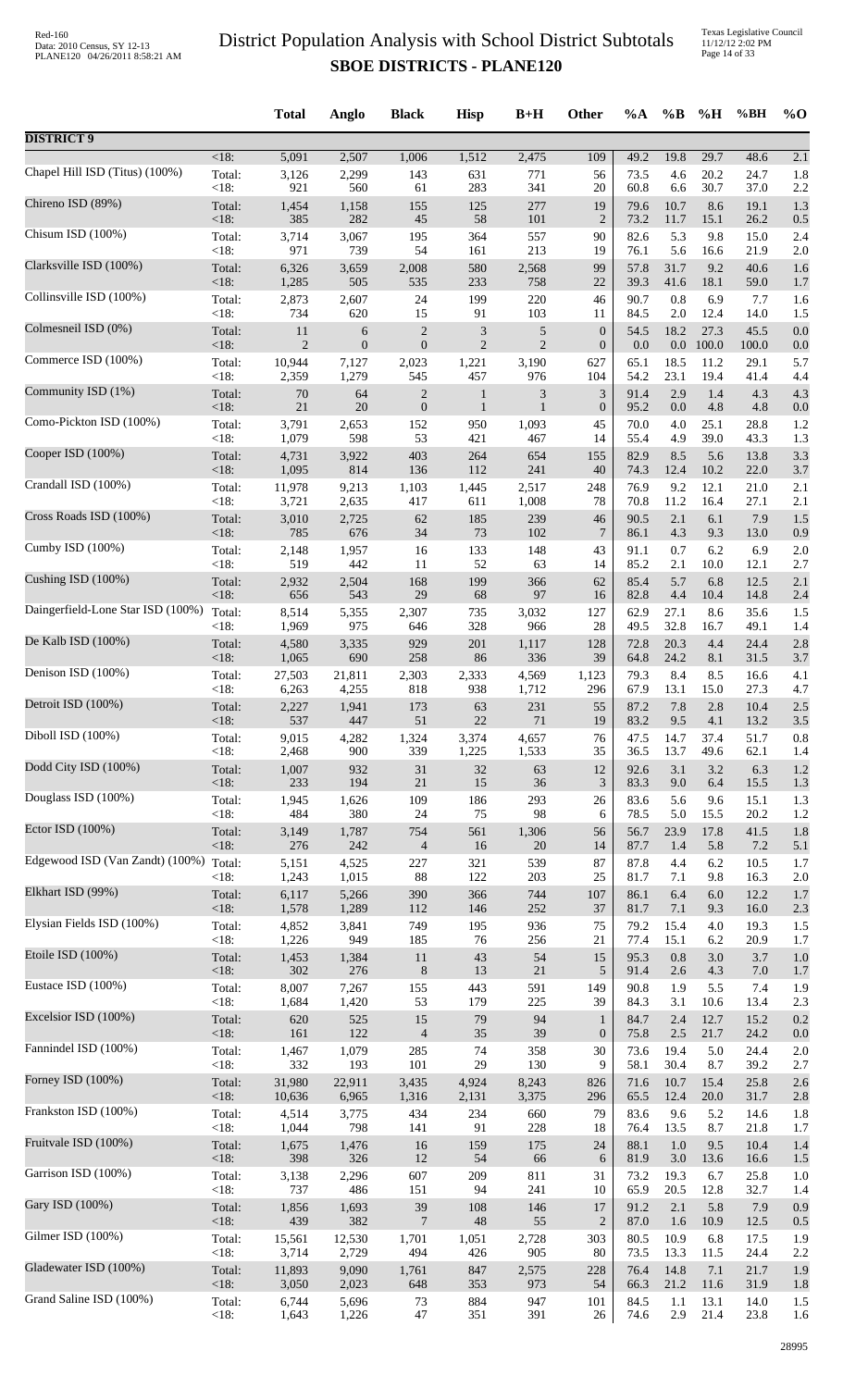| <b>DISTRICT 9</b><br>$<18$ :<br>5,091<br>2,507<br>1,512<br>2,475<br>109<br>19.8<br>29.7<br>48.6<br>1,006<br>49.2<br>2.1<br>Chapel Hill ISD (Titus) (100%)<br>Total:<br>3,126<br>2,299<br>631<br>771<br>73.5<br>20.2<br>24.7<br>1.8<br>143<br>56<br>4.6<br><18:<br>921<br>560<br>283<br>341<br>30.7<br>37.0<br>61<br>20<br>60.8<br>6.6<br>2.2<br>Chireno ISD (89%)<br>Total:<br>125<br>277<br>8.6<br>1,454<br>1,158<br>155<br>19<br>79.6<br>10.7<br>19.1<br>1.3<br>< 18:<br>385<br>282<br>$45\,$<br>58<br>101<br>$\overline{2}$<br>73.2<br>11.7<br>26.2<br>15.1<br>0.5<br>Chisum ISD (100%)<br>3,714<br>3,067<br>195<br>364<br>82.6<br>5.3<br>9.8<br>15.0<br>Total:<br>557<br>90<br>2.4<br><18:<br>971<br>739<br>54<br>213<br>5.6<br>161<br>19<br>76.1<br>16.6<br>21.9<br>2.0<br>Clarksville ISD (100%)<br>6,326<br>2,008<br>580<br>31.7<br>9.2<br>40.6<br>Total:<br>3,659<br>2,568<br>99<br>57.8<br>1.6<br><18:<br>1,285<br>535<br>233<br>758<br>39.3<br>41.6<br>18.1<br>505<br>22<br>59.0<br>1.7<br>Collinsville ISD (100%)<br>0.8<br>6.9<br>2,607<br>24<br>199<br>220<br>90.7<br>Total:<br>2,873<br>46<br>7.7<br>1.6<br><18:<br>91<br>103<br>2.0<br>734<br>620<br>15<br>84.5<br>12.4<br>14.0<br>11<br>1.5<br>Colmesneil ISD (0%)<br>$\sqrt{2}$<br>$\ensuremath{\mathfrak{Z}}$<br>$\boldsymbol{0}$<br>18.2<br>27.3<br>Total:<br>11<br>5<br>54.5<br>45.5<br>0.0<br>6<br>$\overline{c}$<br><18:<br>$\overline{2}$<br>$\boldsymbol{0}$<br>$\boldsymbol{0}$<br>$\overline{2}$<br>100.0<br>$\boldsymbol{0}$<br>0.0<br>$0.0\,$<br>100.0<br>0.0<br>Commerce ISD (100%)<br>18.5<br>Total:<br>10,944<br>7,127<br>2,023<br>1,221<br>3,190<br>627<br>65.1<br>11.2<br>29.1<br>5.7<br><18:<br>2,359<br>1,279<br>545<br>457<br>976<br>54.2<br>23.1<br>19.4<br>104<br>41.4<br>4.4<br>Community ISD (1%)<br>$\overline{c}$<br>$\mathfrak{Z}$<br>1.4<br>Total:<br>$70\,$<br>64<br>3<br>91.4<br>2.9<br>4.3<br>4.3<br>$\mathbf{1}$<br>20<br><18:<br>$21\,$<br>$\boldsymbol{0}$<br>$\boldsymbol{0}$<br>4.8<br>$\mathbf{1}$<br>$\mathbf{1}$<br>95.2<br>0.0<br>4.8<br>0.0<br>Como-Pickton ISD (100%)<br>950<br>4.0<br>25.1<br>Total:<br>3,791<br>2,653<br>152<br>1,093<br>45<br>70.0<br>28.8<br>1.2<br><18:<br>1,079<br>598<br>53<br>39.0<br>43.3<br>421<br>467<br>14<br>55.4<br>4.9<br>1.3<br>Cooper ISD (100%)<br>Total:<br>403<br>264<br>654<br>82.9<br>5.6<br>3.3<br>4,731<br>3,922<br>155<br>8.5<br>13.8<br>$<18$ :<br>1,095<br>814<br>136<br>112<br>241<br>74.3<br>12.4<br>22.0<br>40<br>10.2<br>3.7<br>Crandall ISD (100%)<br>9,213<br>9.2<br>12.1<br>Total:<br>11,978<br>1,103<br>1,445<br>2,517<br>248<br>76.9<br>21.0<br>2.1<br><18:<br>70.8<br>11.2<br>3,721<br>2,635<br>417<br>611<br>1,008<br>16.4<br>27.1<br>78<br>2.1<br>Cross Roads ISD (100%)<br>Total:<br>2,725<br>185<br>6.1<br>7.9<br>3,010<br>62<br>239<br>46<br>90.5<br>2.1<br>1.5<br><18:<br>785<br>676<br>73<br>102<br>$\overline{7}$<br>4.3<br>9.3<br>34<br>86.1<br>13.0<br>0.9<br>Cumby ISD (100%)<br>133<br>148<br>0.7<br>6.2<br>Total:<br>2,148<br>1,957<br>43<br>91.1<br>6.9<br>2.0<br>16<br>< 18:<br>519<br>442<br>52<br>63<br>85.2<br>2.1<br>11<br>14<br>10.0<br>12.1<br>2.7<br>Cushing ISD (100%)<br>Total:<br>2,504<br>168<br>199<br>366<br>85.4<br>5.7<br>6.8<br>12.5<br>2,932<br>62<br>2.1<br>< 18:<br>656<br>543<br>29<br>68<br>97<br>14.8<br>82.8<br>4.4<br>10.4<br>2.4<br>16<br>Daingerfield-Lone Star ISD (100%)<br>Total:<br>8,514<br>5,355<br>2,307<br>735<br>62.9<br>27.1<br>8.6<br>35.6<br>3,032<br>127<br>1.5<br>975<br>328<br>49.5<br>32.8<br>$<18$ :<br>1,969<br>646<br>966<br>28<br>16.7<br>49.1<br>1.4<br>De Kalb ISD (100%)<br>4.4<br>Total:<br>4,580<br>3,335<br>929<br>201<br>1,117<br>128<br>72.8<br>20.3<br>24.4<br>2.8<br><18:<br>690<br>258<br>86<br>336<br>24.2<br>8.1<br>1,065<br>39<br>64.8<br>31.5<br>3.7<br>Denison ISD (100%)<br>8.4<br>8.5<br>Total:<br>27,503<br>21,811<br>2,303<br>2,333<br>4,569<br>1,123<br>79.3<br>16.6<br>4.1<br><18:<br>818<br>938<br>13.1<br>6,263<br>4,255<br>1,712<br>296<br>67.9<br>15.0<br>27.3<br>4.7<br>Detroit ISD (100%)<br>55<br>87.2<br>2.8<br>2.5<br>Total:<br>2,227<br>1,941<br>173<br>63<br>231<br>7.8<br>10.4<br>$<18$ :<br>537<br>447<br>51<br>22<br>71<br>19<br>83.2<br>9.5<br>4.1<br>13.2<br>3.5<br>Diboll ISD (100%)<br>9,015<br>4,282<br>1,324<br>3,374<br>47.5<br>37.4<br>0.8<br>Total:<br>4,657<br>76<br>14.7<br>51.7<br><18:<br>900<br>339<br>1,225<br>35<br>13.7<br>2,468<br>1,533<br>36.5<br>49.6<br>62.1<br>1.4<br>Dodd City ISD (100%)<br>Total:<br>1,007<br>932<br>31<br>$32\,$<br>12<br>3.1<br>6.3<br>63<br>92.6<br>3.2<br>1.2<br><18:<br>233<br>194<br>21<br>15<br>36<br>3<br>15.5<br>83.3<br>9.0<br>6.4<br>1.3<br>Douglass ISD (100%)<br>109<br>293<br>5.6<br>Total:<br>1,945<br>1,626<br>186<br>26<br>83.6<br>9.6<br>15.1<br>1.3<br><18:<br>484<br>380<br>24<br>75<br>98<br>78.5<br>5.0<br>15.5<br>20.2<br>6<br>1.2<br>Ector ISD $(100\%)$<br>561<br>1,306<br>41.5<br>Total:<br>3,149<br>1,787<br>754<br>56<br>56.7<br>23.9<br>17.8<br>1.8<br><18:<br>276<br>242<br>7.2<br>$\overline{4}$<br>16<br>20<br>14<br>87.7<br>1.4<br>5.8<br>5.1<br>Edgewood ISD (Van Zandt) (100%)<br>Total:<br>4,525<br>227<br>321<br>539<br>87<br>4.4<br>6.2<br>1.7<br>5,151<br>87.8<br>10.5<br>< 18:<br>1,243<br>1,015<br>88<br>203<br>9.8<br>122<br>25<br>81.7<br>7.1<br>16.3<br>2.0<br>Elkhart ISD (99%)<br>Total:<br>5,266<br>390<br>366<br>744<br>107<br>86.1<br>6.4<br>6.0<br>12.2<br>6,117<br>1.7<br>252<br>$<18$ :<br>1,578<br>1,289<br>112<br>146<br>37<br>81.7<br>7.1<br>9.3<br>16.0<br>2.3<br>Elysian Fields ISD (100%)<br>749<br>75<br>79.2<br>Total:<br>4,852<br>3,841<br>195<br>936<br>15.4<br>4.0<br>19.3<br>1.5<br><18:<br>949<br>185<br>1,226<br>76<br>256<br>21<br>77.4<br>15.1<br>6.2<br>20.9<br>1.7<br>Etoile ISD (100%)<br>Total:<br>11<br>43<br>54<br>15<br>3.7<br>1,453<br>1,384<br>95.3<br>0.8<br>3.0<br>1.0<br><18:<br>302<br>276<br>$\,8\,$<br>13<br>21<br>5<br>91.4<br>2.6<br>4.3<br>$7.0\,$<br>1.7<br>Eustace ISD (100%)<br>8,007<br>1.9<br>5.5<br>7.4<br>Total:<br>7,267<br>155<br>443<br>591<br>149<br>90.8<br>1.9<br><18:<br>1,684<br>1,420<br>53<br>179<br>225<br>39<br>3.1<br>13.4<br>84.3<br>10.6<br>2.3<br>Excelsior ISD (100%)<br>Total:<br>620<br>525<br>15<br>79<br>94<br>12.7<br>15.2<br>0.2<br>$\mathbf{1}$<br>84.7<br>2.4<br><18:<br>122<br>$\overline{4}$<br>35<br>39<br>75.8<br>2.5<br>21.7<br>24.2<br>161<br>$\boldsymbol{0}$<br>0.0<br>Fannindel ISD (100%)<br>Total:<br>1,467<br>1,079<br>285<br>74<br>358<br>30<br>73.6<br>19.4<br>5.0<br>24.4<br>2.0<br>29<br><18:<br>332<br>193<br>101<br>130<br>9<br>30.4<br>39.2<br>58.1<br>8.7<br>2.7<br>Forney ISD (100%)<br>31,980<br>Total:<br>22,911<br>3,435<br>4,924<br>8,243<br>826<br>71.6<br>10.7<br>15.4<br>25.8<br>2.6<br><18:<br>10,636<br>6,965<br>1,316<br>2,131<br>3,375<br>296<br>65.5<br>12.4<br>20.0<br>31.7<br>2.8<br>Frankston ISD (100%)<br>434<br>234<br>83.6<br>5.2<br>Total:<br>4,514<br>3,775<br>660<br>79<br>9.6<br>14.6<br>1.8<br><18:<br>1,044<br>798<br>91<br>228<br>8.7<br>141<br>18<br>76.4<br>13.5<br>21.8<br>1.7<br>Fruitvale ISD (100%)<br>159<br>88.1<br>1.0<br>9.5<br>Total:<br>1,476<br>16<br>175<br>24<br>10.4<br>1,675<br>1.4<br><18:<br>398<br>326<br>12<br>54<br>66<br>6<br>81.9<br>3.0<br>13.6<br>16.6<br>1.5<br>Garrison ISD (100%)<br>607<br>209<br>811<br>31<br>73.2<br>19.3<br>25.8<br>Total:<br>3,138<br>2,296<br>6.7<br>1.0<br><18:<br>737<br>486<br>151<br>94<br>241<br>65.9<br>20.5<br>32.7<br>10<br>12.8<br>1.4<br>Gary ISD (100%)<br>Total:<br>39<br>108<br>17<br>91.2<br>2.1<br>5.8<br>7.9<br>1,856<br>1,693<br>146<br>0.9<br><18:<br>439<br>382<br>$\overline{7}$<br>55<br>$\overline{2}$<br>12.5<br>48<br>87.0<br>10.9<br>1.6<br>0.5<br>Gilmer ISD (100%)<br>303<br>10.9<br>Total:<br>15,561<br>12,530<br>1,701<br>1,051<br>2,728<br>80.5<br>6.8<br>17.5<br>1.9<br><18:<br>73.5<br>13.3<br>3,714<br>2,729<br>494<br>426<br>905<br>80<br>11.5<br>24.4<br>2.2<br>Gladewater ISD (100%)<br>2,575<br>14.8<br>7.1<br>21.7<br>Total:<br>11,893<br>9,090<br>1,761<br>847<br>228<br>76.4<br>1.9<br><18:<br>2,023<br>353<br>3,050<br>648<br>973<br>54<br>66.3<br>21.2<br>11.6<br>31.9<br>1.8<br>Grand Saline ISD (100%)<br>Total:<br>6,744<br>5,696<br>884<br>947<br>84.5<br>1.1<br>13.1<br>14.0<br>73<br>101<br>1.5 |      | <b>Total</b> | Anglo | <b>Black</b> | <b>Hisp</b> | $B+H$ | Other | $\%A$ | $\%$ B | %H   | %BH  | $\%$ O |
|-----------------------------------------------------------------------------------------------------------------------------------------------------------------------------------------------------------------------------------------------------------------------------------------------------------------------------------------------------------------------------------------------------------------------------------------------------------------------------------------------------------------------------------------------------------------------------------------------------------------------------------------------------------------------------------------------------------------------------------------------------------------------------------------------------------------------------------------------------------------------------------------------------------------------------------------------------------------------------------------------------------------------------------------------------------------------------------------------------------------------------------------------------------------------------------------------------------------------------------------------------------------------------------------------------------------------------------------------------------------------------------------------------------------------------------------------------------------------------------------------------------------------------------------------------------------------------------------------------------------------------------------------------------------------------------------------------------------------------------------------------------------------------------------------------------------------------------------------------------------------------------------------------------------------------------------------------------------------------------------------------------------------------------------------------------------------------------------------------------------------------------------------------------------------------------------------------------------------------------------------------------------------------------------------------------------------------------------------------------------------------------------------------------------------------------------------------------------------------------------------------------------------------------------------------------------------------------------------------------------------------------------------------------------------------------------------------------------------------------------------------------------------------------------------------------------------------------------------------------------------------------------------------------------------------------------------------------------------------------------------------------------------------------------------------------------------------------------------------------------------------------------------------------------------------------------------------------------------------------------------------------------------------------------------------------------------------------------------------------------------------------------------------------------------------------------------------------------------------------------------------------------------------------------------------------------------------------------------------------------------------------------------------------------------------------------------------------------------------------------------------------------------------------------------------------------------------------------------------------------------------------------------------------------------------------------------------------------------------------------------------------------------------------------------------------------------------------------------------------------------------------------------------------------------------------------------------------------------------------------------------------------------------------------------------------------------------------------------------------------------------------------------------------------------------------------------------------------------------------------------------------------------------------------------------------------------------------------------------------------------------------------------------------------------------------------------------------------------------------------------------------------------------------------------------------------------------------------------------------------------------------------------------------------------------------------------------------------------------------------------------------------------------------------------------------------------------------------------------------------------------------------------------------------------------------------------------------------------------------------------------------------------------------------------------------------------------------------------------------------------------------------------------------------------------------------------------------------------------------------------------------------------------------------------------------------------------------------------------------------------------------------------------------------------------------------------------------------------------------------------------------------------------------------------------------------------------------------------------------------------------------------------------------------------------------------------------------------------------------------------------------------------------------------------------------------------------------------------------------------------------------------------------------------------------------------------------------------------------------------------------------------------------------------------------------------------------------------------------------------------------------------------------------------------------------------------------------------------------------------------------------------------------------------------------------------------------------------------------------------------------------------------------------------------------------------------------------------------------------------------------------------------------------------------------------------------------------------------------------------------------------------------------------------------------------------------------------------------------------------------------------------------------------------------------------------------------------------------------------------------------------------------------------------------------------------------------------------------------------------------------------------------------------------------------------------------------------------------------------------------------------------------------------------------------------------------------------------------------------------------------------------------------------------------------------------------------------------------------------------------------------------------------------------------------------------------------------------------------------------------------------------------------------------------------------------------------------------------------------------------------------------------------------------------------------------------------------------------------------------------------------------------------------------------------------------------------------------------------------------------------------------------------------------------------------------------------------------------------------------------------------------------------------|------|--------------|-------|--------------|-------------|-------|-------|-------|--------|------|------|--------|
|                                                                                                                                                                                                                                                                                                                                                                                                                                                                                                                                                                                                                                                                                                                                                                                                                                                                                                                                                                                                                                                                                                                                                                                                                                                                                                                                                                                                                                                                                                                                                                                                                                                                                                                                                                                                                                                                                                                                                                                                                                                                                                                                                                                                                                                                                                                                                                                                                                                                                                                                                                                                                                                                                                                                                                                                                                                                                                                                                                                                                                                                                                                                                                                                                                                                                                                                                                                                                                                                                                                                                                                                                                                                                                                                                                                                                                                                                                                                                                                                                                                                                                                                                                                                                                                                                                                                                                                                                                                                                                                                                                                                                                                                                                                                                                                                                                                                                                                                                                                                                                                                                                                                                                                                                                                                                                                                                                                                                                                                                                                                                                                                                                                                                                                                                                                                                                                                                                                                                                                                                                                                                                                                                                                                                                                                                                                                                                                                                                                                                                                                                                                                                                                                                                                                                                                                                                                                                                                                                                                                                                                                                                                                                                                                                                                                                                                                                                                                                                                                                                                                                                                                                                                                                                                                                                                                                                                                                                                                                                                                                                                                                                                                                                                                                                                                                   |      |              |       |              |             |       |       |       |        |      |      |        |
|                                                                                                                                                                                                                                                                                                                                                                                                                                                                                                                                                                                                                                                                                                                                                                                                                                                                                                                                                                                                                                                                                                                                                                                                                                                                                                                                                                                                                                                                                                                                                                                                                                                                                                                                                                                                                                                                                                                                                                                                                                                                                                                                                                                                                                                                                                                                                                                                                                                                                                                                                                                                                                                                                                                                                                                                                                                                                                                                                                                                                                                                                                                                                                                                                                                                                                                                                                                                                                                                                                                                                                                                                                                                                                                                                                                                                                                                                                                                                                                                                                                                                                                                                                                                                                                                                                                                                                                                                                                                                                                                                                                                                                                                                                                                                                                                                                                                                                                                                                                                                                                                                                                                                                                                                                                                                                                                                                                                                                                                                                                                                                                                                                                                                                                                                                                                                                                                                                                                                                                                                                                                                                                                                                                                                                                                                                                                                                                                                                                                                                                                                                                                                                                                                                                                                                                                                                                                                                                                                                                                                                                                                                                                                                                                                                                                                                                                                                                                                                                                                                                                                                                                                                                                                                                                                                                                                                                                                                                                                                                                                                                                                                                                                                                                                                                                                   |      |              |       |              |             |       |       |       |        |      |      |        |
|                                                                                                                                                                                                                                                                                                                                                                                                                                                                                                                                                                                                                                                                                                                                                                                                                                                                                                                                                                                                                                                                                                                                                                                                                                                                                                                                                                                                                                                                                                                                                                                                                                                                                                                                                                                                                                                                                                                                                                                                                                                                                                                                                                                                                                                                                                                                                                                                                                                                                                                                                                                                                                                                                                                                                                                                                                                                                                                                                                                                                                                                                                                                                                                                                                                                                                                                                                                                                                                                                                                                                                                                                                                                                                                                                                                                                                                                                                                                                                                                                                                                                                                                                                                                                                                                                                                                                                                                                                                                                                                                                                                                                                                                                                                                                                                                                                                                                                                                                                                                                                                                                                                                                                                                                                                                                                                                                                                                                                                                                                                                                                                                                                                                                                                                                                                                                                                                                                                                                                                                                                                                                                                                                                                                                                                                                                                                                                                                                                                                                                                                                                                                                                                                                                                                                                                                                                                                                                                                                                                                                                                                                                                                                                                                                                                                                                                                                                                                                                                                                                                                                                                                                                                                                                                                                                                                                                                                                                                                                                                                                                                                                                                                                                                                                                                                                   |      |              |       |              |             |       |       |       |        |      |      |        |
|                                                                                                                                                                                                                                                                                                                                                                                                                                                                                                                                                                                                                                                                                                                                                                                                                                                                                                                                                                                                                                                                                                                                                                                                                                                                                                                                                                                                                                                                                                                                                                                                                                                                                                                                                                                                                                                                                                                                                                                                                                                                                                                                                                                                                                                                                                                                                                                                                                                                                                                                                                                                                                                                                                                                                                                                                                                                                                                                                                                                                                                                                                                                                                                                                                                                                                                                                                                                                                                                                                                                                                                                                                                                                                                                                                                                                                                                                                                                                                                                                                                                                                                                                                                                                                                                                                                                                                                                                                                                                                                                                                                                                                                                                                                                                                                                                                                                                                                                                                                                                                                                                                                                                                                                                                                                                                                                                                                                                                                                                                                                                                                                                                                                                                                                                                                                                                                                                                                                                                                                                                                                                                                                                                                                                                                                                                                                                                                                                                                                                                                                                                                                                                                                                                                                                                                                                                                                                                                                                                                                                                                                                                                                                                                                                                                                                                                                                                                                                                                                                                                                                                                                                                                                                                                                                                                                                                                                                                                                                                                                                                                                                                                                                                                                                                                                                   |      |              |       |              |             |       |       |       |        |      |      |        |
|                                                                                                                                                                                                                                                                                                                                                                                                                                                                                                                                                                                                                                                                                                                                                                                                                                                                                                                                                                                                                                                                                                                                                                                                                                                                                                                                                                                                                                                                                                                                                                                                                                                                                                                                                                                                                                                                                                                                                                                                                                                                                                                                                                                                                                                                                                                                                                                                                                                                                                                                                                                                                                                                                                                                                                                                                                                                                                                                                                                                                                                                                                                                                                                                                                                                                                                                                                                                                                                                                                                                                                                                                                                                                                                                                                                                                                                                                                                                                                                                                                                                                                                                                                                                                                                                                                                                                                                                                                                                                                                                                                                                                                                                                                                                                                                                                                                                                                                                                                                                                                                                                                                                                                                                                                                                                                                                                                                                                                                                                                                                                                                                                                                                                                                                                                                                                                                                                                                                                                                                                                                                                                                                                                                                                                                                                                                                                                                                                                                                                                                                                                                                                                                                                                                                                                                                                                                                                                                                                                                                                                                                                                                                                                                                                                                                                                                                                                                                                                                                                                                                                                                                                                                                                                                                                                                                                                                                                                                                                                                                                                                                                                                                                                                                                                                                                   |      |              |       |              |             |       |       |       |        |      |      |        |
|                                                                                                                                                                                                                                                                                                                                                                                                                                                                                                                                                                                                                                                                                                                                                                                                                                                                                                                                                                                                                                                                                                                                                                                                                                                                                                                                                                                                                                                                                                                                                                                                                                                                                                                                                                                                                                                                                                                                                                                                                                                                                                                                                                                                                                                                                                                                                                                                                                                                                                                                                                                                                                                                                                                                                                                                                                                                                                                                                                                                                                                                                                                                                                                                                                                                                                                                                                                                                                                                                                                                                                                                                                                                                                                                                                                                                                                                                                                                                                                                                                                                                                                                                                                                                                                                                                                                                                                                                                                                                                                                                                                                                                                                                                                                                                                                                                                                                                                                                                                                                                                                                                                                                                                                                                                                                                                                                                                                                                                                                                                                                                                                                                                                                                                                                                                                                                                                                                                                                                                                                                                                                                                                                                                                                                                                                                                                                                                                                                                                                                                                                                                                                                                                                                                                                                                                                                                                                                                                                                                                                                                                                                                                                                                                                                                                                                                                                                                                                                                                                                                                                                                                                                                                                                                                                                                                                                                                                                                                                                                                                                                                                                                                                                                                                                                                                   |      |              |       |              |             |       |       |       |        |      |      |        |
|                                                                                                                                                                                                                                                                                                                                                                                                                                                                                                                                                                                                                                                                                                                                                                                                                                                                                                                                                                                                                                                                                                                                                                                                                                                                                                                                                                                                                                                                                                                                                                                                                                                                                                                                                                                                                                                                                                                                                                                                                                                                                                                                                                                                                                                                                                                                                                                                                                                                                                                                                                                                                                                                                                                                                                                                                                                                                                                                                                                                                                                                                                                                                                                                                                                                                                                                                                                                                                                                                                                                                                                                                                                                                                                                                                                                                                                                                                                                                                                                                                                                                                                                                                                                                                                                                                                                                                                                                                                                                                                                                                                                                                                                                                                                                                                                                                                                                                                                                                                                                                                                                                                                                                                                                                                                                                                                                                                                                                                                                                                                                                                                                                                                                                                                                                                                                                                                                                                                                                                                                                                                                                                                                                                                                                                                                                                                                                                                                                                                                                                                                                                                                                                                                                                                                                                                                                                                                                                                                                                                                                                                                                                                                                                                                                                                                                                                                                                                                                                                                                                                                                                                                                                                                                                                                                                                                                                                                                                                                                                                                                                                                                                                                                                                                                                                                   |      |              |       |              |             |       |       |       |        |      |      |        |
|                                                                                                                                                                                                                                                                                                                                                                                                                                                                                                                                                                                                                                                                                                                                                                                                                                                                                                                                                                                                                                                                                                                                                                                                                                                                                                                                                                                                                                                                                                                                                                                                                                                                                                                                                                                                                                                                                                                                                                                                                                                                                                                                                                                                                                                                                                                                                                                                                                                                                                                                                                                                                                                                                                                                                                                                                                                                                                                                                                                                                                                                                                                                                                                                                                                                                                                                                                                                                                                                                                                                                                                                                                                                                                                                                                                                                                                                                                                                                                                                                                                                                                                                                                                                                                                                                                                                                                                                                                                                                                                                                                                                                                                                                                                                                                                                                                                                                                                                                                                                                                                                                                                                                                                                                                                                                                                                                                                                                                                                                                                                                                                                                                                                                                                                                                                                                                                                                                                                                                                                                                                                                                                                                                                                                                                                                                                                                                                                                                                                                                                                                                                                                                                                                                                                                                                                                                                                                                                                                                                                                                                                                                                                                                                                                                                                                                                                                                                                                                                                                                                                                                                                                                                                                                                                                                                                                                                                                                                                                                                                                                                                                                                                                                                                                                                                                   |      |              |       |              |             |       |       |       |        |      |      |        |
|                                                                                                                                                                                                                                                                                                                                                                                                                                                                                                                                                                                                                                                                                                                                                                                                                                                                                                                                                                                                                                                                                                                                                                                                                                                                                                                                                                                                                                                                                                                                                                                                                                                                                                                                                                                                                                                                                                                                                                                                                                                                                                                                                                                                                                                                                                                                                                                                                                                                                                                                                                                                                                                                                                                                                                                                                                                                                                                                                                                                                                                                                                                                                                                                                                                                                                                                                                                                                                                                                                                                                                                                                                                                                                                                                                                                                                                                                                                                                                                                                                                                                                                                                                                                                                                                                                                                                                                                                                                                                                                                                                                                                                                                                                                                                                                                                                                                                                                                                                                                                                                                                                                                                                                                                                                                                                                                                                                                                                                                                                                                                                                                                                                                                                                                                                                                                                                                                                                                                                                                                                                                                                                                                                                                                                                                                                                                                                                                                                                                                                                                                                                                                                                                                                                                                                                                                                                                                                                                                                                                                                                                                                                                                                                                                                                                                                                                                                                                                                                                                                                                                                                                                                                                                                                                                                                                                                                                                                                                                                                                                                                                                                                                                                                                                                                                                   |      |              |       |              |             |       |       |       |        |      |      |        |
|                                                                                                                                                                                                                                                                                                                                                                                                                                                                                                                                                                                                                                                                                                                                                                                                                                                                                                                                                                                                                                                                                                                                                                                                                                                                                                                                                                                                                                                                                                                                                                                                                                                                                                                                                                                                                                                                                                                                                                                                                                                                                                                                                                                                                                                                                                                                                                                                                                                                                                                                                                                                                                                                                                                                                                                                                                                                                                                                                                                                                                                                                                                                                                                                                                                                                                                                                                                                                                                                                                                                                                                                                                                                                                                                                                                                                                                                                                                                                                                                                                                                                                                                                                                                                                                                                                                                                                                                                                                                                                                                                                                                                                                                                                                                                                                                                                                                                                                                                                                                                                                                                                                                                                                                                                                                                                                                                                                                                                                                                                                                                                                                                                                                                                                                                                                                                                                                                                                                                                                                                                                                                                                                                                                                                                                                                                                                                                                                                                                                                                                                                                                                                                                                                                                                                                                                                                                                                                                                                                                                                                                                                                                                                                                                                                                                                                                                                                                                                                                                                                                                                                                                                                                                                                                                                                                                                                                                                                                                                                                                                                                                                                                                                                                                                                                                                   |      |              |       |              |             |       |       |       |        |      |      |        |
|                                                                                                                                                                                                                                                                                                                                                                                                                                                                                                                                                                                                                                                                                                                                                                                                                                                                                                                                                                                                                                                                                                                                                                                                                                                                                                                                                                                                                                                                                                                                                                                                                                                                                                                                                                                                                                                                                                                                                                                                                                                                                                                                                                                                                                                                                                                                                                                                                                                                                                                                                                                                                                                                                                                                                                                                                                                                                                                                                                                                                                                                                                                                                                                                                                                                                                                                                                                                                                                                                                                                                                                                                                                                                                                                                                                                                                                                                                                                                                                                                                                                                                                                                                                                                                                                                                                                                                                                                                                                                                                                                                                                                                                                                                                                                                                                                                                                                                                                                                                                                                                                                                                                                                                                                                                                                                                                                                                                                                                                                                                                                                                                                                                                                                                                                                                                                                                                                                                                                                                                                                                                                                                                                                                                                                                                                                                                                                                                                                                                                                                                                                                                                                                                                                                                                                                                                                                                                                                                                                                                                                                                                                                                                                                                                                                                                                                                                                                                                                                                                                                                                                                                                                                                                                                                                                                                                                                                                                                                                                                                                                                                                                                                                                                                                                                                                   |      |              |       |              |             |       |       |       |        |      |      |        |
|                                                                                                                                                                                                                                                                                                                                                                                                                                                                                                                                                                                                                                                                                                                                                                                                                                                                                                                                                                                                                                                                                                                                                                                                                                                                                                                                                                                                                                                                                                                                                                                                                                                                                                                                                                                                                                                                                                                                                                                                                                                                                                                                                                                                                                                                                                                                                                                                                                                                                                                                                                                                                                                                                                                                                                                                                                                                                                                                                                                                                                                                                                                                                                                                                                                                                                                                                                                                                                                                                                                                                                                                                                                                                                                                                                                                                                                                                                                                                                                                                                                                                                                                                                                                                                                                                                                                                                                                                                                                                                                                                                                                                                                                                                                                                                                                                                                                                                                                                                                                                                                                                                                                                                                                                                                                                                                                                                                                                                                                                                                                                                                                                                                                                                                                                                                                                                                                                                                                                                                                                                                                                                                                                                                                                                                                                                                                                                                                                                                                                                                                                                                                                                                                                                                                                                                                                                                                                                                                                                                                                                                                                                                                                                                                                                                                                                                                                                                                                                                                                                                                                                                                                                                                                                                                                                                                                                                                                                                                                                                                                                                                                                                                                                                                                                                                                   |      |              |       |              |             |       |       |       |        |      |      |        |
|                                                                                                                                                                                                                                                                                                                                                                                                                                                                                                                                                                                                                                                                                                                                                                                                                                                                                                                                                                                                                                                                                                                                                                                                                                                                                                                                                                                                                                                                                                                                                                                                                                                                                                                                                                                                                                                                                                                                                                                                                                                                                                                                                                                                                                                                                                                                                                                                                                                                                                                                                                                                                                                                                                                                                                                                                                                                                                                                                                                                                                                                                                                                                                                                                                                                                                                                                                                                                                                                                                                                                                                                                                                                                                                                                                                                                                                                                                                                                                                                                                                                                                                                                                                                                                                                                                                                                                                                                                                                                                                                                                                                                                                                                                                                                                                                                                                                                                                                                                                                                                                                                                                                                                                                                                                                                                                                                                                                                                                                                                                                                                                                                                                                                                                                                                                                                                                                                                                                                                                                                                                                                                                                                                                                                                                                                                                                                                                                                                                                                                                                                                                                                                                                                                                                                                                                                                                                                                                                                                                                                                                                                                                                                                                                                                                                                                                                                                                                                                                                                                                                                                                                                                                                                                                                                                                                                                                                                                                                                                                                                                                                                                                                                                                                                                                                                   |      |              |       |              |             |       |       |       |        |      |      |        |
|                                                                                                                                                                                                                                                                                                                                                                                                                                                                                                                                                                                                                                                                                                                                                                                                                                                                                                                                                                                                                                                                                                                                                                                                                                                                                                                                                                                                                                                                                                                                                                                                                                                                                                                                                                                                                                                                                                                                                                                                                                                                                                                                                                                                                                                                                                                                                                                                                                                                                                                                                                                                                                                                                                                                                                                                                                                                                                                                                                                                                                                                                                                                                                                                                                                                                                                                                                                                                                                                                                                                                                                                                                                                                                                                                                                                                                                                                                                                                                                                                                                                                                                                                                                                                                                                                                                                                                                                                                                                                                                                                                                                                                                                                                                                                                                                                                                                                                                                                                                                                                                                                                                                                                                                                                                                                                                                                                                                                                                                                                                                                                                                                                                                                                                                                                                                                                                                                                                                                                                                                                                                                                                                                                                                                                                                                                                                                                                                                                                                                                                                                                                                                                                                                                                                                                                                                                                                                                                                                                                                                                                                                                                                                                                                                                                                                                                                                                                                                                                                                                                                                                                                                                                                                                                                                                                                                                                                                                                                                                                                                                                                                                                                                                                                                                                                                   |      |              |       |              |             |       |       |       |        |      |      |        |
|                                                                                                                                                                                                                                                                                                                                                                                                                                                                                                                                                                                                                                                                                                                                                                                                                                                                                                                                                                                                                                                                                                                                                                                                                                                                                                                                                                                                                                                                                                                                                                                                                                                                                                                                                                                                                                                                                                                                                                                                                                                                                                                                                                                                                                                                                                                                                                                                                                                                                                                                                                                                                                                                                                                                                                                                                                                                                                                                                                                                                                                                                                                                                                                                                                                                                                                                                                                                                                                                                                                                                                                                                                                                                                                                                                                                                                                                                                                                                                                                                                                                                                                                                                                                                                                                                                                                                                                                                                                                                                                                                                                                                                                                                                                                                                                                                                                                                                                                                                                                                                                                                                                                                                                                                                                                                                                                                                                                                                                                                                                                                                                                                                                                                                                                                                                                                                                                                                                                                                                                                                                                                                                                                                                                                                                                                                                                                                                                                                                                                                                                                                                                                                                                                                                                                                                                                                                                                                                                                                                                                                                                                                                                                                                                                                                                                                                                                                                                                                                                                                                                                                                                                                                                                                                                                                                                                                                                                                                                                                                                                                                                                                                                                                                                                                                                                   |      |              |       |              |             |       |       |       |        |      |      |        |
|                                                                                                                                                                                                                                                                                                                                                                                                                                                                                                                                                                                                                                                                                                                                                                                                                                                                                                                                                                                                                                                                                                                                                                                                                                                                                                                                                                                                                                                                                                                                                                                                                                                                                                                                                                                                                                                                                                                                                                                                                                                                                                                                                                                                                                                                                                                                                                                                                                                                                                                                                                                                                                                                                                                                                                                                                                                                                                                                                                                                                                                                                                                                                                                                                                                                                                                                                                                                                                                                                                                                                                                                                                                                                                                                                                                                                                                                                                                                                                                                                                                                                                                                                                                                                                                                                                                                                                                                                                                                                                                                                                                                                                                                                                                                                                                                                                                                                                                                                                                                                                                                                                                                                                                                                                                                                                                                                                                                                                                                                                                                                                                                                                                                                                                                                                                                                                                                                                                                                                                                                                                                                                                                                                                                                                                                                                                                                                                                                                                                                                                                                                                                                                                                                                                                                                                                                                                                                                                                                                                                                                                                                                                                                                                                                                                                                                                                                                                                                                                                                                                                                                                                                                                                                                                                                                                                                                                                                                                                                                                                                                                                                                                                                                                                                                                                                   |      |              |       |              |             |       |       |       |        |      |      |        |
|                                                                                                                                                                                                                                                                                                                                                                                                                                                                                                                                                                                                                                                                                                                                                                                                                                                                                                                                                                                                                                                                                                                                                                                                                                                                                                                                                                                                                                                                                                                                                                                                                                                                                                                                                                                                                                                                                                                                                                                                                                                                                                                                                                                                                                                                                                                                                                                                                                                                                                                                                                                                                                                                                                                                                                                                                                                                                                                                                                                                                                                                                                                                                                                                                                                                                                                                                                                                                                                                                                                                                                                                                                                                                                                                                                                                                                                                                                                                                                                                                                                                                                                                                                                                                                                                                                                                                                                                                                                                                                                                                                                                                                                                                                                                                                                                                                                                                                                                                                                                                                                                                                                                                                                                                                                                                                                                                                                                                                                                                                                                                                                                                                                                                                                                                                                                                                                                                                                                                                                                                                                                                                                                                                                                                                                                                                                                                                                                                                                                                                                                                                                                                                                                                                                                                                                                                                                                                                                                                                                                                                                                                                                                                                                                                                                                                                                                                                                                                                                                                                                                                                                                                                                                                                                                                                                                                                                                                                                                                                                                                                                                                                                                                                                                                                                                                   |      |              |       |              |             |       |       |       |        |      |      |        |
|                                                                                                                                                                                                                                                                                                                                                                                                                                                                                                                                                                                                                                                                                                                                                                                                                                                                                                                                                                                                                                                                                                                                                                                                                                                                                                                                                                                                                                                                                                                                                                                                                                                                                                                                                                                                                                                                                                                                                                                                                                                                                                                                                                                                                                                                                                                                                                                                                                                                                                                                                                                                                                                                                                                                                                                                                                                                                                                                                                                                                                                                                                                                                                                                                                                                                                                                                                                                                                                                                                                                                                                                                                                                                                                                                                                                                                                                                                                                                                                                                                                                                                                                                                                                                                                                                                                                                                                                                                                                                                                                                                                                                                                                                                                                                                                                                                                                                                                                                                                                                                                                                                                                                                                                                                                                                                                                                                                                                                                                                                                                                                                                                                                                                                                                                                                                                                                                                                                                                                                                                                                                                                                                                                                                                                                                                                                                                                                                                                                                                                                                                                                                                                                                                                                                                                                                                                                                                                                                                                                                                                                                                                                                                                                                                                                                                                                                                                                                                                                                                                                                                                                                                                                                                                                                                                                                                                                                                                                                                                                                                                                                                                                                                                                                                                                                                   |      |              |       |              |             |       |       |       |        |      |      |        |
|                                                                                                                                                                                                                                                                                                                                                                                                                                                                                                                                                                                                                                                                                                                                                                                                                                                                                                                                                                                                                                                                                                                                                                                                                                                                                                                                                                                                                                                                                                                                                                                                                                                                                                                                                                                                                                                                                                                                                                                                                                                                                                                                                                                                                                                                                                                                                                                                                                                                                                                                                                                                                                                                                                                                                                                                                                                                                                                                                                                                                                                                                                                                                                                                                                                                                                                                                                                                                                                                                                                                                                                                                                                                                                                                                                                                                                                                                                                                                                                                                                                                                                                                                                                                                                                                                                                                                                                                                                                                                                                                                                                                                                                                                                                                                                                                                                                                                                                                                                                                                                                                                                                                                                                                                                                                                                                                                                                                                                                                                                                                                                                                                                                                                                                                                                                                                                                                                                                                                                                                                                                                                                                                                                                                                                                                                                                                                                                                                                                                                                                                                                                                                                                                                                                                                                                                                                                                                                                                                                                                                                                                                                                                                                                                                                                                                                                                                                                                                                                                                                                                                                                                                                                                                                                                                                                                                                                                                                                                                                                                                                                                                                                                                                                                                                                                                   |      |              |       |              |             |       |       |       |        |      |      |        |
|                                                                                                                                                                                                                                                                                                                                                                                                                                                                                                                                                                                                                                                                                                                                                                                                                                                                                                                                                                                                                                                                                                                                                                                                                                                                                                                                                                                                                                                                                                                                                                                                                                                                                                                                                                                                                                                                                                                                                                                                                                                                                                                                                                                                                                                                                                                                                                                                                                                                                                                                                                                                                                                                                                                                                                                                                                                                                                                                                                                                                                                                                                                                                                                                                                                                                                                                                                                                                                                                                                                                                                                                                                                                                                                                                                                                                                                                                                                                                                                                                                                                                                                                                                                                                                                                                                                                                                                                                                                                                                                                                                                                                                                                                                                                                                                                                                                                                                                                                                                                                                                                                                                                                                                                                                                                                                                                                                                                                                                                                                                                                                                                                                                                                                                                                                                                                                                                                                                                                                                                                                                                                                                                                                                                                                                                                                                                                                                                                                                                                                                                                                                                                                                                                                                                                                                                                                                                                                                                                                                                                                                                                                                                                                                                                                                                                                                                                                                                                                                                                                                                                                                                                                                                                                                                                                                                                                                                                                                                                                                                                                                                                                                                                                                                                                                                                   |      |              |       |              |             |       |       |       |        |      |      |        |
|                                                                                                                                                                                                                                                                                                                                                                                                                                                                                                                                                                                                                                                                                                                                                                                                                                                                                                                                                                                                                                                                                                                                                                                                                                                                                                                                                                                                                                                                                                                                                                                                                                                                                                                                                                                                                                                                                                                                                                                                                                                                                                                                                                                                                                                                                                                                                                                                                                                                                                                                                                                                                                                                                                                                                                                                                                                                                                                                                                                                                                                                                                                                                                                                                                                                                                                                                                                                                                                                                                                                                                                                                                                                                                                                                                                                                                                                                                                                                                                                                                                                                                                                                                                                                                                                                                                                                                                                                                                                                                                                                                                                                                                                                                                                                                                                                                                                                                                                                                                                                                                                                                                                                                                                                                                                                                                                                                                                                                                                                                                                                                                                                                                                                                                                                                                                                                                                                                                                                                                                                                                                                                                                                                                                                                                                                                                                                                                                                                                                                                                                                                                                                                                                                                                                                                                                                                                                                                                                                                                                                                                                                                                                                                                                                                                                                                                                                                                                                                                                                                                                                                                                                                                                                                                                                                                                                                                                                                                                                                                                                                                                                                                                                                                                                                                                                   |      |              |       |              |             |       |       |       |        |      |      |        |
|                                                                                                                                                                                                                                                                                                                                                                                                                                                                                                                                                                                                                                                                                                                                                                                                                                                                                                                                                                                                                                                                                                                                                                                                                                                                                                                                                                                                                                                                                                                                                                                                                                                                                                                                                                                                                                                                                                                                                                                                                                                                                                                                                                                                                                                                                                                                                                                                                                                                                                                                                                                                                                                                                                                                                                                                                                                                                                                                                                                                                                                                                                                                                                                                                                                                                                                                                                                                                                                                                                                                                                                                                                                                                                                                                                                                                                                                                                                                                                                                                                                                                                                                                                                                                                                                                                                                                                                                                                                                                                                                                                                                                                                                                                                                                                                                                                                                                                                                                                                                                                                                                                                                                                                                                                                                                                                                                                                                                                                                                                                                                                                                                                                                                                                                                                                                                                                                                                                                                                                                                                                                                                                                                                                                                                                                                                                                                                                                                                                                                                                                                                                                                                                                                                                                                                                                                                                                                                                                                                                                                                                                                                                                                                                                                                                                                                                                                                                                                                                                                                                                                                                                                                                                                                                                                                                                                                                                                                                                                                                                                                                                                                                                                                                                                                                                                   |      |              |       |              |             |       |       |       |        |      |      |        |
|                                                                                                                                                                                                                                                                                                                                                                                                                                                                                                                                                                                                                                                                                                                                                                                                                                                                                                                                                                                                                                                                                                                                                                                                                                                                                                                                                                                                                                                                                                                                                                                                                                                                                                                                                                                                                                                                                                                                                                                                                                                                                                                                                                                                                                                                                                                                                                                                                                                                                                                                                                                                                                                                                                                                                                                                                                                                                                                                                                                                                                                                                                                                                                                                                                                                                                                                                                                                                                                                                                                                                                                                                                                                                                                                                                                                                                                                                                                                                                                                                                                                                                                                                                                                                                                                                                                                                                                                                                                                                                                                                                                                                                                                                                                                                                                                                                                                                                                                                                                                                                                                                                                                                                                                                                                                                                                                                                                                                                                                                                                                                                                                                                                                                                                                                                                                                                                                                                                                                                                                                                                                                                                                                                                                                                                                                                                                                                                                                                                                                                                                                                                                                                                                                                                                                                                                                                                                                                                                                                                                                                                                                                                                                                                                                                                                                                                                                                                                                                                                                                                                                                                                                                                                                                                                                                                                                                                                                                                                                                                                                                                                                                                                                                                                                                                                                   |      |              |       |              |             |       |       |       |        |      |      |        |
|                                                                                                                                                                                                                                                                                                                                                                                                                                                                                                                                                                                                                                                                                                                                                                                                                                                                                                                                                                                                                                                                                                                                                                                                                                                                                                                                                                                                                                                                                                                                                                                                                                                                                                                                                                                                                                                                                                                                                                                                                                                                                                                                                                                                                                                                                                                                                                                                                                                                                                                                                                                                                                                                                                                                                                                                                                                                                                                                                                                                                                                                                                                                                                                                                                                                                                                                                                                                                                                                                                                                                                                                                                                                                                                                                                                                                                                                                                                                                                                                                                                                                                                                                                                                                                                                                                                                                                                                                                                                                                                                                                                                                                                                                                                                                                                                                                                                                                                                                                                                                                                                                                                                                                                                                                                                                                                                                                                                                                                                                                                                                                                                                                                                                                                                                                                                                                                                                                                                                                                                                                                                                                                                                                                                                                                                                                                                                                                                                                                                                                                                                                                                                                                                                                                                                                                                                                                                                                                                                                                                                                                                                                                                                                                                                                                                                                                                                                                                                                                                                                                                                                                                                                                                                                                                                                                                                                                                                                                                                                                                                                                                                                                                                                                                                                                                                   |      |              |       |              |             |       |       |       |        |      |      |        |
|                                                                                                                                                                                                                                                                                                                                                                                                                                                                                                                                                                                                                                                                                                                                                                                                                                                                                                                                                                                                                                                                                                                                                                                                                                                                                                                                                                                                                                                                                                                                                                                                                                                                                                                                                                                                                                                                                                                                                                                                                                                                                                                                                                                                                                                                                                                                                                                                                                                                                                                                                                                                                                                                                                                                                                                                                                                                                                                                                                                                                                                                                                                                                                                                                                                                                                                                                                                                                                                                                                                                                                                                                                                                                                                                                                                                                                                                                                                                                                                                                                                                                                                                                                                                                                                                                                                                                                                                                                                                                                                                                                                                                                                                                                                                                                                                                                                                                                                                                                                                                                                                                                                                                                                                                                                                                                                                                                                                                                                                                                                                                                                                                                                                                                                                                                                                                                                                                                                                                                                                                                                                                                                                                                                                                                                                                                                                                                                                                                                                                                                                                                                                                                                                                                                                                                                                                                                                                                                                                                                                                                                                                                                                                                                                                                                                                                                                                                                                                                                                                                                                                                                                                                                                                                                                                                                                                                                                                                                                                                                                                                                                                                                                                                                                                                                                                   |      |              |       |              |             |       |       |       |        |      |      |        |
|                                                                                                                                                                                                                                                                                                                                                                                                                                                                                                                                                                                                                                                                                                                                                                                                                                                                                                                                                                                                                                                                                                                                                                                                                                                                                                                                                                                                                                                                                                                                                                                                                                                                                                                                                                                                                                                                                                                                                                                                                                                                                                                                                                                                                                                                                                                                                                                                                                                                                                                                                                                                                                                                                                                                                                                                                                                                                                                                                                                                                                                                                                                                                                                                                                                                                                                                                                                                                                                                                                                                                                                                                                                                                                                                                                                                                                                                                                                                                                                                                                                                                                                                                                                                                                                                                                                                                                                                                                                                                                                                                                                                                                                                                                                                                                                                                                                                                                                                                                                                                                                                                                                                                                                                                                                                                                                                                                                                                                                                                                                                                                                                                                                                                                                                                                                                                                                                                                                                                                                                                                                                                                                                                                                                                                                                                                                                                                                                                                                                                                                                                                                                                                                                                                                                                                                                                                                                                                                                                                                                                                                                                                                                                                                                                                                                                                                                                                                                                                                                                                                                                                                                                                                                                                                                                                                                                                                                                                                                                                                                                                                                                                                                                                                                                                                                                   |      |              |       |              |             |       |       |       |        |      |      |        |
|                                                                                                                                                                                                                                                                                                                                                                                                                                                                                                                                                                                                                                                                                                                                                                                                                                                                                                                                                                                                                                                                                                                                                                                                                                                                                                                                                                                                                                                                                                                                                                                                                                                                                                                                                                                                                                                                                                                                                                                                                                                                                                                                                                                                                                                                                                                                                                                                                                                                                                                                                                                                                                                                                                                                                                                                                                                                                                                                                                                                                                                                                                                                                                                                                                                                                                                                                                                                                                                                                                                                                                                                                                                                                                                                                                                                                                                                                                                                                                                                                                                                                                                                                                                                                                                                                                                                                                                                                                                                                                                                                                                                                                                                                                                                                                                                                                                                                                                                                                                                                                                                                                                                                                                                                                                                                                                                                                                                                                                                                                                                                                                                                                                                                                                                                                                                                                                                                                                                                                                                                                                                                                                                                                                                                                                                                                                                                                                                                                                                                                                                                                                                                                                                                                                                                                                                                                                                                                                                                                                                                                                                                                                                                                                                                                                                                                                                                                                                                                                                                                                                                                                                                                                                                                                                                                                                                                                                                                                                                                                                                                                                                                                                                                                                                                                                                   |      |              |       |              |             |       |       |       |        |      |      |        |
|                                                                                                                                                                                                                                                                                                                                                                                                                                                                                                                                                                                                                                                                                                                                                                                                                                                                                                                                                                                                                                                                                                                                                                                                                                                                                                                                                                                                                                                                                                                                                                                                                                                                                                                                                                                                                                                                                                                                                                                                                                                                                                                                                                                                                                                                                                                                                                                                                                                                                                                                                                                                                                                                                                                                                                                                                                                                                                                                                                                                                                                                                                                                                                                                                                                                                                                                                                                                                                                                                                                                                                                                                                                                                                                                                                                                                                                                                                                                                                                                                                                                                                                                                                                                                                                                                                                                                                                                                                                                                                                                                                                                                                                                                                                                                                                                                                                                                                                                                                                                                                                                                                                                                                                                                                                                                                                                                                                                                                                                                                                                                                                                                                                                                                                                                                                                                                                                                                                                                                                                                                                                                                                                                                                                                                                                                                                                                                                                                                                                                                                                                                                                                                                                                                                                                                                                                                                                                                                                                                                                                                                                                                                                                                                                                                                                                                                                                                                                                                                                                                                                                                                                                                                                                                                                                                                                                                                                                                                                                                                                                                                                                                                                                                                                                                                                                   |      |              |       |              |             |       |       |       |        |      |      |        |
|                                                                                                                                                                                                                                                                                                                                                                                                                                                                                                                                                                                                                                                                                                                                                                                                                                                                                                                                                                                                                                                                                                                                                                                                                                                                                                                                                                                                                                                                                                                                                                                                                                                                                                                                                                                                                                                                                                                                                                                                                                                                                                                                                                                                                                                                                                                                                                                                                                                                                                                                                                                                                                                                                                                                                                                                                                                                                                                                                                                                                                                                                                                                                                                                                                                                                                                                                                                                                                                                                                                                                                                                                                                                                                                                                                                                                                                                                                                                                                                                                                                                                                                                                                                                                                                                                                                                                                                                                                                                                                                                                                                                                                                                                                                                                                                                                                                                                                                                                                                                                                                                                                                                                                                                                                                                                                                                                                                                                                                                                                                                                                                                                                                                                                                                                                                                                                                                                                                                                                                                                                                                                                                                                                                                                                                                                                                                                                                                                                                                                                                                                                                                                                                                                                                                                                                                                                                                                                                                                                                                                                                                                                                                                                                                                                                                                                                                                                                                                                                                                                                                                                                                                                                                                                                                                                                                                                                                                                                                                                                                                                                                                                                                                                                                                                                                                   |      |              |       |              |             |       |       |       |        |      |      |        |
|                                                                                                                                                                                                                                                                                                                                                                                                                                                                                                                                                                                                                                                                                                                                                                                                                                                                                                                                                                                                                                                                                                                                                                                                                                                                                                                                                                                                                                                                                                                                                                                                                                                                                                                                                                                                                                                                                                                                                                                                                                                                                                                                                                                                                                                                                                                                                                                                                                                                                                                                                                                                                                                                                                                                                                                                                                                                                                                                                                                                                                                                                                                                                                                                                                                                                                                                                                                                                                                                                                                                                                                                                                                                                                                                                                                                                                                                                                                                                                                                                                                                                                                                                                                                                                                                                                                                                                                                                                                                                                                                                                                                                                                                                                                                                                                                                                                                                                                                                                                                                                                                                                                                                                                                                                                                                                                                                                                                                                                                                                                                                                                                                                                                                                                                                                                                                                                                                                                                                                                                                                                                                                                                                                                                                                                                                                                                                                                                                                                                                                                                                                                                                                                                                                                                                                                                                                                                                                                                                                                                                                                                                                                                                                                                                                                                                                                                                                                                                                                                                                                                                                                                                                                                                                                                                                                                                                                                                                                                                                                                                                                                                                                                                                                                                                                                                   |      |              |       |              |             |       |       |       |        |      |      |        |
|                                                                                                                                                                                                                                                                                                                                                                                                                                                                                                                                                                                                                                                                                                                                                                                                                                                                                                                                                                                                                                                                                                                                                                                                                                                                                                                                                                                                                                                                                                                                                                                                                                                                                                                                                                                                                                                                                                                                                                                                                                                                                                                                                                                                                                                                                                                                                                                                                                                                                                                                                                                                                                                                                                                                                                                                                                                                                                                                                                                                                                                                                                                                                                                                                                                                                                                                                                                                                                                                                                                                                                                                                                                                                                                                                                                                                                                                                                                                                                                                                                                                                                                                                                                                                                                                                                                                                                                                                                                                                                                                                                                                                                                                                                                                                                                                                                                                                                                                                                                                                                                                                                                                                                                                                                                                                                                                                                                                                                                                                                                                                                                                                                                                                                                                                                                                                                                                                                                                                                                                                                                                                                                                                                                                                                                                                                                                                                                                                                                                                                                                                                                                                                                                                                                                                                                                                                                                                                                                                                                                                                                                                                                                                                                                                                                                                                                                                                                                                                                                                                                                                                                                                                                                                                                                                                                                                                                                                                                                                                                                                                                                                                                                                                                                                                                                                   |      |              |       |              |             |       |       |       |        |      |      |        |
|                                                                                                                                                                                                                                                                                                                                                                                                                                                                                                                                                                                                                                                                                                                                                                                                                                                                                                                                                                                                                                                                                                                                                                                                                                                                                                                                                                                                                                                                                                                                                                                                                                                                                                                                                                                                                                                                                                                                                                                                                                                                                                                                                                                                                                                                                                                                                                                                                                                                                                                                                                                                                                                                                                                                                                                                                                                                                                                                                                                                                                                                                                                                                                                                                                                                                                                                                                                                                                                                                                                                                                                                                                                                                                                                                                                                                                                                                                                                                                                                                                                                                                                                                                                                                                                                                                                                                                                                                                                                                                                                                                                                                                                                                                                                                                                                                                                                                                                                                                                                                                                                                                                                                                                                                                                                                                                                                                                                                                                                                                                                                                                                                                                                                                                                                                                                                                                                                                                                                                                                                                                                                                                                                                                                                                                                                                                                                                                                                                                                                                                                                                                                                                                                                                                                                                                                                                                                                                                                                                                                                                                                                                                                                                                                                                                                                                                                                                                                                                                                                                                                                                                                                                                                                                                                                                                                                                                                                                                                                                                                                                                                                                                                                                                                                                                                                   |      |              |       |              |             |       |       |       |        |      |      |        |
|                                                                                                                                                                                                                                                                                                                                                                                                                                                                                                                                                                                                                                                                                                                                                                                                                                                                                                                                                                                                                                                                                                                                                                                                                                                                                                                                                                                                                                                                                                                                                                                                                                                                                                                                                                                                                                                                                                                                                                                                                                                                                                                                                                                                                                                                                                                                                                                                                                                                                                                                                                                                                                                                                                                                                                                                                                                                                                                                                                                                                                                                                                                                                                                                                                                                                                                                                                                                                                                                                                                                                                                                                                                                                                                                                                                                                                                                                                                                                                                                                                                                                                                                                                                                                                                                                                                                                                                                                                                                                                                                                                                                                                                                                                                                                                                                                                                                                                                                                                                                                                                                                                                                                                                                                                                                                                                                                                                                                                                                                                                                                                                                                                                                                                                                                                                                                                                                                                                                                                                                                                                                                                                                                                                                                                                                                                                                                                                                                                                                                                                                                                                                                                                                                                                                                                                                                                                                                                                                                                                                                                                                                                                                                                                                                                                                                                                                                                                                                                                                                                                                                                                                                                                                                                                                                                                                                                                                                                                                                                                                                                                                                                                                                                                                                                                                                   |      |              |       |              |             |       |       |       |        |      |      |        |
|                                                                                                                                                                                                                                                                                                                                                                                                                                                                                                                                                                                                                                                                                                                                                                                                                                                                                                                                                                                                                                                                                                                                                                                                                                                                                                                                                                                                                                                                                                                                                                                                                                                                                                                                                                                                                                                                                                                                                                                                                                                                                                                                                                                                                                                                                                                                                                                                                                                                                                                                                                                                                                                                                                                                                                                                                                                                                                                                                                                                                                                                                                                                                                                                                                                                                                                                                                                                                                                                                                                                                                                                                                                                                                                                                                                                                                                                                                                                                                                                                                                                                                                                                                                                                                                                                                                                                                                                                                                                                                                                                                                                                                                                                                                                                                                                                                                                                                                                                                                                                                                                                                                                                                                                                                                                                                                                                                                                                                                                                                                                                                                                                                                                                                                                                                                                                                                                                                                                                                                                                                                                                                                                                                                                                                                                                                                                                                                                                                                                                                                                                                                                                                                                                                                                                                                                                                                                                                                                                                                                                                                                                                                                                                                                                                                                                                                                                                                                                                                                                                                                                                                                                                                                                                                                                                                                                                                                                                                                                                                                                                                                                                                                                                                                                                                                                   |      |              |       |              |             |       |       |       |        |      |      |        |
|                                                                                                                                                                                                                                                                                                                                                                                                                                                                                                                                                                                                                                                                                                                                                                                                                                                                                                                                                                                                                                                                                                                                                                                                                                                                                                                                                                                                                                                                                                                                                                                                                                                                                                                                                                                                                                                                                                                                                                                                                                                                                                                                                                                                                                                                                                                                                                                                                                                                                                                                                                                                                                                                                                                                                                                                                                                                                                                                                                                                                                                                                                                                                                                                                                                                                                                                                                                                                                                                                                                                                                                                                                                                                                                                                                                                                                                                                                                                                                                                                                                                                                                                                                                                                                                                                                                                                                                                                                                                                                                                                                                                                                                                                                                                                                                                                                                                                                                                                                                                                                                                                                                                                                                                                                                                                                                                                                                                                                                                                                                                                                                                                                                                                                                                                                                                                                                                                                                                                                                                                                                                                                                                                                                                                                                                                                                                                                                                                                                                                                                                                                                                                                                                                                                                                                                                                                                                                                                                                                                                                                                                                                                                                                                                                                                                                                                                                                                                                                                                                                                                                                                                                                                                                                                                                                                                                                                                                                                                                                                                                                                                                                                                                                                                                                                                                   |      |              |       |              |             |       |       |       |        |      |      |        |
|                                                                                                                                                                                                                                                                                                                                                                                                                                                                                                                                                                                                                                                                                                                                                                                                                                                                                                                                                                                                                                                                                                                                                                                                                                                                                                                                                                                                                                                                                                                                                                                                                                                                                                                                                                                                                                                                                                                                                                                                                                                                                                                                                                                                                                                                                                                                                                                                                                                                                                                                                                                                                                                                                                                                                                                                                                                                                                                                                                                                                                                                                                                                                                                                                                                                                                                                                                                                                                                                                                                                                                                                                                                                                                                                                                                                                                                                                                                                                                                                                                                                                                                                                                                                                                                                                                                                                                                                                                                                                                                                                                                                                                                                                                                                                                                                                                                                                                                                                                                                                                                                                                                                                                                                                                                                                                                                                                                                                                                                                                                                                                                                                                                                                                                                                                                                                                                                                                                                                                                                                                                                                                                                                                                                                                                                                                                                                                                                                                                                                                                                                                                                                                                                                                                                                                                                                                                                                                                                                                                                                                                                                                                                                                                                                                                                                                                                                                                                                                                                                                                                                                                                                                                                                                                                                                                                                                                                                                                                                                                                                                                                                                                                                                                                                                                                                   |      |              |       |              |             |       |       |       |        |      |      |        |
|                                                                                                                                                                                                                                                                                                                                                                                                                                                                                                                                                                                                                                                                                                                                                                                                                                                                                                                                                                                                                                                                                                                                                                                                                                                                                                                                                                                                                                                                                                                                                                                                                                                                                                                                                                                                                                                                                                                                                                                                                                                                                                                                                                                                                                                                                                                                                                                                                                                                                                                                                                                                                                                                                                                                                                                                                                                                                                                                                                                                                                                                                                                                                                                                                                                                                                                                                                                                                                                                                                                                                                                                                                                                                                                                                                                                                                                                                                                                                                                                                                                                                                                                                                                                                                                                                                                                                                                                                                                                                                                                                                                                                                                                                                                                                                                                                                                                                                                                                                                                                                                                                                                                                                                                                                                                                                                                                                                                                                                                                                                                                                                                                                                                                                                                                                                                                                                                                                                                                                                                                                                                                                                                                                                                                                                                                                                                                                                                                                                                                                                                                                                                                                                                                                                                                                                                                                                                                                                                                                                                                                                                                                                                                                                                                                                                                                                                                                                                                                                                                                                                                                                                                                                                                                                                                                                                                                                                                                                                                                                                                                                                                                                                                                                                                                                                                   |      |              |       |              |             |       |       |       |        |      |      |        |
|                                                                                                                                                                                                                                                                                                                                                                                                                                                                                                                                                                                                                                                                                                                                                                                                                                                                                                                                                                                                                                                                                                                                                                                                                                                                                                                                                                                                                                                                                                                                                                                                                                                                                                                                                                                                                                                                                                                                                                                                                                                                                                                                                                                                                                                                                                                                                                                                                                                                                                                                                                                                                                                                                                                                                                                                                                                                                                                                                                                                                                                                                                                                                                                                                                                                                                                                                                                                                                                                                                                                                                                                                                                                                                                                                                                                                                                                                                                                                                                                                                                                                                                                                                                                                                                                                                                                                                                                                                                                                                                                                                                                                                                                                                                                                                                                                                                                                                                                                                                                                                                                                                                                                                                                                                                                                                                                                                                                                                                                                                                                                                                                                                                                                                                                                                                                                                                                                                                                                                                                                                                                                                                                                                                                                                                                                                                                                                                                                                                                                                                                                                                                                                                                                                                                                                                                                                                                                                                                                                                                                                                                                                                                                                                                                                                                                                                                                                                                                                                                                                                                                                                                                                                                                                                                                                                                                                                                                                                                                                                                                                                                                                                                                                                                                                                                                   |      |              |       |              |             |       |       |       |        |      |      |        |
|                                                                                                                                                                                                                                                                                                                                                                                                                                                                                                                                                                                                                                                                                                                                                                                                                                                                                                                                                                                                                                                                                                                                                                                                                                                                                                                                                                                                                                                                                                                                                                                                                                                                                                                                                                                                                                                                                                                                                                                                                                                                                                                                                                                                                                                                                                                                                                                                                                                                                                                                                                                                                                                                                                                                                                                                                                                                                                                                                                                                                                                                                                                                                                                                                                                                                                                                                                                                                                                                                                                                                                                                                                                                                                                                                                                                                                                                                                                                                                                                                                                                                                                                                                                                                                                                                                                                                                                                                                                                                                                                                                                                                                                                                                                                                                                                                                                                                                                                                                                                                                                                                                                                                                                                                                                                                                                                                                                                                                                                                                                                                                                                                                                                                                                                                                                                                                                                                                                                                                                                                                                                                                                                                                                                                                                                                                                                                                                                                                                                                                                                                                                                                                                                                                                                                                                                                                                                                                                                                                                                                                                                                                                                                                                                                                                                                                                                                                                                                                                                                                                                                                                                                                                                                                                                                                                                                                                                                                                                                                                                                                                                                                                                                                                                                                                                                   |      |              |       |              |             |       |       |       |        |      |      |        |
|                                                                                                                                                                                                                                                                                                                                                                                                                                                                                                                                                                                                                                                                                                                                                                                                                                                                                                                                                                                                                                                                                                                                                                                                                                                                                                                                                                                                                                                                                                                                                                                                                                                                                                                                                                                                                                                                                                                                                                                                                                                                                                                                                                                                                                                                                                                                                                                                                                                                                                                                                                                                                                                                                                                                                                                                                                                                                                                                                                                                                                                                                                                                                                                                                                                                                                                                                                                                                                                                                                                                                                                                                                                                                                                                                                                                                                                                                                                                                                                                                                                                                                                                                                                                                                                                                                                                                                                                                                                                                                                                                                                                                                                                                                                                                                                                                                                                                                                                                                                                                                                                                                                                                                                                                                                                                                                                                                                                                                                                                                                                                                                                                                                                                                                                                                                                                                                                                                                                                                                                                                                                                                                                                                                                                                                                                                                                                                                                                                                                                                                                                                                                                                                                                                                                                                                                                                                                                                                                                                                                                                                                                                                                                                                                                                                                                                                                                                                                                                                                                                                                                                                                                                                                                                                                                                                                                                                                                                                                                                                                                                                                                                                                                                                                                                                                                   |      |              |       |              |             |       |       |       |        |      |      |        |
|                                                                                                                                                                                                                                                                                                                                                                                                                                                                                                                                                                                                                                                                                                                                                                                                                                                                                                                                                                                                                                                                                                                                                                                                                                                                                                                                                                                                                                                                                                                                                                                                                                                                                                                                                                                                                                                                                                                                                                                                                                                                                                                                                                                                                                                                                                                                                                                                                                                                                                                                                                                                                                                                                                                                                                                                                                                                                                                                                                                                                                                                                                                                                                                                                                                                                                                                                                                                                                                                                                                                                                                                                                                                                                                                                                                                                                                                                                                                                                                                                                                                                                                                                                                                                                                                                                                                                                                                                                                                                                                                                                                                                                                                                                                                                                                                                                                                                                                                                                                                                                                                                                                                                                                                                                                                                                                                                                                                                                                                                                                                                                                                                                                                                                                                                                                                                                                                                                                                                                                                                                                                                                                                                                                                                                                                                                                                                                                                                                                                                                                                                                                                                                                                                                                                                                                                                                                                                                                                                                                                                                                                                                                                                                                                                                                                                                                                                                                                                                                                                                                                                                                                                                                                                                                                                                                                                                                                                                                                                                                                                                                                                                                                                                                                                                                                                   |      |              |       |              |             |       |       |       |        |      |      |        |
|                                                                                                                                                                                                                                                                                                                                                                                                                                                                                                                                                                                                                                                                                                                                                                                                                                                                                                                                                                                                                                                                                                                                                                                                                                                                                                                                                                                                                                                                                                                                                                                                                                                                                                                                                                                                                                                                                                                                                                                                                                                                                                                                                                                                                                                                                                                                                                                                                                                                                                                                                                                                                                                                                                                                                                                                                                                                                                                                                                                                                                                                                                                                                                                                                                                                                                                                                                                                                                                                                                                                                                                                                                                                                                                                                                                                                                                                                                                                                                                                                                                                                                                                                                                                                                                                                                                                                                                                                                                                                                                                                                                                                                                                                                                                                                                                                                                                                                                                                                                                                                                                                                                                                                                                                                                                                                                                                                                                                                                                                                                                                                                                                                                                                                                                                                                                                                                                                                                                                                                                                                                                                                                                                                                                                                                                                                                                                                                                                                                                                                                                                                                                                                                                                                                                                                                                                                                                                                                                                                                                                                                                                                                                                                                                                                                                                                                                                                                                                                                                                                                                                                                                                                                                                                                                                                                                                                                                                                                                                                                                                                                                                                                                                                                                                                                                                   |      |              |       |              |             |       |       |       |        |      |      |        |
|                                                                                                                                                                                                                                                                                                                                                                                                                                                                                                                                                                                                                                                                                                                                                                                                                                                                                                                                                                                                                                                                                                                                                                                                                                                                                                                                                                                                                                                                                                                                                                                                                                                                                                                                                                                                                                                                                                                                                                                                                                                                                                                                                                                                                                                                                                                                                                                                                                                                                                                                                                                                                                                                                                                                                                                                                                                                                                                                                                                                                                                                                                                                                                                                                                                                                                                                                                                                                                                                                                                                                                                                                                                                                                                                                                                                                                                                                                                                                                                                                                                                                                                                                                                                                                                                                                                                                                                                                                                                                                                                                                                                                                                                                                                                                                                                                                                                                                                                                                                                                                                                                                                                                                                                                                                                                                                                                                                                                                                                                                                                                                                                                                                                                                                                                                                                                                                                                                                                                                                                                                                                                                                                                                                                                                                                                                                                                                                                                                                                                                                                                                                                                                                                                                                                                                                                                                                                                                                                                                                                                                                                                                                                                                                                                                                                                                                                                                                                                                                                                                                                                                                                                                                                                                                                                                                                                                                                                                                                                                                                                                                                                                                                                                                                                                                                                   | <18: | 1,643        | 1,226 | 47           | 351         | 391   | 26    | 74.6  | 2.9    | 21.4 | 23.8 | 1.6    |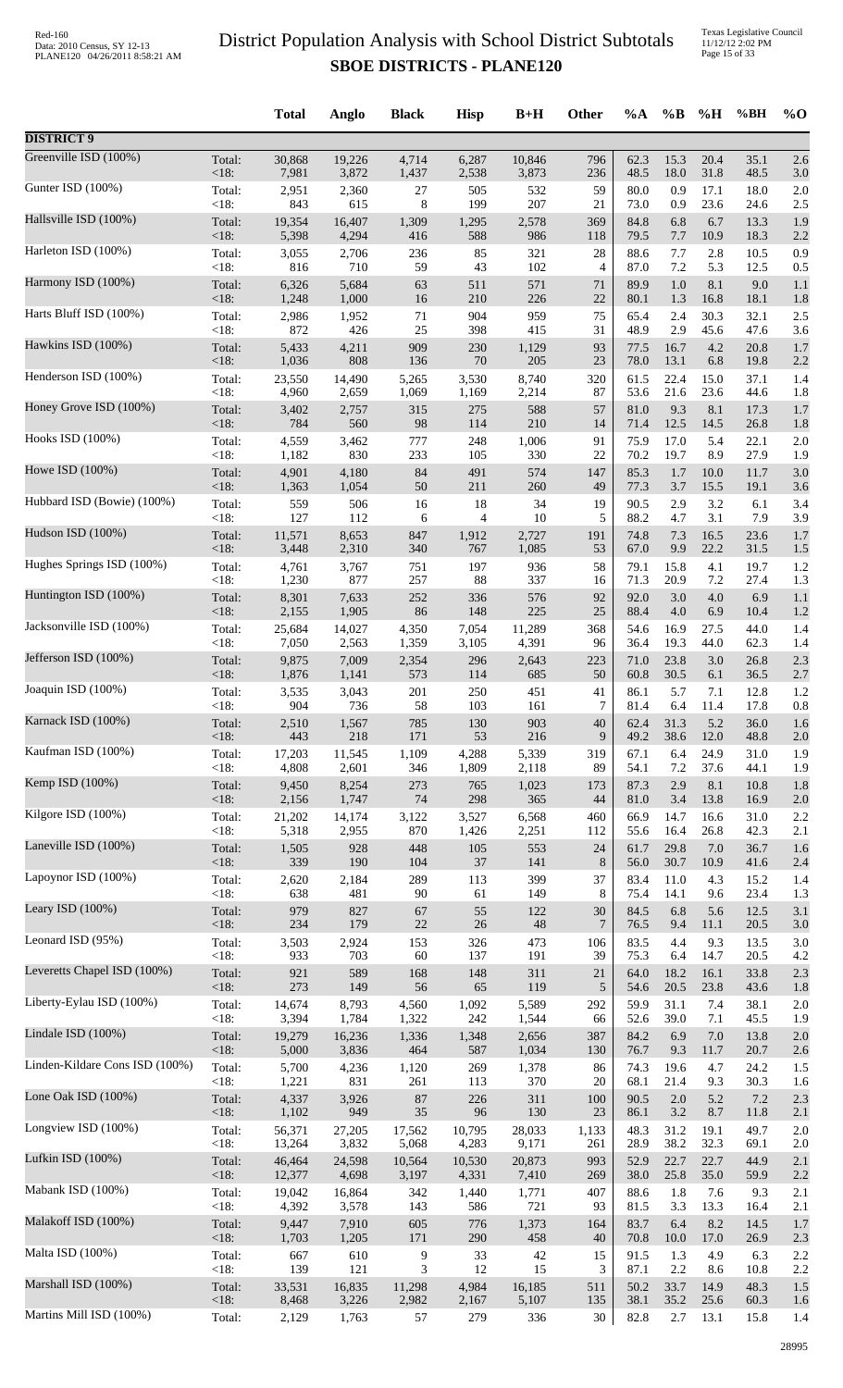|                                |                 | <b>Total</b>     | Anglo           | <b>Black</b>        | <b>Hisp</b>     | $B+H$           | <b>Other</b>   | $\%A$        | $\%$ B       | %H           | %BH          | $%$ <sup>O</sup> |
|--------------------------------|-----------------|------------------|-----------------|---------------------|-----------------|-----------------|----------------|--------------|--------------|--------------|--------------|------------------|
| <b>DISTRICT 9</b>              |                 |                  |                 |                     |                 |                 |                |              |              |              |              |                  |
| Greenville ISD (100%)          | Total:<br>< 18: | 30,868<br>7,981  | 19,226<br>3,872 | 4,714               | 6,287           | 10,846          | 796<br>236     | 62.3<br>48.5 | 15.3<br>18.0 | 20.4<br>31.8 | 35.1<br>48.5 | 2.6              |
| Gunter ISD (100%)              | Total:          | 2,951            | 2,360           | 1,437<br>27         | 2,538<br>505    | 3,873<br>532    | 59             | 80.0         | 0.9          | 17.1         | 18.0         | 3.0<br>2.0       |
| Hallsville ISD (100%)          | < 18:           | 843              | 615             | 8                   | 199             | 207             | 21             | 73.0         | 0.9          | 23.6         | 24.6         | 2.5              |
|                                | Total:          | 19,354           | 16,407          | 1,309               | 1,295           | 2,578           | 369            | 84.8         | 6.8          | 6.7          | 13.3         | 1.9              |
|                                | < 18:           | 5,398            | 4,294           | 416                 | 588             | 986             | 118            | 79.5         | 7.7          | 10.9         | 18.3         | 2.2              |
| Harleton ISD (100%)            | Total:          | 3,055            | 2,706           | 236                 | 85              | 321             | 28             | 88.6         | 7.7          | 2.8          | 10.5         | 0.9              |
|                                | < 18:           | 816              | 710             | 59                  | 43              | 102             | $\overline{4}$ | 87.0         | 7.2          | 5.3          | 12.5         | 0.5              |
| Harmony ISD (100%)             | Total:          | 6,326            | 5,684           | 63                  | 511             | 571             | 71             | 89.9         | 1.0          | 8.1          | 9.0          | 1.1              |
|                                | < 18:           | 1,248            | 1,000           | 16                  | 210             | 226             | 22             | 80.1         | 1.3          | 16.8         | 18.1         | 1.8              |
| Harts Bluff ISD (100%)         | Total:          | 2,986            | 1,952           | 71                  | 904             | 959             | 75             | 65.4         | 2.4          | 30.3         | 32.1         | 2.5              |
|                                | < 18:           | 872              | 426             | 25                  | 398             | 415             | 31             | 48.9         | 2.9          | 45.6         | 47.6         | 3.6              |
| Hawkins ISD (100%)             | Total:          | 5,433            | 4,211           | 909                 | 230             | 1,129           | 93             | 77.5         | 16.7         | 4.2          | 20.8         | 1.7              |
| Henderson ISD (100%)           | <18:            | 1,036            | 808             | 136                 | $70\,$          | 205             | 23             | 78.0         | 13.1         | 6.8          | 19.8         | 2.2              |
|                                | Total:          | 23,550           | 14,490          | 5,265               | 3,530           | 8,740           | 320            | 61.5         | 22.4         | 15.0         | 37.1         | 1.4              |
| Honey Grove ISD (100%)         | < 18:           | 4,960            | 2,659           | 1,069               | 1,169           | 2,214           | 87             | 53.6         | 21.6         | 23.6         | 44.6         | 1.8              |
|                                | Total:          | 3,402            | 2,757           | 315                 | 275             | 588             | 57             | 81.0         | 9.3          | 8.1          | 17.3         | 1.7              |
| Hooks ISD (100%)               | < 18:           | 784              | 560             | 98                  | 114             | 210             | 14             | 71.4         | 12.5         | 14.5         | 26.8         | 1.8              |
|                                | Total:          | 4,559            | 3,462           | 777                 | 248             | 1,006           | 91             | 75.9         | 17.0         | 5.4          | 22.1         | 2.0              |
|                                | < 18:           | 1,182            | 830             | 233                 | 105             | 330             | 22             | 70.2         | 19.7         | 8.9          | 27.9         | 1.9              |
| Howe ISD (100%)                | Total:          | 4,901            | 4,180           | 84                  | 491             | 574             | 147            | 85.3         | 1.7          | $10.0\,$     | 11.7         | 3.0              |
|                                | <18:            | 1,363            | 1,054           | 50                  | 211             | 260             | 49             | 77.3         | 3.7          | 15.5         | 19.1         | 3.6              |
| Hubbard ISD (Bowie) (100%)     | Total:          | 559              | 506             | 16                  | 18              | 34              | 19             | 90.5         | 2.9          | 3.2          | 6.1          | 3.4              |
|                                | < 18:           | 127              | 112             | 6                   | 4               | 10              | 5              | 88.2         | 4.7          | 3.1          | 7.9          | 3.9              |
| Hudson ISD (100%)              | Total:          | 11,571           | 8,653           | 847                 | 1,912           | 2,727           | 191            | 74.8         | 7.3          | 16.5         | 23.6         | 1.7              |
| Hughes Springs ISD (100%)      | <18:            | 3,448            | 2,310           | 340                 | 767             | 1,085           | 53             | 67.0         | 9.9          | 22.2         | 31.5         | 1.5              |
|                                | Total:          | 4,761            | 3,767           | 751                 | 197             | 936             | 58             | 79.1         | 15.8         | 4.1          | 19.7         | 1.2              |
| Huntington ISD (100%)          | < 18:           | 1,230            | 877             | 257                 | 88              | 337             | 16             | 71.3         | 20.9         | 7.2          | 27.4         | 1.3              |
|                                | Total:          | 8,301            | 7,633           | 252                 | 336             | 576             | 92             | 92.0         | 3.0          | $4.0\,$      | 6.9          | 1.1              |
|                                | < 18:           | 2,155            | 1,905           | 86                  | 148             | 225             | 25             | 88.4         | 4.0          | 6.9          | 10.4         | 1.2              |
| Jacksonville ISD (100%)        | Total:          | 25,684           | 14,027          | 4,350               | 7,054           | 11,289          | 368            | 54.6         | 16.9         | 27.5         | 44.0         | 1.4              |
|                                | < 18:           | 7,050            | 2,563           | 1,359               | 3,105           | 4,391           | 96             | 36.4         | 19.3         | 44.0         | 62.3         | 1.4              |
| Jefferson ISD (100%)           | Total:          | 9,875            | 7,009           | 2,354               | 296             | 2,643           | 223            | 71.0         | 23.8         | 3.0          | 26.8         | 2.3              |
|                                | < 18:           | 1,876            | 1,141           | 573                 | 114             | 685             | 50             | 60.8         | 30.5         | 6.1          | 36.5         | 2.7              |
| Joaquin ISD (100%)             | Total:          | 3,535            | 3,043           | 201                 | 250             | 451             | 41             | 86.1         | 5.7          | 7.1          | 12.8         | 1.2              |
|                                | < 18:           | 904              | 736             | 58                  | 103             | 161             | 7              | 81.4         | 6.4          | 11.4         | 17.8         | 0.8              |
| Karnack ISD (100%)             | Total:          | 2,510            | 1,567           | 785                 | 130             | 903             | 40             | 62.4         | 31.3         | 5.2          | 36.0         | 1.6              |
| Kaufman ISD (100%)             | < 18:           | 443              | 218             | 171                 | 53              | 216             | 9              | 49.2         | 38.6         | 12.0         | 48.8         | 2.0              |
|                                | Total:          | 17,203           | 11,545          | 1,109               | 4,288           | 5,339           | 319            | 67.1         | 6.4          | 24.9         | 31.0         | 1.9              |
| Kemp ISD (100%)                | < 18:           | 4,808            | 2,601           | 346                 | 1,809           | 2,118           | 89             | 54.1         | 7.2          | 37.6         | 44.1         | 1.9              |
|                                | Total:          | 9,450            | 8,254           | 273                 | 765             | 1,023           | 173            | 87.3         | 2.9          | 8.1          | 10.8         | 1.8              |
|                                | < 18:           | 2,156            | 1,747           | $74\,$              | 298             | 365             | 44             | 81.0         | 3.4          | 13.8         | 16.9         | 2.0              |
| Kilgore ISD (100%)             | Total:          | 21,202           | 14,174          | 3,122               | 3,527           | 6,568           | 460            | 66.9         | 14.7         | 16.6         | 31.0         | 2.2              |
|                                | < 18:           | 5,318            | 2,955           | 870                 | 1,426           | 2,251           | 112            | 55.6         | 16.4         | 26.8         | 42.3         | 2.1              |
| Laneville ISD (100%)           | Total:          | 1,505            | 928             | 448                 | 105             | 553             | 24             | 61.7         | 29.8         | 7.0          | 36.7         | 1.6              |
|                                | <18:            | 339              | 190             | 104                 | 37              | 141             | $\,8\,$        | 56.0         | 30.7         | 10.9         | 41.6         | 2.4              |
| Lapoynor ISD (100%)            | Total:<br>< 18: | 2,620<br>638     | 2,184<br>481    | 289<br>90           | 113<br>61       | 399<br>149      | 37<br>8        | 83.4<br>75.4 | 11.0<br>14.1 | 4.3<br>9.6   | 15.2<br>23.4 | 1.4              |
| Leary ISD (100%)               | Total:          | 979              | 827             | 67                  | 55              | 122             | 30             | 84.5         | 6.8          | 5.6          | 12.5         | 1.3<br>3.1       |
| Leonard ISD (95%)              | < 18:           | 234              | 179             | $22\,$              | $26\,$          | 48              | 7              | 76.5         | 9.4          | 11.1         | 20.5         | 3.0              |
|                                | Total:          | 3,503            | 2,924           | 153                 | 326             | 473             | 106            | 83.5         | 4.4          | 9.3          | 13.5         | 3.0              |
| Leveretts Chapel ISD (100%)    | < 18:           | 933              | 703             | 60                  | 137             | 191             | 39             | 75.3         | 6.4          | 14.7         | 20.5         | 4.2              |
|                                | Total:          | 921              | 589             | 168                 | 148             | 311             | 21             | 64.0         | 18.2         | 16.1         | 33.8         | 2.3              |
|                                | <18:            | 273              | 149             | 56                  | 65              | 119             | $\sqrt{5}$     | 54.6         | 20.5         | 23.8         | 43.6         | 1.8              |
| Liberty-Eylau ISD (100%)       | Total:          | 14,674           | 8,793           | 4,560               | 1,092           | 5,589           | 292            | 59.9         | 31.1         | 7.4          | 38.1         | 2.0              |
|                                | < 18:           | 3,394            | 1,784           | 1,322               | 242             | 1,544           | 66             | 52.6         | 39.0         | 7.1          | 45.5         | 1.9              |
| Lindale ISD (100%)             | Total:          | 19,279           | 16,236          | 1,336               | 1,348           | 2,656           | 387            | 84.2         | 6.9          | $7.0\,$      | 13.8         | 2.0              |
|                                | < 18:           | 5,000            | 3,836           | 464                 | 587             | 1,034           | 130            | 76.7         | 9.3          | 11.7         | 20.7         | 2.6              |
| Linden-Kildare Cons ISD (100%) | Total:          | 5,700            | 4,236           | 1,120               | 269             | 1,378           | 86             | 74.3         | 19.6         | 4.7          | 24.2         | 1.5              |
| Lone Oak ISD (100%)            | < 18:           | 1,221            | 831             | 261                 | 113             | 370             | 20             | 68.1         | 21.4         | 9.3          | 30.3         | 1.6              |
|                                | Total:          | 4,337            | 3,926           | $87\,$              | 226             | 311             | 100            | 90.5         | 2.0          | 5.2          | 7.2          | 2.3              |
| Longview ISD (100%)            | < 18:           | 1,102            | 949             | 35                  | 96              | 130             | 23             | 86.1         | 3.2          | 8.7          | 11.8         | 2.1              |
|                                | Total:          | 56,371           | 27,205          | 17,562              | 10,795          | 28,033          | 1,133          | 48.3         | 31.2         | 19.1         | 49.7         | 2.0              |
| Lufkin ISD (100%)              | < 18:<br>Total: | 13,264<br>46,464 | 3,832           | 5,068               | 4,283           | 9,171           | 261<br>993     | 28.9<br>52.9 | 38.2<br>22.7 | 32.3<br>22.7 | 69.1<br>44.9 | 2.0              |
|                                | <18:            | 12,377           | 24,598<br>4,698 | 10,564<br>3,197     | 10,530<br>4,331 | 20,873<br>7,410 | 269            | 38.0         | 25.8         | 35.0         | 59.9         | 2.1<br>2.2       |
| Mabank ISD (100%)              | Total:          | 19,042           | 16,864          | 342                 | 1,440           | 1,771           | 407            | 88.6         | 1.8          | 7.6          | 9.3          | 2.1              |
|                                | < 18:           | 4,392            | 3,578           | 143                 | 586             | 721             | 93             | 81.5         | 3.3          | 13.3         | 16.4         | 2.1              |
| Malakoff ISD (100%)            | Total:          | 9,447            | 7,910           | 605                 | 776             | 1,373           | 164            | 83.7         | 6.4          | 8.2          | 14.5         | 1.7              |
|                                | < 18:           | 1,703            | 1,205           | 171                 | 290             | 458             | 40             | 70.8         | 10.0         | 17.0         | 26.9         | 2.3              |
| Malta ISD (100%)               | Total:<br>< 18: | 667<br>139       | 610<br>121      | 9<br>$\mathfrak{Z}$ | 33<br>12        | 42<br>15        | 15<br>3        | 91.5         | 1.3<br>2.2   | 4.9          | 6.3<br>10.8  | 2.2              |
| Marshall ISD (100%)            | Total:          | 33,531           | 16,835          | 11,298              | 4,984           | 16,185          | 511            | 87.1<br>50.2 | 33.7         | 8.6<br>14.9  | 48.3         | 2.2<br>1.5       |
| Martins Mill ISD (100%)        | <18:            | 8,468            | 3,226           | 2,982               | 2,167           | 5,107           | 135            | 38.1         | 35.2         | 25.6         | 60.3         | 1.6              |
|                                | Total:          | 2,129            | 1,763           | 57                  | 279             | 336             | 30             | 82.8         | 2.7          | 13.1         | 15.8         | 1.4              |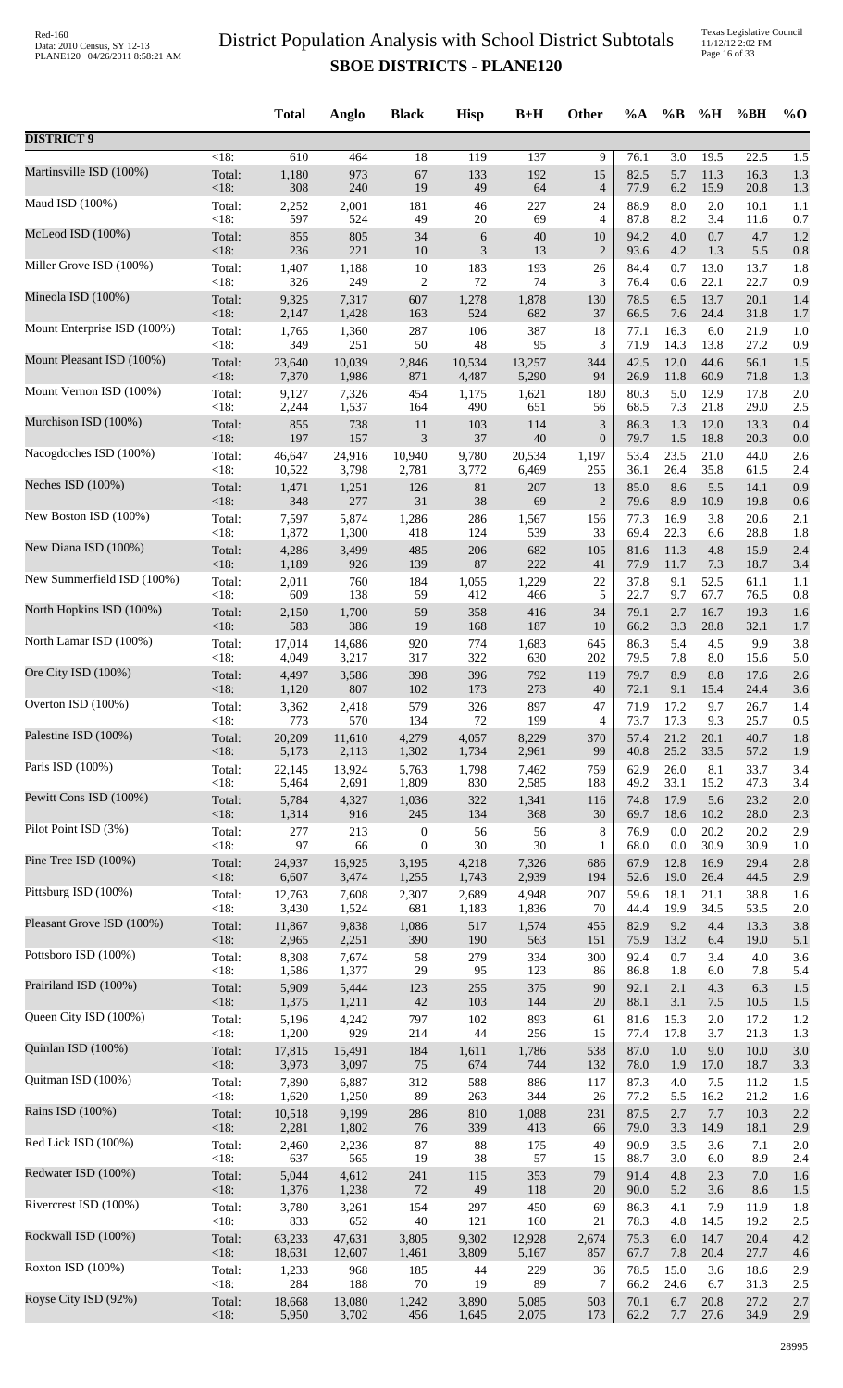Texas Legislative Council 11/12/12 2:02 PM Page 16 of 33

|                             |                    | <b>Total</b>    | Anglo           | <b>Black</b>     | <b>Hisp</b>  | $B+H$        | Other            | $\%A$        | $\%B$        | %H          | %BH          | $%$ O      |
|-----------------------------|--------------------|-----------------|-----------------|------------------|--------------|--------------|------------------|--------------|--------------|-------------|--------------|------------|
| <b>DISTRICT 9</b>           |                    |                 |                 |                  |              |              |                  |              |              |             |              |            |
| Martinsville ISD (100%)     | $\overline{<}18$ : | 610             | 464             | $\overline{18}$  | 119          | 137          | 9                | 76.1         | 3.0          | 19.5        | 22.5         | 1.5        |
|                             | Total:             | 1,180           | 973             | 67               | 133          | 192          | 15               | 82.5         | 5.7          | 11.3        | 16.3         | 1.3        |
|                             | <18:               | 308             | 240             | 19               | 49           | 64           | $\overline{4}$   | 77.9         | 6.2          | 15.9        | 20.8         | 1.3        |
| Maud ISD (100%)             | Total:             | 2,252           | 2,001           | 181              | 46           | 227          | 24               | 88.9         | 8.0          | $2.0\,$     | 10.1         | 1.1        |
|                             | <18:               | 597             | 524             | 49               | 20           | 69           | 4                | 87.8         | 8.2          | 3.4         | 11.6         | 0.7        |
| McLeod ISD (100%)           | Total:             | 855             | 805             | 34               | 6            | 40           | 10               | 94.2         | 4.0          | 0.7         | 4.7          | 1.2        |
| Miller Grove ISD (100%)     | <18:               | 236             | 221             | $10\,$           | 3            | 13           | $\overline{2}$   | 93.6         | 4.2          | 1.3         | 5.5          | 0.8        |
|                             | Total:             | 1,407           | 1,188           | $10\,$           | 183          | 193          | 26               | 84.4         | 0.7          | 13.0        | 13.7         | 1.8        |
| Mineola ISD (100%)          | <18:               | 326             | 249             | 2                | 72           | 74           | 3                | 76.4         | 0.6          | 22.1        | 22.7         | 0.9        |
|                             | Total:             | 9,325           | 7,317           | 607              | 1,278        | 1,878        | 130              | 78.5         | 6.5          | 13.7        | 20.1         | 1.4        |
| Mount Enterprise ISD (100%) | <18:               | 2,147           | 1,428           | 163              | 524          | 682          | 37               | 66.5         | 7.6          | 24.4        | 31.8         | 1.7        |
|                             | Total:             | 1,765           | 1,360           | 287              | 106          | 387          | 18               | 77.1         | 16.3         | 6.0         | 21.9         | 1.0        |
| Mount Pleasant ISD (100%)   | <18:               | 349             | 251             | 50               | 48           | 95           | 3                | 71.9         | 14.3         | 13.8        | 27.2         | 0.9        |
|                             | Total:             | 23,640          | 10,039          | 2,846            | 10,534       | 13,257       | 344              | 42.5         | 12.0         | 44.6        | 56.1         | 1.5        |
|                             | $<18$ :            | 7,370           | 1,986           | 871              | 4,487        | 5,290        | 94               | 26.9         | 11.8         | 60.9        | 71.8         | 1.3        |
| Mount Vernon ISD (100%)     | Total:             | 9,127           | 7,326           | 454              | 1,175        | 1,621        | 180              | 80.3         | 5.0          | 12.9        | 17.8         | 2.0        |
|                             | <18:               | 2,244           | 1,537           | 164              | 490          | 651          | 56               | 68.5         | 7.3          | 21.8        | 29.0         | 2.5        |
| Murchison ISD (100%)        | Total:             | 855             | 738             | 11               | 103          | 114          | $\mathfrak{Z}$   | 86.3         | 1.3          | 12.0        | 13.3         | 0.4        |
|                             | <18:               | 197             | 157             | $\mathfrak{Z}$   | 37           | 40           | $\boldsymbol{0}$ | 79.7         | 1.5          | 18.8        | 20.3         | 0.0        |
| Nacogdoches ISD (100%)      | Total:             | 46,647          | 24,916          | 10,940           | 9,780        | 20,534       | 1,197            | 53.4         | 23.5         | 21.0        | 44.0         | 2.6        |
|                             | <18:               | 10,522          | 3,798           | 2,781            | 3,772        | 6,469        | 255              | 36.1         | 26.4         | 35.8        | 61.5         | 2.4        |
| Neches ISD (100%)           | Total:             | 1,471           | 1,251           | 126              | $81\,$       | 207          | 13               | 85.0         | 8.6          | 5.5         | 14.1         | 0.9        |
|                             | <18:               | 348             | 277             | 31               | 38           | 69           | $\overline{c}$   | 79.6         | 8.9          | 10.9        | 19.8         | 0.6        |
| New Boston ISD (100%)       | Total:<br><18:     | 7,597           | 5,874           | 1,286<br>418     | 286<br>124   | 1,567<br>539 | 156<br>33        | 77.3         | 16.9<br>22.3 | 3.8         | 20.6<br>28.8 | 2.1        |
| New Diana ISD (100%)        | Total:             | 1,872<br>4,286  | 1,300<br>3,499  | 485              | 206          | 682          | 105              | 69.4<br>81.6 | 11.3         | 6.6<br>4.8  | 15.9         | 1.8<br>2.4 |
| New Summerfield ISD (100%)  | <18:               | 1,189           | 926             | 139              | 87           | 222          | 41               | 77.9         | 11.7         | 7.3         | 18.7         | 3.4        |
|                             | Total:             | 2,011           | 760             | 184              | 1,055        | 1,229        | 22               | 37.8         | 9.1          | 52.5        | 61.1         | 1.1        |
| North Hopkins ISD (100%)    | <18:               | 609             | 138             | 59               | 412          | 466          | 5                | 22.7         | 9.7          | 67.7        | 76.5         | 0.8        |
|                             | Total:             | 2,150           | 1,700           | 59               | 358          | 416          | 34               | 79.1         | 2.7          | 16.7        | 19.3         | 1.6        |
| North Lamar ISD (100%)      | <18:               | 583             | 386             | 19               | 168          | 187          | 10               | 66.2         | 3.3          | 28.8        | 32.1         | 1.7        |
|                             | Total:             | 17,014          | 14,686          | 920              | 774          | 1,683        | 645              | 86.3         | 5.4          | 4.5         | 9.9          | 3.8        |
| Ore City ISD (100%)         | $<18$ :            | 4,049           | 3,217           | 317              | 322          | 630          | 202              | 79.5         | 7.8          | 8.0         | 15.6         | 5.0        |
|                             | Total:             | 4,497           | 3,586           | 398              | 396          | 792          | 119              | 79.7         | 8.9          | 8.8         | 17.6         | 2.6        |
|                             | <18:               | 1,120           | 807             | 102              | 173          | 273          | 40               | 72.1         | 9.1          | 15.4        | 24.4         | 3.6        |
| Overton ISD (100%)          | Total:             | 3,362           | 2,418           | 579              | 326          | 897          | 47               | 71.9         | 17.2         | 9.7         | 26.7         | 1.4        |
|                             | < 18:              | 773             | 570             | 134              | 72           | 199          | 4                | 73.7         | 17.3         | 9.3         | 25.7         | 0.5        |
| Palestine ISD (100%)        | Total:             | 20,209          | 11,610          | 4,279            | 4,057        | 8,229        | 370              | 57.4         | 21.2         | 20.1        | 40.7         | 1.8        |
|                             | <18:               | 5,173           | 2,113           | 1,302            | 1,734        | 2,961        | 99               | 40.8         | 25.2         | 33.5        | 57.2         | 1.9        |
| Paris ISD (100%)            | Total:             | 22,145          | 13,924          | 5,763            | 1,798        | 7,462        | 759              | 62.9         | 26.0         | 8.1         | 33.7         | 3.4        |
|                             | <18:               | 5,464           | 2,691           | 1,809            | 830          | 2,585        | 188              | 49.2         | 33.1         | 15.2        | 47.3         | 3.4        |
| Pewitt Cons ISD (100%)      | Total:             | 5,784           | 4,327           | 1,036            | 322          | 1,341        | 116              | 74.8         | 17.9         | 5.6         | 23.2         | 2.0        |
|                             | $<18$ :            | 1,314           | 916             | 245              | 134          | 368          | 30               | 69.7         | 18.6         | 10.2        | 28.0         | 2.3        |
| Pilot Point ISD (3%)        | Total:             | 277             | 213             | $\boldsymbol{0}$ | 56           | 56           | $\,8\,$          | 76.9         | 0.0          | 20.2        | 20.2         | 2.9        |
| Pine Tree ISD (100%)        | < 18:              | 97              | 66              | $\mathbf{0}$     | 30           | 30           | 1                | 68.0         | $0.0\,$      | 30.9        | 30.9         | 1.0        |
|                             | Total:             | 24,937          | 16,925          | 3,195            | 4,218        | 7,326        | 686              | 67.9         | 12.8         | 16.9        | 29.4         | 2.8        |
| Pittsburg ISD (100%)        | <18:               | 6,607           | 3,474           | 1,255            | 1,743        | 2,939        | 194              | 52.6         | 19.0         | 26.4        | 44.5         | 2.9        |
|                             | Total:             | 12,763          | 7,608           | 2,307            | 2,689        | 4,948        | 207              | 59.6         | 18.1         | 21.1        | 38.8         | 1.6        |
| Pleasant Grove ISD (100%)   | < 18:              | 3,430           | 1,524           | 681              | 1,183        | 1,836        | 70               | 44.4         | 19.9         | 34.5        | 53.5         | 2.0        |
|                             | Total:             | 11,867          | 9,838           | 1,086            | 517          | 1,574        | 455              | 82.9         | 9.2          | 4.4         | 13.3         | 3.8        |
| Pottsboro ISD (100%)        | <18:               | 2,965           | 2,251           | 390              | 190          | 563          | 151              | 75.9         | 13.2         | 6.4         | 19.0         | 5.1        |
|                             | Total:             | 8,308           | 7,674           | 58               | 279          | 334          | 300              | 92.4         | 0.7          | 3.4         | 4.0          | 3.6        |
|                             | <18:               | 1,586           | 1,377           | 29               | 95           | 123          | 86               | 86.8         | 1.8          | 6.0         | 7.8          | 5.4        |
| Prairiland ISD (100%)       | Total:             | 5,909           | 5,444           | 123              | 255          | 375          | 90               | 92.1         | 2.1          | 4.3         | 6.3          | 1.5        |
|                             | <18:               | 1,375           | 1,211           | $42\,$           | 103          | 144          | $20\,$           | 88.1         | 3.1          | 7.5         | 10.5         | 1.5        |
| Queen City ISD (100%)       | Total:             | 5,196           | 4,242           | 797              | 102          | 893          | 61               | 81.6         | 15.3         | $2.0\,$     | 17.2         | 1.2        |
|                             | < 18:              | 1,200           | 929             | 214              | 44           | 256          | 15               | 77.4         | 17.8         | 3.7         | 21.3         | 1.3        |
| Quinlan ISD (100%)          | Total:<br><18:     | 17,815<br>3,973 | 15,491<br>3,097 | 184<br>75        | 1,611<br>674 | 1,786<br>744 | 538<br>132       | 87.0<br>78.0 | 1.0<br>1.9   | 9.0<br>17.0 | 10.0<br>18.7 | 3.0        |
| Quitman ISD (100%)          | Total:             | 7,890           | 6,887           | 312              | 588          | 886          | 117              | 87.3         | 4.0          | 7.5         | 11.2         | 3.3<br>1.5 |
| Rains ISD (100%)            | <18:               | 1,620           | 1,250           | 89               | 263          | 344          | 26               | 77.2         | 5.5          | 16.2        | 21.2         | 1.6        |
|                             | Total:             | 10,518          | 9,199           | 286              | 810          | 1,088        | 231              | 87.5         | 2.7          | 7.7         | 10.3         | 2.2        |
| Red Lick ISD (100%)         | <18:               | 2,281           | 1,802           | 76               | 339          | 413          | 66               | 79.0         | 3.3          | 14.9        | 18.1         | 2.9        |
|                             | Total:             | 2,460           | 2,236           | 87               | $88\,$       | 175          | 49               | 90.9         | 3.5          | 3.6         | 7.1          | 2.0        |
| Redwater ISD (100%)         | <18:               | 637             | 565             | 19               | $38\,$       | 57           | 15               | 88.7         | 3.0          | 6.0         | 8.9          | 2.4        |
|                             | Total:             | 5,044           | 4,612           | 241              | 115          | 353          | 79               | 91.4         | 4.8          | 2.3         | $7.0\,$      | 1.6        |
|                             | <18:               | 1,376           | 1,238           | 72               | 49           | 118          | 20               | 90.0         | 5.2          | 3.6         | 8.6          | 1.5        |
| Rivercrest ISD (100%)       | Total:             | 3,780           | 3,261           | 154              | 297          | 450          | 69               | 86.3         | 4.1          | 7.9         | 11.9         | 1.8        |
|                             | < 18:              | 833             | 652             | 40               | 121          | 160          | 21               | 78.3         | 4.8          | 14.5        | 19.2         | 2.5        |
| Rockwall ISD (100%)         | Total:             | 63,233          | 47,631          | 3,805            | 9,302        | 12,928       | 2,674            | 75.3         | $6.0\,$      | 14.7        | 20.4         | 4.2        |
|                             | <18:               | 18,631          | 12,607          | 1,461            | 3,809        | 5,167        | 857              | 67.7         | 7.8          | 20.4        | 27.7         | 4.6        |
| Roxton ISD (100%)           | Total:             | 1,233           | 968             | 185              | 44           | 229          | 36               | 78.5         | 15.0         | 3.6         | 18.6         | 2.9        |
|                             | < 18:              | 284             | 188             | $70\,$           | 19           | 89           | 7                | 66.2         | 24.6         | 6.7         | 31.3         | 2.5        |
| Royse City ISD (92%)        | Total:             | 18,668          | 13,080          | 1,242            | 3,890        | 5,085        | 503              | 70.1         | 6.7          | 20.8        | 27.2         | 2.7        |
|                             | <18:               | 5,950           | 3,702           | 456              | 1,645        | 2,075        | 173              | 62.2         | 7.7          | 27.6        | 34.9         | 2.9        |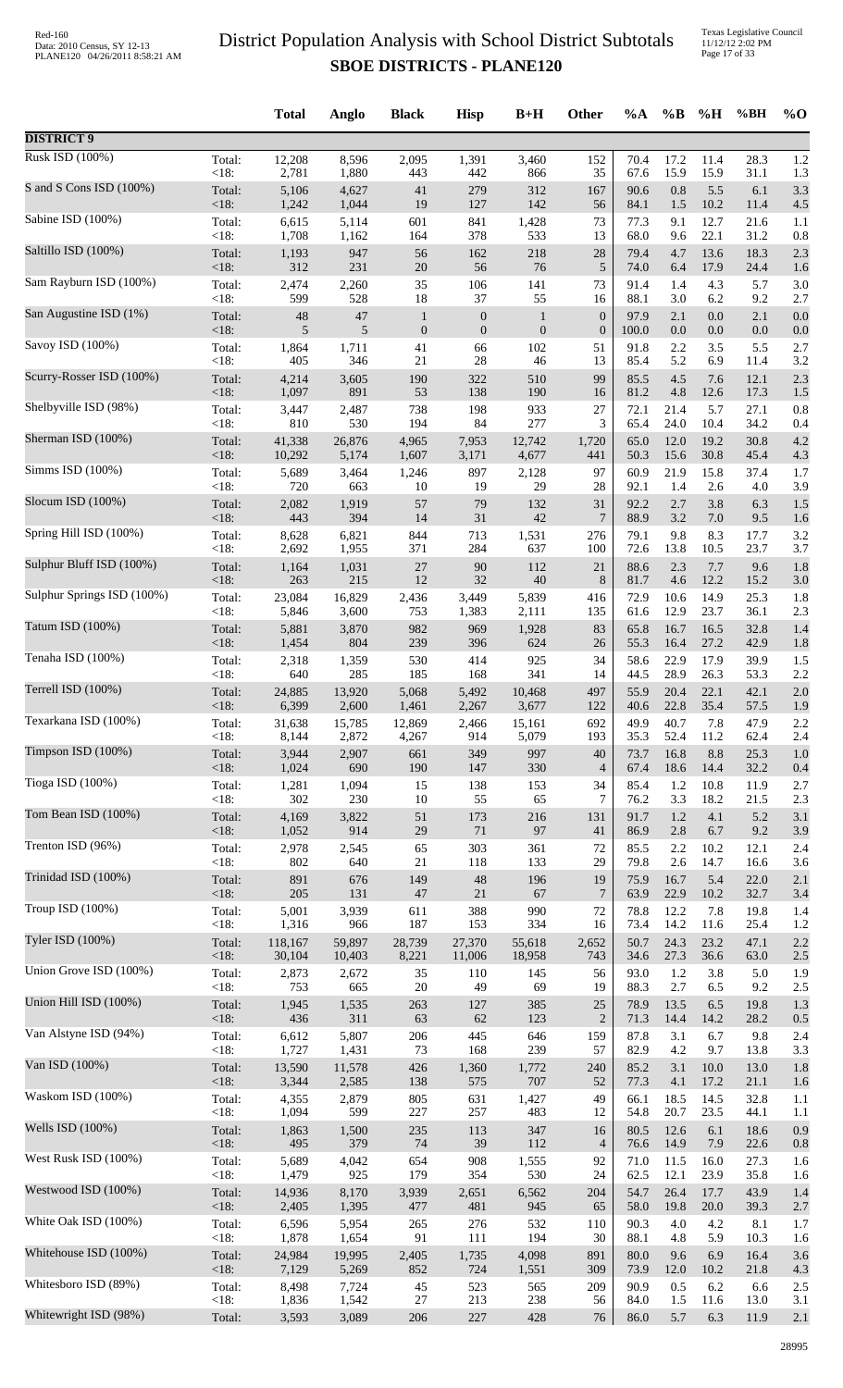Texas Legislative Council 11/12/12 2:02 PM Page 17 of 33

|                            |                 | <b>Total</b>    | Anglo           | <b>Black</b>           | <b>Hisp</b>                              | $B+H$                         | Other                  | $\%A$         | $\%B$             | %H         | %BH               | $%$ <sup>O</sup> |
|----------------------------|-----------------|-----------------|-----------------|------------------------|------------------------------------------|-------------------------------|------------------------|---------------|-------------------|------------|-------------------|------------------|
| <b>DISTRICT 9</b>          |                 |                 |                 |                        |                                          |                               |                        |               |                   |            |                   |                  |
| Rusk ISD (100%)            | Total:          | 12,208          | 8,596           | 2,095                  | 1,391                                    | 3,460                         | 152                    | 70.4          | 17.2              | 11.4       | 28.3              | 1.2              |
| S and S Cons ISD (100%)    | <18:            | 2,781           | 1,880           | 443                    | 442                                      | 866                           | 35                     | 67.6          | 15.9              | 15.9       | 31.1              | 1.3              |
|                            | Total:          | 5,106           | 4,627           | 41                     | 279                                      | 312                           | 167                    | 90.6          | 0.8               | 5.5        | 6.1               | 3.3              |
| Sabine ISD (100%)          | < 18:           | 1,242           | 1,044           | 19                     | 127                                      | 142                           | 56                     | 84.1          | 1.5               | 10.2       | 11.4              | 4.5              |
|                            | Total:          | 6,615           | 5,114           | 601                    | 841                                      | 1,428                         | 73                     | 77.3          | 9.1               | 12.7       | 21.6              | 1.1              |
|                            | <18:            | 1,708           | 1,162           | 164                    | 378                                      | 533                           | 13                     | 68.0          | 9.6               | 22.1       | 31.2              | 0.8              |
| Saltillo ISD (100%)        | Total:          | 1,193           | 947             | 56                     | 162                                      | 218                           | $28\,$                 | 79.4          | 4.7               | 13.6       | 18.3              | 2.3              |
|                            | <18:            | 312             | 231             | $20\,$                 | 56                                       | 76                            | $\sqrt{5}$             | 74.0          | 6.4               | 17.9       | 24.4              | 1.6              |
| Sam Rayburn ISD (100%)     | Total:          | 2,474           | 2,260           | 35                     | 106                                      | 141                           | 73                     | 91.4          | 1.4               | 4.3        | 5.7               | 3.0              |
| San Augustine ISD (1%)     | < 18:<br>Total: | 599<br>48<br>5  | 528<br>47<br>5  | 18<br>$\mathbf{1}$     | 37<br>$\boldsymbol{0}$<br>$\overline{0}$ | 55<br>$\,1\,$<br>$\mathbf{0}$ | 16<br>$\boldsymbol{0}$ | 88.1<br>97.9  | 3.0<br>2.1<br>0.0 | 6.2<br>0.0 | 9.2<br>2.1<br>0.0 | 2.7<br>0.0       |
| Savoy ISD (100%)           | <18:<br>Total:  | 1,864           | 1,711           | $\boldsymbol{0}$<br>41 | 66                                       | 102                           | $\boldsymbol{0}$<br>51 | 100.0<br>91.8 | 2.2               | 0.0<br>3.5 | 5.5               | 0.0<br>2.7       |
| Scurry-Rosser ISD (100%)   | <18:            | 405             | 346             | 21                     | 28                                       | 46                            | 13                     | 85.4          | 5.2               | 6.9        | 11.4              | 3.2              |
|                            | Total:          | 4,214           | 3,605           | 190                    | 322                                      | 510                           | 99                     | 85.5          | 4.5               | 7.6        | 12.1              | 2.3              |
|                            | < 18:           | 1,097           | 891             | 53                     | 138                                      | 190                           | 16                     | 81.2          | 4.8               | 12.6       | 17.3              | 1.5              |
| Shelbyville ISD (98%)      | Total:          | 3,447           | 2,487           | 738                    | 198                                      | 933                           | 27                     | 72.1          | 21.4              | 5.7        | 27.1              | 0.8              |
|                            | < 18:           | 810             | 530             | 194                    | 84                                       | 277                           | 3                      | 65.4          | 24.0              | 10.4       | 34.2              | 0.4              |
| Sherman ISD (100%)         | Total:          | 41,338          | 26,876          | 4,965                  | 7,953                                    | 12,742                        | 1,720                  | 65.0          | 12.0              | 19.2       | 30.8              | 4.2              |
|                            | < 18:           | 10,292          | 5,174           | 1,607                  | 3,171                                    | 4,677                         | 441                    | 50.3          | 15.6              | 30.8       | 45.4              | 4.3              |
| Simms ISD (100%)           | Total:          | 5,689           | 3,464           | 1,246                  | 897                                      | 2,128                         | 97                     | 60.9          | 21.9              | 15.8       | 37.4              | 1.7              |
|                            | < 18:           | 720             | 663             | 10                     | 19                                       | 29                            | 28                     | 92.1          | 1.4               | 2.6        | 4.0               | 3.9              |
| Slocum ISD (100%)          | Total:          | 2,082           | 1,919           | 57                     | 79                                       | 132                           | 31                     | 92.2          | 2.7               | 3.8        | 6.3               | 1.5              |
| Spring Hill ISD (100%)     | < 18:           | 443             | 394             | 14                     | 31                                       | 42                            | 7                      | 88.9          | 3.2               | $7.0\,$    | 9.5               | 1.6              |
|                            | Total:          | 8,628           | 6,821           | 844                    | 713                                      | 1,531                         | 276                    | 79.1          | 9.8               | 8.3        | 17.7              | 3.2              |
| Sulphur Bluff ISD (100%)   | <18:            | 2,692           | 1,955           | 371                    | 284                                      | 637                           | 100                    | 72.6          | 13.8              | 10.5       | 23.7              | 3.7              |
|                            | Total:          | 1,164           | 1,031           | 27                     | 90                                       | 112                           | 21                     | 88.6          | 2.3               | 7.7        | 9.6               | 1.8              |
|                            | <18:            | 263             | 215             | 12                     | 32                                       | 40                            | $8\,$                  | 81.7          | 4.6               | 12.2       | 15.2              | 3.0              |
| Sulphur Springs ISD (100%) | Total:          | 23,084          | 16,829          | 2,436                  | 3,449                                    | 5,839                         | 416                    | 72.9          | 10.6              | 14.9       | 25.3              | 1.8              |
|                            | <18:            | 5,846           | 3,600           | 753                    | 1,383                                    | 2,111                         | 135                    | 61.6          | 12.9              | 23.7       | 36.1              | 2.3              |
| Tatum ISD (100%)           | Total:          | 5,881           | 3,870           | 982                    | 969                                      | 1,928                         | 83                     | 65.8          | 16.7              | 16.5       | 32.8              | 1.4              |
|                            | <18:            | 1,454           | 804             | 239                    | 396                                      | 624                           | 26                     | 55.3          | 16.4              | 27.2       | 42.9              | 1.8              |
| Tenaha ISD (100%)          | Total:          | 2,318           | 1,359           | 530                    | 414                                      | 925                           | 34                     | 58.6          | 22.9              | 17.9       | 39.9              | 1.5              |
|                            | <18:            | 640             | 285             | 185                    | 168                                      | 341                           | 14                     | 44.5          | 28.9              | 26.3       | 53.3              | 2.2              |
| Terrell ISD (100%)         | Total:          | 24,885          | 13,920          | 5,068                  | 5,492                                    | 10,468                        | 497                    | 55.9          | 20.4              | 22.1       | 42.1              | 2.0              |
| Texarkana ISD (100%)       | < 18:           | 6,399           | 2,600           | 1,461                  | 2,267                                    | 3,677                         | 122                    | 40.6          | 22.8              | 35.4       | 57.5              | 1.9              |
|                            | Total:          | 31,638          | 15,785          | 12,869                 | 2,466                                    | 15,161                        | 692                    | 49.9          | 40.7              | 7.8        | 47.9              | 2.2              |
| Timpson ISD (100%)         | <18:            | 8,144           | 2,872           | 4,267                  | 914                                      | 5,079                         | 193                    | 35.3          | 52.4              | 11.2       | 62.4              | 2.4              |
|                            | Total:          | 3,944           | 2,907           | 661                    | 349                                      | 997                           | 40                     | 73.7          | 16.8              | 8.8        | 25.3              | 1.0              |
|                            | < 18:           | 1,024           | 690             | 190                    | 147                                      | 330                           | $\overline{4}$         | 67.4          | 18.6              | 14.4       | 32.2              | 0.4              |
| Tioga ISD (100%)           | Total:          | 1,281           | 1,094           | 15                     | 138                                      | 153                           | 34                     | 85.4          | 1.2               | 10.8       | 11.9              | 2.7              |
|                            | <18:            | 302             | 230             | $10\,$                 | 55                                       | 65                            | 7                      | 76.2          | 3.3               | 18.2       | 21.5              | 2.3              |
| Tom Bean ISD (100%)        | Total:          | 4,169           | 3,822           | $51\,$                 | 173                                      | 216                           | 131                    | 91.7          | 1.2               | 4.1        | 5.2               | 3.1              |
| Trenton ISD (96%)          | < 18:           | 1,052           | 914             | $29\,$                 | $71\,$                                   | 97                            | 41                     | 86.9          | 2.8               | 6.7        | 9.2               | 3.9              |
|                            | Total:          | 2,978           | 2,545           | 65                     | 303                                      | 361                           | $72\,$                 | 85.5          | 2.2               | 10.2       | 12.1              | 2.4              |
| Trinidad ISD (100%)        | < 18:           | 802             | 640             | 21                     | 118                                      | 133                           | 29                     | 79.8          | 2.6               | 14.7       | 16.6              | 3.6              |
|                            | Total:          | 891             | 676             | 149                    | 48                                       | 196                           | 19                     | 75.9          | 16.7              | 5.4        | 22.0              | 2.1              |
| Troup ISD (100%)           | < 18:           | 205             | 131             | 47                     | 21                                       | 67                            | $7\phantom{.0}$        | 63.9          | 22.9              | 10.2       | 32.7              | 3.4              |
|                            | Total:          | 5,001           | 3,939           | 611                    | 388                                      | 990                           | 72                     | 78.8          | 12.2              | 7.8        | 19.8              | 1.4              |
| Tyler ISD (100%)           | <18:            | 1,316           | 966             | 187                    | 153                                      | 334                           | 16                     | 73.4          | 14.2              | 11.6       | 25.4              | 1.2              |
|                            | Total:          | 118,167         | 59,897          | 28,739                 | 27,370                                   | 55,618                        | 2,652                  | 50.7          | 24.3              | 23.2       | 47.1              | 2.2              |
|                            | <18:            | 30,104          | 10,403          | 8,221                  | 11,006                                   | 18,958                        | 743                    | 34.6          | 27.3              | 36.6       | 63.0              | 2.5              |
| Union Grove ISD (100%)     | Total:          | 2,873           | 2,672           | 35                     | 110                                      | 145                           | 56                     | 93.0          | 1.2               | 3.8        | 5.0               | 1.9              |
|                            | <18:            | 753             | 665             | $20\,$                 | 49                                       | 69                            | 19                     | 88.3          | 2.7               | 6.5        | 9.2               | 2.5              |
| Union Hill ISD (100%)      | Total:          | 1,945           | 1,535           | 263                    | 127                                      | 385                           | $25\,$                 | 78.9          | 13.5              | 6.5        | 19.8              | 1.3              |
|                            | <18:            | 436             | 311             | 63                     | 62                                       | 123                           | $\sqrt{2}$             | 71.3          | 14.4              | 14.2       | 28.2              | 0.5              |
| Van Alstyne ISD (94%)      | Total:<br>< 18: | 6,612<br>1,727  | 5,807<br>1,431  | 206<br>73              | 445<br>168                               | 646<br>239                    | 159<br>57              | 87.8<br>82.9  | 3.1<br>4.2        | 6.7<br>9.7 | 9.8<br>13.8       | 2.4              |
| Van ISD (100%)             | Total:          | 13,590          | 11,578          | 426                    | 1,360                                    | 1,772                         | 240                    | 85.2          | 3.1               | 10.0       | 13.0              | 3.3<br>1.8       |
| Waskom ISD (100%)          | <18:            | 3,344           | 2,585           | 138                    | 575                                      | 707                           | 52                     | 77.3          | 4.1               | 17.2       | 21.1              | 1.6              |
|                            | Total:          | 4,355           | 2,879           | 805                    | 631                                      | 1,427                         | 49                     | 66.1          | 18.5              | 14.5       | 32.8              | 1.1              |
| Wells ISD (100%)           | $<18$ :         | 1,094           | 599             | 227                    | 257                                      | 483                           | 12                     | 54.8          | 20.7              | 23.5       | 44.1              | 1.1              |
|                            | Total:          | 1,863           | 1,500           | $235\,$                | 113                                      | 347                           | 16                     | 80.5          | 12.6              | 6.1        | 18.6              | 0.9              |
|                            | < 18:           | 495             | 379             | $74\,$                 | 39                                       | 112                           | $\overline{4}$         | 76.6          | 14.9              | 7.9        | 22.6              | 0.8              |
| West Rusk ISD (100%)       | Total:          | 5,689           | 4,042           | 654                    | 908                                      | 1,555                         | 92                     | 71.0          | 11.5              | 16.0       | 27.3              | 1.6              |
|                            | < 18:           | 1,479           | 925             | 179                    | 354                                      | 530                           | 24                     | 62.5          | 12.1              | 23.9       | 35.8              | 1.6              |
| Westwood ISD (100%)        | Total:          | 14,936          | 8,170           | 3,939                  | 2,651                                    | 6,562                         | 204                    | 54.7          | 26.4              | 17.7       | 43.9              | 1.4              |
|                            | <18:            | 2,405           | 1,395           | 477                    | 481                                      | 945                           | 65                     | 58.0          | 19.8              | 20.0       | 39.3              | 2.7              |
| White Oak ISD (100%)       | Total:<br><18:  | 6,596           | 5,954           | 265<br>91              | 276<br>111                               | 532<br>194                    | 110<br>30              | 90.3<br>88.1  | 4.0<br>4.8        | 4.2<br>5.9 | 8.1               | 1.7              |
| Whitehouse ISD (100%)      | Total:          | 1,878<br>24,984 | 1,654<br>19,995 | 2,405                  | 1,735                                    | 4,098                         | 891                    | 80.0          | 9.6               | 6.9        | 10.3<br>16.4      | 1.6<br>3.6       |
| Whitesboro ISD (89%)       | <18:            | 7,129           | 5,269           | 852                    | 724                                      | 1,551                         | 309                    | 73.9          | $12.0\,$          | 10.2       | 21.8              | 4.3              |
|                            | Total:          | 8,498           | 7,724           | 45                     | 523                                      | 565                           | 209                    | 90.9          | 0.5               | 6.2        | 6.6               | 2.5              |
| Whitewright ISD (98%)      | <18:            | 1,836           | 1,542           | $27\,$                 | 213                                      | 238                           | 56                     | 84.0          | 1.5               | 11.6       | 13.0              | 3.1              |
|                            | Total:          | 3,593           | 3,089           | 206                    | 227                                      | 428                           | $76\,$                 | 86.0          | 5.7               | 6.3        | 11.9              | 2.1              |
|                            |                 |                 |                 |                        |                                          |                               |                        |               |                   |            |                   |                  |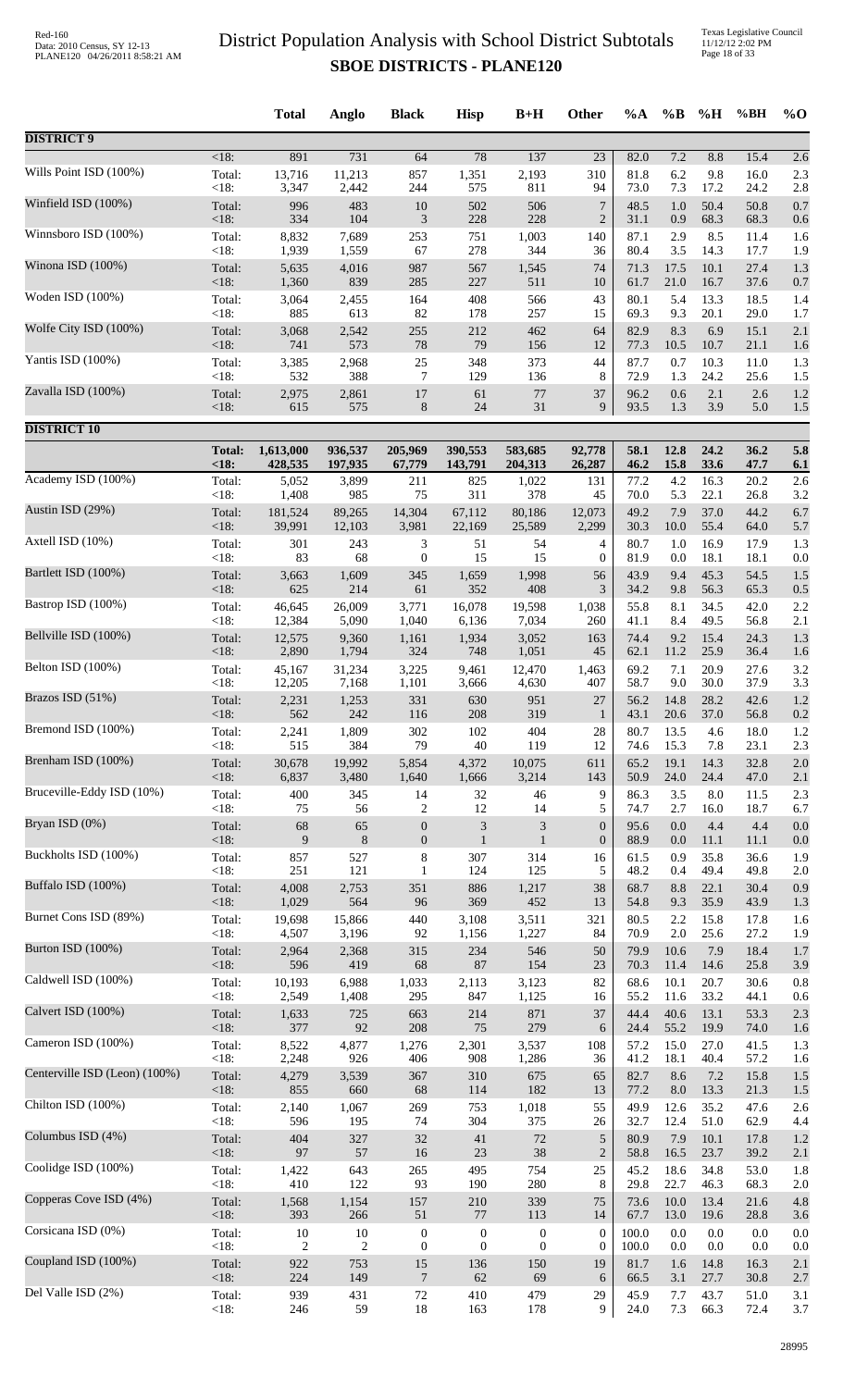Texas Legislative Council 11/12/12 2:02 PM Page 18 of 33

|                               |               | <b>Total</b>   | Anglo          | <b>Black</b>     | <b>Hisp</b>                 | $B+H$            | <b>Other</b>     | $\%A$ | $\%B$    | %H      | %BH  | $\%$ O |
|-------------------------------|---------------|----------------|----------------|------------------|-----------------------------|------------------|------------------|-------|----------|---------|------|--------|
| <b>DISTRICT 9</b>             |               |                |                |                  |                             |                  |                  |       |          |         |      |        |
| Wills Point ISD (100%)        | <18:          | 891            | 731            | 64               | 78                          | 137              | $\overline{23}$  | 82.0  | 7.2      | 8.8     | 15.4 | 2.6    |
|                               | Total:        | 13,716         | 11,213         | 857              | 1,351                       | 2,193            | 310              | 81.8  | 6.2      | 9.8     | 16.0 | 2.3    |
| Winfield ISD (100%)           | < 18:         | 3,347          | 2,442          | 244              | 575                         | 811              | 94               | 73.0  | 7.3      | 17.2    | 24.2 | 2.8    |
|                               | Total:        | 996            | 483            | $10\,$           | 502                         | 506              | $\overline{7}$   | 48.5  | 1.0      | 50.4    | 50.8 | 0.7    |
|                               | < 18:         | 334            | 104            | $\mathfrak{Z}$   | 228                         | 228              | $\overline{2}$   | 31.1  | 0.9      | 68.3    | 68.3 | 0.6    |
| Winnsboro ISD (100%)          | Total:        | 8,832          | 7,689          | 253              | 751                         | 1,003            | 140              | 87.1  | 2.9      | 8.5     | 11.4 | 1.6    |
|                               | < 18:         | 1,939          | 1,559          | 67               | 278                         | 344              | 36               | 80.4  | 3.5      | 14.3    | 17.7 | 1.9    |
| Winona ISD (100%)             | Total:        | 5,635          | 4,016          | 987              | 567                         | 1,545            | 74               | 71.3  | 17.5     | 10.1    | 27.4 | 1.3    |
|                               | < 18:         | 1,360          | 839            | 285              | 227                         | 511              | 10               | 61.7  | 21.0     | 16.7    | 37.6 | 0.7    |
| Woden ISD (100%)              | Total:        | 3,064          | 2,455          | 164              | 408                         | 566              | 43               | 80.1  | 5.4      | 13.3    | 18.5 | 1.4    |
| Wolfe City ISD (100%)         | < 18:         | 885            | 613            | 82               | 178                         | 257              | 15               | 69.3  | 9.3      | 20.1    | 29.0 | 1.7    |
|                               | Total:        | 3,068          | 2,542          | 255              | 212                         | 462              | 64               | 82.9  | 8.3      | 6.9     | 15.1 | 2.1    |
| Yantis ISD (100%)             | < 18:         | 741            | 573            | 78               | 79                          | 156              | 12               | 77.3  | 10.5     | 10.7    | 21.1 | 1.6    |
|                               | Total:        | 3,385          | 2,968          | 25               | 348                         | 373              | 44               | 87.7  | 0.7      | 10.3    | 11.0 | 1.3    |
| Zavalla ISD (100%)            | < 18:         | 532            | 388            | $\tau$           | 129                         | 136              | 8                | 72.9  | 1.3      | 24.2    | 25.6 | 1.5    |
|                               | Total:        | 2,975          | 2,861          | 17               | 61                          | $77\,$           | 37               | 96.2  | 0.6      | 2.1     | 2.6  | 1.2    |
|                               | < 18:         | 615            | 575            | $8\,$            | 24                          | 31               | 9                | 93.5  | 1.3      | 3.9     | 5.0  | 1.5    |
| <b>DISTRICT 10</b>            | <b>Total:</b> | 1,613,000      | 936,537        | 205,969          | 390,553                     | 583,685          | 92,778           | 58.1  | 12.8     | 24.2    | 36.2 | 5.8    |
|                               | <18           | 428,535        | 197,935        | 67,779           | 143,791                     | 204,313          | 26,287           | 46.2  | 15.8     | 33.6    | 47.7 | 6.1    |
| Academy ISD (100%)            | Total:        | 5,052          | 3,899          | 211              | 825                         | 1,022            | 131              | 77.2  | 4.2      | 16.3    | 20.2 | 2.6    |
|                               | <18:          | 1,408          | 985            | 75               | 311                         | 378              | 45               | 70.0  | 5.3      | 22.1    | 26.8 | 3.2    |
| Austin ISD (29%)              | Total:        | 181,524        | 89,265         | 14,304           | 67,112                      | 80,186           | 12,073           | 49.2  | 7.9      | 37.0    | 44.2 | 6.7    |
|                               | < 18:         | 39,991         | 12,103         | 3,981            | 22,169                      | 25,589           | 2,299            | 30.3  | 10.0     | 55.4    | 64.0 | 5.7    |
| Axtell ISD (10%)              | Total:        | 301            | 243            | 3                | 51                          | 54               | 4                | 80.7  | 1.0      | 16.9    | 17.9 | 1.3    |
| Bartlett ISD (100%)           | < 18:         | 83             | 68             | $\mathbf{0}$     | 15                          | 15               | $\boldsymbol{0}$ | 81.9  | 0.0      | 18.1    | 18.1 | 0.0    |
|                               | Total:        | 3,663          | 1,609          | 345              | 1,659                       | 1,998            | 56               | 43.9  | 9.4      | 45.3    | 54.5 | 1.5    |
| Bastrop ISD (100%)            | < 18:         | 625            | 214            | 61               | 352                         | 408              | 3                | 34.2  | 9.8      | 56.3    | 65.3 | 0.5    |
|                               | Total:        | 46,645         | 26,009         | 3,771            | 16,078                      | 19,598           | 1,038            | 55.8  | 8.1      | 34.5    | 42.0 | 2.2    |
|                               | <18:          | 12,384         | 5,090          | 1,040            | 6,136                       | 7,034            | 260              | 41.1  | 8.4      | 49.5    | 56.8 | 2.1    |
| Bellville ISD (100%)          | Total:        | 12,575         | 9,360          | 1,161            | 1,934                       | 3,052            | 163              | 74.4  | 9.2      | 15.4    | 24.3 | 1.3    |
|                               | <18:          | 2,890          | 1,794          | 324              | 748                         | 1,051            | 45               | 62.1  | 11.2     | 25.9    | 36.4 | 1.6    |
| Belton ISD (100%)             | Total:        | 45,167         | 31,234         | 3,225            | 9,461                       | 12,470           | 1,463            | 69.2  | 7.1      | 20.9    | 27.6 | 3.2    |
|                               | <18:          | 12,205         | 7,168          | 1,101            | 3,666                       | 4,630            | 407              | 58.7  | 9.0      | 30.0    | 37.9 | 3.3    |
| Brazos ISD (51%)              | Total:        | 2,231          | 1,253          | 331              | 630                         | 951              | 27               | 56.2  | 14.8     | 28.2    | 42.6 | 1.2    |
|                               | $<18$ :       | 562            | 242            | 116              | 208                         | 319              | $\mathbf{1}$     | 43.1  | 20.6     | 37.0    | 56.8 | 0.2    |
| Bremond ISD (100%)            | Total:        | 2,241          | 1,809          | 302              | 102                         | 404              | 28               | 80.7  | 13.5     | 4.6     | 18.0 | 1.2    |
| Brenham ISD (100%)            | <18:          | 515            | 384            | 79               | 40                          | 119              | 12               | 74.6  | 15.3     | 7.8     | 23.1 | 2.3    |
|                               | Total:        | 30,678         | 19,992         | 5,854            | 4,372                       | 10,075           | 611              | 65.2  | 19.1     | 14.3    | 32.8 | 2.0    |
| Bruceville-Eddy ISD (10%)     | < 18:         | 6,837          | 3,480          | 1,640            | 1,666                       | 3,214            | 143              | 50.9  | 24.0     | 24.4    | 47.0 | 2.1    |
|                               | Total:        | 400            | 345            | 14               | 32                          | 46               | 9                | 86.3  | 3.5      | $8.0\,$ | 11.5 | 2.3    |
| Bryan ISD (0%)                | <18:          | 75             | 56             | $\overline{2}$   | 12                          | 14               | 5                | 74.7  | 2.7      | 16.0    | 18.7 | 6.7    |
|                               | Total:        | 68             | 65             | $\boldsymbol{0}$ | $\ensuremath{\mathfrak{Z}}$ | $\sqrt{3}$       | $\boldsymbol{0}$ | 95.6  | $0.0\,$  | 4.4     | 4.4  | 0.0    |
| Buckholts ISD (100%)          | < 18:         | 9              | $\,8\,$        | $\boldsymbol{0}$ | $\mathbf{1}$                | $\mathbf{1}$     | $\boldsymbol{0}$ | 88.9  | 0.0      | 11.1    | 11.1 | 0.0    |
|                               | Total:        | 857            | 527            | $\,8\,$          | 307                         | 314              | 16               | 61.5  | 0.9      | 35.8    | 36.6 | 1.9    |
|                               | < 18:         | 251            | 121            | $\mathbf{1}$     | 124                         | 125              | 5                | 48.2  | 0.4      | 49.4    | 49.8 | 2.0    |
| Buffalo ISD (100%)            | Total:        | 4,008          | 2,753          | 351              | 886                         | 1,217            | 38               | 68.7  | 8.8      | 22.1    | 30.4 | 0.9    |
|                               | < 18:         | 1,029          | 564            | 96               | 369                         | 452              | 13               | 54.8  | 9.3      | 35.9    | 43.9 | 1.3    |
| Burnet Cons ISD (89%)         | Total:        | 19,698         | 15,866         | 440              | 3,108                       | 3,511            | 321              | 80.5  | 2.2      | 15.8    | 17.8 | 1.6    |
|                               | < 18:         | 4,507          | 3,196          | 92               | 1,156                       | 1,227            | 84               | 70.9  | 2.0      | 25.6    | 27.2 | 1.9    |
| Burton ISD (100%)             | Total:        | 2,964          | 2,368          | 315              | 234                         | 546              | 50               | 79.9  | 10.6     | 7.9     | 18.4 | 1.7    |
| Caldwell ISD (100%)           | <18:          | 596            | 419            | 68               | 87                          | 154              | 23               | 70.3  | 11.4     | 14.6    | 25.8 | 3.9    |
|                               | Total:        | 10,193         | 6,988          | 1,033            | 2,113                       | 3,123            | 82               | 68.6  | 10.1     | 20.7    | 30.6 | 0.8    |
| Calvert ISD (100%)            | < 18:         | 2,549          | 1,408          | 295              | 847                         | 1,125            | 16               | 55.2  | 11.6     | 33.2    | 44.1 | 0.6    |
|                               | Total:        | 1,633          | 725            | 663              | 214                         | 871              | 37               | 44.4  | 40.6     | 13.1    | 53.3 | 2.3    |
| Cameron ISD (100%)            | < 18:         | 377            | 92             | 208              | $75\,$                      | 279              | 6                | 24.4  | 55.2     | 19.9    | 74.0 | 1.6    |
|                               | Total:        | 8,522          | 4,877          | 1,276            | 2,301                       | 3,537            | 108              | 57.2  | 15.0     | 27.0    | 41.5 | 1.3    |
|                               | <18:          | 2,248          | 926            | 406              | 908                         | 1,286            | 36               | 41.2  | 18.1     | 40.4    | 57.2 | 1.6    |
| Centerville ISD (Leon) (100%) | Total:        | 4,279          | 3,539          | 367              | 310                         | 675              | 65               | 82.7  | 8.6      | 7.2     | 15.8 | 1.5    |
|                               | < 18:         | 855            | 660            | 68               | 114                         | 182              | 13               | 77.2  | $8.0\,$  | 13.3    | 21.3 | 1.5    |
| Chilton ISD (100%)            | Total:        | 2,140          | 1,067          | 269              | 753                         | 1,018            | 55               | 49.9  | 12.6     | 35.2    | 47.6 | 2.6    |
|                               | < 18:         | 596            | 195            | 74               | 304                         | 375              | 26               | 32.7  | 12.4     | 51.0    | 62.9 | 4.4    |
| Columbus ISD (4%)             | Total:        | 404            | 327            | 32               | 41                          | $72\,$           | $\sqrt{5}$       | 80.9  | 7.9      | 10.1    | 17.8 | 1.2    |
|                               | < 18:         | 97             | 57             | 16               | $23\,$                      | 38               | $\overline{2}$   | 58.8  | 16.5     | 23.7    | 39.2 | 2.1    |
| Coolidge ISD (100%)           | Total:        | 1,422          | 643            | 265              | 495                         | 754              | 25               | 45.2  | 18.6     | 34.8    | 53.0 | 1.8    |
| Copperas Cove ISD (4%)        | <18:          | 410            | 122            | 93               | 190                         | 280              | 8                | 29.8  | 22.7     | 46.3    | 68.3 | 2.0    |
|                               | Total:        | 1,568          | 1,154          | 157              | $210\,$                     | 339              | 75               | 73.6  | $10.0\,$ | 13.4    | 21.6 | 4.8    |
| Corsicana ISD (0%)            | <18:          | 393            | 266            | 51               | $77\,$                      | 113              | 14               | 67.7  | 13.0     | 19.6    | 28.8 | 3.6    |
|                               | Total:        | 10             | 10             | $\boldsymbol{0}$ | $\boldsymbol{0}$            | $\boldsymbol{0}$ | $\boldsymbol{0}$ | 100.0 | 0.0      | 0.0     | 0.0  | 0.0    |
| Coupland ISD (100%)           | < 18:         | $\overline{c}$ | $\overline{c}$ | $\boldsymbol{0}$ | $\boldsymbol{0}$            | $\boldsymbol{0}$ | $\boldsymbol{0}$ | 100.0 | 0.0      | $0.0\,$ | 0.0  | 0.0    |
|                               | Total:        | 922            | 753            | 15               | 136                         | 150              | 19               | 81.7  | 1.6      | 14.8    | 16.3 | 2.1    |
|                               | <18:          | 224            | 149            | $\boldsymbol{7}$ | 62                          | 69               | 6                | 66.5  | 3.1      | 27.7    | 30.8 | 2.7    |
| Del Valle ISD (2%)            | Total:        | 939            | 431            | 72               | 410                         | 479              | 29               | 45.9  | 7.7      | 43.7    | 51.0 | 3.1    |
|                               | <18:          | 246            | 59             | $18\,$           | 163                         | 178              | 9                | 24.0  | $7.3\,$  | 66.3    | 72.4 | 3.7    |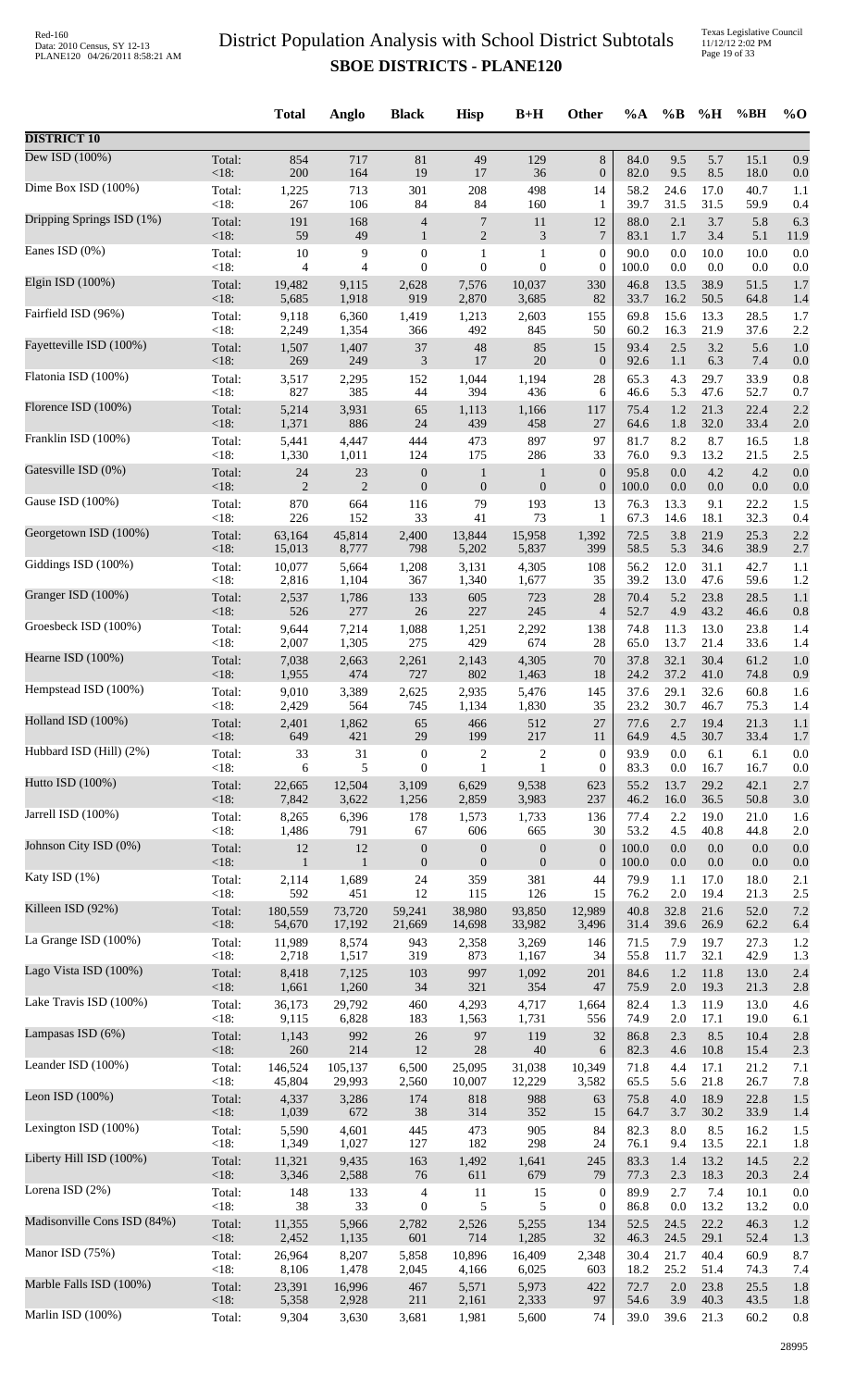Texas Legislative Council 11/12/12 2:02 PM Page 19 of 33

|                             |                 | <b>Total</b>    | Anglo          | <b>Black</b>     | <b>Hisp</b>      | $B+H$            | Other                  | $\%A$        | $\%$ B      | %H           | %BH          | $\%$ O     |
|-----------------------------|-----------------|-----------------|----------------|------------------|------------------|------------------|------------------------|--------------|-------------|--------------|--------------|------------|
| <b>DISTRICT 10</b>          |                 |                 |                |                  |                  |                  |                        |              |             |              |              |            |
| Dew ISD (100%)              | Total:<br>< 18: | 854<br>200      | 717<br>164     | 81<br>19         | 49<br>17         | 129<br>36        | $8\,$                  | 84.0<br>82.0 | 9.5<br>9.5  | 5.7<br>8.5   | 15.1<br>18.0 | 0.9        |
| Dime Box ISD (100%)         | Total:          | 1,225           | 713            | 301              | 208              | 498              | $\boldsymbol{0}$<br>14 | 58.2         | 24.6        | 17.0         | 40.7         | 0.0<br>1.1 |
| Dripping Springs ISD (1%)   | $<18$ :         | 267             | 106            | 84               | 84               | 160              | 1                      | 39.7         | 31.5        | 31.5         | 59.9         | 0.4        |
|                             | Total:          | 191             | 168            | $\overline{4}$   | $\overline{7}$   | 11               | 12                     | 88.0         | 2.1         | 3.7          | 5.8          | 6.3        |
| Eanes ISD $(0\%)$           | < 18:           | 59              | 49             | $\mathbf{1}$     | 2                | 3                | 7                      | 83.1         | 1.7         | 3.4          | 5.1          | 11.9       |
|                             | Total:          | 10              | 9              | $\boldsymbol{0}$ | 1                | $\,1\,$          | $\boldsymbol{0}$       | 90.0         | 0.0         | 10.0         | 10.0         | 0.0        |
| Elgin ISD (100%)            | < 18:           | 4               | 4              | $\mathbf{0}$     | $\overline{0}$   | $\mathbf{0}$     | $\boldsymbol{0}$       | 100.0        | 0.0         | 0.0          | 0.0          | 0.0        |
|                             | Total:          | 19,482          | 9,115          | 2,628            | 7,576            | 10,037           | 330                    | 46.8         | 13.5        | 38.9         | 51.5         | 1.7        |
| Fairfield ISD (96%)         | < 18:           | 5,685           | 1,918          | 919              | 2,870            | 3,685            | 82                     | 33.7         | 16.2        | 50.5         | 64.8         | 1.4        |
|                             | Total:          | 9,118           | 6,360          | 1,419            | 1,213            | 2,603            | 155                    | 69.8         | 15.6        | 13.3         | 28.5         | 1.7        |
|                             | < 18:           | 2,249           | 1,354          | 366              | 492              | 845              | 50                     | 60.2         | 16.3        | 21.9         | 37.6         | 2.2        |
| Fayetteville ISD (100%)     | Total:          | 1,507           | 1,407          | $37\,$           | 48               | 85               | 15                     | 93.4         | $2.5\,$     | 3.2          | 5.6          | 1.0        |
|                             | $<18$ :         | 269             | 249            | $\mathfrak{Z}$   | 17               | 20               | $\boldsymbol{0}$       | 92.6         | 1.1         | 6.3          | 7.4          | 0.0        |
| Flatonia ISD (100%)         | Total:          | 3,517           | 2,295          | 152              | 1,044            | 1,194            | 28                     | 65.3         | 4.3         | 29.7         | 33.9         | 0.8        |
|                             | < 18:           | 827             | 385            | 44               | 394              | 436              | 6                      | 46.6         | 5.3         | 47.6         | 52.7         | 0.7        |
| Florence ISD (100%)         | Total:          | 5,214           | 3,931          | 65               | 1,113            | 1,166            | 117                    | 75.4         | 1.2         | 21.3         | 22.4         | 2.2        |
|                             | < 18:           | 1,371           | 886            | 24               | 439              | 458              | 27                     | 64.6         | 1.8         | 32.0         | 33.4         | 2.0        |
| Franklin ISD (100%)         | Total:          | 5,441           | 4,447          | 444              | 473              | 897              | 97                     | 81.7         | 8.2         | 8.7          | 16.5         | 1.8        |
| Gatesville ISD (0%)         | < 18:           | 1,330           | 1,011          | 124              | 175              | 286              | 33                     | 76.0         | 9.3         | 13.2         | 21.5         | 2.5        |
|                             | Total:          | 24              | 23             | $\boldsymbol{0}$ | $\mathbf{1}$     | $\mathbf{1}$     | $\boldsymbol{0}$       | 95.8         | 0.0         | 4.2          | 4.2          | 0.0        |
| Gause ISD (100%)            | < 18:           | $\overline{2}$  | $\overline{2}$ | $\boldsymbol{0}$ | $\boldsymbol{0}$ | $\mathbf{0}$     | $\boldsymbol{0}$       | 100.0        | 0.0         | 0.0          | 0.0          | 0.0        |
|                             | Total:          | 870             | 664            | 116              | 79               | 193              | 13                     | 76.3         | 13.3        | 9.1          | 22.2         | 1.5        |
| Georgetown ISD (100%)       | <18:            | 226             | 152            | 33               | 41               | 73               | 1                      | 67.3         | 14.6        | 18.1         | 32.3         | 0.4        |
|                             | Total:          | 63,164          | 45,814         | 2,400            | 13,844           | 15,958           | 1,392                  | 72.5         | 3.8         | 21.9         | 25.3         | 2.2        |
|                             | < 18:           | 15,013          | 8,777          | 798              | 5,202            | 5,837            | 399                    | 58.5         | 5.3         | 34.6         | 38.9         | 2.7        |
| Giddings ISD (100%)         | Total:          | 10,077          | 5,664          | 1,208            | 3,131            | 4,305            | 108                    | 56.2         | 12.0        | 31.1         | 42.7         | 1.1        |
|                             | < 18:           | 2,816           | 1,104          | 367              | 1,340            | 1,677            | 35                     | 39.2         | 13.0        | 47.6         | 59.6         | 1.2        |
| Granger ISD (100%)          | Total:          | 2,537           | 1,786          | 133              | 605              | 723              | 28                     | 70.4         | 5.2         | 23.8         | 28.5         | 1.1        |
|                             | < 18:           | 526             | 277            | 26               | 227              | 245              | $\overline{4}$         | 52.7         | 4.9         | 43.2         | 46.6         | 0.8        |
| Groesbeck ISD (100%)        | Total:          | 9,644           | 7,214          | 1,088            | 1,251            | 2,292            | 138                    | 74.8         | 11.3        | 13.0         | 23.8         | 1.4        |
|                             | < 18:           | 2,007           | 1,305          | 275              | 429              | 674              | 28                     | 65.0         | 13.7        | 21.4         | 33.6         | 1.4        |
| Hearne ISD (100%)           | Total:          | 7,038           | 2,663          | 2,261            | 2,143            | 4,305            | 70                     | 37.8         | 32.1        | 30.4         | 61.2         | 1.0        |
| Hempstead ISD (100%)        | < 18:           | 1,955           | 474            | 727              | 802              | 1,463            | 18                     | 24.2         | 37.2        | 41.0         | 74.8         | 0.9        |
|                             | Total:          | 9,010           | 3,389          | 2,625            | 2,935            | 5,476            | 145                    | 37.6         | 29.1        | 32.6         | 60.8         | 1.6        |
| Holland ISD (100%)          | <18:            | 2,429           | 564            | 745              | 1,134            | 1,830            | 35                     | 23.2         | 30.7        | 46.7         | 75.3         | 1.4        |
|                             | Total:          | 2,401           | 1,862          | 65               | 466              | 512              | 27                     | 77.6         | 2.7         | 19.4         | 21.3         | 1.1        |
| Hubbard ISD (Hill) (2%)     | $<18$ :         | 649             | 421            | 29               | 199              | 217              | 11                     | 64.9         | 4.5         | 30.7         | 33.4         | 1.7        |
|                             | Total:          | 33              | 31             | $\boldsymbol{0}$ | 2                | $\overline{c}$   | $\boldsymbol{0}$       | 93.9         | 0.0         | 6.1          | 6.1          | 0.0        |
| Hutto ISD (100%)            | < 18:           | 6               | 5              | $\boldsymbol{0}$ | 1                | $\mathbf{1}$     | $\boldsymbol{0}$       | 83.3         | 0.0         | 16.7         | 16.7         | 0.0        |
|                             | Total:          | 22,665          | 12,504         | 3,109            | 6,629            | 9,538            | 623                    | 55.2         | 13.7        | 29.2         | 42.1         | 2.7        |
|                             | < 18:           | 7,842           | 3,622          | 1,256            | 2,859            | 3,983            | 237                    | 46.2         | 16.0        | 36.5         | 50.8         | 3.0        |
| Jarrell ISD (100%)          | Total:          | 8,265           | 6,396          | 178              | 1,573            | 1,733            | 136                    | 77.4         | 2.2         | 19.0         | 21.0         | 1.6        |
|                             | < 18:           | 1,486           | 791            | 67               | 606              | 665              | 30                     | 53.2         | 4.5         | 40.8         | 44.8         | 2.0        |
| Johnson City ISD (0%)       | Total:          | $12\,$          | 12             | $\boldsymbol{0}$ | $\boldsymbol{0}$ | $\boldsymbol{0}$ | $\boldsymbol{0}$       | 100.0        | 0.0         | 0.0          | 0.0          | 0.0        |
|                             | < 18:           | $\mathbf{1}$    | $\mathbf{1}$   | $\boldsymbol{0}$ | $\mathbf{0}$     | $\mathbf{0}$     | $\boldsymbol{0}$       | 100.0        | 0.0         | 0.0          | 0.0          | 0.0        |
| Katy ISD (1%)               | Total:          | 2,114           | 1,689          | 24               | 359              | 381              | 44                     | 79.9         | 1.1         | 17.0         | 18.0         | 2.1        |
|                             | < 18:           | 592             | 451            | 12               | 115              | 126              | 15                     | 76.2         | 2.0         | 19.4         | 21.3         | 2.5        |
| Killeen ISD (92%)           | Total:          | 180,559         | 73,720         | 59,241           | 38,980           | 93,850           | 12,989                 | 40.8         | 32.8        | 21.6         | 52.0         | 7.2        |
| La Grange ISD (100%)        | < 18:           | 54,670          | 17,192         | 21,669           | 14,698           | 33,982           | 3,496                  | 31.4         | 39.6        | 26.9         | 62.2         | 6.4        |
|                             | Total:          | 11,989          | 8,574          | 943              | 2,358            | 3,269            | 146                    | 71.5         | 7.9         | 19.7         | 27.3         | 1.2        |
| Lago Vista ISD (100%)       | $<18$ :         | 2,718           | 1,517          | 319              | 873              | 1,167            | 34                     | 55.8         | 11.7        | 32.1         | 42.9         | 1.3        |
|                             | Total:          | 8,418           | 7,125          | 103              | 997              | 1,092            | 201                    | 84.6         | 1.2         | 11.8         | 13.0         | 2.4        |
|                             | < 18:           | 1,661           | 1,260          | 34               | 321              | 354              | 47                     | 75.9         | 2.0         | 19.3         | 21.3         | 2.8        |
| Lake Travis ISD (100%)      | Total:          | 36,173          | 29,792         | 460              | 4,293            | 4,717            | 1,664                  | 82.4         | 1.3         | 11.9         | 13.0         | 4.6        |
|                             | < 18:           | 9,115           | 6,828          | 183              | 1,563            | 1,731            | 556                    | 74.9         | 2.0         | 17.1         | 19.0         | 6.1        |
| Lampasas ISD (6%)           | Total:          | 1,143           | 992            | 26               | 97               | 119              | 32                     | 86.8         | 2.3         | 8.5          | 10.4         | 2.8        |
|                             | < 18:           | 260             | 214            | 12               | $28\,$           | 40               | 6                      | 82.3         | 4.6         | 10.8         | 15.4         | 2.3        |
| Leander ISD (100%)          | Total:          | 146,524         | 105,137        | 6,500            | 25,095           | 31,038           | 10,349                 | 71.8         | 4.4         | 17.1         | 21.2         | 7.1        |
|                             | < 18:           | 45,804          | 29,993         | 2,560            | 10,007           | 12,229           | 3,582                  | 65.5         | 5.6         | 21.8         | 26.7         | 7.8        |
| Leon ISD (100%)             | Total:          | 4,337           | 3,286          | 174              | 818              | 988              | 63                     | 75.8         | 4.0         | 18.9         | 22.8         | 1.5        |
|                             | < 18:           | 1,039           | 672            | 38               | 314              | 352              | 15                     | 64.7         | 3.7         | 30.2         | 33.9         | 1.4        |
| Lexington ISD (100%)        | Total:          | 5,590           | 4,601          | 445              | 473              | 905              | 84                     | 82.3         | 8.0         | 8.5          | 16.2         | 1.5        |
|                             | < 18:           | 1,349           | 1,027          | 127              | 182              | 298              | 24                     | 76.1         | 9.4         | 13.5         | 22.1         | 1.8        |
| Liberty Hill ISD (100%)     | Total:          | 11,321          | 9,435          | 163              | 1,492            | 1,641            | 245                    | 83.3         | 1.4         | 13.2         | 14.5         | 2.2        |
| Lorena ISD (2%)             | < 18:           | 3,346           | 2,588          | 76               | 611              | 679              | 79                     | 77.3         | 2.3         | 18.3         | 20.3         | 2.4        |
|                             | Total:          | 148             | 133            | 4                | 11               | 15               | $\boldsymbol{0}$       | 89.9         | 2.7         | 7.4          | 10.1         | 0.0        |
| Madisonville Cons ISD (84%) | < 18:<br>Total: | 38              | 33             | $\boldsymbol{0}$ | 5                | 5                | $\boldsymbol{0}$       | 86.8<br>52.5 | 0.0<br>24.5 | 13.2<br>22.2 | 13.2<br>46.3 | 0.0        |
|                             | < 18:           | 11,355<br>2,452 | 5,966<br>1,135 | 2,782<br>601     | 2,526<br>714     | 5,255<br>1,285   | 134<br>32              | 46.3         | 24.5        | 29.1         | 52.4         | 1.2<br>1.3 |
| Manor ISD (75%)             | Total:          | 26,964          | 8,207          | 5,858            | 10,896           | 16,409           | 2,348                  | 30.4         | 21.7        | 40.4         | 60.9         | 8.7        |
|                             | < 18:           | 8,106           | 1,478          | 2,045            | 4,166            | 6,025            | 603                    | 18.2         | 25.2        | 51.4         | 74.3         | 7.4        |
| Marble Falls ISD (100%)     | Total:          | 23,391          | 16,996         | 467              | 5,571            | 5,973            | 422                    | 72.7         | 2.0         | 23.8         | 25.5         | 1.8        |
|                             | < 18:           | 5,358           | 2,928          | 211              | 2,161            | 2,333            | 97                     | 54.6         | 3.9         | 40.3         | 43.5         | 1.8        |
| Marlin ISD (100%)           | Total:          | 9,304           | 3,630          | 3,681            | 1,981            | 5,600            | 74                     | 39.0         | 39.6        | 21.3         | 60.2         | 0.8        |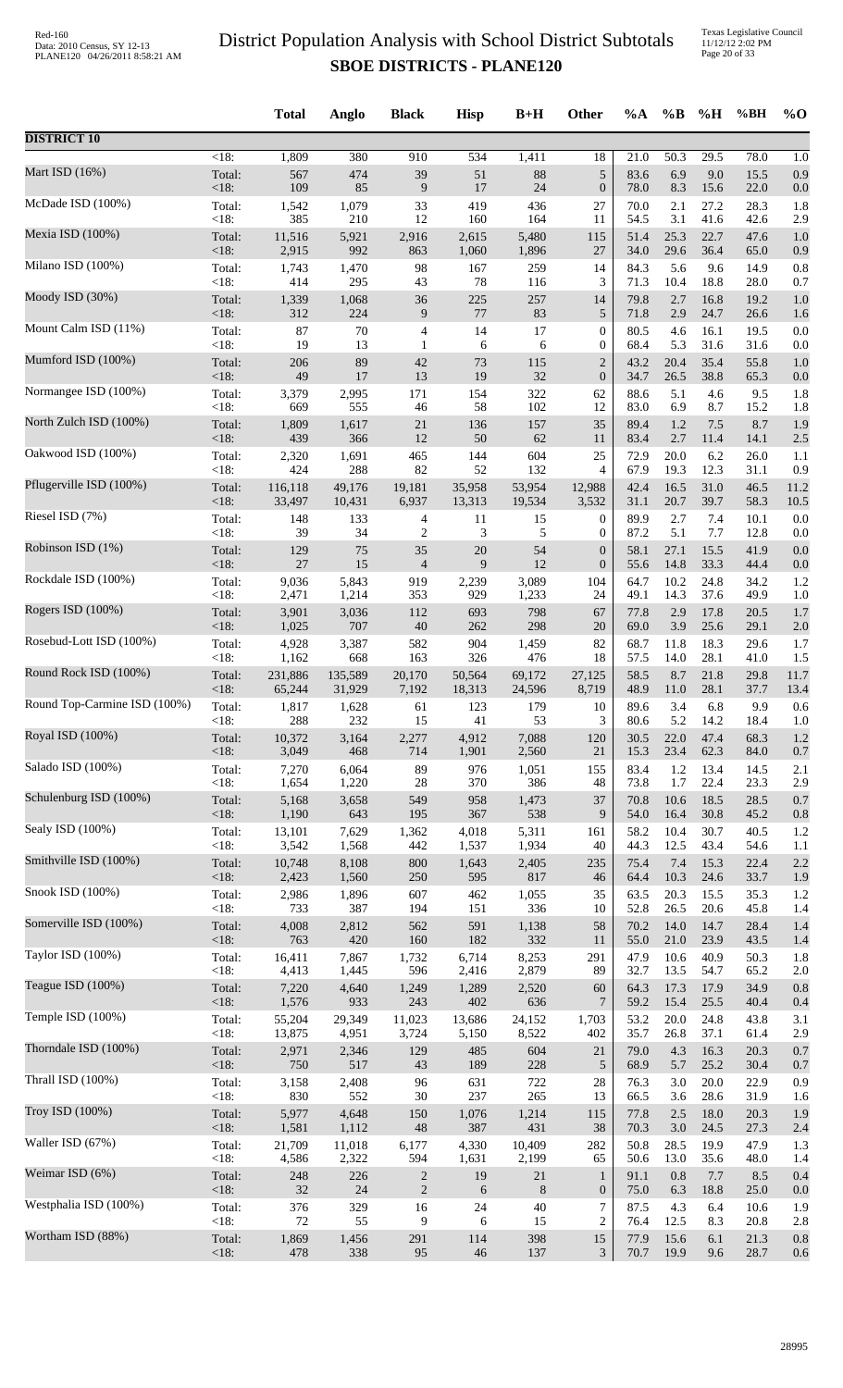|                              |                    | <b>Total</b>  | Anglo         | <b>Black</b>             | <b>Hisp</b>  | $B+H$          | Other            | $\%A$        | $\%B$       | %H           | %BH          | $%$ <sup>O</sup> |
|------------------------------|--------------------|---------------|---------------|--------------------------|--------------|----------------|------------------|--------------|-------------|--------------|--------------|------------------|
| <b>DISTRICT 10</b>           |                    |               |               |                          |              |                |                  |              |             |              |              |                  |
|                              | $\overline{<}18$ : | 1,809         | 380           | 910                      | 534          | 1,411          | 18               | 21.0         | 50.3        | 29.5         | 78.0         | 1.0              |
| Mart ISD $(16%)$             | Total:             | 567           | 474           | 39                       | 51           | 88             | $\sqrt{5}$       | 83.6         | 6.9         | 9.0          | 15.5         | 0.9              |
|                              | $<18$ :            | 109           | 85            | $\boldsymbol{9}$         | 17           | 24             | $\boldsymbol{0}$ | 78.0         | 8.3         | 15.6         | 22.0         | 0.0              |
| McDade ISD (100%)            | Total:             | 1,542         | 1,079         | 33                       | 419          | 436            | 27               | 70.0         | 2.1         | 27.2         | 28.3         | 1.8              |
|                              | <18:               | 385           | 210           | 12                       | 160          | 164            | 11               | 54.5         | 3.1         | 41.6         | 42.6         | 2.9              |
| Mexia ISD (100%)             | Total:             | 11,516        | 5,921         | 2,916                    | 2,615        | 5,480          | 115              | 51.4         | 25.3        | 22.7         | 47.6         | 1.0              |
| Milano ISD (100%)            | $<18$ :            | 2,915         | 992           | 863                      | 1,060        | 1,896          | 27               | 34.0         | 29.6        | 36.4         | 65.0         | 0.9              |
|                              | Total:             | 1,743         | 1,470         | 98                       | 167          | 259            | 14               | 84.3         | 5.6         | 9.6          | 14.9         | 0.8              |
|                              | <18:               | 414           | 295           | 43                       | 78           | 116            | 3                | 71.3         | 10.4        | 18.8         | 28.0         | 0.7              |
| Moody ISD (30%)              | Total:             | 1,339         | 1,068         | 36                       | 225          | 257            | 14               | 79.8         | 2.7         | 16.8         | 19.2         | 1.0              |
|                              | <18:               | 312           | 224           | 9                        | $77\,$       | 83             | 5                | 71.8         | 2.9         | 24.7         | 26.6         | 1.6              |
| Mount Calm ISD (11%)         | Total:             | 87            | 70            | 4                        | 14           | 17             | $\boldsymbol{0}$ | 80.5         | 4.6         | 16.1         | 19.5         | 0.0              |
|                              | <18:               | 19            | 13            | 1                        | 6            | 6              | $\boldsymbol{0}$ | 68.4         | 5.3         | 31.6         | 31.6         | 0.0              |
| Mumford ISD (100%)           | Total:             | 206           | 89            | $42\,$                   | 73           | 115            | $\overline{2}$   | 43.2         | 20.4        | 35.4         | 55.8         | 1.0              |
| Normangee ISD (100%)         | <18:               | 49            | 17            | 13                       | 19           | 32             | $\boldsymbol{0}$ | 34.7         | 26.5        | 38.8         | 65.3         | 0.0              |
|                              | Total:             | 3,379         | 2,995         | 171                      | 154          | 322            | 62               | 88.6         | 5.1         | 4.6          | 9.5          | 1.8              |
| North Zulch ISD (100%)       | < 18:<br>Total:    | 669           | 555<br>1,617  | 46<br>21                 | 58<br>136    | 102<br>157     | 12<br>35         | 83.0<br>89.4 | 6.9<br>1.2  | 8.7<br>$7.5$ | 15.2<br>8.7  | 1.8              |
|                              | $<18$ :            | 1,809<br>439  | 366           | 12                       | 50           | 62             | 11               | 83.4         | 2.7         | 11.4         | 14.1         | 1.9<br>2.5       |
| Oakwood ISD (100%)           | Total:             | 2,320         | 1,691         | 465                      | 144          | 604            | 25               | 72.9         | 20.0        | 6.2          | 26.0         | 1.1              |
|                              | < 18:              | 424           | 288           | 82                       | 52           | 132            | 4                | 67.9         | 19.3        | 12.3         | 31.1         | 0.9              |
| Pflugerville ISD (100%)      | Total:<br>$<18$ :  | 116,118       | 49,176        | 19,181                   | 35,958       | 53,954         | 12,988<br>3,532  | 42.4         | 16.5        | 31.0         | 46.5         | 11.2             |
| Riesel ISD (7%)              | Total:             | 33,497<br>148 | 10,431<br>133 | 6,937<br>4               | 13,313<br>11 | 19,534<br>15   | $\boldsymbol{0}$ | 31.1<br>89.9 | 20.7<br>2.7 | 39.7<br>7.4  | 58.3<br>10.1 | 10.5<br>0.0      |
| Robinson ISD (1%)            | <18:               | 39            | 34            | 2                        | 3            | 5              | $\boldsymbol{0}$ | 87.2         | 5.1         | 7.7          | 12.8         | 0.0              |
|                              | Total:             | 129           | 75            | 35                       | 20           | 54             | $\boldsymbol{0}$ | 58.1         | 27.1        | 15.5         | 41.9         | 0.0              |
|                              | <18:               | $27\,$        | 15            | $\overline{\mathcal{L}}$ | 9            | 12             | $\boldsymbol{0}$ | 55.6         | 14.8        | 33.3         | 44.4         | 0.0              |
| Rockdale ISD (100%)          | Total:             | 9,036         | 5,843         | 919                      | 2,239        | 3,089          | 104              | 64.7         | 10.2        | 24.8         | 34.2         | 1.2              |
|                              | <18:               | 2,471         | 1,214         | 353                      | 929          | 1,233          | 24               | 49.1         | 14.3        | 37.6         | 49.9         | 1.0              |
| Rogers ISD (100%)            | Total:             | 3,901         | 3,036         | 112                      | 693          | 798            | 67               | 77.8         | 2.9         | 17.8         | 20.5         | 1.7              |
|                              | <18:               | 1,025         | 707           | $40\,$                   | 262          | 298            | 20               | 69.0         | 3.9         | 25.6         | 29.1         | 2.0              |
| Rosebud-Lott ISD (100%)      | Total:             | 4,928         | 3,387         | 582                      | 904          | 1,459          | 82               | 68.7         | 11.8        | 18.3         | 29.6         | 1.7              |
| Round Rock ISD (100%)        | <18:               | 1,162         | 668           | 163                      | 326          | 476            | 18               | 57.5         | 14.0        | 28.1         | 41.0         | 1.5              |
|                              | Total:             | 231,886       | 135,589       | 20,170                   | 50,564       | 69,172         | 27,125           | 58.5         | 8.7         | 21.8         | 29.8         | 11.7             |
| Round Top-Carmine ISD (100%) | $<18$ :            | 65,244        | 31,929        | 7,192                    | 18,313       | 24,596         | 8,719            | 48.9         | 11.0        | 28.1         | 37.7         | 13.4             |
|                              | Total:             | 1,817         | 1,628         | 61                       | 123          | 179            | 10               | 89.6         | 3.4         | 6.8          | 9.9          | 0.6              |
|                              | <18:               | 288           | 232           | 15                       | 41           | 53             | 3                | 80.6         | 5.2         | 14.2         | 18.4         | 1.0              |
| Royal ISD (100%)             | Total:             | 10,372        | 3,164         | 2,277                    | 4,912        | 7,088          | 120              | 30.5         | 22.0        | 47.4         | 68.3         | 1.2              |
|                              | $<18$ :            | 3,049         | 468           | 714                      | 1,901        | 2,560          | 21               | 15.3         | 23.4        | 62.3         | 84.0         | 0.7              |
| Salado ISD (100%)            | Total:             | 7,270         | 6,064         | 89                       | 976          | 1,051          | 155              | 83.4         | 1.2         | 13.4         | 14.5         | 2.1              |
| Schulenburg ISD (100%)       | $<18$ :            | 1,654         | 1,220         | $28\,$                   | 370          | 386            | 48               | 73.8         | 1.7         | 22.4         | 23.3         | 2.9              |
|                              | Total:             | 5,168         | 3,658         | 549                      | 958          | 1,473          | 37               | 70.8         | 10.6        | 18.5         | 28.5         | 0.7              |
| Sealy ISD (100%)             | $<18$ :            | 1,190         | 643           | 195                      | 367          | 538            | 9                | 54.0         | 16.4        | 30.8         | 45.2         | 0.8              |
|                              | Total:             | 13,101        | 7,629         | 1,362                    | 4,018        | 5,311          | 161              | 58.2         | 10.4        | 30.7         | 40.5         | 1.2              |
|                              | <18:               | 3,542         | 1,568         | 442                      | 1,537        | 1,934          | 40               | 44.3         | 12.5        | 43.4         | 54.6         | 1.1              |
| Smithville ISD (100%)        | Total:             | 10,748        | 8,108         | 800                      | 1,643        | 2,405          | 235              | 75.4         | 7.4         | 15.3         | 22.4         | 2.2              |
|                              | $<18$ :            | 2,423         | 1,560         | 250                      | 595          | 817            | 46               | 64.4         | 10.3        | 24.6         | 33.7         | 1.9              |
| Snook ISD (100%)             | Total:             | 2,986         | 1,896         | 607                      | 462          | 1,055          | 35               | 63.5         | 20.3        | 15.5         | 35.3         | 1.2              |
|                              | $<18$ :            | 733           | 387           | 194                      | 151          | 336            | 10               | 52.8         | 26.5        | 20.6         | 45.8         | 1.4              |
| Somerville ISD (100%)        | Total:             | 4,008         | 2,812         | 562                      | 591          | 1,138          | 58               | 70.2         | 14.0        | 14.7         | 28.4         | 1.4              |
| Taylor ISD (100%)            | <18:               | 763           | 420           | 160                      | 182          | 332            | 11               | 55.0         | 21.0        | 23.9         | 43.5         | 1.4              |
|                              | Total:             | 16,411        | 7,867         | 1,732                    | 6,714        | 8,253          | 291              | 47.9         | 10.6        | 40.9         | 50.3         | 1.8              |
| Teague ISD (100%)            | $<18$ :            | 4,413         | 1,445         | 596                      | 2,416        | 2,879          | 89               | 32.7         | 13.5        | 54.7         | 65.2         | 2.0              |
|                              | Total:             | 7,220         | 4,640         | 1,249                    | 1,289        | 2,520          | 60               | 64.3         | 17.3        | 17.9         | 34.9         | 0.8              |
|                              | <18:               | 1,576         | 933           | 243                      | 402          | 636            | 7                | 59.2         | 15.4        | 25.5         | 40.4         | 0.4              |
| Temple ISD (100%)            | Total:             | 55,204        | 29,349        | 11,023                   | 13,686       | 24,152         | 1,703            | 53.2         | 20.0        | 24.8         | 43.8         | 3.1              |
|                              | $<18$ :            | 13,875        | 4,951         | 3,724                    | 5,150        | 8,522          | 402              | 35.7         | 26.8        | 37.1         | 61.4         | 2.9              |
| Thorndale ISD (100%)         | Total:             | 2,971         | 2,346         | 129                      | 485          | 604            | 21               | 79.0         | 4.3         | 16.3         | 20.3         | 0.7              |
| Thrall ISD (100%)            | $<18$ :            | 750           | 517           | 43                       | 189          | 228            | 5                | 68.9         | 5.7         | 25.2         | 30.4         | 0.7              |
|                              | Total:             | 3,158         | 2,408         | 96                       | 631          | 722            | $28\,$           | 76.3         | 3.0         | 20.0         | 22.9         | 0.9              |
| Troy ISD (100%)              | <18:               | 830           | 552           | $30\,$                   | 237          | 265            | 13               | 66.5         | 3.6         | 28.6         | 31.9         | 1.6              |
|                              | Total:             | 5,977         | 4,648         | 150                      | 1,076        | 1,214          | 115              | 77.8         | 2.5         | 18.0         | 20.3         | 1.9              |
|                              | $<18$ :            | 1,581         | 1,112         | 48                       | 387          | 431            | 38               | 70.3         | 3.0         | 24.5         | 27.3         | 2.4              |
| Waller ISD (67%)             | Total:             | 21,709        | 11,018        | 6,177                    | 4,330        | 10,409         | 282              | 50.8         | 28.5        | 19.9         | 47.9         | 1.3              |
|                              | <18:               | 4,586         | 2,322         | 594                      | 1,631        | 2,199          | 65               | 50.6         | 13.0        | 35.6         | 48.0         | 1.4              |
| Weimar ISD (6%)              | Total:             | 248           | 226           | $\overline{c}$           | 19           | $21\,$         | $\mathbf{1}$     | 91.1         | 0.8         | 7.7          | 8.5          | 0.4              |
| Westphalia ISD (100%)        | $<18$ :            | 32            | 24            | $\overline{c}$           | 6            | $8\phantom{1}$ | $\boldsymbol{0}$ | 75.0         | 6.3         | 18.8         | 25.0         | 0.0              |
|                              | Total:             | 376           | 329           | 16                       | 24           | 40             | 7                | 87.5         | 4.3         | 6.4          | 10.6         | 1.9              |
| Wortham ISD (88%)            | <18:               | 72            | 55            | 9                        | 6            | 15             | $\overline{c}$   | 76.4         | 12.5        | 8.3          | 20.8         | 2.8              |
|                              | Total:             | 1,869         | 1,456         | 291                      | 114          | 398            | $15\,$           | 77.9         | 15.6        | 6.1          | 21.3         | 0.8              |
|                              | <18:               | 478           | 338           | 95                       | $46\,$       | 137            | 3                | 70.7         | 19.9        | 9.6          | 28.7         | 0.6              |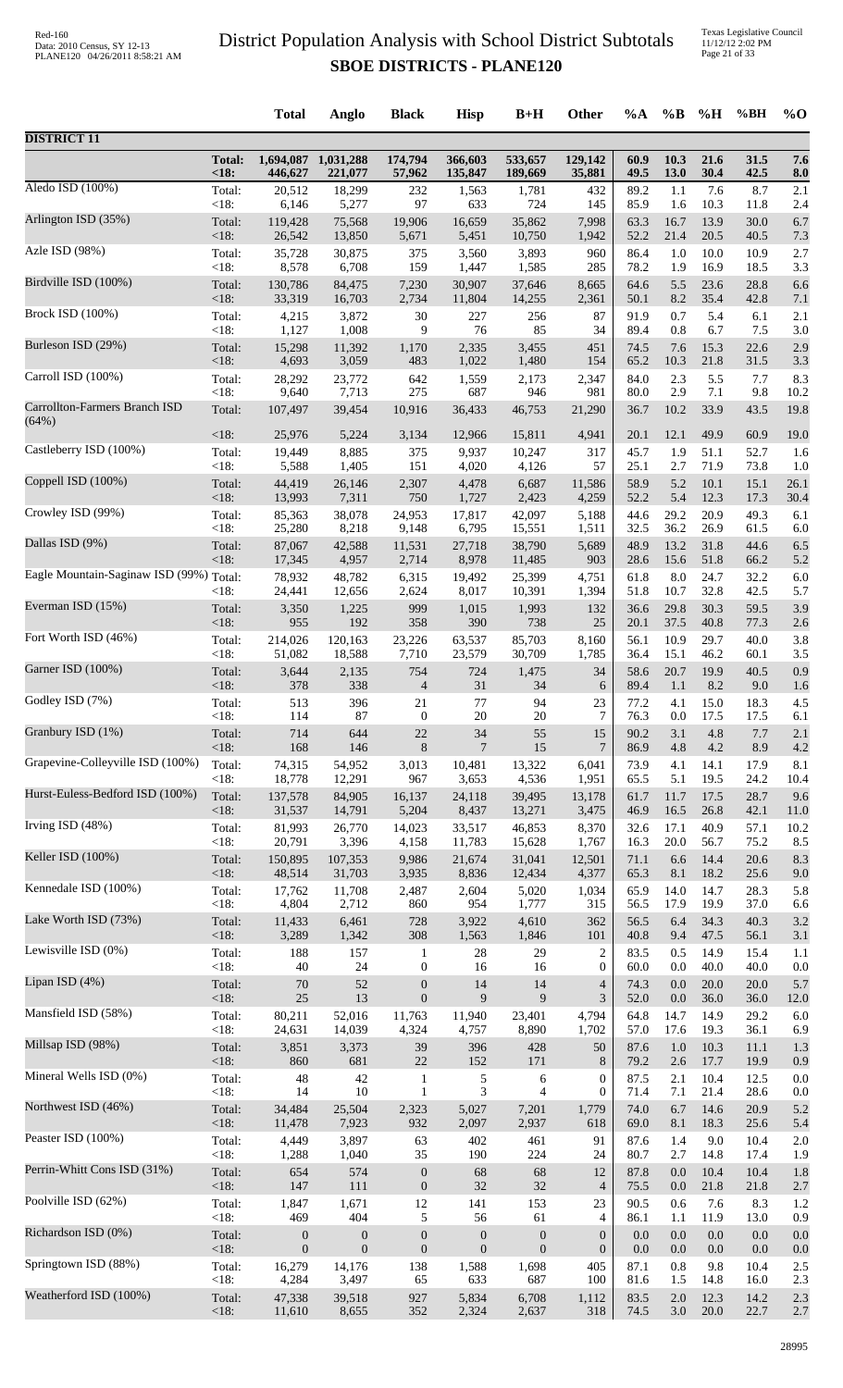Texas Legislative Council 11/12/12 2:02 PM Page 21 of 33

|                                         |                        | <b>Total</b>                         | Anglo                                | <b>Black</b>                         | <b>Hisp</b>                      | $B+H$                            | Other               | %A           | $\%B$        | %H           | %BH          | $%$ <sup>O</sup> |
|-----------------------------------------|------------------------|--------------------------------------|--------------------------------------|--------------------------------------|----------------------------------|----------------------------------|---------------------|--------------|--------------|--------------|--------------|------------------|
| <b>DISTRICT 11</b>                      |                        |                                      |                                      |                                      |                                  |                                  |                     |              |              |              |              |                  |
|                                         | <b>Total:</b><br>< 18: | 446,627                              | 1,694,087 1,031,288<br>221,077       | 174,794<br>57,962                    | 366,603<br>135,847               | 533,657<br>189,669               | 129,142<br>35,881   | 60.9<br>49.5 | 10.3<br>13.0 | 21.6<br>30.4 | 31.5<br>42.5 | 7.6<br>8.0       |
| Aledo ISD (100%)                        | Total:                 | 20,512                               | 18,299                               | 232                                  | 1,563                            | 1,781                            | 432                 | 89.2         | 1.1          | 7.6          | 8.7          | 2.1              |
|                                         | < 18:                  | 6,146                                | 5,277                                | 97                                   | 633                              | 724                              | 145                 | 85.9         | 1.6          | 10.3         | 11.8         | 2.4              |
| Arlington ISD (35%)                     | Total:                 | 119,428                              | 75,568                               | 19,906                               | 16,659                           | 35,862                           | 7,998               | 63.3         | 16.7         | 13.9         | 30.0         | 6.7              |
|                                         | < 18:                  | 26,542                               | 13,850                               | 5,671                                | 5,451                            | 10,750                           | 1,942               | 52.2         | 21.4         | 20.5         | 40.5         | 7.3              |
| Azle ISD (98%)                          | Total:                 | 35,728                               | 30,875                               | 375                                  | 3,560                            | 3,893                            | 960                 | 86.4         | 1.0          | 10.0         | 10.9         | 2.7              |
|                                         | < 18:                  | 8,578                                | 6,708                                | 159                                  | 1,447                            | 1,585                            | 285                 | 78.2         | 1.9          | 16.9         | 18.5         | 3.3              |
| Birdville ISD (100%)                    | Total:                 | 130,786                              | 84,475                               | 7,230                                | 30,907                           | 37,646                           | 8,665               | 64.6         | 5.5          | 23.6         | 28.8         | 6.6              |
|                                         | < 18:                  | 33,319                               | 16,703                               | 2,734                                | 11,804                           | 14,255                           | 2,361               | 50.1         | 8.2          | 35.4         | 42.8         | 7.1              |
| <b>Brock ISD (100%)</b>                 | Total:                 | 4,215                                | 3,872                                | 30                                   | 227                              | 256                              | 87                  | 91.9         | 0.7          | 5.4          | 6.1          | 2.1              |
| Burleson ISD (29%)                      | < 18:                  | 1,127                                | 1,008                                | 9                                    | 76                               | 85                               | 34                  | 89.4         | 0.8          | 6.7          | 7.5          | 3.0              |
|                                         | Total:                 | 15,298                               | 11,392                               | 1,170                                | 2,335                            | 3,455                            | 451                 | 74.5         | 7.6          | 15.3         | 22.6         | 2.9              |
| Carroll ISD (100%)                      | < 18:                  | 4,693                                | 3,059                                | 483                                  | 1,022                            | 1,480                            | 154                 | 65.2         | 10.3         | 21.8         | 31.5         | 3.3              |
|                                         | Total:                 | 28,292                               | 23,772                               | 642                                  | 1,559                            | 2,173                            | 2,347               | 84.0         | 2.3          | 5.5          | 7.7          | 8.3              |
| Carrollton-Farmers Branch ISD           | < 18:                  | 9,640                                | 7,713                                | 275                                  | 687                              | 946                              | 981                 | 80.0         | 2.9          | 7.1          | 9.8          | 10.2             |
|                                         | Total:                 | 107,497                              | 39,454                               | 10,916                               | 36,433                           | 46,753                           | 21,290              | 36.7         | 10.2         | 33.9         | 43.5         | 19.8             |
| (64%)                                   | < 18:                  | 25,976                               | 5,224                                | 3,134                                | 12,966                           | 15,811                           | 4,941               | 20.1         | 12.1         | 49.9         | 60.9         | 19.0             |
| Castleberry ISD (100%)                  | Total:                 | 19,449                               | 8,885                                | 375                                  | 9,937                            | 10,247                           | 317                 | 45.7         | 1.9          | 51.1         | 52.7         | 1.6              |
|                                         | < 18:                  | 5,588                                | 1,405                                | 151                                  | 4,020                            | 4,126                            | 57                  | 25.1         | 2.7          | 71.9         | 73.8         | 1.0              |
| Coppell ISD (100%)                      | Total:                 | 44,419                               | 26,146                               | 2,307                                | 4,478                            | 6,687                            | 11,586              | 58.9         | 5.2          | 10.1         | 15.1         | 26.1             |
| Crowley ISD (99%)                       | <18:                   | 13,993                               | 7,311                                | 750                                  | 1,727                            | 2,423                            | 4,259               | 52.2         | 5.4          | 12.3         | 17.3         | 30.4             |
|                                         | Total:                 | 85,363                               | 38,078                               | 24,953                               | 17,817                           | 42,097                           | 5,188               | 44.6         | 29.2         | 20.9         | 49.3         | 6.1              |
| Dallas ISD (9%)                         | < 18:                  | 25,280                               | 8,218                                | 9,148                                | 6,795                            | 15,551                           | 1,511               | 32.5         | 36.2         | 26.9         | 61.5         | 6.0              |
|                                         | Total:                 | 87,067                               | 42,588                               | 11,531                               | 27,718                           | 38,790                           | 5,689               | 48.9         | 13.2         | 31.8         | 44.6         | 6.5              |
| Eagle Mountain-Saginaw ISD (99%) Total: | < 18:                  | 17,345<br>78,932                     | 4,957<br>48,782                      | 2,714<br>6,315                       | 8,978<br>19,492                  | 11,485<br>25,399                 | 903<br>4,751        | 28.6<br>61.8 | 15.6<br>8.0  | 51.8<br>24.7 | 66.2<br>32.2 | 5.2<br>6.0       |
| Everman ISD (15%)                       | $<18$ :                | 24,441                               | 12,656                               | 2,624                                | 8,017                            | 10,391                           | 1,394               | 51.8         | 10.7         | 32.8         | 42.5         | 5.7              |
|                                         | Total:                 | 3,350                                | 1,225                                | 999                                  | 1,015                            | 1,993                            | 132                 | 36.6         | 29.8         | 30.3         | 59.5         | 3.9              |
| Fort Worth ISD (46%)                    | < 18:                  | 955                                  | 192                                  | 358                                  | 390                              | 738                              | 25                  | 20.1         | 37.5         | 40.8         | 77.3         | 2.6              |
|                                         | Total:                 | 214,026                              | 120,163                              | 23,226                               | 63,537                           | 85,703                           | 8,160               | 56.1         | 10.9         | 29.7         | 40.0         | 3.8              |
|                                         | < 18:                  | 51,082                               | 18,588                               | 7,710                                | 23,579                           | 30,709                           | 1,785               | 36.4         | 15.1         | 46.2         | 60.1         | 3.5              |
| Garner ISD (100%)                       | Total:                 | 3,644                                | 2,135                                | 754                                  | 724                              | 1,475                            | 34                  | 58.6         | 20.7         | 19.9         | 40.5         | 0.9              |
|                                         | <18:                   | 378                                  | 338                                  | $\overline{4}$                       | 31                               | 34                               | 6                   | 89.4         | 1.1          | 8.2          | 9.0          | 1.6              |
| Godley ISD (7%)                         | Total:                 | 513                                  | 396                                  | $21\,$                               | 77                               | 94                               | 23                  | 77.2         | 4.1          | 15.0         | 18.3         | 4.5              |
|                                         | <18:                   | 114                                  | 87                                   | $\mathbf{0}$                         | 20                               | 20                               | $\tau$              | 76.3         | 0.0          | 17.5         | 17.5         | 6.1              |
| Granbury ISD (1%)                       | Total:                 | 714                                  | 644                                  | 22                                   | 34                               | 55                               | 15                  | 90.2         | 3.1          | 4.8          | 7.7          | 2.1              |
|                                         | < 18:                  | 168                                  | 146                                  | 8                                    | $\overline{7}$                   | 15                               | $\overline{7}$      | 86.9         | 4.8          | 4.2          | 8.9          | 4.2              |
| Grapevine-Colleyville ISD (100%)        | Total:                 | 74,315                               | 54,952                               | 3,013                                | 10,481                           | 13,322                           | 6,041               | 73.9         | 4.1          | 14.1         | 17.9         | 8.1              |
|                                         | < 18:                  | 18,778                               | 12,291                               | 967                                  | 3,653                            | 4,536                            | 1,951               | 65.5         | 5.1          | 19.5         | 24.2         | 10.4             |
| Hurst-Euless-Bedford ISD (100%)         | Total:                 | 137,578                              | 84,905                               | 16,137                               | 24,118                           | 39,495                           | 13,178              | 61.7         | 11.7         | 17.5         | 28.7         | 9.6              |
| Irving ISD (48%)                        | < 18:                  | 31,537                               | 14,791                               | 5,204                                | 8,437                            | 13,271                           | 3,475               | 46.9         | 16.5         | 26.8         | 42.1         | 11.0             |
|                                         | Total:                 | 81,993                               | 26,770                               | 14,023                               | 33,517                           | 46,853                           | 8,370               | 32.6         | 17.1         | 40.9         | 57.1         | 10.2             |
| Keller ISD (100%)                       | < 18:                  | 20,791                               | 3,396                                | 4,158                                | 11,783                           | 15,628                           | 1,767               | 16.3         | 20.0         | 56.7         | 75.2         | 8.5              |
|                                         | Total:                 | 150,895                              | 107,353                              | 9,986                                | 21,674                           | 31,041                           | 12,501              | 71.1         | 6.6          | 14.4         | 20.6         | 8.3              |
| Kennedale ISD (100%)                    | < 18:                  | 48,514                               | 31,703                               | 3,935                                | 8,836                            | 12,434                           | 4,377               | 65.3         | 8.1          | 18.2         | 25.6         | 9.0              |
|                                         | Total:                 | 17,762                               | 11,708                               | 2,487                                | 2,604                            | 5,020                            | 1,034               | 65.9         | 14.0         | 14.7         | 28.3         | 5.8              |
| Lake Worth ISD (73%)                    | < 18:                  | 4,804                                | 2,712                                | 860<br>728                           | 954<br>3,922                     | 1,777<br>4,610                   | 315<br>362          | 56.5<br>56.5 | 17.9<br>6.4  | 19.9<br>34.3 | 37.0<br>40.3 | 6.6<br>3.2       |
|                                         | Total:<br>$<18$ :      | 11,433<br>3,289                      | 6,461<br>1,342                       | 308                                  | 1,563                            | 1,846                            | 101                 | 40.8         | 9.4          | 47.5         | 56.1         | 3.1              |
| Lewisville ISD (0%)                     | Total:                 | 188                                  | 157                                  | $\mathbf{1}$                         | $28\,$                           | 29                               | $\overline{c}$      | 83.5         | 0.5          | 14.9         | 15.4         | 1.1              |
|                                         | < 18:                  | 40                                   | 24                                   | $\boldsymbol{0}$                     | 16                               | 16                               | $\boldsymbol{0}$    | 60.0         | 0.0          | 40.0         | 40.0         | 0.0              |
| Lipan ISD (4%)                          | Total:                 | 70                                   | 52                                   | $\boldsymbol{0}$                     | 14                               | 14                               | $\overline{4}$      | 74.3         | 0.0          | 20.0         | 20.0         | 5.7              |
|                                         | $<18$ :                | 25                                   | 13                                   | $\boldsymbol{0}$                     | 9                                | 9                                | 3                   | 52.0         | 0.0          | 36.0         | 36.0         | 12.0             |
| Mansfield ISD (58%)                     | Total:                 | 80,211                               | 52,016                               | 11,763                               | 11,940                           | 23,401                           | 4,794               | 64.8         | 14.7         | 14.9         | 29.2         | 6.0              |
|                                         | < 18:                  | 24,631                               | 14,039                               | 4,324                                | 4,757                            | 8,890                            | 1,702               | 57.0         | 17.6         | 19.3         | 36.1         | 6.9              |
| Millsap ISD (98%)                       | Total:                 | 3,851                                | 3,373                                | 39                                   | 396                              | 428                              | 50                  | 87.6         | $1.0\,$      | 10.3         | 11.1         | 1.3              |
|                                         | <18:                   | 860                                  | 681                                  | $22\,$                               | 152                              | 171                              | 8                   | 79.2         | 2.6          | 17.7         | 19.9         | 0.9              |
| Mineral Wells ISD (0%)                  | Total:                 | 48                                   | 42                                   | $\mathbf{1}$                         | 5                                | 6                                | $\boldsymbol{0}$    | 87.5         | 2.1          | 10.4         | 12.5         | 0.0              |
|                                         | < 18:                  | 14                                   | 10                                   | $\mathbf{1}$                         | 3                                | $\overline{4}$                   | $\boldsymbol{0}$    | 71.4         | 7.1          | 21.4         | 28.6         | 0.0              |
| Northwest ISD (46%)                     | Total:                 | 34,484                               | 25,504                               | 2,323                                | 5,027                            | 7,201                            | 1,779               | 74.0         | 6.7          | 14.6         | 20.9         | 5.2              |
| Peaster ISD (100%)                      | < 18:                  | 11,478                               | 7,923                                | 932                                  | 2,097                            | 2,937                            | 618                 | 69.0         | 8.1          | 18.3         | 25.6         | 5.4              |
|                                         | Total:                 | 4,449                                | 3,897                                | 63                                   | 402                              | 461                              | 91                  | 87.6         | 1.4          | 9.0          | 10.4         | 2.0              |
| Perrin-Whitt Cons ISD (31%)             | < 18:                  | 1,288                                | 1,040                                | 35                                   | 190                              | 224                              | 24                  | 80.7         | 2.7          | 14.8         | 17.4         | 1.9              |
|                                         | Total:                 | 654                                  | 574                                  | $\boldsymbol{0}$                     | 68                               | 68                               | 12                  | 87.8         | 0.0          | 10.4         | 10.4         | 1.8              |
| Poolville ISD (62%)                     | < 18:                  | 147                                  | 111                                  | $\boldsymbol{0}$                     | 32                               | 32                               | $\overline{4}$      | 75.5         | 0.0          | 21.8         | 21.8         | 2.7              |
|                                         | Total:                 | 1,847                                | 1,671                                | 12                                   | 141                              | 153                              | 23                  | 90.5         | 0.6          | 7.6          | 8.3          | 1.2              |
| Richardson ISD (0%)                     | < 18:                  | 469                                  | 404                                  | 5                                    | 56                               | 61                               | 4<br>$\overline{0}$ | 86.1<br>0.0  | 1.1<br>0.0   | 11.9<br>0.0  | 13.0<br>0.0  | 0.9              |
|                                         | Total:<br><18:         | $\boldsymbol{0}$<br>$\boldsymbol{0}$ | $\boldsymbol{0}$<br>$\boldsymbol{0}$ | $\boldsymbol{0}$<br>$\boldsymbol{0}$ | $\boldsymbol{0}$<br>$\mathbf{0}$ | $\boldsymbol{0}$<br>$\mathbf{0}$ | $\boldsymbol{0}$    | 0.0          | 0.0          | 0.0          | 0.0          | 0.0<br>0.0       |
| Springtown ISD (88%)                    | Total:                 | 16,279                               | 14,176                               | 138                                  | 1,588                            | 1,698                            | 405                 | 87.1         | 0.8          | 9.8          | 10.4         | 2.5              |
|                                         | $<18$ :                | 4,284                                | 3,497                                | 65                                   | 633                              | 687                              | 100                 | 81.6         | 1.5          | 14.8         | 16.0         | 2.3              |
| Weatherford ISD (100%)                  | Total:                 | 47,338                               | 39,518                               | 927                                  | 5,834                            | 6,708                            | 1,112               | 83.5         | 2.0          | 12.3         | 14.2         | 2.3              |
|                                         | <18:                   | 11,610                               | 8,655                                | 352                                  | 2,324                            | 2,637                            | 318                 | 74.5         | 3.0          | $20.0\,$     | 22.7         | 2.7              |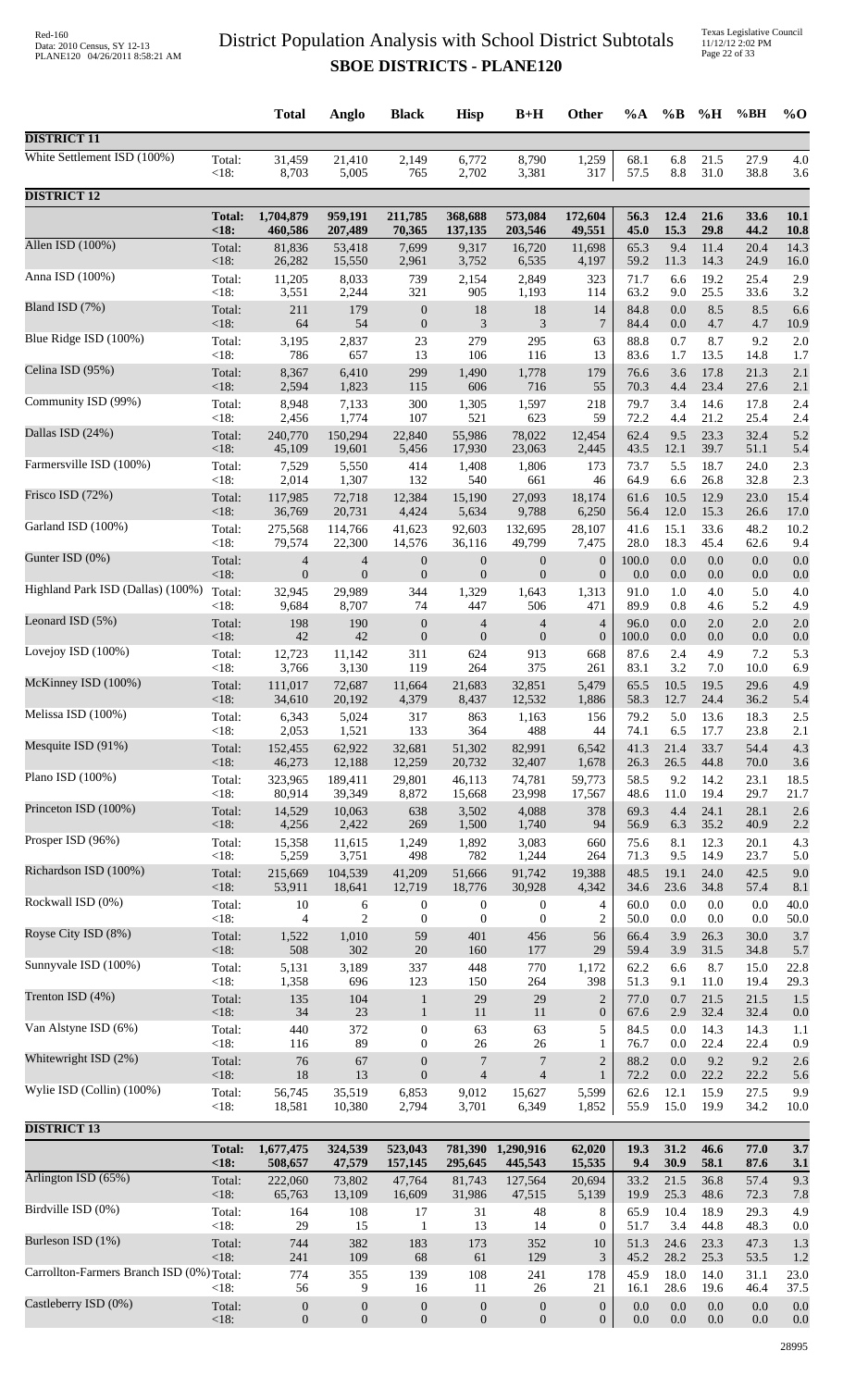Texas Legislative Council 11/12/12 2:02 PM Page 22 of 33

|                                           |                      | <b>Total</b>         | Anglo             | <b>Black</b>                 | <b>Hisp</b>      | $B+H$                        | <b>Other</b>                       | $\%A$        | $\%B$        | %H           | %BH          | $%$ <sup>O</sup> |
|-------------------------------------------|----------------------|----------------------|-------------------|------------------------------|------------------|------------------------------|------------------------------------|--------------|--------------|--------------|--------------|------------------|
| <b>DISTRICT 11</b>                        |                      |                      |                   |                              |                  |                              |                                    |              |              |              |              |                  |
| White Settlement ISD (100%)               | Total:               | 31,459               | 21,410            | 2,149                        | 6,772            | 8,790                        | 1,259                              | 68.1         | 6.8          | 21.5         | 27.9         | 4.0              |
|                                           | < 18:                | 8,703                | 5,005             | 765                          | 2,702            | 3,381                        | 317                                | 57.5         | $8.8\,$      | 31.0         | 38.8         | 3.6              |
| <b>DISTRICT 12</b>                        |                      |                      |                   |                              |                  |                              |                                    |              |              |              |              |                  |
|                                           | <b>Total:</b>        | 1,704,879            | 959,191           | 211,785                      | 368,688          | 573,084                      | 172,604                            | 56.3         | 12.4         | 21.6         | 33.6         | 10.1             |
|                                           | < 18:                | 460,586              | 207,489           | 70,365                       | 137,135          | 203,546                      | 49,551                             | 45.0         | 15.3         | 29.8         | 44.2         | 10.8             |
| Allen ISD (100%)                          | Total:               | 81,836               | 53,418            | 7,699                        | 9,317            | 16,720                       | 11,698                             | 65.3         | 9.4          | 11.4         | 20.4         | 14.3             |
|                                           | < 18:                | 26,282               | 15,550            | 2,961                        | 3,752            | 6,535                        | 4,197                              | 59.2         | 11.3         | 14.3         | 24.9         | 16.0             |
| Anna ISD (100%)                           | Total:               | 11,205               | 8,033             | 739                          | 2,154            | 2,849                        | 323                                | 71.7         | 6.6          | 19.2         | 25.4         | 2.9              |
| Bland ISD (7%)                            | < 18:                | 3,551                | 2,244             | 321                          | 905              | 1,193                        | 114                                | 63.2         | 9.0          | 25.5         | 33.6         | 3.2              |
|                                           | Total:               | 211                  | 179               | $\boldsymbol{0}$             | 18               | 18                           | 14                                 | 84.8         | 0.0          | 8.5          | 8.5          | 6.6              |
| Blue Ridge ISD (100%)                     | < 18:                | 64                   | 54                | $\mathbf{0}$                 | 3                | 3                            | 7                                  | 84.4         | 0.0          | 4.7          | 4.7          | 10.9             |
|                                           | Total:               | 3,195                | 2,837             | 23                           | 279              | 295                          | 63                                 | 88.8         | 0.7          | 8.7          | 9.2          | 2.0              |
| Celina ISD (95%)                          | < 18:                | 786                  | 657               | 13                           | 106              | 116                          | 13                                 | 83.6         | 1.7          | 13.5         | 14.8         | 1.7              |
|                                           | Total:               | 8,367                | 6,410             | 299                          | 1,490            | 1,778                        | 179                                | 76.6         | 3.6          | 17.8         | 21.3         | 2.1              |
| Community ISD (99%)                       | < 18:                | 2,594                | 1,823             | 115                          | 606              | 716                          | 55                                 | 70.3         | 4.4          | 23.4         | 27.6         | 2.1              |
|                                           | Total:               | 8,948                | 7,133             | 300                          | 1,305            | 1,597                        | 218                                | 79.7         | 3.4          | 14.6         | 17.8         | 2.4              |
|                                           | < 18:                | 2,456                | 1,774             | 107                          | 521              | 623                          | 59                                 | 72.2         | 4.4          | 21.2         | 25.4         | 2.4              |
| Dallas ISD (24%)                          | Total:               | 240,770              | 150,294           | 22,840                       | 55,986           | 78,022                       | 12,454                             | 62.4         | 9.5          | 23.3         | 32.4         | 5.2              |
|                                           | < 18:                | 45,109               | 19,601            | 5,456                        | 17,930           | 23,063                       | 2,445                              | 43.5         | 12.1         | 39.7         | 51.1         | 5.4              |
| Farmersville ISD (100%)                   | Total:               | 7,529                | 5,550             | 414                          | 1,408            | 1,806                        | 173                                | 73.7         | 5.5          | 18.7         | 24.0         | 2.3              |
|                                           | < 18:                | 2,014                | 1,307             | 132                          | 540              | 661                          | 46                                 | 64.9         | 6.6          | 26.8         | 32.8         | 2.3              |
| Frisco ISD (72%)                          | Total:               | 117,985              | 72,718            | 12,384                       | 15,190           | 27,093                       | 18,174                             | 61.6         | 10.5         | 12.9         | 23.0         | 15.4             |
|                                           | < 18:                | 36,769               | 20,731            | 4,424                        | 5,634            | 9,788                        | 6,250                              | 56.4         | 12.0         | 15.3         | 26.6         | 17.0             |
| Garland ISD (100%)                        | Total:               | 275,568              | 114,766           | 41,623                       | 92,603           | 132,695                      | 28,107                             | 41.6         | 15.1         | 33.6         | 48.2         | 10.2             |
| Gunter ISD (0%)                           | < 18:                | 79,574               | 22,300            | 14,576                       | 36,116           | 49,799                       | 7,475                              | 28.0         | 18.3         | 45.4         | 62.6         | 9.4              |
|                                           | Total:               | 4                    | $\overline{4}$    | $\boldsymbol{0}$             | $\boldsymbol{0}$ | $\boldsymbol{0}$             | $\boldsymbol{0}$                   | 100.0        | 0.0          | 0.0          | 0.0          | 0.0              |
| Highland Park ISD (Dallas) (100%)         | < 18:                | $\boldsymbol{0}$     | $\boldsymbol{0}$  | $\boldsymbol{0}$             | $\boldsymbol{0}$ | $\mathbf{0}$                 | $\boldsymbol{0}$                   | 0.0          | $0.0\,$      | 0.0          | 0.0          | 0.0              |
|                                           | Total:               | 32,945               | 29,989            | 344                          | 1,329            | 1,643                        | 1,313                              | 91.0         | 1.0          | 4.0          | 5.0          | 4.0              |
| Leonard ISD (5%)                          | <18:                 | 9,684                | 8,707             | 74                           | 447              | 506                          | 471                                | 89.9         | 0.8          | 4.6          | 5.2          | 4.9              |
|                                           | Total:               | 198                  | 190               | $\boldsymbol{0}$             | $\overline{4}$   | $\overline{4}$               | 4                                  | 96.0         | 0.0          | 2.0          | 2.0          | 2.0              |
| Lovejoy ISD (100%)                        | < 18:                | $42\,$               | 42                | $\boldsymbol{0}$             | $\boldsymbol{0}$ | $\mathbf{0}$                 | $\boldsymbol{0}$                   | 100.0        | 0.0          | $0.0\,$      | 0.0          | 0.0              |
|                                           | Total:               | 12,723               | 11,142            | 311                          | 624              | 913                          | 668                                | 87.6         | 2.4          | 4.9          | 7.2          | 5.3              |
|                                           | < 18:                | 3,766                | 3,130             | 119                          | 264              | 375                          | 261                                | 83.1         | 3.2          | 7.0          | 10.0         | 6.9              |
| McKinney ISD (100%)                       | Total:               | 111,017              | 72,687            | 11,664                       | 21,683           | 32,851                       | 5,479                              | 65.5         | 10.5         | 19.5         | 29.6         | 4.9              |
|                                           | < 18:                | 34,610               | 20,192            | 4,379                        | 8,437            | 12,532                       | 1,886                              | 58.3         | 12.7         | 24.4         | 36.2         | 5.4              |
| Melissa ISD (100%)                        | Total:               | 6,343                | 5,024             | 317                          | 863              | 1,163                        | 156                                | 79.2         | 5.0          | 13.6         | 18.3         | 2.5              |
|                                           | <18:                 | 2,053                | 1,521             | 133                          | 364              | 488                          | 44                                 | 74.1         | 6.5          | 17.7         | 23.8         | 2.1              |
| Mesquite ISD (91%)                        | Total:               | 152,455              | 62,922            | 32,681                       | 51,302           | 82,991                       | 6,542                              | 41.3         | 21.4         | 33.7         | 54.4         | 4.3              |
|                                           | <18:                 | 46,273               | 12,188            | 12,259                       | 20,732           | 32,407                       | 1,678                              | 26.3         | 26.5         | 44.8         | 70.0         | 3.6              |
| Plano ISD $(100\%)$                       | Total:               | 323,965              | 189,411           | 29,801                       | 46,113           | 74,781                       | 59,773                             | 58.5         | 9.2          | 14.2         | 23.1         | 18.5             |
| Princeton ISD (100%)                      | $<18$ :              | 80,914               | 39,349            | 8,872                        | 15,668           | 23,998                       | 17,567                             | 48.6         | 11.0         | 19.4         | 29.7         | 21.7             |
|                                           | Total:               | 14,529               | 10,063            | 638                          | 3,502            | 4,088                        | 378                                | 69.3         | 4.4          | 24.1         | 28.1         | 2.6              |
| Prosper ISD (96%)                         | < 18:                | 4,256                | 2,422             | 269                          | 1,500            | 1,740                        | 94                                 | 56.9         | 6.3          | 35.2         | 40.9         | 2.2              |
|                                           | Total:               | 15,358               | 11,615            | 1,249                        | 1,892            | 3,083                        | 660                                | 75.6         | 8.1          | 12.3         | 20.1         | 4.3              |
| Richardson ISD (100%)                     | < 18:                | 5,259                | 3,751             | 498                          | 782              | 1,244                        | 264                                | 71.3         | 9.5          | 14.9         | 23.7         | 5.0              |
|                                           | Total:               | 215,669              | 104,539           | 41,209                       | 51,666           | 91,742                       | 19,388                             | 48.5         | 19.1         | 24.0         | 42.5         | 9.0              |
|                                           | < 18:                | 53,911               | 18,641            | 12,719                       | 18,776           | 30,928                       | 4,342                              | 34.6         | 23.6         | 34.8         | 57.4         | 8.1              |
| Rockwall ISD (0%)                         | Total:               | 10                   | 6                 | $\boldsymbol{0}$             | $\boldsymbol{0}$ | $\boldsymbol{0}$             | 4                                  | 60.0         | 0.0          | 0.0          | 0.0          | 40.0             |
|                                           | $<18$ :              | 4                    | $\overline{c}$    | $\boldsymbol{0}$             | $\boldsymbol{0}$ | $\boldsymbol{0}$             | $\overline{c}$                     | 50.0         | 0.0          | 0.0          | 0.0          | 50.0             |
| Royse City ISD (8%)                       | Total:               | 1,522                | 1,010             | 59                           | 401              | 456                          | 56                                 | 66.4         | 3.9          | 26.3         | 30.0         | 3.7              |
|                                           | <18:                 | 508                  | 302               | $20\,$                       | 160              | 177                          | 29                                 | 59.4         | 3.9          | 31.5         | 34.8         | 5.7              |
| Sunnyvale ISD (100%)                      | Total:               | 5,131                | 3,189             | 337                          | 448              | 770                          | 1,172                              | 62.2         | 6.6          | 8.7          | 15.0         | 22.8             |
|                                           | < 18:                | 1,358                | 696               | 123                          | 150              | 264                          | 398                                | 51.3         | 9.1          | 11.0         | 19.4         | 29.3             |
| Trenton ISD (4%)                          | Total:<br>< 18:      | 135<br>34            | 104<br>$23\,$     | $\mathbf{1}$<br>$\mathbf{1}$ | 29<br>11         | 29<br>11                     | $\overline{2}$<br>$\boldsymbol{0}$ | 77.0<br>67.6 | 0.7<br>2.9   | 21.5<br>32.4 | 21.5<br>32.4 | 1.5              |
| Van Alstyne ISD (6%)                      | Total:               | 440                  | 372               | $\boldsymbol{0}$             | 63               | 63                           | 5                                  | 84.5         | 0.0          | 14.3         | 14.3         | 0.0<br>1.1       |
| Whitewright ISD (2%)                      | <18:                 | 116                  | 89                | $\mathbf{0}$                 | $26\,$           | 26                           | $\mathbf{1}$                       | 76.7         | 0.0          | 22.4         | 22.4         | 0.9              |
|                                           | Total:               | 76                   | 67                | $\mathbf{0}$                 | 7                | 7                            | $\overline{c}$                     | 88.2         | 0.0          | 9.2          | 9.2          | 2.6              |
| Wylie ISD (Collin) (100%)                 | < 18:                | 18                   | 13                | $\mathbf{0}$                 | $\overline{4}$   | $\overline{4}$               | $\mathbf{1}$                       | 72.2         | 0.0          | 22.2         | 22.2         | 5.6              |
|                                           | Total:               | 56,745               | 35,519            | 6,853                        | 9,012            | 15,627                       | 5,599                              | 62.6         | 12.1         | 15.9         | 27.5         | 9.9              |
|                                           | <18:                 | 18,581               | 10,380            | 2,794                        | 3,701            | 6,349                        | 1,852                              | 55.9         | 15.0         | 19.9         | 34.2         | 10.0             |
| <b>DISTRICT 13</b>                        |                      |                      |                   |                              |                  |                              |                                    |              |              |              |              |                  |
|                                           | <b>Total:</b><br><18 | 1,677,475<br>508,657 | 324,539<br>47,579 | 523,043<br>157,145           | 295,645          | 781,390 1,290,916<br>445,543 | 62,020<br>15,535                   | 19.3<br>9.4  | 31.2<br>30.9 | 46.6<br>58.1 | 77.0<br>87.6 | 3.7<br>3.1       |
| Arlington ISD (65%)                       | Total:               | 222,060              | 73,802            | 47,764                       | 81,743           | 127,564                      | 20,694                             | 33.2         | 21.5         | 36.8         | 57.4         | 9.3              |
|                                           | <18:                 | 65,763               | 13,109            | 16,609                       | 31,986           | 47,515                       | 5,139                              | 19.9         | 25.3         | 48.6         | 72.3         | 7.8              |
| Birdville ISD (0%)                        | Total:               | 164                  | 108               | 17                           | 31               | 48                           | 8                                  | 65.9         | 10.4         | 18.9         | 29.3         | 4.9              |
|                                           | <18:                 | 29                   | 15                | $\mathbf{1}$                 | 13               | 14                           | $\boldsymbol{0}$                   | 51.7         | 3.4          | 44.8         | 48.3         | 0.0              |
| Burleson ISD (1%)                         | Total:               | 744                  | 382               | 183                          | 173              | 352                          | 10                                 | 51.3         | 24.6         | 23.3         | 47.3         | 1.3              |
| Carrollton-Farmers Branch ISD (0%) Total: | < 18:                | 241<br>774           | 109<br>355        | 68<br>139                    | 61<br>108        | 129<br>241                   | 3<br>178                           | 45.2<br>45.9 | 28.2<br>18.0 | 25.3<br>14.0 | 53.5<br>31.1 | 1.2<br>23.0      |
| Castleberry ISD (0%)                      | $<18$ :              | 56                   | 9                 | 16                           | 11               | 26                           | 21                                 | 16.1         | 28.6         | 19.6         | 46.4         | 37.5             |
|                                           | Total:               | $\boldsymbol{0}$     | $\boldsymbol{0}$  | $\boldsymbol{0}$             | $\boldsymbol{0}$ | $\boldsymbol{0}$             | $\boldsymbol{0}$                   | 0.0          | 0.0          | $0.0\,$      | 0.0          | 0.0              |
|                                           | $<18$ :              | $\mathbf{0}$         | $\mathbf{0}$      | $\mathbf{0}$                 | $\boldsymbol{0}$ | $\theta$                     | $\overline{0}$                     | 0.0          | 0.0          | 0.0          | 0.0          | 0.0              |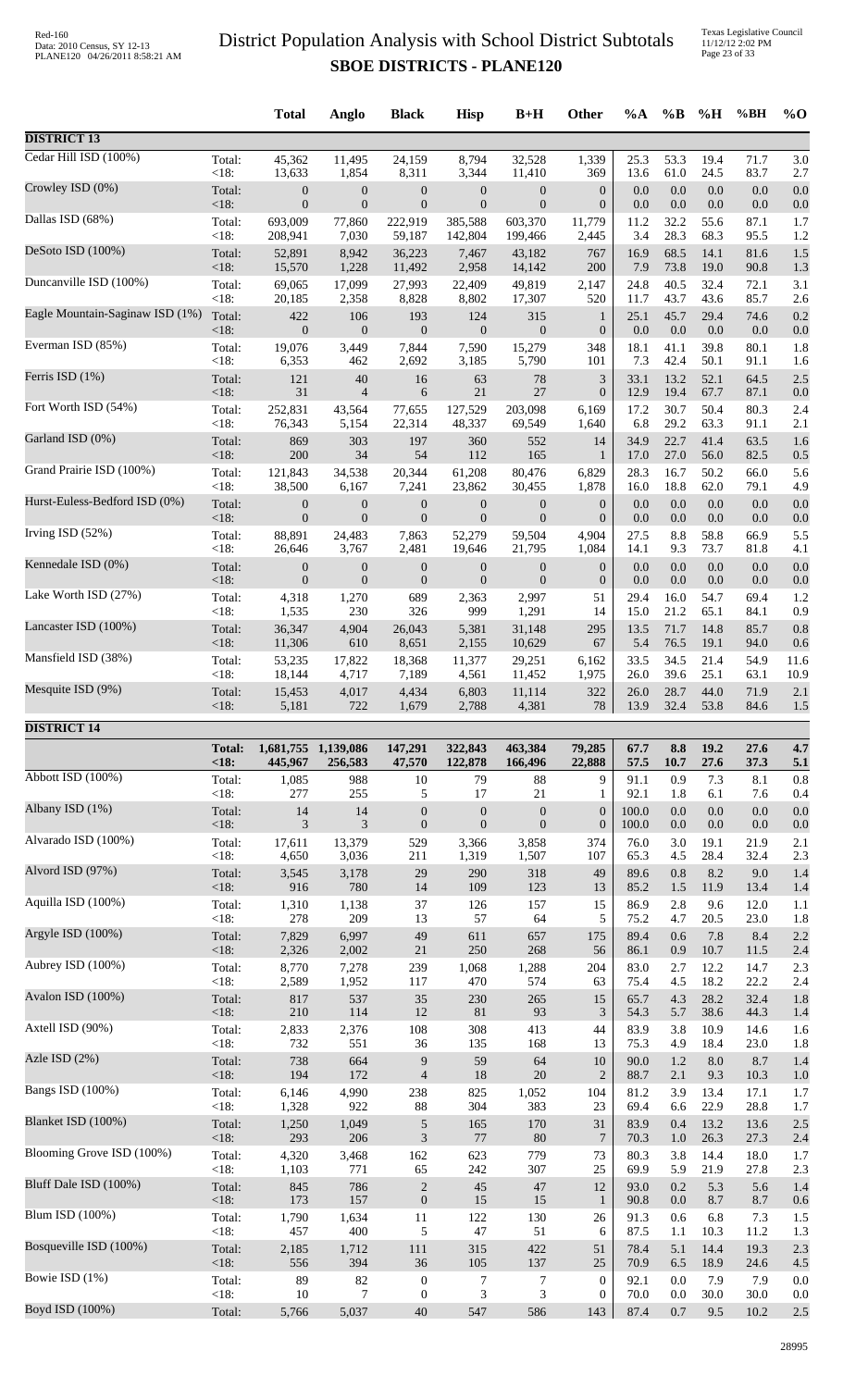Texas Legislative Council 11/12/12 2:02 PM Page 23 of 33

|                                 |                      | <b>Total</b>                   | Anglo            | <b>Black</b>      | <b>Hisp</b>        | $B+H$              | Other            | $\%A$        | $\%$ B       | %H           | %BH          | $%$ <sup>O</sup> |
|---------------------------------|----------------------|--------------------------------|------------------|-------------------|--------------------|--------------------|------------------|--------------|--------------|--------------|--------------|------------------|
| <b>DISTRICT 13</b>              |                      |                                |                  |                   |                    |                    |                  |              |              |              |              |                  |
| Cedar Hill ISD (100%)           | Total:               | 45,362                         | 11,495           | 24,159            | 8,794              | 32,528             | 1,339            | 25.3         | 53.3         | 19.4         | 71.7         | 3.0              |
|                                 | <18:                 | 13,633                         | 1,854            | 8,311             | 3,344              | 11,410             | 369              | 13.6         | 61.0         | 24.5         | 83.7         | 2.7              |
| Crowley ISD (0%)                | Total:               | $\boldsymbol{0}$               | $\boldsymbol{0}$ | $\boldsymbol{0}$  | $\boldsymbol{0}$   | $\boldsymbol{0}$   | $\boldsymbol{0}$ | 0.0          | 0.0          | 0.0          | 0.0          | 0.0              |
|                                 | $<18$ :              | $\boldsymbol{0}$               | $\boldsymbol{0}$ | $\boldsymbol{0}$  | $\boldsymbol{0}$   | $\mathbf{0}$       | $\boldsymbol{0}$ | 0.0          | 0.0          | 0.0          | 0.0          | 0.0              |
| Dallas ISD (68%)                | Total:               | 693,009                        | 77,860           | 222,919           | 385,588            | 603,370            | 11,779           | 11.2         | 32.2         | 55.6         | 87.1         | 1.7              |
|                                 | $<18$ :              | 208,941                        | 7,030            | 59,187            | 142,804            | 199,466            | 2,445            | 3.4          | 28.3         | 68.3         | 95.5         | 1.2              |
| DeSoto ISD (100%)               | Total:               | 52,891                         | 8,942            | 36,223            | 7,467              | 43,182             | 767              | 16.9         | 68.5         | 14.1         | 81.6         | 1.5              |
|                                 | <18:                 | 15,570                         | 1,228            | 11,492            | 2,958              | 14,142             | 200              | 7.9          | 73.8         | 19.0         | 90.8         | 1.3              |
| Duncanville ISD (100%)          | Total:               | 69,065                         | 17,099           | 27,993            | 22,409             | 49,819             | 2,147            | 24.8         | 40.5         | 32.4         | 72.1         | 3.1              |
|                                 | <18:                 | 20,185                         | 2,358            | 8,828             | 8,802              | 17,307             | 520              | 11.7         | 43.7         | 43.6         | 85.7         | 2.6              |
| Eagle Mountain-Saginaw ISD (1%) | Total:               | 422                            | 106              | 193               | 124                | 315                | $\mathbf{1}$     | 25.1         | 45.7         | 29.4         | 74.6         | 0.2              |
|                                 | $<18$ :              | $\boldsymbol{0}$               | $\boldsymbol{0}$ | $\boldsymbol{0}$  | $\boldsymbol{0}$   | $\mathbf{0}$       | $\boldsymbol{0}$ | 0.0          | 0.0          | 0.0          | 0.0          | 0.0              |
| Everman ISD (85%)               | Total:               | 19,076                         | 3,449            | 7,844             | 7,590              | 15,279             | 348              | 18.1         | 41.1         | 39.8         | 80.1         | 1.8              |
|                                 | <18:                 | 6,353                          | 462              | 2,692             | 3,185              | 5,790              | 101              | 7.3          | 42.4         | 50.1         | 91.1         | 1.6              |
| Ferris ISD (1%)                 | Total:               | 121                            | 40               | 16                | 63                 | 78                 | $\mathfrak{Z}$   | 33.1         | 13.2         | 52.1         | 64.5         | 2.5              |
|                                 | <18:                 | 31                             | $\overline{4}$   | 6                 | 21                 | 27                 | $\boldsymbol{0}$ | 12.9         | 19.4         | 67.7         | 87.1         | 0.0              |
| Fort Worth ISD (54%)            | Total:<br><18:       | 252,831                        | 43,564           | 77,655            | 127,529            | 203,098            | 6,169            | 17.2         | 30.7         | 50.4<br>63.3 | 80.3         | 2.4              |
| Garland ISD (0%)                | Total:               | 76,343<br>869                  | 5,154<br>303     | 22,314<br>197     | 48,337<br>360      | 69,549<br>552      | 1,640<br>14      | 6.8<br>34.9  | 29.2<br>22.7 | 41.4         | 91.1<br>63.5 | 2.1<br>1.6       |
| Grand Prairie ISD (100%)        | <18:                 | 200                            | 34               | 54                | 112                | 165                | 1                | 17.0         | 27.0         | 56.0         | 82.5         | 0.5              |
|                                 | Total:               | 121,843                        | 34,538           | 20,344            | 61,208             | 80,476             | 6,829            | 28.3         | 16.7         | 50.2         | 66.0         | 5.6              |
| Hurst-Euless-Bedford ISD (0%)   | <18:                 | 38,500                         | 6,167            | 7,241             | 23,862             | 30,455             | 1,878            | 16.0         | 18.8         | 62.0         | 79.1         | 4.9              |
|                                 | Total:               | $\boldsymbol{0}$               | $\boldsymbol{0}$ | $\boldsymbol{0}$  | $\boldsymbol{0}$   | $\boldsymbol{0}$   | $\boldsymbol{0}$ | 0.0          | 0.0          | 0.0          | 0.0          | 0.0              |
| Irving ISD (52%)                | $<18$ :              | $\overline{0}$                 | $\overline{0}$   | $\boldsymbol{0}$  | $\overline{0}$     | $\overline{0}$     | $\boldsymbol{0}$ | 0.0          | 0.0          | 0.0          | 0.0          | 0.0              |
|                                 | Total:               | 88,891                         | 24,483           | 7,863             | 52,279             | 59,504             | 4,904            | 27.5         | 8.8          | 58.8         | 66.9         | 5.5              |
| Kennedale ISD (0%)              | <18:                 | 26,646                         | 3,767            | 2,481             | 19,646             | 21,795             | 1,084            | 14.1         | 9.3          | 73.7         | 81.8         | 4.1              |
|                                 | Total:               | $\boldsymbol{0}$               | $\boldsymbol{0}$ | $\boldsymbol{0}$  | $\boldsymbol{0}$   | $\boldsymbol{0}$   | $\boldsymbol{0}$ | 0.0          | 0.0          | 0.0          | 0.0          | 0.0              |
| Lake Worth ISD (27%)            | <18:                 | $\mathbf{0}$                   | $\boldsymbol{0}$ | $\boldsymbol{0}$  | $\boldsymbol{0}$   | $\boldsymbol{0}$   | $\boldsymbol{0}$ | 0.0          | 0.0          | 0.0          | 0.0          | 0.0              |
|                                 | Total:               | 4,318                          | 1,270            | 689               | 2,363              | 2,997              | 51               | 29.4         | 16.0         | 54.7         | 69.4         | 1.2              |
| Lancaster ISD (100%)            | <18:                 | 1,535                          | 230              | 326               | 999                | 1,291              | 14               | 15.0         | 21.2         | 65.1         | 84.1         | 0.9              |
|                                 | Total:               | 36,347                         | 4,904            | 26,043            | 5,381              | 31,148             | 295              | 13.5         | 71.7         | 14.8         | 85.7         | 0.8              |
| Mansfield ISD (38%)             | <18:                 | 11,306                         | 610              | 8,651             | 2,155              | 10,629             | 67               | 5.4          | 76.5         | 19.1         | 94.0         | 0.6              |
|                                 | Total:               | 53,235                         | 17,822           | 18,368            | 11,377             | 29,251             | 6,162            | 33.5         | 34.5         | 21.4         | 54.9         | 11.6             |
| Mesquite ISD (9%)               | $<18$ :              | 18,144                         | 4,717            | 7,189             | 4,561              | 11,452             | 1,975            | 26.0         | 39.6         | 25.1         | 63.1         | 10.9             |
|                                 | Total:               | 15,453                         | 4,017            | 4,434             | 6,803              | 11,114             | 322              | 26.0         | 28.7         | 44.0         | 71.9         | 2.1              |
|                                 | <18:                 | 5,181                          | 722              | 1,679             | 2,788              | 4,381              | 78               | 13.9         | 32.4         | 53.8         | 84.6         | 1.5              |
| <b>DISTRICT 14</b>              |                      |                                |                  |                   |                    |                    |                  |              |              |              |              |                  |
|                                 | <b>Total:</b><br><18 | 1,681,755 1,139,086<br>445,967 | 256,583          | 147,291<br>47,570 | 322,843<br>122,878 | 463,384<br>166,496 | 79,285<br>22,888 | 67.7<br>57.5 | 8.8<br>10.7  | 19.2<br>27.6 | 27.6<br>37.3 | 4.7<br>5.1       |
| Abbott ISD (100%)               | Total:               | 1,085                          | 988              | $10\,$            | 79                 | 88                 | 9                | 91.1         | 0.9          | 7.3          | 8.1          | 0.8              |
|                                 | <18:                 | 277                            | 255              | 5                 | 17                 | 21                 | $\mathbf{1}$     | 92.1         | 1.8          | 6.1          | 7.6          | 0.4              |
| Albany ISD (1%)                 | Total:               | 14                             | 14               | $\boldsymbol{0}$  | $\boldsymbol{0}$   | $\boldsymbol{0}$   | $\boldsymbol{0}$ | 100.0        | 0.0          | 0.0          | 0.0          | 0.0              |
|                                 | $<18$ :              | 3                              | 3                | $\mathbf{0}$      | $\boldsymbol{0}$   | $\boldsymbol{0}$   | $\boldsymbol{0}$ | 100.0        | 0.0          | $0.0\,$      | 0.0          | 0.0              |
| Alvarado ISD (100%)             | Total:               | 17,611                         | 13,379           | 529               | 3,366              | 3,858              | 374              | 76.0         | 3.0          | 19.1         | 21.9         | 2.1              |
|                                 | $<18$ :              | 4,650                          | 3,036            | 211               | 1,319              | 1,507              | 107              | 65.3         | 4.5          | 28.4         | 32.4         | 2.3              |
| Alvord ISD (97%)                | Total:               | 3,545                          | 3,178            | 29                | 290                | 318                | 49               | 89.6         | 0.8          | 8.2          | 9.0          | 1.4              |
|                                 | <18:                 | 916                            | 780              | 14                | 109                | 123                | 13               | 85.2         | 1.5          | 11.9         | 13.4         | 1.4              |
| Aquilla ISD (100%)              | Total:               | 1,310                          | 1,138            | 37                | 126                | 157                | 15               | 86.9         | 2.8          | 9.6          | 12.0         | 1.1              |
| Argyle ISD (100%)               | <18:                 | 278                            | 209              | 13                | 57                 | 64                 | 5                | 75.2         | 4.7          | 20.5         | 23.0         | 1.8              |
|                                 | Total:               | 7,829                          | 6,997            | 49                | 611                | 657                | 175              | 89.4         | 0.6          | 7.8          | 8.4          | 2.2              |
| Aubrey ISD (100%)               | <18:                 | 2,326                          | 2,002            | $21\,$            | 250                | 268                | 56               | 86.1         | 0.9          | 10.7         | 11.5         | 2.4              |
|                                 | Total:               | 8,770                          | 7,278            | 239               | 1,068              | 1,288              | 204              | 83.0         | 2.7          | 12.2         | 14.7         | 2.3              |
| Avalon ISD (100%)               | <18:                 | 2,589                          | 1,952            | 117               | 470                | 574                | 63               | 75.4         | 4.5          | 18.2         | 22.2         | 2.4              |
|                                 | Total:               | 817                            | 537              | 35                | 230                | 265                | 15               | 65.7         | 4.3          | 28.2         | 32.4         | 1.8              |
| Axtell ISD (90%)                | <18:                 | 210                            | 114              | 12                | 81                 | 93                 | $\mathfrak{Z}$   | 54.3         | 5.7          | 38.6         | 44.3         | 1.4              |
|                                 | Total:               | 2,833                          | 2,376            | 108               | 308                | 413                | 44               | 83.9         | 3.8          | 10.9         | 14.6         | 1.6              |
| Azle ISD (2%)                   | < 18:                | 732                            | 551              | 36                | 135                | 168                | 13               | 75.3         | 4.9          | 18.4         | 23.0         | 1.8              |
|                                 | Total:               | 738                            | 664              | $\overline{9}$    | 59                 | 64                 | $10\,$           | 90.0         | 1.2          | $8.0\,$      | 8.7          | 1.4              |
| Bangs ISD (100%)                | <18:                 | 194                            | 172              | $\overline{4}$    | 18                 | 20                 | $\overline{2}$   | 88.7         | 2.1          | 9.3          | 10.3         | 1.0              |
|                                 | Total:               | 6,146                          | 4,990            | 238               | 825                | 1,052              | 104              | 81.2         | 3.9          | 13.4         | 17.1         | 1.7              |
| Blanket ISD (100%)              | <18:                 | 1,328                          | 922              | 88                | 304                | 383                | 23               | 69.4         | 6.6          | 22.9         | 28.8         | 1.7              |
|                                 | Total:               | 1,250                          | 1,049            | $\sqrt{5}$        | 165                | 170                | 31               | 83.9         | 0.4          | 13.2         | 13.6         | 2.5              |
| Blooming Grove ISD (100%)       | <18:                 | 293                            | 206              | $\mathfrak{Z}$    | $77\,$             | 80                 | 7                | 70.3         | 1.0          | 26.3         | 27.3         | 2.4              |
|                                 | Total:               | 4,320                          | 3,468            | 162               | 623                | 779                | 73               | 80.3         | 3.8          | 14.4         | 18.0         | 1.7              |
| Bluff Dale ISD (100%)           |                      |                                |                  |                   |                    | 307                | 25               | 69.9         | 5.9          | 21.9         | 27.8         | 2.3              |
|                                 | <18:<br>Total:       | 1,103<br>845                   | 771<br>786       | 65<br>$\sqrt{2}$  | 242<br>$45\,$      | 47                 | 12               | 93.0         | 0.2          | 5.3          | 5.6          | 1.4              |
| Blum ISD (100%)                 | <18:                 | 173                            | 157              | $\boldsymbol{0}$  | 15                 | 15                 | $\mathbf{1}$     | 90.8         | $0.0\,$      | 8.7          | 8.7          | 0.6              |
|                                 | Total:               | 1,790                          | 1,634            | 11                | 122                | 130                | 26               | 91.3         | 0.6          | 6.8          | 7.3          | 1.5              |
| Bosqueville ISD (100%)          | <18:                 | 457                            | 400              | 5                 | $47\,$             | 51                 | 6                | 87.5         | 1.1          | 10.3         | 11.2         | 1.3              |
|                                 | Total:               | 2,185                          | 1,712            | 111               | 315                | 422                | 51               | 78.4         | 5.1          | 14.4         | 19.3         | 2.3              |
| Bowie ISD (1%)                  | <18:                 | 556                            | 394              | 36                | 105                | 137                | 25               | 70.9         | 6.5          | 18.9         | 24.6         | 4.5              |
|                                 | Total:               | 89                             | 82               | $\boldsymbol{0}$  | 7                  | 7                  | $\mathbf{0}$     | 92.1         | 0.0          | 7.9          | 7.9          | 0.0              |
|                                 | <18:                 | 10                             | 7                | $\boldsymbol{0}$  | 3                  | 3                  | $\boldsymbol{0}$ | 70.0         | 0.0          | 30.0         | 30.0         | 0.0              |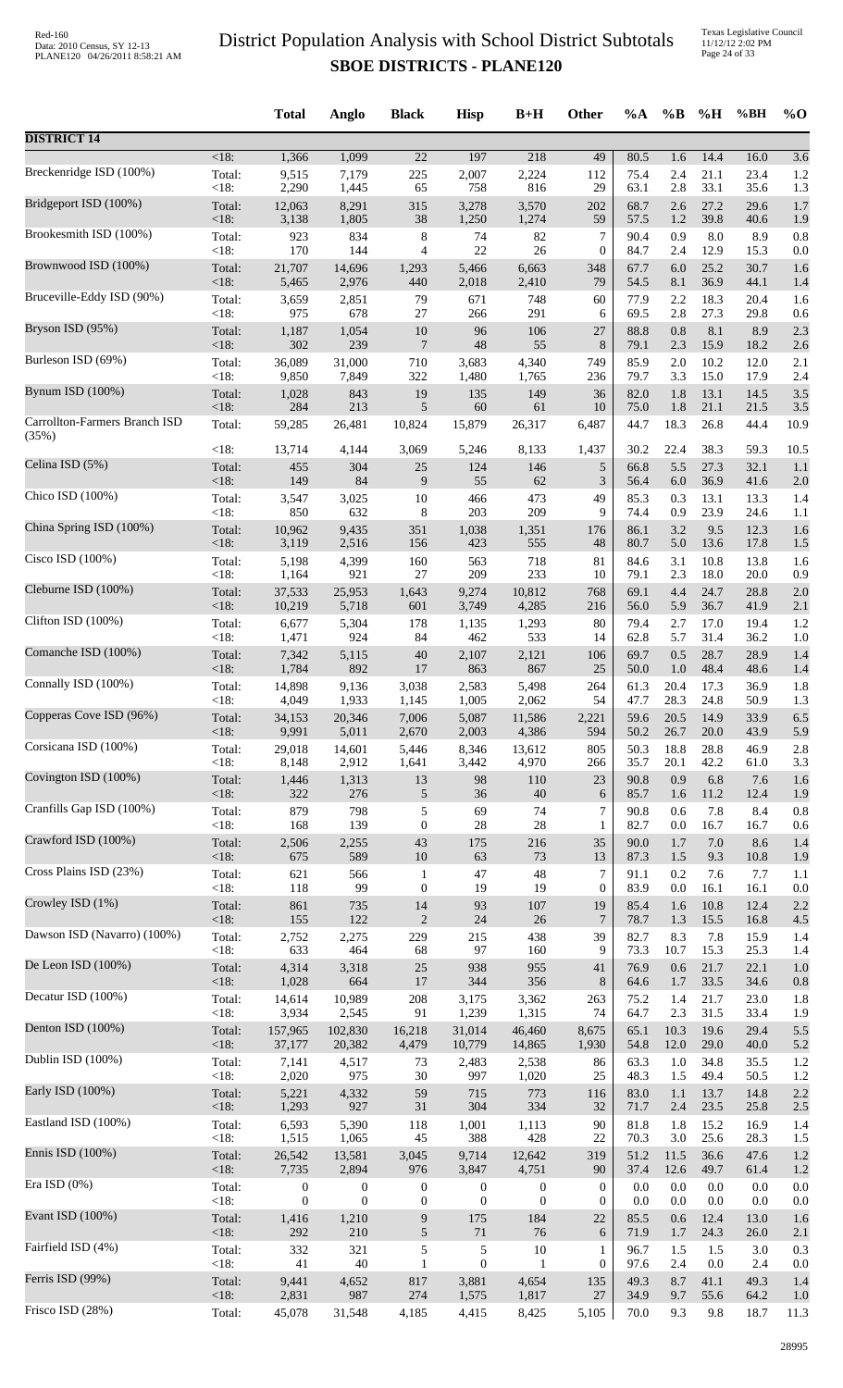Texas Legislative Council 11/12/12 2:02 PM Page 24 of 33

|                                        |                | <b>Total</b>                       | Anglo                            | <b>Black</b>                     | <b>Hisp</b>                          | $B+H$                        | <b>Other</b>                         | $\%A$        | $\%B$      | %H           | %BH          | $\%$ O           |
|----------------------------------------|----------------|------------------------------------|----------------------------------|----------------------------------|--------------------------------------|------------------------------|--------------------------------------|--------------|------------|--------------|--------------|------------------|
| <b>DISTRICT 14</b>                     |                |                                    |                                  |                                  |                                      |                              |                                      |              |            |              |              |                  |
| Breckenridge ISD (100%)                | <18:           | 1,366                              | 1,099                            | $\overline{22}$                  | 197                                  | 218                          | 49                                   | 80.5         | 1.6        | 14.4         | 16.0         | $\overline{3.6}$ |
|                                        | Total:         | 9,515                              | 7,179                            | 225                              | 2,007                                | 2,224                        | 112                                  | 75.4         | 2.4        | 21.1         | 23.4         | 1.2              |
|                                        | <18:           | 2,290                              | 1,445                            | 65                               | 758                                  | 816                          | 29                                   | 63.1         | 2.8        | 33.1         | 35.6         | 1.3              |
| Bridgeport ISD (100%)                  | Total:         | 12,063                             | 8,291                            | 315                              | 3,278                                | 3,570                        | 202                                  | 68.7         | 2.6        | 27.2         | 29.6         | 1.7              |
|                                        | <18:           | 3,138                              | 1,805                            | 38                               | 1,250                                | 1,274                        | 59                                   | 57.5         | $1.2\,$    | 39.8         | 40.6         | 1.9              |
| Brookesmith ISD (100%)                 | Total:         | 923                                | 834                              | $\,$ 8 $\,$                      | 74                                   | 82                           | 7                                    | 90.4         | 0.9        | 8.0          | 8.9          | 0.8              |
|                                        | <18:           | 170                                | 144                              | $\overline{4}$                   | 22                                   | 26                           | $\boldsymbol{0}$                     | 84.7         | 2.4        | 12.9         | 15.3         | 0.0              |
| Brownwood ISD (100%)                   | Total:         | 21,707                             | 14,696                           | 1,293                            | 5,466                                | 6,663                        | 348                                  | 67.7         | 6.0        | 25.2         | 30.7         | 1.6              |
| Bruceville-Eddy ISD (90%)              | <18:           | 5,465                              | 2,976                            | 440                              | 2,018                                | 2,410                        | 79                                   | 54.5         | 8.1        | 36.9         | 44.1         | 1.4              |
|                                        | Total:         | 3,659                              | 2,851                            | 79                               | 671                                  | 748                          | 60                                   | 77.9         | 2.2        | 18.3         | 20.4         | 1.6              |
| Bryson ISD (95%)                       | <18:           | 975                                | 678                              | $27\,$                           | 266                                  | 291                          | 6                                    | 69.5         | 2.8        | 27.3         | 29.8         | 0.6              |
|                                        | Total:         | 1,187                              | 1,054                            | $10\,$                           | 96                                   | 106                          | 27                                   | 88.8         | 0.8        | 8.1          | 8.9          | 2.3              |
|                                        | <18:           | 302                                | 239                              | $\overline{7}$                   | 48                                   | 55                           | $8\,$                                | 79.1         | 2.3        | 15.9         | 18.2         | 2.6              |
| Burleson ISD (69%)                     | Total:         | 36,089                             | 31,000                           | 710                              | 3,683                                | 4,340                        | 749                                  | 85.9         | 2.0        | 10.2         | 12.0         | 2.1              |
|                                        | <18:           | 9,850                              | 7,849                            | 322                              | 1,480                                | 1,765                        | 236                                  | 79.7         | 3.3        | 15.0         | 17.9         | 2.4              |
| Bynum ISD (100%)                       | Total:         | 1,028                              | 843                              | 19                               | 135                                  | 149                          | 36                                   | 82.0         | 1.8        | 13.1         | 14.5         | 3.5              |
|                                        | $<18$ :        | 284                                | 213                              | 5                                | 60                                   | 61                           | 10                                   | 75.0         | 1.8        | 21.1         | 21.5         | 3.5              |
| Carrollton-Farmers Branch ISD<br>(35%) | Total:         | 59,285                             | 26,481                           | 10,824                           | 15,879                               | 26,317                       | 6,487                                | 44.7         | 18.3       | 26.8         | 44.4         | 10.9             |
| Celina ISD (5%)                        | <18:           | 13,714                             | 4,144                            | 3,069                            | 5,246                                | 8,133                        | 1,437                                | 30.2         | 22.4       | 38.3         | 59.3         | 10.5             |
|                                        | Total:         | 455                                | 304                              | $25\,$                           | 124                                  | 146                          | $\sqrt{5}$                           | 66.8         | 5.5        | 27.3         | 32.1         | 1.1              |
|                                        | <18:           | 149                                | 84                               | 9                                | 55                                   | 62                           | $\mathfrak{Z}$                       | 56.4         | 6.0        | 36.9         | 41.6         | 2.0              |
| Chico ISD (100%)                       | Total:         | 3,547                              | 3,025                            | 10                               | 466                                  | 473                          | 49                                   | 85.3         | 0.3        | 13.1         | 13.3         | 1.4              |
|                                        | <18:           | 850                                | 632                              | 8                                | 203                                  | 209                          | 9                                    | 74.4         | 0.9        | 23.9         | 24.6         | 1.1              |
| China Spring ISD (100%)                | Total:         | 10,962                             | 9,435                            | 351                              | 1,038                                | 1,351                        | 176                                  | 86.1         | 3.2        | 9.5          | 12.3         | 1.6              |
|                                        | <18:           | 3,119                              | 2,516                            | 156                              | 423                                  | 555                          | 48                                   | 80.7         | 5.0        | 13.6         | 17.8         | 1.5              |
| Cisco ISD (100%)                       | Total:         | 5,198                              | 4,399                            | 160                              | 563                                  | 718                          | 81                                   | 84.6         | 3.1        | 10.8         | 13.8         | 1.6              |
| Cleburne ISD (100%)                    | <18:           | 1,164                              | 921                              | $27\,$                           | 209                                  | 233                          | 10                                   | 79.1         | 2.3        | 18.0         | 20.0         | 0.9              |
|                                        | Total:         | 37,533                             | 25,953                           | 1,643                            | 9,274                                | 10,812                       | 768                                  | 69.1         | 4.4        | 24.7         | 28.8         | 2.0              |
| Clifton ISD (100%)                     | $<18$ :        | 10,219                             | 5,718                            | 601                              | 3,749                                | 4,285                        | 216                                  | 56.0         | 5.9        | 36.7         | 41.9         | 2.1              |
|                                        | Total:         | 6,677                              | 5,304                            | 178                              | 1,135                                | 1,293                        | 80                                   | 79.4         | 2.7        | 17.0         | 19.4         | 1.2              |
|                                        | <18:           | 1,471                              | 924                              | 84                               | 462                                  | 533                          | 14                                   | 62.8         | 5.7        | 31.4         | 36.2         | 1.0              |
| Comanche ISD (100%)                    | Total:         | 7,342                              | 5,115                            | $40\,$                           | 2,107                                | 2,121                        | 106                                  | 69.7         | 0.5        | 28.7         | 28.9         | 1.4              |
|                                        | $<18$ :        | 1,784                              | 892                              | 17                               | 863                                  | 867                          | 25                                   | 50.0         | 1.0        | 48.4         | 48.6         | 1.4              |
| Connally ISD (100%)                    | Total:         | 14,898                             | 9,136                            | 3,038                            | 2,583                                | 5,498                        | 264                                  | 61.3         | 20.4       | 17.3         | 36.9         | 1.8              |
|                                        | $<18$ :        | 4,049                              | 1,933                            | 1,145                            | 1,005                                | 2,062                        | 54                                   | 47.7         | 28.3       | 24.8         | 50.9         | 1.3              |
| Copperas Cove ISD (96%)                | Total:         | 34,153                             | 20,346                           | 7,006                            | 5,087                                | 11,586                       | 2,221                                | 59.6         | 20.5       | 14.9         | 33.9         | 6.5              |
| Corsicana ISD (100%)                   | $<18$ :        | 9,991                              | 5,011                            | 2,670                            | 2,003                                | 4,386                        | 594                                  | 50.2         | 26.7       | 20.0         | 43.9         | 5.9              |
|                                        | Total:         | 29,018                             | 14,601                           | 5,446                            | 8,346                                | 13,612                       | 805                                  | 50.3         | 18.8       | 28.8         | 46.9         | 2.8              |
| Covington ISD (100%)                   | $<18$ :        | 8,148                              | 2,912                            | 1,641                            | 3,442                                | 4,970                        | 266                                  | 35.7         | 20.1       | 42.2         | 61.0         | 3.3              |
|                                        | Total:         | 1,446                              | 1,313                            | $13\,$                           | $\mathbf{98}$                        | 110                          | 23                                   | 90.8         | 0.9        | 6.8          | 7.6          | 1.6              |
| Cranfills Gap ISD (100%)               | <18:           | 322                                | 276                              | $\sqrt{5}$                       | 36                                   | 40                           | 6                                    | 85.7         | 1.6        | 11.2         | 12.4         | 1.9              |
|                                        | Total:         | 879                                | 798                              | $\sqrt{5}$                       | 69                                   | 74                           | 7                                    | 90.8         | 0.6        | 7.8          | 8.4          | 0.8              |
|                                        | < 18:          | 168                                | 139                              | $\boldsymbol{0}$                 | $28\,$                               | 28                           | 1                                    | 82.7         | 0.0        | 16.7         | 16.7         | 0.6              |
| Crawford ISD (100%)                    | Total:         | 2,506                              | 2,255                            | $43\,$                           | 175                                  | 216                          | 35                                   | 90.0         | 1.7        | $7.0\,$      | 8.6          | 1.4              |
|                                        | <18:           | 675                                | 589                              | $10\,$                           | 63                                   | 73                           | 13                                   | 87.3         | 1.5        | 9.3          | 10.8         | 1.9              |
| Cross Plains ISD (23%)                 | Total:         | 621                                | 566                              | $\mathbf{1}$                     | $47\,$                               | 48                           | $\overline{7}$                       | 91.1         | 0.2        | 7.6          | 7.7          | 1.1              |
|                                        | < 18:          | 118                                | 99                               | $\boldsymbol{0}$                 | 19                                   | 19                           | $\boldsymbol{0}$                     | 83.9         | $0.0\,$    | 16.1         | 16.1         | 0.0              |
| Crowley ISD (1%)                       | Total:<br><18: | 861<br>155                         | 735<br>122                       | 14                               | 93<br>$24\,$                         | 107<br>$26\,$                | 19<br>7                              | 85.4<br>78.7 | 1.6        | 10.8<br>15.5 | 12.4         | 2.2              |
| Dawson ISD (Navarro) (100%)            | Total:         | 2,752                              | 2,275                            | $\mathbf{2}$<br>229              | 215                                  | 438                          | 39                                   | 82.7         | 1.3<br>8.3 | 7.8          | 16.8<br>15.9 | 4.5<br>1.4       |
| De Leon ISD (100%)                     | < 18:          | 633                                | 464                              | 68                               | 97                                   | 160                          | 9                                    | 73.3         | 10.7       | 15.3         | 25.3         | 1.4              |
|                                        | Total:         | 4,314                              | 3,318                            | $25\,$                           | 938                                  | 955                          | 41                                   | 76.9         | 0.6        | 21.7         | 22.1         | 1.0              |
| Decatur ISD (100%)                     | <18:           | 1,028                              | 664                              | $17\,$                           | 344                                  | 356                          | $8\,$                                | 64.6         | 1.7        | 33.5         | 34.6         | 0.8              |
|                                        | Total:         | 14,614                             | 10,989                           | 208                              | 3,175                                | 3,362                        | 263                                  | 75.2         | 1.4        | 21.7         | 23.0         | 1.8              |
|                                        | <18:           | 3,934                              | 2,545                            | 91                               | 1,239                                | 1,315                        | 74                                   | 64.7         | 2.3        | 31.5         | 33.4         | 1.9              |
| Denton ISD (100%)                      | Total:         | 157,965                            | 102,830                          | 16,218                           | 31,014                               | 46,460                       | 8,675                                | 65.1         | 10.3       | 19.6         | 29.4         | 5.5              |
|                                        | <18:           | 37,177                             | 20,382                           | 4,479                            | 10,779                               | 14,865                       | 1,930                                | 54.8         | $12.0\,$   | 29.0         | 40.0         | 5.2              |
| Dublin ISD (100%)                      | Total:         | 7,141                              | 4,517                            | 73                               | 2,483                                | 2,538                        | 86                                   | 63.3         | 1.0        | 34.8         | 35.5         | 1.2              |
|                                        | <18:           | 2,020                              | 975                              | 30                               | 997                                  | 1,020                        | 25                                   | 48.3         | 1.5        | 49.4         | 50.5         | 1.2              |
| Early ISD (100%)                       | Total:         | 5,221                              | 4,332                            | 59                               | 715                                  | 773                          | 116                                  | 83.0         | 1.1        | 13.7         | 14.8         | 2.2              |
|                                        | <18:           | 1,293                              | 927                              | $31\,$                           | 304                                  | 334                          | 32                                   | 71.7         | 2.4        | 23.5         | 25.8         | 2.5              |
| Eastland ISD (100%)                    | Total:         | 6,593                              | 5,390                            | 118                              | 1,001                                | 1,113                        | 90                                   | 81.8         | 1.8        | 15.2         | 16.9         | 1.4              |
| Ennis ISD (100%)                       | < 18:          | 1,515                              | 1,065                            | 45                               | 388                                  | 428                          | 22                                   | 70.3         | $3.0\,$    | 25.6         | 28.3         | 1.5              |
|                                        | Total:         | 26,542                             | 13,581                           | 3,045                            | 9,714                                | 12,642                       | 319                                  | 51.2         | 11.5       | 36.6         | 47.6         | 1.2              |
| Era ISD $(0\%)$                        | <18:           | 7,735                              | 2,894                            | 976                              | 3,847                                | 4,751                        | 90                                   | 37.4<br>0.0  | 12.6       | 49.7<br>0.0  | 61.4         | 1.2              |
|                                        | Total:<br><18: | $\boldsymbol{0}$<br>$\overline{0}$ | $\boldsymbol{0}$<br>$\mathbf{0}$ | $\boldsymbol{0}$<br>$\mathbf{0}$ | $\boldsymbol{0}$<br>$\boldsymbol{0}$ | $\boldsymbol{0}$<br>$\theta$ | $\boldsymbol{0}$<br>$\boldsymbol{0}$ | 0.0          | 0.0<br>0.0 | 0.0          | 0.0<br>0.0   | 0.0<br>0.0       |
| Evant ISD (100%)                       | Total:         | 1,416                              | 1,210                            | 9                                | 175                                  | 184                          | 22                                   | 85.5         | 0.6        | 12.4         | 13.0         | 1.6              |
|                                        | < 18:          | 292                                | 210                              | $\sqrt{5}$                       | $71\,$                               | 76                           | 6                                    | 71.9         | 1.7        | 24.3         | 26.0         | 2.1              |
| Fairfield ISD (4%)                     | Total:         | 332                                | 321                              | $\sqrt{5}$                       | 5                                    | 10                           | 1                                    | 96.7         | 1.5        | 1.5          | 3.0          | 0.3              |
|                                        | <18:           | 41                                 | 40                               | $\mathbf{1}$                     | $\mathbf{0}$                         | 1                            | $\boldsymbol{0}$                     | 97.6         | 2.4        | 0.0          | 2.4          | 0.0              |
| Ferris ISD (99%)                       | Total:         | 9,441                              | 4,652                            | 817                              | 3,881                                | 4,654                        | 135                                  | 49.3         | 8.7        | 41.1         | 49.3         | 1.4              |
| Frisco ISD (28%)                       | <18:           | 2,831                              | 987                              | 274                              | 1,575                                | 1,817                        | 27                                   | 34.9         | 9.7        | 55.6         | 64.2         | 1.0              |
|                                        | Total:         | 45,078                             | 31,548                           | 4,185                            | 4,415                                | 8,425                        | 5,105                                | 70.0         | 9.3        | 9.8          | 18.7         | 11.3             |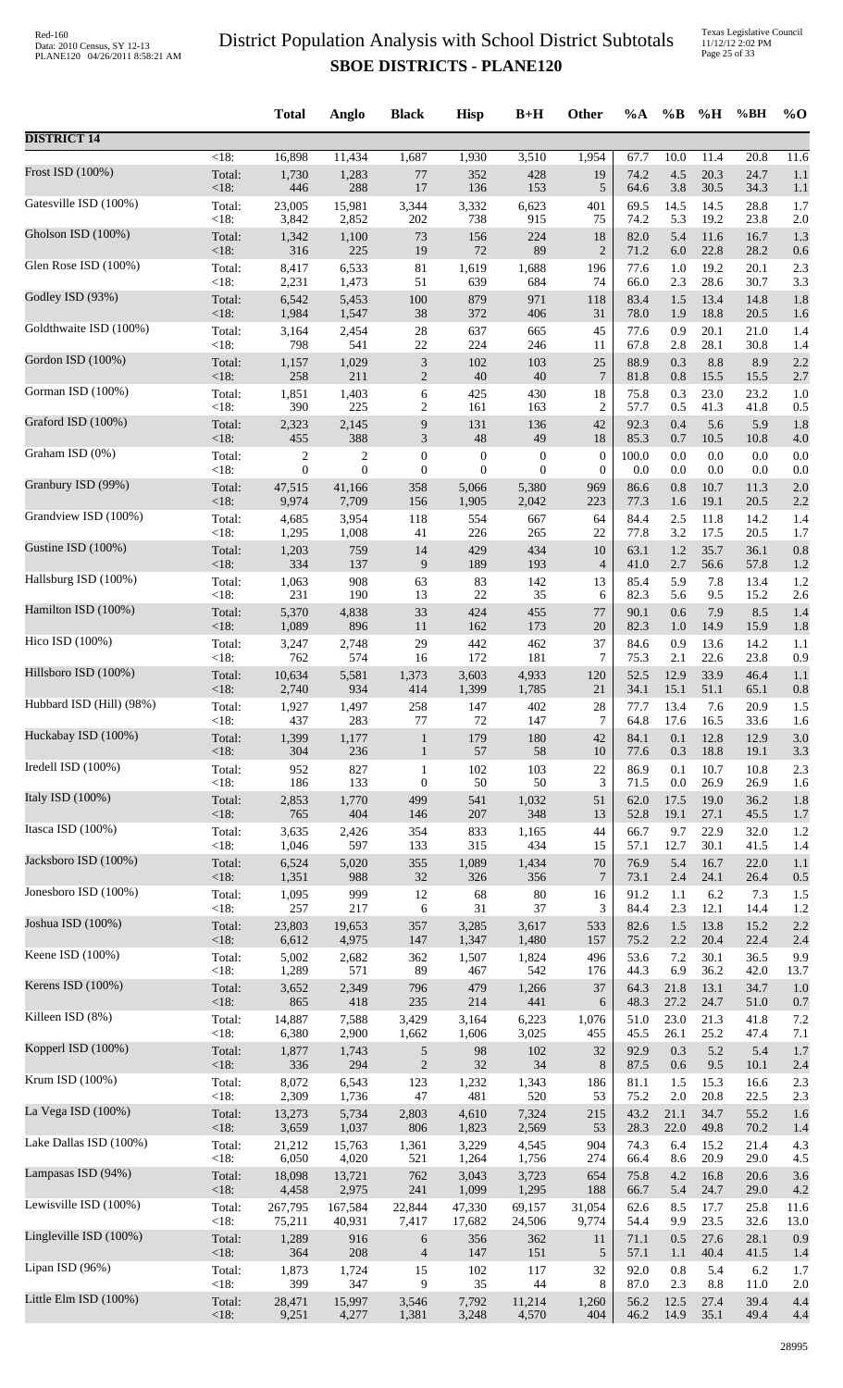|                          |                    | <b>Total</b>     | Anglo            | <b>Black</b>                | <b>Hisp</b>      | $B+H$            | Other            | %A           | $\%B$       | %H           | %BH               | $\%$ O     |
|--------------------------|--------------------|------------------|------------------|-----------------------------|------------------|------------------|------------------|--------------|-------------|--------------|-------------------|------------|
| <b>DISTRICT 14</b>       |                    |                  |                  |                             |                  |                  |                  |              |             |              |                   |            |
| Frost ISD (100%)         | $\overline{<}18$ : | 16,898           | 11,434           | 1,687                       | 1,930            | 3,510            | 1,954            | 67.7         | 10.0        | 11.4         | $\overline{20.8}$ | 11.6       |
|                          | Total:             | 1,730            | 1,283            | $77\,$                      | 352              | 428              | 19               | 74.2         | 4.5         | 20.3         | 24.7              | 1.1        |
|                          | < 18:              | 446              | 288              | 17                          | 136              | 153              | 5                | 64.6         | 3.8         | 30.5         | 34.3              | 1.1        |
| Gatesville ISD (100%)    | Total:             | 23,005           | 15,981           | 3,344                       | 3,332            | 6,623            | 401              | 69.5         | 14.5        | 14.5         | 28.8              | 1.7        |
|                          | < 18:              | 3,842            | 2,852            | 202                         | 738              | 915              | 75               | 74.2         | 5.3         | 19.2         | 23.8              | 2.0        |
| Gholson ISD (100%)       | Total:             | 1,342            | 1,100            | 73                          | 156              | 224              | 18               | 82.0         | 5.4         | 11.6         | 16.7              | 1.3        |
| Glen Rose ISD (100%)     | <18:               | 316              | 225              | 19                          | 72               | 89               | $\overline{2}$   | 71.2         | 6.0         | 22.8         | 28.2              | 0.6        |
|                          | Total:             | 8,417            | 6,533            | 81                          | 1,619            | 1,688            | 196              | 77.6         | 1.0         | 19.2         | 20.1              | 2.3        |
| Godley ISD (93%)         | < 18:              | 2,231            | 1,473            | 51                          | 639              | 684              | 74               | 66.0         | 2.3         | 28.6         | 30.7              | 3.3        |
|                          | Total:             | 6,542            | 5,453            | 100                         | 879              | 971              | 118              | 83.4         | 1.5         | 13.4         | 14.8              | 1.8        |
| Goldthwaite ISD (100%)   | <18:<br>Total:     | 1,984            | 1,547            | 38<br>28                    | 372<br>637       | 406<br>665       | 31<br>45         | 78.0<br>77.6 | 1.9<br>0.9  | 18.8<br>20.1 | 20.5<br>21.0      | 1.6        |
|                          | $<18$ :            | 3,164<br>798     | 2,454<br>541     | $22\,$                      | 224              | 246              | 11               | 67.8         | 2.8         | 28.1         | 30.8              | 1.4<br>1.4 |
| Gordon ISD (100%)        | Total:             | 1,157            | 1,029            | $\ensuremath{\mathfrak{Z}}$ | 102              | 103              | 25               | 88.9         | 0.3         | 8.8          | 8.9               | 2.2        |
|                          | < 18:              | 258              | 211              | $\mathfrak{2}$              | $40\,$           | 40               | $\overline{7}$   | 81.8         | 0.8         | 15.5         | 15.5              | 2.7        |
| Gorman ISD (100%)        | Total:             | 1,851            | 1,403            | $\sqrt{6}$                  | 425              | 430              | 18               | 75.8         | 0.3         | 23.0         | 23.2              | 1.0        |
|                          | < 18:              | 390              | 225              | 2                           | 161              | 163              | $\overline{2}$   | 57.7         | 0.5         | 41.3         | 41.8              | 0.5        |
| Graford ISD (100%)       | Total:             | 2,323            | 2,145            | 9                           | 131              | 136              | 42               | 92.3         | 0.4         | 5.6          | 5.9               | 1.8        |
|                          | < 18:              | 455              | 388              | $\mathfrak{Z}$              | $\sqrt{48}$      | 49               | 18               | 85.3         | 0.7         | 10.5         | 10.8              | 4.0        |
| Graham ISD (0%)          | Total:             | $\boldsymbol{2}$ | $\boldsymbol{2}$ | $\boldsymbol{0}$            | $\boldsymbol{0}$ | $\boldsymbol{0}$ | $\boldsymbol{0}$ | 100.0        | 0.0         | 0.0          | 0.0               | 0.0        |
|                          | < 18:              | $\boldsymbol{0}$ | $\overline{0}$   | $\boldsymbol{0}$            | $\overline{0}$   | $\theta$         | $\boldsymbol{0}$ | 0.0          | 0.0         | 0.0          | 0.0               | 0.0        |
| Granbury ISD (99%)       | Total:             | 47,515           | 41,166           | 358                         | 5,066            | 5,380            | 969              | 86.6         | 0.8         | 10.7         | 11.3              | 2.0        |
| Grandview ISD (100%)     | <18:               | 9,974            | 7,709            | 156                         | 1,905            | 2,042            | 223              | 77.3         | 1.6         | 19.1         | 20.5              | 2.2        |
|                          | Total:             | 4,685            | 3,954            | 118                         | 554              | 667              | 64               | 84.4         | 2.5         | 11.8         | 14.2              | 1.4        |
| Gustine ISD (100%)       | < 18:              | 1,295            | 1,008            | 41                          | 226              | 265              | 22               | 77.8         | 3.2         | 17.5         | 20.5              | 1.7        |
|                          | Total:             | 1,203            | 759              | 14                          | 429              | 434              | 10               | 63.1         | 1.2         | 35.7         | 36.1              | 0.8        |
|                          | <18:               | 334              | 137              | 9                           | 189              | 193              | $\overline{4}$   | 41.0         | 2.7         | 56.6         | 57.8              | 1.2        |
| Hallsburg ISD (100%)     | Total:             | 1,063            | 908              | 63                          | 83               | 142              | 13               | 85.4         | 5.9         | 7.8          | 13.4              | 1.2        |
|                          | < 18:              | 231              | 190              | 13                          | $22\,$           | 35               | 6                | 82.3         | 5.6         | 9.5          | 15.2              | 2.6        |
| Hamilton ISD (100%)      | Total:             | 5,370            | 4,838            | 33                          | 424              | 455              | 77               | 90.1         | 0.6         | 7.9          | 8.5               | 1.4        |
|                          | <18:               | 1,089            | 896              | 11                          | 162              | 173              | 20               | 82.3         | 1.0         | 14.9         | 15.9              | 1.8        |
| Hico ISD (100%)          | Total:<br><18:     | 3,247<br>762     | 2,748<br>574     | 29                          | 442<br>172       | 462              | 37<br>7          | 84.6<br>75.3 | 0.9         | 13.6<br>22.6 | 14.2              | 1.1        |
| Hillsboro ISD (100%)     | Total:             | 10,634           | 5,581            | 16<br>1,373                 | 3,603            | 181<br>4,933     | 120              | 52.5         | 2.1<br>12.9 | 33.9         | 23.8<br>46.4      | 0.9<br>1.1 |
| Hubbard ISD (Hill) (98%) | <18:               | 2,740            | 934              | 414                         | 1,399            | 1,785            | 21               | 34.1         | 15.1        | 51.1         | 65.1              | 0.8        |
|                          | Total:             | 1,927            | 1,497            | 258                         | 147              | 402              | 28               | 77.7         | 13.4        | 7.6          | 20.9              | 1.5        |
| Huckabay ISD (100%)      | < 18:              | 437              | 283              | 77                          | 72               | 147              | $\boldsymbol{7}$ | 64.8         | 17.6        | 16.5         | 33.6              | 1.6        |
|                          | Total:             | 1,399            | 1,177            | $\mathbf{1}$                | 179              | 180              | 42               | 84.1         | 0.1         | 12.8         | 12.9              | 3.0        |
| Iredell ISD (100%)       | < 18:              | 304              | 236              | $\mathbf{1}$                | 57               | 58               | 10               | 77.6         | 0.3         | 18.8         | 19.1              | 3.3        |
|                          | Total:             | 952              | 827              | $\mathbf{1}$                | 102              | 103              | 22               | 86.9         | 0.1         | 10.7         | 10.8              | 2.3        |
| Italy ISD (100%)         | < 18:              | 186              | 133              | $\boldsymbol{0}$            | 50               | 50               | 3                | 71.5         | 0.0         | 26.9         | 26.9              | 1.6        |
|                          | Total:             | 2,853            | 1,770            | 499                         | 541              | 1,032            | 51               | 62.0         | 17.5        | 19.0         | 36.2              | 1.8        |
|                          | < 18:              | 765              | 404              | 146                         | 207              | 348              | 13               | 52.8         | 19.1        | 27.1         | 45.5              | 1.7        |
| Itasca ISD (100%)        | Total:             | 3,635            | 2,426            | 354                         | 833              | 1,165            | 44               | 66.7         | 9.7         | 22.9         | 32.0              | 1.2        |
|                          | < 18:              | 1,046            | 597              | 133                         | 315              | 434              | 15               | 57.1         | 12.7        | 30.1         | 41.5              | 1.4        |
| Jacksboro ISD (100%)     | Total:             | 6,524            | 5,020            | 355                         | 1,089            | 1,434            | $70\,$           | 76.9         | 5.4         | 16.7         | 22.0              | 1.1        |
|                          | <18:               | 1,351            | 988              | 32                          | 326              | 356              | $7\phantom{.0}$  | 73.1         | 2.4         | 24.1         | 26.4              | 0.5        |
| Jonesboro ISD (100%)     | Total:             | 1,095            | 999              | 12                          | 68               | 80               | 16               | 91.2         | 1.1         | 6.2          | 7.3               | 1.5        |
|                          | < 18:              | 257              | 217              | 6                           | 31               | 37               | 3                | 84.4         | 2.3         | 12.1         | 14.4              | 1.2        |
| Joshua ISD (100%)        | Total:             | 23,803           | 19,653           | 357                         | 3,285            | 3,617            | 533              | 82.6         | 1.5         | 13.8         | 15.2              | 2.2        |
| Keene ISD (100%)         | <18:               | 6,612            | 4,975            | 147                         | 1,347            | 1,480            | 157              | 75.2         | 2.2         | 20.4         | 22.4              | 2.4        |
|                          | Total:             | 5,002            | 2,682            | 362                         | 1,507            | 1,824            | 496              | 53.6         | 7.2         | 30.1         | 36.5              | 9.9        |
| Kerens ISD (100%)        | < 18:              | 1,289            | 571<br>2,349     | 89<br>796                   | 467<br>479       | 542              | 176<br>37        | 44.3         | 6.9<br>21.8 | 36.2<br>13.1 | 42.0<br>34.7      | 13.7       |
|                          | Total:<br><18:     | 3,652<br>865     | 418              | 235                         | 214              | 1,266<br>441     | 6                | 64.3<br>48.3 | 27.2        | 24.7         | 51.0              | 1.0<br>0.7 |
| Killeen ISD (8%)         | Total:             | 14,887           | 7,588            | 3,429                       | 3,164            | 6,223            | 1,076            | 51.0         | 23.0        | 21.3         | 41.8              | 7.2        |
|                          | < 18:              | 6,380            | 2,900            | 1,662                       | 1,606            | 3,025            | 455              | 45.5         | 26.1        | 25.2         | 47.4              | 7.1        |
| Kopperl ISD (100%)       | Total:             | 1,877            | 1,743            | $\sqrt{5}$                  | 98               | 102              | 32               | 92.9         | 0.3         | 5.2          | 5.4               | 1.7        |
|                          | < 18:              | 336              | 294              | $\sqrt{2}$                  | 32               | 34               | 8                | 87.5         | 0.6         | 9.5          | 10.1              | 2.4        |
| Krum ISD (100%)          | Total:             | 8,072            | 6,543            | 123                         | 1,232            | 1,343            | 186              | 81.1         | 1.5         | 15.3         | 16.6              | 2.3        |
|                          | < 18:              | 2,309            | 1,736            | $47\,$                      | 481              | 520              | 53               | 75.2         | 2.0         | 20.8         | 22.5              | 2.3        |
| La Vega ISD (100%)       | Total:             | 13,273           | 5,734            | 2,803                       | 4,610            | 7,324            | 215              | 43.2         | 21.1        | 34.7         | 55.2              | 1.6        |
| Lake Dallas ISD (100%)   | <18:               | 3,659            | 1,037            | 806                         | 1,823            | 2,569            | 53               | 28.3         | 22.0        | 49.8         | 70.2              | 1.4        |
|                          | Total:             | 21,212           | 15,763           | 1,361                       | 3,229            | 4,545            | 904              | 74.3         | 6.4         | 15.2         | 21.4              | 4.3        |
| Lampasas ISD (94%)       | < 18:              | 6,050            | 4,020            | 521                         | 1,264            | 1,756            | 274              | 66.4         | 8.6         | 20.9         | 29.0              | 4.5        |
|                          | Total:             | 18,098           | 13,721           | 762                         | 3,043            | 3,723            | 654              | 75.8         | 4.2         | 16.8         | 20.6              | 3.6        |
| Lewisville ISD (100%)    | < 18:              | 4,458            | 2,975            | 241                         | 1,099            | 1,295            | 188              | 66.7         | 5.4         | 24.7         | 29.0              | 4.2        |
|                          | Total:             | 267,795          | 167,584          | 22,844                      | 47,330           | 69,157           | 31,054           | 62.6         | 8.5         | 17.7         | 25.8              | 11.6       |
|                          | < 18:              | 75,211           | 40,931           | 7,417                       | 17,682           | 24,506           | 9,774            | 54.4         | 9.9         | 23.5         | 32.6              | 13.0       |
| Lingleville ISD (100%)   | Total:             | 1,289            | 916              | 6                           | 356              | 362              | 11               | 71.1         | 0.5         | 27.6         | 28.1              | 0.9        |
|                          | < 18:              | 364              | 208              | $\overline{\mathcal{A}}$    | 147              | 151              | 5                | 57.1         | 1.1         | 40.4         | 41.5              | 1.4        |
| Lipan ISD (96%)          | Total:             | 1,873            | 1,724            | 15                          | 102              | 117              | 32               | 92.0         | 0.8         | 5.4          | 6.2               | 1.7        |
|                          | < 18:              | 399              | 347              | 9                           | 35               | 44               | 8                | 87.0         | 2.3         | 8.8          | 11.0              | 2.0        |
| Little Elm ISD (100%)    | Total:             | 28,471           | 15,997           | 3,546                       | 7,792            | 11,214           | 1,260            | 56.2         | 12.5        | 27.4         | 39.4              | 4.4        |
|                          | <18:               | 9,251            | 4,277            | 1,381                       | 3,248            | 4,570            | 404              | 46.2         | 14.9        | 35.1         | 49.4              | 4.4        |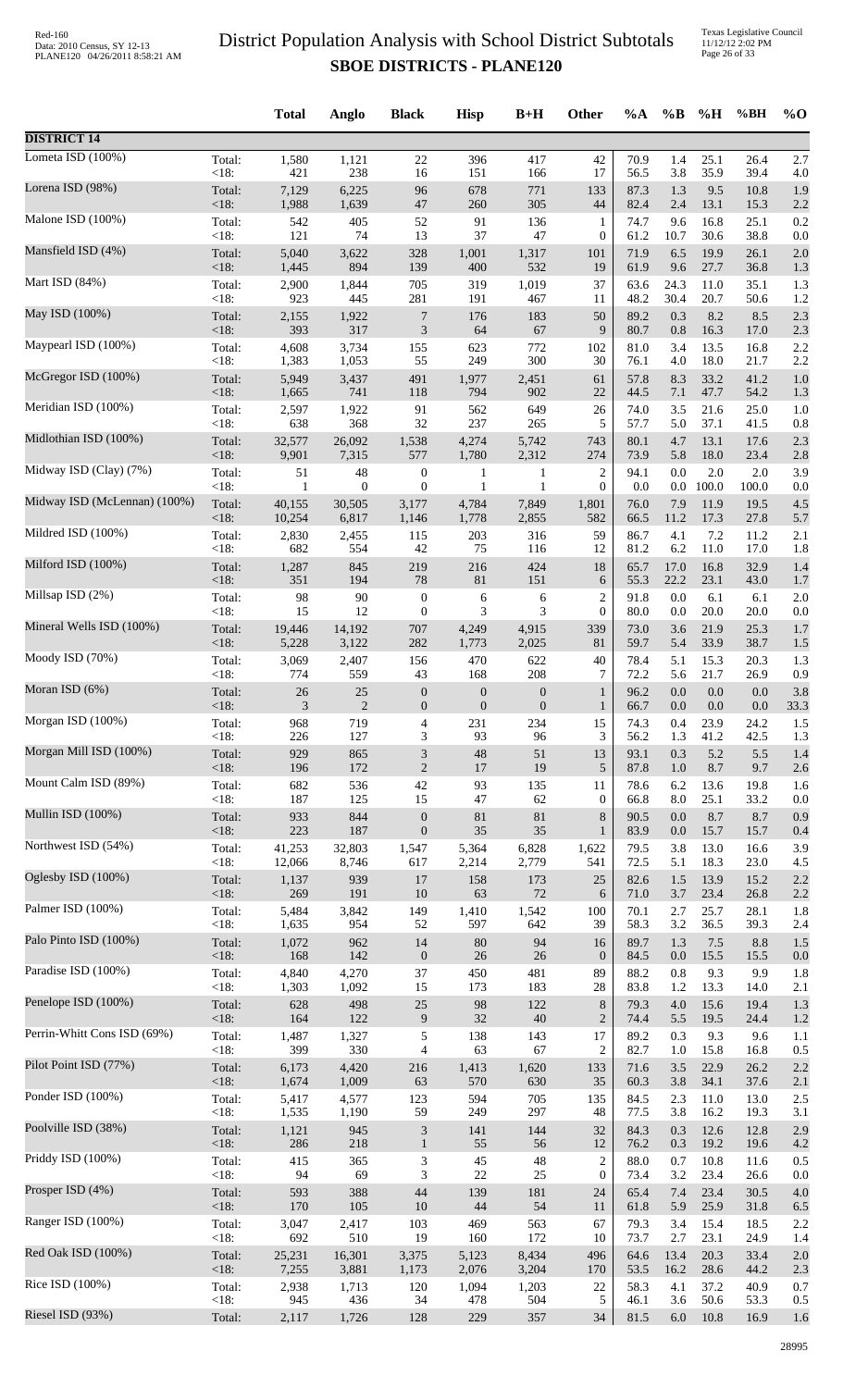Texas Legislative Council 11/12/12 2:02 PM Page 26 of 33

|                              |                | <b>Total</b>     | Anglo                  | <b>Black</b>                | <b>Hisp</b>             | $B+H$            | Other            | %A           | $\%B$       | %H           | %BH          | $\%$ O     |
|------------------------------|----------------|------------------|------------------------|-----------------------------|-------------------------|------------------|------------------|--------------|-------------|--------------|--------------|------------|
| <b>DISTRICT 14</b>           |                |                  |                        |                             |                         |                  |                  |              |             |              |              |            |
| Lometa ISD (100%)            | Total:         | 1,580            | 1,121                  | 22                          | 396                     | 417              | 42               | 70.9         | 1.4         | 25.1         | 26.4         | 2.7        |
|                              | <18:           | 421              | 238                    | 16                          | 151                     | 166              | 17               | 56.5         | 3.8         | 35.9         | 39.4         | 4.0        |
| Lorena ISD (98%)             | Total:         | 7,129            | 6,225                  | 96                          | 678                     | 771              | 133              | 87.3         | 1.3         | 9.5          | 10.8         | 1.9        |
| Malone ISD (100%)            | $<18$ :        | 1,988            | 1,639                  | 47                          | 260                     | 305              | 44               | 82.4         | 2.4         | 13.1         | 15.3         | 2.2        |
|                              | Total:         | 542              | 405                    | 52                          | 91                      | 136              | $\mathbf{1}$     | 74.7         | 9.6         | 16.8         | 25.1         | 0.2        |
| Mansfield ISD (4%)           | <18:           | 121              | 74                     | 13                          | 37                      | 47               | $\boldsymbol{0}$ | 61.2         | 10.7        | 30.6         | 38.8         | 0.0        |
|                              | Total:         | 5,040            | 3,622                  | 328                         | 1,001                   | 1,317            | 101              | 71.9         | 6.5         | 19.9         | 26.1         | 2.0        |
|                              | <18:           | 1,445            | 894                    | 139                         | 400                     | 532              | 19               | 61.9         | 9.6         | 27.7         | 36.8         | 1.3        |
| Mart ISD (84%)               | Total:         | 2,900            | 1,844                  | 705                         | 319                     | 1,019            | 37               | 63.6         | 24.3        | 11.0         | 35.1         | 1.3        |
|                              | <18:           | 923              | 445                    | 281                         | 191                     | 467              | 11               | 48.2         | 30.4        | 20.7         | 50.6         | 1.2        |
| May ISD (100%)               | Total:         | 2,155            | 1,922                  | $\boldsymbol{7}$            | 176                     | 183              | 50               | 89.2         | 0.3         | 8.2          | 8.5          | 2.3        |
|                              | <18:           | 393              | 317                    | $\mathfrak{Z}$              | 64                      | 67               | 9                | 80.7         | $0.8\,$     | 16.3         | 17.0         | 2.3        |
| Maypearl ISD (100%)          | Total:         | 4,608            | 3,734                  | 155                         | 623                     | 772              | 102              | 81.0         | 3.4         | 13.5         | 16.8         | 2.2        |
|                              | <18:           | 1,383            | 1,053                  | 55                          | 249                     | 300              | 30               | 76.1         | 4.0         | 18.0         | 21.7         | 2.2        |
| McGregor ISD (100%)          | Total:         | 5,949            | 3,437                  | 491                         | 1,977                   | 2,451            | 61               | 57.8         | 8.3         | 33.2         | 41.2         | 1.0        |
|                              | <18:           | 1,665            | 741                    | 118                         | 794                     | 902              | 22               | 44.5         | 7.1         | 47.7         | 54.2         | 1.3        |
| Meridian ISD (100%)          | Total:         | 2,597            | 1,922                  | 91                          | 562                     | 649              | 26               | 74.0         | 3.5         | 21.6         | 25.0         | 1.0        |
| Midlothian ISD (100%)        | <18:           | 638              | 368                    | 32                          | 237                     | 265              | 5                | 57.7         | 5.0         | 37.1         | 41.5         | 0.8        |
|                              | Total:         | 32,577           | 26,092                 | 1,538                       | 4,274                   | 5,742            | 743              | 80.1         | 4.7         | 13.1         | 17.6         | 2.3        |
| Midway ISD (Clay) (7%)       | <18:           | 9,901            | 7,315                  | 577                         | 1,780                   | 2,312            | 274              | 73.9         | 5.8         | 18.0         | 23.4         | 2.8        |
|                              | Total:         | 51               | 48                     | $\boldsymbol{0}$            | 1                       | 1                | $\overline{2}$   | 94.1         | 0.0         | 2.0          | 2.0          | 3.9        |
| Midway ISD (McLennan) (100%) | <18:<br>Total: | 1                | $\mathbf{0}$<br>30,505 | $\boldsymbol{0}$<br>3,177   | 1                       | 1                | $\theta$         | 0.0<br>76.0  |             | $0.0$ 100.0  | 100.0        | 0.0        |
|                              | $<18$ :        | 40,155<br>10,254 | 6,817                  | 1,146                       | 4,784<br>1,778          | 7,849<br>2,855   | 1,801<br>582     | 66.5         | 7.9<br>11.2 | 11.9<br>17.3 | 19.5<br>27.8 | 4.5<br>5.7 |
| Mildred ISD (100%)           | Total:         | 2,830            | 2,455                  | 115                         | 203                     | 316              | 59               | 86.7         | 4.1         | 7.2          | 11.2         | 2.1        |
|                              | <18:           | 682              | 554                    | 42                          | 75                      | 116              | 12               | 81.2         | 6.2         | 11.0         | 17.0         | 1.8        |
| Milford ISD (100%)           | Total:         | 1,287            | 845                    | 219                         | 216                     | 424              | 18               | 65.7         | 17.0        | 16.8         | 32.9         | 1.4        |
|                              | $<18$ :        | 351              | 194                    | 78                          | 81                      | 151              | 6                | 55.3         | 22.2        | 23.1         | 43.0         | 1.7        |
| Millsap ISD (2%)             | Total:         | 98               | 90                     | $\boldsymbol{0}$            | 6                       | 6                | $\overline{c}$   | 91.8         | 0.0         | 6.1          | 6.1          | 2.0        |
|                              | <18:           | 15               | 12                     | $\boldsymbol{0}$            | 3                       | 3                | $\boldsymbol{0}$ | 80.0         | 0.0         | 20.0         | 20.0         | 0.0        |
| Mineral Wells ISD (100%)     | Total:         | 19,446           | 14,192                 | 707                         | 4,249                   | 4,915            | 339              | 73.0         | 3.6         | 21.9         | 25.3         | 1.7        |
| Moody ISD (70%)              | $<18$ :        | 5,228            | 3,122                  | 282                         | 1,773                   | 2,025            | 81               | 59.7         | 5.4         | 33.9         | 38.7         | 1.5        |
|                              | Total:         | 3,069            | 2,407                  | 156                         | 470                     | 622              | 40               | 78.4         | 5.1         | 15.3         | 20.3         | 1.3        |
| Moran ISD (6%)               | <18:           | 774              | 559                    | 43                          | 168                     | 208              | 7                | 72.2         | 5.6         | 21.7         | 26.9         | 0.9        |
|                              | Total:         | 26               | 25                     | $\boldsymbol{0}$            | $\boldsymbol{0}$        | $\boldsymbol{0}$ | $\mathbf{1}$     | 96.2         | $0.0\,$     | 0.0          | 0.0          | 3.8        |
| Morgan ISD (100%)            | <18:           | 3                | $\overline{2}$         | $\boldsymbol{0}$            | $\boldsymbol{0}$<br>231 | $\boldsymbol{0}$ | $\mathbf{1}$     | 66.7         | 0.0<br>0.4  | 0.0<br>23.9  | 0.0          | 33.3       |
|                              | Total:<br><18: | 968<br>226       | 719<br>127             | 4<br>3                      | 93                      | 234<br>96        | 15<br>3          | 74.3<br>56.2 | 1.3         | 41.2         | 24.2<br>42.5 | 1.5<br>1.3 |
| Morgan Mill ISD (100%)       | Total:         | 929              | 865                    | $\ensuremath{\mathfrak{Z}}$ | 48                      | 51               | 13               | 93.1         | 0.3         | 5.2          | 5.5          | 1.4        |
|                              | <18:           | 196              | 172                    | $\sqrt{2}$                  | 17                      | 19               | 5                | 87.8         | $1.0\,$     | 8.7          | 9.7          | 2.6        |
| Mount Calm ISD (89%)         | Total:         | 682              | 536                    | 42                          | 93                      | 135              | 11               | 78.6         | 6.2         | 13.6         | 19.8         | 1.6        |
|                              | <18:           | 187              | 125                    | 15                          | 47                      | 62               | $\boldsymbol{0}$ | 66.8         | 8.0         | 25.1         | 33.2         | 0.0        |
| Mullin ISD (100%)            | Total:         | 933              | 844                    | $\boldsymbol{0}$            | 81                      | 81               | 8                | 90.5         | 0.0         | 8.7          | 8.7          | 0.9        |
|                              | <18:           | 223              | 187                    | $\boldsymbol{0}$            | 35                      | 35               | $\mathbf{1}$     | 83.9         | 0.0         | 15.7         | 15.7         | 0.4        |
| Northwest ISD (54%)          | Total:         | 41,253           | 32,803                 | 1,547                       | 5,364                   | 6,828            | 1,622            | 79.5         | 3.8         | 13.0         | 16.6         | 3.9        |
| Oglesby ISD (100%)           | <18:           | 12,066           | 8,746                  | 617                         | 2,214                   | 2,779            | 541              | 72.5         | 5.1         | 18.3         | 23.0         | 4.5        |
|                              | Total:         | 1,137            | 939                    | 17                          | 158                     | 173              | 25               | 82.6         | 1.5         | 13.9         | 15.2         | 2.2        |
| Palmer ISD (100%)            | <18:           | 269              | 191                    | 10                          | 63                      | 72               | 6                | 71.0         | 3.7         | 23.4         | 26.8         | 2.2        |
|                              | Total:         | 5,484            | 3,842                  | 149                         | 1,410                   | 1,542            | 100              | 70.1         | 2.7         | 25.7         | 28.1         | 1.8        |
| Palo Pinto ISD (100%)        | <18:           | 1,635            | 954                    | 52                          | 597                     | 642              | 39               | 58.3         | 3.2         | 36.5         | 39.3         | 2.4        |
|                              | Total:         | 1,072            | 962                    | 14                          | 80                      | 94               | 16               | 89.7         | 1.3         | 7.5          | 8.8          | 1.5        |
|                              | $<18$ :        | 168              | 142                    | $\boldsymbol{0}$            | 26                      | $26\,$           | $\mathbf{0}$     | 84.5         | 0.0         | 15.5         | 15.5         | 0.0        |
| Paradise ISD (100%)          | Total:         | 4,840            | 4,270                  | 37                          | 450                     | 481              | 89               | 88.2         | 0.8         | 9.3          | 9.9          | 1.8        |
|                              | <18:           | 1,303            | 1,092                  | 15                          | 173                     | 183              | 28               | 83.8         | 1.2         | 13.3         | 14.0         | 2.1        |
| Penelope ISD (100%)          | Total:         | 628              | 498                    | $25\,$                      | 98                      | 122              | $\,8\,$          | 79.3         | $4.0\,$     | 15.6         | 19.4         | 1.3        |
|                              | <18:           | 164              | 122                    | 9                           | 32                      | $40\,$           | $\overline{2}$   | 74.4         | 5.5         | 19.5         | 24.4         | 1.2        |
| Perrin-Whitt Cons ISD (69%)  | Total:         | 1,487            | 1,327                  | $\sqrt{5}$                  | 138                     | 143              | 17               | 89.2         | 0.3         | 9.3          | 9.6          | 1.1        |
|                              | <18:           | 399              | 330                    | 4                           | 63                      | 67               | $\overline{2}$   | 82.7         | 1.0         | 15.8         | 16.8         | 0.5        |
| Pilot Point ISD (77%)        | Total:<br><18: | 6,173            | 4,420<br>1,009         | 216                         | 1,413<br>570            | 1,620            | 133              | 71.6         | 3.5         | 22.9<br>34.1 | 26.2         | 2.2        |
| Ponder ISD (100%)            | Total:         | 1,674<br>5,417   | 4,577                  | 63<br>123                   | 594                     | 630<br>705       | 35<br>135        | 60.3<br>84.5 | 3.8<br>2.3  | 11.0         | 37.6<br>13.0 | 2.1<br>2.5 |
| Poolville ISD (38%)          | <18:           | 1,535            | 1,190                  | 59                          | 249                     | 297              | 48               | 77.5         | 3.8         | 16.2         | 19.3         | 3.1        |
|                              | Total:         | 1,121            | 945                    | $\ensuremath{\mathfrak{Z}}$ | 141                     | 144              | 32               | 84.3         | 0.3         | 12.6         | 12.8         | 2.9        |
| Priddy ISD (100%)            | <18:           | 286              | 218                    | $\mathbf{1}$                | 55                      | 56               | 12               | 76.2         | 0.3         | 19.2         | 19.6         | 4.2        |
|                              | Total:         | 415              | 365                    | $\ensuremath{\mathfrak{Z}}$ | 45                      | 48               | $\overline{c}$   | 88.0         | 0.7         | 10.8         | 11.6         | 0.5        |
| Prosper ISD (4%)             | <18:           | 94               | 69                     | $\ensuremath{\mathfrak{Z}}$ | $22\,$                  | 25               | $\boldsymbol{0}$ | 73.4         | 3.2         | 23.4         | 26.6         | 0.0        |
|                              | Total:         | 593              | 388                    | 44                          | 139                     | 181              | 24               | 65.4         | 7.4         | 23.4         | 30.5         | 4.0        |
|                              | <18:           | 170              | 105                    | 10                          | 44                      | 54               | 11               | 61.8         | 5.9         | 25.9         | 31.8         | 6.5        |
| Ranger ISD (100%)            | Total:         | 3,047            | 2,417                  | 103                         | 469                     | 563              | 67               | 79.3         | 3.4         | 15.4         | 18.5         | 2.2        |
|                              | <18:           | 692              | 510                    | 19                          | 160                     | 172              | 10               | 73.7         | 2.7         | 23.1         | 24.9         | 1.4        |
| Red Oak ISD (100%)           | Total:         | 25,231           | 16,301                 | 3,375                       | 5,123                   | 8,434            | 496              | 64.6         | 13.4        | 20.3         | 33.4         | 2.0        |
|                              | $<18$ :        | 7,255            | 3,881                  | 1,173                       | 2,076                   | 3,204            | 170              | 53.5         | 16.2        | 28.6         | 44.2         | 2.3        |
| Rice ISD (100%)              | Total:         | 2,938            | 1,713                  | 120                         | 1,094                   | 1,203            | 22               | 58.3         | 4.1         | 37.2         | 40.9         | 0.7        |
| Riesel ISD (93%)             | <18:           | 945              | 436                    | 34                          | 478                     | 504              | 5                | 46.1         | 3.6         | 50.6         | 53.3         | 0.5        |
|                              | Total:         | 2,117            | 1,726                  | 128                         | 229                     | 357              | 34               | 81.5         | $6.0\,$     | 10.8         | 16.9         | 1.6        |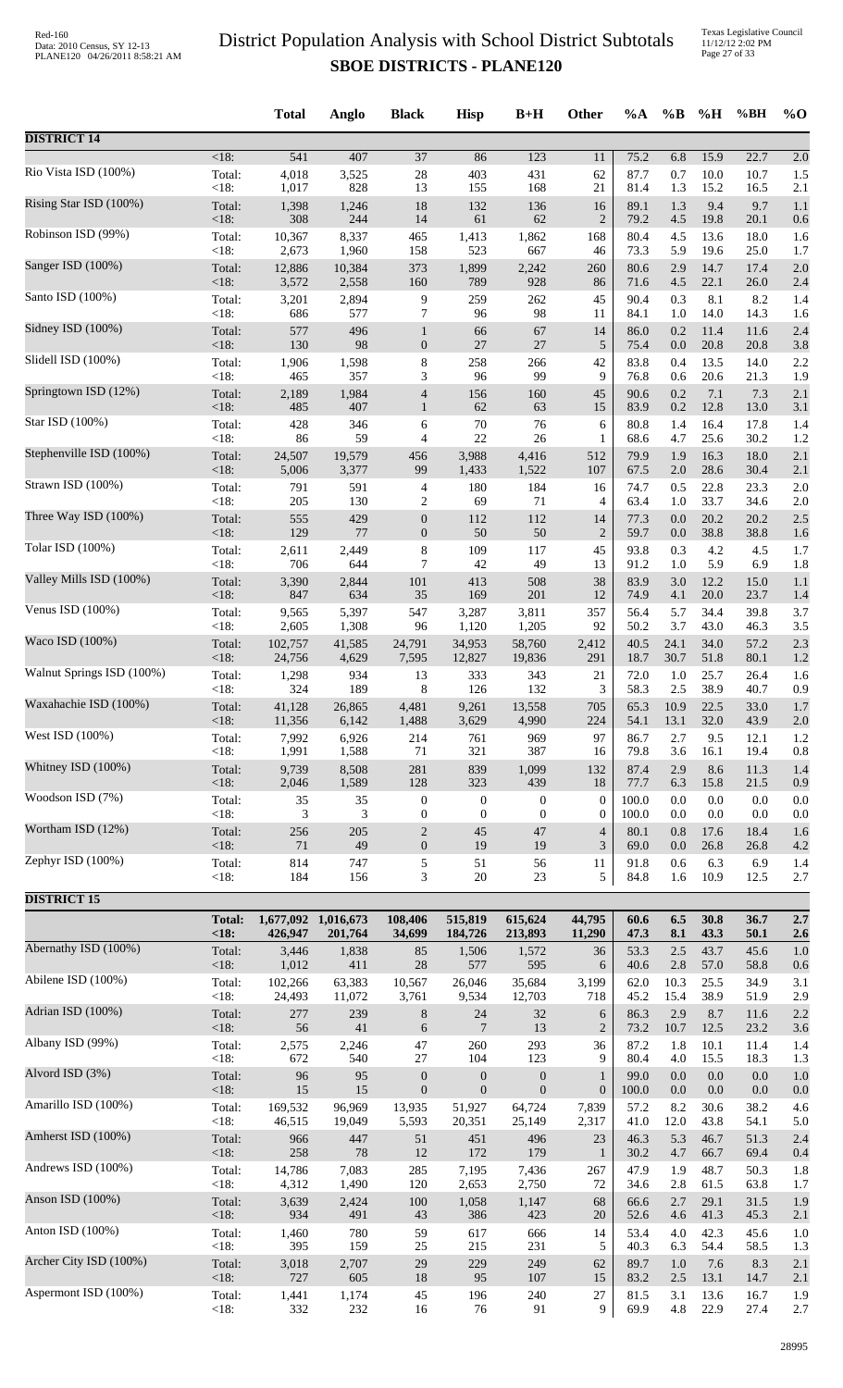Texas Legislative Council 11/12/12 2:02 PM Page 27 of 33

|                           |                       | <b>Total</b>     | Anglo                          | <b>Black</b>                       | <b>Hisp</b>        | $B+H$              | <b>Other</b>     | $\%A$        | $\%$ B     | %H           | %BH          | $%$ <sup>O</sup> |
|---------------------------|-----------------------|------------------|--------------------------------|------------------------------------|--------------------|--------------------|------------------|--------------|------------|--------------|--------------|------------------|
| <b>DISTRICT 14</b>        |                       |                  |                                |                                    |                    |                    |                  |              |            |              |              |                  |
| Rio Vista ISD (100%)      | $<18$ :               | $\overline{541}$ | 407                            | $\overline{37}$                    | 86                 | $\overline{123}$   | 11               | 75.2         | 6.8        | 15.9         | 22.7         | 2.0              |
|                           | Total:                | 4,018            | 3,525                          | $28\,$                             | 403                | 431                | 62               | 87.7         | 0.7        | 10.0         | 10.7         | 1.5              |
|                           | <18:                  | 1,017            | 828                            | 13                                 | 155                | 168                | 21               | 81.4         | 1.3        | 15.2         | 16.5         | 2.1              |
| Rising Star ISD (100%)    | Total:                | 1,398            | 1,246                          | 18                                 | 132                | 136                | 16               | 89.1         | 1.3        | 9.4          | 9.7          | 1.1              |
|                           | <18:                  | 308              | 244                            | 14                                 | 61                 | 62                 | $\overline{2}$   | 79.2         | 4.5        | 19.8         | 20.1         | 0.6              |
| Robinson ISD (99%)        | Total:                | 10,367           | 8,337                          | 465                                | 1,413              | 1,862              | 168              | 80.4         | 4.5        | 13.6         | 18.0         | 1.6              |
|                           | <18:                  | 2,673            | 1,960                          | 158                                | 523                | 667                | 46               | 73.3         | 5.9        | 19.6         | 25.0         | 1.7              |
| Sanger ISD (100%)         | Total:                | 12,886           | 10,384                         | 373                                | 1,899              | 2,242              | 260              | 80.6         | 2.9        | 14.7         | 17.4         | 2.0              |
|                           | $<18$ :               | 3,572            | 2,558                          | 160                                | 789                | 928                | 86               | 71.6         | 4.5        | 22.1         | 26.0         | 2.4              |
| Santo ISD (100%)          | Total:                | 3,201            | 2,894                          | 9                                  | 259                | 262                | 45               | 90.4         | 0.3        | 8.1          | 8.2          | 1.4              |
| Sidney ISD (100%)         | <18:                  | 686              | 577                            | $\overline{7}$                     | 96                 | 98                 | 11               | 84.1         | 1.0        | 14.0         | 14.3         | 1.6              |
|                           | Total:                | 577              | 496                            | $\mathbf{1}$                       | 66                 | 67                 | 14               | 86.0         | 0.2        | 11.4         | 11.6         | 2.4              |
| Slidell ISD (100%)        | <18:                  | 130              | 98                             | $\mathbf{0}$                       | $27\,$             | 27                 | 5                | 75.4         | 0.0        | 20.8         | 20.8         | 3.8              |
|                           | Total:                | 1,906            | 1,598                          | 8                                  | 258                | 266                | 42               | 83.8         | 0.4        | 13.5         | 14.0         | 2.2              |
| Springtown ISD (12%)      | <18:                  | 465              | 357                            | 3                                  | 96                 | 99                 | 9                | 76.8         | 0.6        | 20.6         | 21.3         | 1.9              |
|                           | Total:                | 2,189            | 1,984                          | $\overline{4}$                     | 156                | 160                | 45               | 90.6         | 0.2        | 7.1          | 7.3          | 2.1              |
| Star ISD (100%)           | $<18$ :               | 485              | 407                            | $\mathbf{1}$                       | 62                 | 63                 | 15               | 83.9         | 0.2        | 12.8         | 13.0         | 3.1              |
|                           | Total:                | 428              | 346                            | 6                                  | $70\,$             | 76                 | 6                | 80.8         | 1.4        | 16.4         | 17.8         | 1.4              |
|                           | <18:                  | 86               | 59                             | 4                                  | $22\,$             | $26\,$             | $\mathbf{1}$     | 68.6         | 4.7        | 25.6         | 30.2         | 1.2              |
| Stephenville ISD (100%)   | Total:                | 24,507           | 19,579                         | 456                                | 3,988              | 4,416              | 512              | 79.9         | 1.9        | 16.3         | 18.0         | 2.1              |
|                           | $<18$ :               | 5,006            | 3,377                          | 99                                 | 1,433              | 1,522              | 107              | 67.5         | 2.0        | 28.6         | 30.4         | 2.1              |
| Strawn ISD (100%)         | Total:<br><18:        | 791<br>205       | 591<br>130                     | 4                                  | 180                | 184                | 16               | 74.7<br>63.4 | 0.5<br>1.0 | 22.8<br>33.7 | 23.3         | 2.0              |
| Three Way ISD (100%)      | Total:                | 555              | 429                            | $\overline{c}$<br>$\boldsymbol{0}$ | 69<br>112          | 71<br>112          | 4<br>14          | 77.3         | 0.0        | 20.2         | 34.6<br>20.2 | 2.0<br>2.5       |
| Tolar ISD (100%)          | <18:                  | 129              | 77                             | $\mathbf{0}$                       | 50                 | 50                 | $\overline{2}$   | 59.7         | 0.0        | 38.8         | 38.8         | 1.6              |
|                           | Total:                | 2,611            | 2,449                          | $\,8\,$                            | 109                | 117                | 45               | 93.8         | 0.3        | 4.2          | 4.5          | 1.7              |
| Valley Mills ISD (100%)   | <18:                  | 706              | 644                            | 7                                  | 42                 | 49                 | 13               | 91.2         | 1.0        | 5.9          | 6.9          | 1.8              |
|                           | Total:                | 3,390            | 2,844                          | 101                                | 413                | 508                | 38               | 83.9         | 3.0        | 12.2         | 15.0         | 1.1              |
|                           | <18:                  | 847              | 634                            | 35                                 | 169                | 201                | 12               | 74.9         | 4.1        | 20.0         | 23.7         | 1.4              |
| Venus ISD $(100\%)$       | Total:                | 9,565            | 5,397                          | 547                                | 3,287              | 3,811              | 357              | 56.4         | 5.7        | 34.4         | 39.8         | 3.7              |
|                           | <18:                  | 2,605            | 1,308                          | 96                                 | 1,120              | 1,205              | 92               | 50.2         | 3.7        | 43.0         | 46.3         | 3.5              |
| Waco ISD (100%)           | Total:                | 102,757          | 41,585                         | 24,791                             | 34,953             | 58,760             | 2,412            | 40.5         | 24.1       | 34.0         | 57.2         | 2.3              |
|                           | <18:                  | 24,756           | 4,629                          | 7,595                              | 12,827             | 19,836             | 291              | 18.7         | 30.7       | 51.8         | 80.1         | 1.2              |
| Walnut Springs ISD (100%) | Total:                | 1,298            | 934                            | 13                                 | 333                | 343                | 21               | 72.0         | 1.0        | 25.7         | 26.4         | 1.6              |
|                           | <18:                  | 324              | 189                            | 8                                  | 126                | 132                | 3                | 58.3         | 2.5        | 38.9         | 40.7         | 0.9              |
| Waxahachie ISD (100%)     | Total:                | 41,128           | 26,865                         | 4,481                              | 9,261              | 13,558             | 705              | 65.3         | 10.9       | 22.5         | 33.0         | 1.7              |
| West ISD (100%)           | < 18:                 | 11,356           | 6,142                          | 1,488                              | 3,629              | 4,990              | 224              | 54.1         | 13.1       | 32.0         | 43.9         | 2.0              |
|                           | Total:                | 7,992            | 6,926                          | 214                                | 761                | 969                | 97               | 86.7         | 2.7        | 9.5          | 12.1         | 1.2              |
| Whitney ISD (100%)        | <18:                  | 1,991            | 1,588                          | 71                                 | 321                | 387                | 16               | 79.8         | 3.6        | 16.1         | 19.4         | 0.8              |
|                           | Total:                | 9,739            | 8,508                          | 281                                | 839                | 1,099              | 132              | 87.4         | 2.9        | 8.6          | 11.3         | 1.4              |
| Woodson ISD (7%)          | <18:                  | 2,046            | 1,589                          | 128                                | 323                | 439                | 18               | 77.7         | 6.3        | 15.8         | 21.5         | 0.9              |
|                           | Total:                | 35               | 35                             | $\boldsymbol{0}$                   | $\boldsymbol{0}$   | $\mathbf{0}$       | $\boldsymbol{0}$ | 100.0        | 0.0        | 0.0          | 0.0          | 0.0              |
| Wortham ISD (12%)         | <18:                  | 3                | 3                              | $\boldsymbol{0}$                   | $\boldsymbol{0}$   | $\overline{0}$     | $\theta$         | 100.0        | 0.0        | 0.0          | 0.0          | 0.0              |
|                           | Total:                | 256              | 205                            | $\sqrt{2}$                         | 45                 | 47                 | $\overline{4}$   | 80.1         | 0.8        | 17.6         | 18.4         | 1.6              |
|                           | $<18$ :               | 71               | 49                             | $\overline{0}$                     | 19                 | 19                 | 3                | 69.0         | 0.0        | 26.8         | 26.8         | 4.2              |
| Zephyr ISD (100%)         | Total:                | 814              | 747                            | $\sqrt{5}$                         | 51                 | 56                 | 11               | 91.8         | 0.6        | 6.3          | 6.9          | 1.4              |
|                           | $<18$ :               | 184              | 156                            | 3                                  | $20\,$             | $23\,$             | 5                | 84.8         | 1.6        | 10.9         | 12.5         | 2.7              |
| <b>DISTRICT 15</b>        |                       |                  |                                |                                    |                    |                    |                  |              |            |              |              |                  |
|                           | <b>Total:</b><br><18: | 426,947          | 1,677,092 1,016,673<br>201,764 | 108,406<br>34,699                  | 515,819<br>184,726 | 615,624<br>213,893 | 44,795<br>11,290 | 60.6<br>47.3 | 6.5<br>8.1 | 30.8<br>43.3 | 36.7<br>50.1 | 2.7<br>2.6       |
| Abernathy ISD (100%)      | Total:                | 3,446            | 1,838                          | 85                                 | 1,506              | 1,572              | 36               | 53.3         | 2.5        | 43.7         | 45.6         | 1.0              |
|                           | <18:                  | 1,012            | 411                            | 28                                 | 577                | 595                | 6                | 40.6         | 2.8        | 57.0         | 58.8         | 0.6              |
| Abilene ISD (100%)        | Total:                | 102,266          | 63,383                         | 10,567                             | 26,046             | 35,684             | 3,199            | 62.0         | 10.3       | 25.5         | 34.9         | 3.1              |
| Adrian ISD (100%)         | <18:                  | 24,493           | 11,072                         | 3,761                              | 9,534              | 12,703             | 718              | 45.2         | 15.4       | 38.9         | 51.9         | 2.9              |
|                           | Total:                | 277              | 239                            | $\,8\,$                            | 24                 | 32                 | 6                | 86.3         | 2.9        | 8.7          | 11.6         | 2.2              |
| Albany ISD (99%)          | $<18$ :               | 56               | 41                             | 6                                  | 7                  | 13                 | $\overline{2}$   | 73.2         | 10.7       | 12.5         | 23.2         | 3.6              |
|                           | Total:                | 2,575            | 2,246                          | $47\,$                             | 260                | 293                | 36               | 87.2         | 1.8        | 10.1         | 11.4         | 1.4              |
| Alvord ISD (3%)           | <18:                  | 672              | 540                            | 27                                 | 104                | 123                | 9                | 80.4         | 4.0        | 15.5         | 18.3         | 1.3              |
|                           | Total:                | 96               | 95                             | $\boldsymbol{0}$                   | $\boldsymbol{0}$   | $\boldsymbol{0}$   | $\mathbf{1}$     | 99.0         | 0.0        | 0.0          | 0.0          | 1.0              |
|                           | <18:                  | 15               | 15                             | $\mathbf{0}$                       | $\boldsymbol{0}$   | $\mathbf{0}$       | $\boldsymbol{0}$ | 100.0        | 0.0        | $0.0\,$      | $0.0\,$      | 0.0              |
| Amarillo ISD (100%)       | Total:                | 169,532          | 96,969                         | 13,935                             | 51,927             | 64,724             | 7,839            | 57.2         | 8.2        | 30.6         | 38.2         | 4.6              |
|                           | <18:                  | 46,515           | 19,049                         | 5,593                              | 20,351             | 25,149             | 2,317            | 41.0         | 12.0       | 43.8         | 54.1         | 5.0              |
| Amherst ISD (100%)        | Total:                | 966              | 447                            | 51                                 | 451                | 496                | 23               | 46.3         | 5.3        | 46.7         | 51.3         | 2.4              |
|                           | <18:                  | 258              | $78\,$                         | 12                                 | 172                | 179                | $\mathbf{1}$     | 30.2         | 4.7        | 66.7         | 69.4         | 0.4              |
| Andrews ISD (100%)        | Total:                | 14,786           | 7,083                          | 285                                | 7,195              | 7,436              | 267              | 47.9         | 1.9        | 48.7         | 50.3         | 1.8              |
|                           | <18:                  | 4,312            | 1,490                          | 120                                | 2,653              | 2,750              | 72               | 34.6         | 2.8        | 61.5         | 63.8         | 1.7              |
| Anson ISD (100%)          | Total:                | 3,639            | 2,424                          | 100                                | 1,058              | 1,147              | 68               | 66.6         | 2.7        | 29.1         | 31.5         | 1.9              |
| Anton ISD (100%)          | <18:                  | 934              | 491                            | 43                                 | 386                | 423                | 20               | 52.6         | 4.6        | 41.3         | 45.3         | 2.1              |
|                           | Total:                | 1,460            | 780                            | 59                                 | 617                | 666                | 14               | 53.4         | 4.0        | 42.3         | 45.6         | 1.0              |
| Archer City ISD (100%)    | < 18:                 | 395              | 159                            | $25\,$                             | 215                | 231                | 5                | 40.3         | 6.3        | 54.4         | 58.5         | 1.3              |
|                           | Total:                | 3,018            | 2,707                          | 29                                 | 229                | 249                | 62               | 89.7         | 1.0        | 7.6          | 8.3          | 2.1              |
| Aspermont ISD (100%)      | <18:                  | 727              | 605                            | 18                                 | 95                 | 107                | 15               | 83.2         | 2.5        | 13.1         | 14.7         | 2.1              |
|                           | Total:                | 1,441            | 1,174                          | 45                                 | 196                | 240                | 27               | 81.5         | 3.1        | 13.6         | 16.7         | 1.9              |
|                           | <18:                  | 332              | 232                            | 16                                 | 76                 | 91                 | 9                | 69.9         | 4.8        | 22.9         | 27.4         | 2.7              |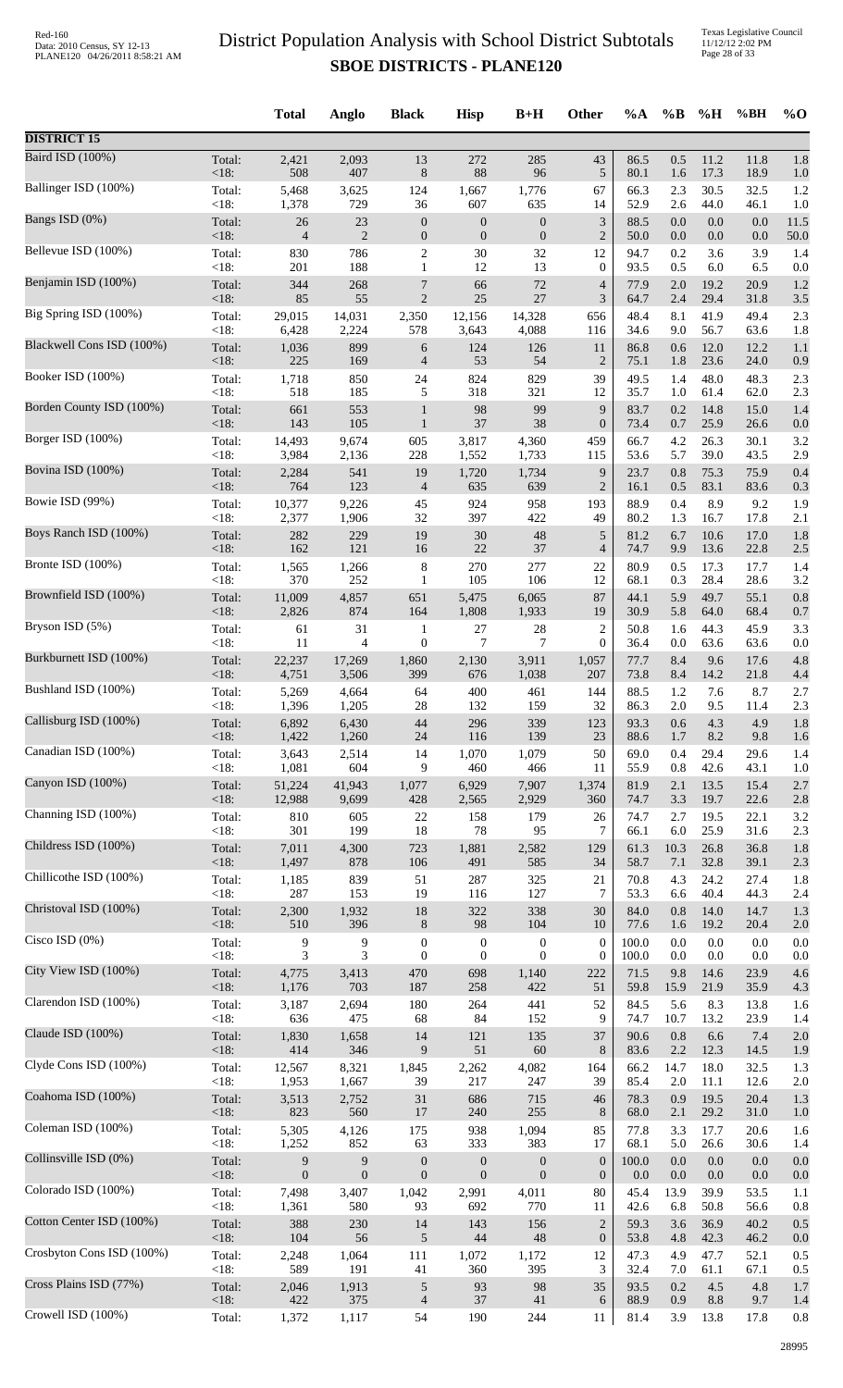Texas Legislative Council 11/12/12 2:02 PM Page 28 of 33

|                           |                 | <b>Total</b>   | Anglo            | <b>Black</b>        | <b>Hisp</b>      | $B+H$            | Other                              | %A           | $\%B$          | %H           | %BH          | $%$ <sup>O</sup> |
|---------------------------|-----------------|----------------|------------------|---------------------|------------------|------------------|------------------------------------|--------------|----------------|--------------|--------------|------------------|
| <b>DISTRICT 15</b>        |                 |                |                  |                     |                  |                  |                                    |              |                |              |              |                  |
| Baird ISD (100%)          | Total:          | 2,421          | 2,093            | 13                  | 272              | 285              | 43                                 | 86.5         | 0.5            | 11.2         | 11.8         | 1.8              |
|                           | < 18:           | 508            | 407              | $8\,$               | 88               | 96               | $\sqrt{5}$                         | 80.1         | 1.6            | 17.3         | 18.9         | 1.0              |
| Ballinger ISD (100%)      | Total:          | 5,468          | 3,625            | 124                 | 1,667            | 1,776            | 67                                 | 66.3         | 2.3            | 30.5         | 32.5         | 1.2              |
|                           | < 18:           | 1,378          | 729              | 36                  | 607              | 635              | 14                                 | 52.9         | 2.6            | 44.0         | 46.1         | 1.0              |
| Bangs ISD (0%)            | Total:          | $26\,$         | 23               | $\boldsymbol{0}$    | $\boldsymbol{0}$ | $\boldsymbol{0}$ | $\mathfrak{Z}$                     | 88.5         | 0.0            | 0.0          | 0.0          | 11.5             |
|                           | < 18:           | $\overline{4}$ | $\overline{2}$   | $\boldsymbol{0}$    | $\mathbf{0}$     | $\boldsymbol{0}$ | $\overline{2}$                     | 50.0         | 0.0            | 0.0          | 0.0          | 50.0             |
| Bellevue ISD (100%)       | Total:          | 830            | 786<br>188       | $\boldsymbol{2}$    | 30               | 32               | 12                                 | 94.7         | 0.2            | 3.6          | 3.9          | 1.4              |
| Benjamin ISD (100%)       | < 18:<br>Total: | 201<br>344     | 268              | $\mathbf{1}$<br>7   | 12<br>66         | 13<br>72<br>27   | $\boldsymbol{0}$<br>$\overline{4}$ | 93.5<br>77.9 | 0.5<br>$2.0\,$ | 6.0<br>19.2  | 6.5<br>20.9  | 0.0<br>1.2       |
| Big Spring ISD (100%)     | <18:<br>Total:  | 85<br>29,015   | 55<br>14,031     | $\sqrt{2}$<br>2,350 | $25\,$<br>12,156 | 14,328           | 3<br>656                           | 64.7<br>48.4 | 2.4<br>8.1     | 29.4<br>41.9 | 31.8<br>49.4 | 3.5<br>2.3       |
| Blackwell Cons ISD (100%) | < 18:           | 6,428          | 2,224            | 578                 | 3,643            | 4,088            | 116                                | 34.6         | 9.0            | 56.7         | 63.6         | 1.8              |
|                           | Total:          | 1,036          | 899              | 6                   | 124              | 126              | 11                                 | 86.8         | 0.6            | 12.0         | 12.2         | 1.1              |
| Booker ISD (100%)         | < 18:           | 225            | 169              | $\overline{4}$      | 53               | 54               | $\overline{2}$                     | 75.1         | 1.8            | 23.6         | 24.0         | 0.9              |
|                           | Total:          | 1,718          | 850              | 24                  | 824              | 829              | 39                                 | 49.5         | 1.4            | 48.0         | 48.3         | 2.3              |
| Borden County ISD (100%)  | < 18:           | 518            | 185              | 5                   | 318              | 321              | 12                                 | 35.7         | 1.0            | 61.4         | 62.0         | 2.3              |
|                           | Total:          | 661            | 553              | $\mathbf{1}$        | 98               | 99               | 9                                  | 83.7         | 0.2            | 14.8         | 15.0         | 1.4              |
| Borger ISD (100%)         | <18:            | 143            | 105              | $\mathbf{1}$        | $37\,$           | 38               | $\boldsymbol{0}$                   | 73.4         | 0.7            | 25.9         | 26.6         | 0.0              |
|                           | Total:          | 14,493         | 9,674            | 605                 | 3,817            | 4,360            | 459                                | 66.7         | 4.2            | 26.3         | 30.1         | 3.2              |
| Bovina ISD (100%)         | < 18:           | 3,984          | 2,136            | 228                 | 1,552            | 1,733            | 115                                | 53.6         | 5.7            | 39.0         | 43.5         | 2.9              |
|                           | Total:          | 2,284          | 541              | 19                  | 1,720            | 1,734            | 9                                  | 23.7         | 0.8            | 75.3         | 75.9         | 0.4              |
| Bowie ISD (99%)           | < 18:           | 764            | 123              | $\overline{4}$      | 635              | 639              | $\overline{2}$                     | 16.1         | 0.5            | 83.1         | 83.6         | 0.3              |
|                           | Total:          | 10,377         | 9,226            | 45                  | 924              | 958              | 193                                | 88.9         | 0.4            | 8.9          | 9.2          | 1.9              |
| Boys Ranch ISD (100%)     | <18:            | 2,377          | 1,906            | 32                  | 397              | 422              | 49                                 | 80.2         | 1.3            | 16.7         | 17.8         | 2.1              |
|                           | Total:          | 282            | 229              | 19                  | $30\,$           | 48               | $\sqrt{5}$                         | 81.2         | 6.7            | 10.6         | 17.0         | 1.8              |
| Bronte ISD (100%)         | < 18:           | 162            | 121              | 16                  | 22               | 37               | $\overline{4}$                     | 74.7         | 9.9            | 13.6         | 22.8         | 2.5              |
|                           | Total:          | 1,565          | 1,266            | $\,8\,$             | 270              | 277              | 22                                 | 80.9         | 0.5            | 17.3         | 17.7         | 1.4              |
| Brownfield ISD (100%)     | < 18:           | 370            | 252              | 1                   | 105              | 106              | 12                                 | 68.1         | 0.3            | 28.4         | 28.6         | 3.2              |
|                           | Total:          | 11,009         | 4,857            | 651                 | 5,475            | 6,065            | 87                                 | 44.1         | 5.9            | 49.7         | 55.1         | 0.8              |
|                           | <18:            | 2,826          | 874              | 164                 | 1,808            | 1,933            | 19                                 | 30.9         | 5.8            | 64.0         | 68.4         | 0.7              |
| Bryson ISD (5%)           | Total:          | 61             | 31               | $\mathbf{1}$        | 27               | 28               | $\overline{c}$                     | 50.8         | 1.6            | 44.3         | 45.9         | 3.3              |
|                           | < 18:           | 11             | 4                | $\boldsymbol{0}$    | 7                | $\overline{7}$   | $\boldsymbol{0}$                   | 36.4         | 0.0            | 63.6         | 63.6         | 0.0              |
| Burkburnett ISD (100%)    | Total:          | 22,237         | 17,269           | 1,860               | 2,130            | 3,911            | 1,057                              | 77.7         | 8.4            | 9.6          | 17.6         | 4.8              |
|                           | <18:            | 4,751          | 3,506            | 399                 | 676              | 1,038            | 207                                | 73.8         | 8.4            | 14.2         | 21.8         | 4.4              |
| Bushland ISD (100%)       | Total:          | 5,269          | 4,664            | 64                  | 400              | 461              | 144                                | 88.5         | 1.2            | 7.6          | 8.7          | 2.7              |
|                           | < 18:           | 1,396          | 1,205            | 28                  | 132              | 159              | 32                                 | 86.3         | $2.0\,$        | 9.5          | 11.4         | 2.3              |
| Callisburg ISD (100%)     | Total:          | 6,892          | 6,430            | 44                  | 296              | 339              | 123                                | 93.3         | 0.6            | 4.3          | 4.9          | 1.8              |
|                           | $<18$ :         | 1,422          | 1,260            | 24                  | 116              | 139              | 23                                 | 88.6         | 1.7            | 8.2          | 9.8          | 1.6              |
| Canadian ISD (100%)       | Total:          | 3,643          | 2,514            | 14                  | 1,070            | 1,079            | 50                                 | 69.0         | 0.4            | 29.4         | 29.6         | 1.4              |
|                           | < 18:           | 1,081          | 604              | 9                   | 460              | 466              | 11                                 | 55.9         | $0.8\,$        | 42.6         | 43.1         | 1.0              |
| Canyon ISD (100%)         | Total:          | 51,224         | 41,943           | 1,077               | 6,929            | 7,907            | 1,374                              | 81.9         | 2.1            | 13.5         | 15.4         | 2.7              |
|                           | <18:            | 12,988         | 9,699            | 428                 | 2,565            | 2,929            | 360                                | 74.7         | 3.3            | 19.7         | 22.6         | 2.8              |
| Channing ISD (100%)       | Total:          | 810            | 605              | 22                  | 158              | 179              | 26                                 | 74.7         | 2.7            | 19.5         | 22.1         | 3.2              |
|                           | < 18:           | 301            | 199              | 18                  | 78               | 95               | 7                                  | 66.1         | $6.0\,$        | 25.9         | 31.6         | 2.3              |
| Childress ISD (100%)      | Total:          | 7,011          | 4,300            | 723                 | 1,881            | 2,582            | 129                                | 61.3         | 10.3           | 26.8         | 36.8         | 1.8              |
| Chillicothe ISD (100%)    | <18:            | 1,497          | 878              | 106                 | 491              | 585              | 34                                 | 58.7         | 7.1            | 32.8         | 39.1         | 2.3              |
|                           | Total:          | 1,185          | 839              | 51                  | 287              | 325              | 21                                 | 70.8         | 4.3            | 24.2         | 27.4         | 1.8              |
| Christoval ISD (100%)     | < 18:           | 287            | 153              | 19                  | 116              | 127              | $\tau$                             | 53.3         | 6.6            | 40.4         | 44.3         | 2.4              |
|                           | Total:          | 2,300          | 1,932            | 18                  | 322              | 338              | 30                                 | 84.0         | 0.8            | 14.0         | 14.7         | 1.3              |
| Cisco ISD $(0\%)$         | < 18:           | 510            | 396              | $8\,$               | $\mathbf{98}$    | 104              | 10                                 | 77.6         | 1.6            | 19.2         | 20.4         | 2.0              |
|                           | Total:          | 9              | 9                | $\boldsymbol{0}$    | $\boldsymbol{0}$ | $\boldsymbol{0}$ | $\boldsymbol{0}$                   | 100.0        | 0.0            | 0.0          | 0.0          | 0.0              |
| City View ISD (100%)      | < 18:           | 3              | 3                | $\boldsymbol{0}$    | $\mathbf{0}$     | $\theta$         | $\boldsymbol{0}$                   | 100.0        | 0.0            | 0.0          | 0.0          | 0.0              |
|                           | Total:          | 4,775          | 3,413            | 470                 | 698              | 1,140            | 222                                | 71.5         | 9.8            | 14.6         | 23.9         | 4.6              |
| Clarendon ISD (100%)      | <18:            | 1,176          | 703              | 187                 | 258              | 422              | 51                                 | 59.8         | 15.9           | 21.9         | 35.9         | 4.3              |
|                           | Total:          | 3,187          | 2,694            | 180                 | 264              | 441              | 52                                 | 84.5         | 5.6            | 8.3          | 13.8         | 1.6              |
| Claude ISD (100%)         | <18:            | 636            | 475              | 68                  | 84               | 152              | 9                                  | 74.7         | 10.7           | 13.2         | 23.9         | 1.4              |
|                           | Total:          | 1,830          | 1,658            | 14                  | 121              | 135              | 37                                 | 90.6         | 0.8            | 6.6          | 7.4          | 2.0              |
| Clyde Cons ISD (100%)     | <18:            | 414            | 346              | 9                   | 51               | 60               | $\,8\,$                            | 83.6         | 2.2            | 12.3         | 14.5         | 1.9              |
|                           | Total:          | 12,567         | 8,321            | 1,845               | 2,262            | 4,082            | 164                                | 66.2         | 14.7           | 18.0         | 32.5         | 1.3              |
|                           | < 18:           | 1,953          | 1,667            | 39                  | 217              | 247              | 39                                 | 85.4         | 2.0            | 11.1         | 12.6         | 2.0              |
| Coahoma ISD (100%)        | Total:          | 3,513          | 2,752            | 31                  | 686              | 715              | 46                                 | 78.3         | 0.9            | 19.5         | 20.4         | 1.3              |
|                           | <18:            | 823            | 560              | 17                  | 240              | 255              | 8                                  | 68.0         | 2.1            | 29.2         | 31.0         | 1.0              |
| Coleman ISD (100%)        | Total:          | 5,305          | 4,126            | 175                 | 938              | 1,094            | 85                                 | 77.8         | 3.3            | 17.7         | 20.6         | 1.6              |
|                           | < 18:           | 1,252          | 852              | 63                  | 333              | 383              | 17                                 | 68.1         | 5.0            | 26.6         | 30.6         | 1.4              |
| Collinsville ISD (0%)     | Total:          | 9              | 9                | $\boldsymbol{0}$    | $\boldsymbol{0}$ | $\boldsymbol{0}$ | $\boldsymbol{0}$                   | 100.0        | $0.0\,$        | $0.0\,$      | 0.0          | 0.0              |
|                           | < 18:           | $\mathbf{0}$   | $\boldsymbol{0}$ | $\boldsymbol{0}$    | $\mathbf{0}$     | $\mathbf{0}$     | $\boldsymbol{0}$                   | 0.0          | 0.0            | 0.0          | 0.0          | 0.0              |
| Colorado ISD (100%)       | Total:          | 7,498          | 3,407            | 1,042               | 2,991            | 4,011            | 80                                 | 45.4         | 13.9           | 39.9         | 53.5         | 1.1              |
|                           | < 18:           | 1,361          | 580              | 93                  | 692              | 770              | 11                                 | 42.6         | 6.8            | 50.8         | 56.6         | 0.8              |
| Cotton Center ISD (100%)  | Total:<br><18:  | 388            | 230<br>56        | 14                  | 143<br>44        | 156<br>48        | $\overline{2}$                     | 59.3         | 3.6            | 36.9         | 40.2         | 0.5              |
| Crosbyton Cons ISD (100%) | Total:          | 104<br>2,248   | 1,064            | $\sqrt{5}$<br>111   | 1,072            | 1,172            | $\boldsymbol{0}$<br>12             | 53.8<br>47.3 | 4.8<br>4.9     | 42.3<br>47.7 | 46.2<br>52.1 | 0.0<br>0.5       |
| Cross Plains ISD (77%)    | < 18:           | 589            | 191              | 41                  | 360              | 395              | 3                                  | 32.4         | 7.0            | 61.1         | 67.1         | 0.5              |
|                           | Total:          | 2,046          | 1,913            | 5                   | 93               | 98               | 35                                 | 93.5         | $0.2\,$        | 4.5          | 4.8          | 1.7              |
| Crowell ISD (100%)        | < 18:           | 422            | 375              | $\overline{4}$      | 37               | 41               | 6                                  | 88.9         | 0.9            | 8.8          | 9.7          | 1.4              |
|                           | Total:          | 1,372          | 1,117            | 54                  | 190              | 244              | 11                                 | 81.4         | 3.9            | 13.8         | 17.8         | 0.8              |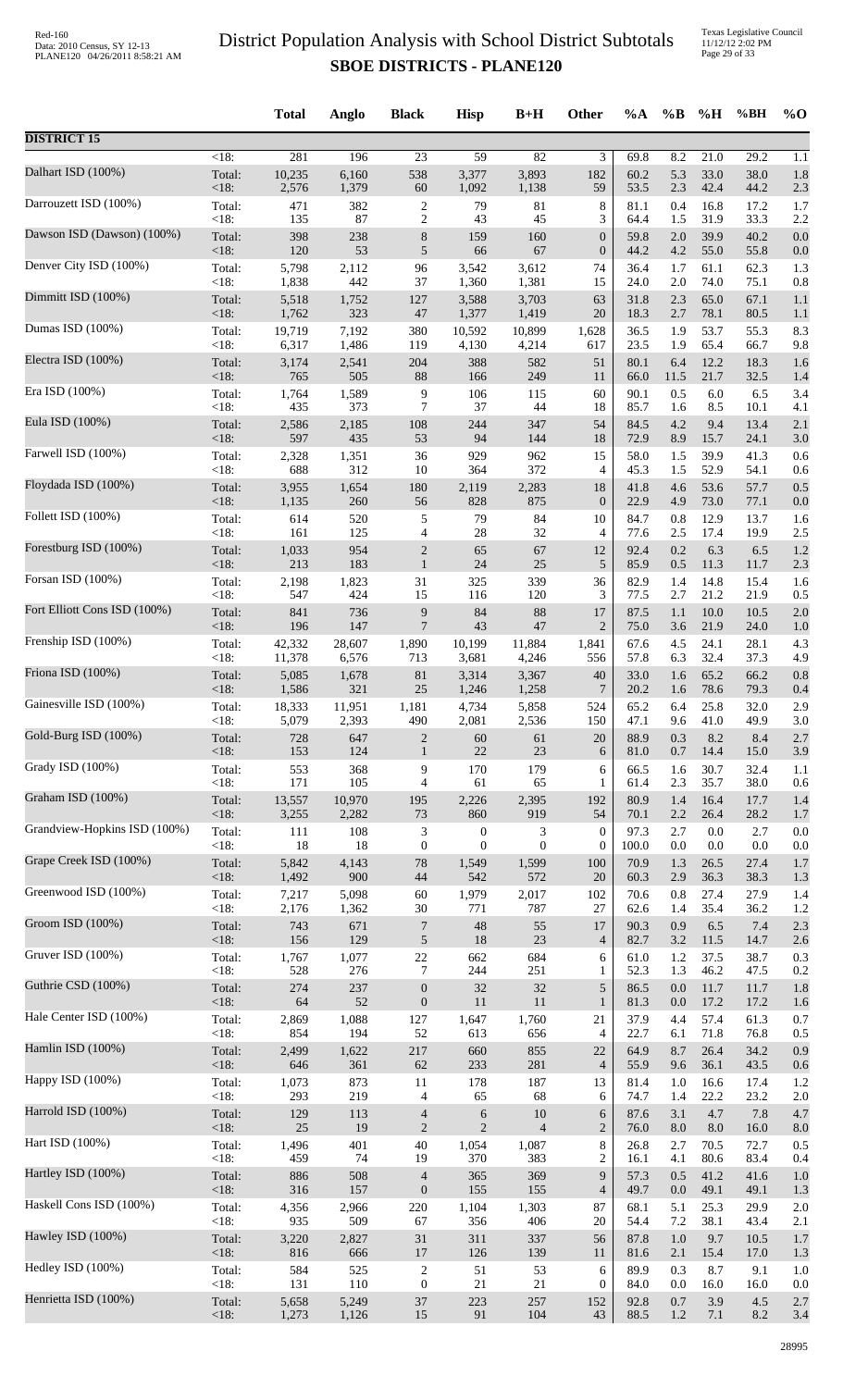Texas Legislative Council 11/12/12 2:02 PM Page 29 of 33

|                              |                | <b>Total</b> | Anglo        | <b>Black</b>     | <b>Hisp</b>      | $B+H$          | Other            | $\%A$        | $\%$ B     | %H         | %BH          | $\%$ O     |
|------------------------------|----------------|--------------|--------------|------------------|------------------|----------------|------------------|--------------|------------|------------|--------------|------------|
| <b>DISTRICT 15</b>           |                |              |              |                  |                  |                |                  |              |            |            |              |            |
| Dalhart ISD (100%)           | $<18$ :        | 281          | 196          | 23               | 59               | 82             | 3                | 69.8         | 8.2        | 21.0       | 29.2         | 1.1        |
|                              | Total:         | 10,235       | 6,160        | 538              | 3,377            | 3,893          | 182              | 60.2         | 5.3        | 33.0       | 38.0         | 1.8        |
|                              | <18:           | 2,576        | 1,379        | $60\,$           | 1,092            | 1,138          | 59               | 53.5         | 2.3        | 42.4       | 44.2         | 2.3        |
| Darrouzett ISD (100%)        | Total:         | 471          | 382          | $\sqrt{2}$       | 79               | 81             | $\,$ 8 $\,$      | 81.1         | 0.4        | 16.8       | 17.2         | 1.7        |
|                              | <18:           | 135          | 87           | $\overline{2}$   | 43               | 45             | 3                | 64.4         | 1.5        | 31.9       | 33.3         | 2.2        |
| Dawson ISD (Dawson) (100%)   | Total:         | 398          | 238          | $\,$ 8 $\,$      | 159              | 160            | $\boldsymbol{0}$ | 59.8         | $2.0\,$    | 39.9       | 40.2         | 0.0        |
|                              | <18:           | 120          | 53           | $\sqrt{5}$       | 66               | 67             | $\boldsymbol{0}$ | 44.2         | 4.2        | 55.0       | 55.8         | 0.0        |
| Denver City ISD (100%)       | Total:         | 5,798        | 2,112        | 96               | 3,542            | 3,612          | 74               | 36.4         | 1.7        | 61.1       | 62.3         | 1.3        |
| Dimmitt ISD (100%)           | <18:           | 1,838        | 442          | 37               | 1,360            | 1,381          | 15               | 24.0         | $2.0\,$    | 74.0       | 75.1         | 0.8        |
|                              | Total:         | 5,518        | 1,752        | 127              | 3,588            | 3,703          | 63               | 31.8         | 2.3        | 65.0       | 67.1         | 1.1        |
| Dumas ISD (100%)             | <18:           | 1,762        | 323          | 47               | 1,377            | 1,419          | 20               | 18.3         | 2.7        | 78.1       | 80.5         | 1.1        |
|                              | Total:         | 19,719       | 7,192        | 380              | 10,592           | 10,899         | 1,628            | 36.5         | 1.9        | 53.7       | 55.3         | 8.3        |
| Electra ISD (100%)           | <18:           | 6,317        | 1,486        | 119              | 4,130            | 4,214          | 617              | 23.5         | 1.9        | 65.4       | 66.7         | 9.8        |
|                              | Total:         | 3,174        | 2,541        | 204              | 388              | 582            | 51               | 80.1         | 6.4        | 12.2       | 18.3         | 1.6        |
| Era ISD (100%)               | $<18$ :        | 765          | 505          | 88               | 166              | 249            | 11               | 66.0         | 11.5       | 21.7       | 32.5         | 1.4        |
|                              | Total:         | 1,764        | 1,589        | 9                | 106              | 115            | 60               | 90.1         | 0.5        | $6.0\,$    | 6.5          | 3.4        |
| Eula ISD (100%)              | <18:<br>Total: | 435          | 373          | 7                | 37               | 44             | 18<br>54         | 85.7         | 1.6<br>4.2 | 8.5<br>9.4 | 10.1<br>13.4 | 4.1        |
|                              | <18:           | 2,586<br>597 | 2,185<br>435 | 108<br>53        | 244<br>94        | 347<br>144     | 18               | 84.5<br>72.9 | 8.9        | 15.7       | 24.1         | 2.1<br>3.0 |
| Farwell ISD (100%)           | Total:         | 2,328        | 1,351        | 36               | 929              | 962            | 15               | 58.0         | 1.5        | 39.9       | 41.3         | 0.6        |
|                              | <18:           | 688          | 312          | 10               | 364              | 372            | 4                | 45.3         | 1.5        | 52.9       | 54.1         | 0.6        |
| Floydada ISD (100%)          | Total:         | 3,955        | 1,654        | 180              | 2,119            | 2,283          | 18               | 41.8         | 4.6        | 53.6       | 57.7         | 0.5        |
|                              | <18:           | 1,135        | 260          | 56               | 828              | 875            | $\boldsymbol{0}$ | 22.9         | 4.9        | 73.0       | 77.1         | 0.0        |
| Follett ISD (100%)           | Total:         | 614          | 520          | $\sqrt{5}$       | 79               | 84             | 10               | 84.7         | 0.8        | 12.9       | 13.7         | 1.6        |
|                              | <18:           | 161          | 125          | $\overline{4}$   | $28\,$           | 32             | 4                | 77.6         | 2.5        | 17.4       | 19.9         | 2.5        |
| Forestburg ISD (100%)        | Total:         | 1,033        | 954          | $\overline{c}$   | 65               | 67             | 12               | 92.4         | 0.2        | 6.3        | 6.5          | 1.2        |
|                              | <18:           | 213          | 183          | $\mathbf{1}$     | $24\,$           | 25             | 5                | 85.9         | 0.5        | 11.3       | 11.7         | 2.3        |
| Forsan ISD (100%)            | Total:         | 2,198        | 1,823        | 31               | 325              | 339            | 36               | 82.9         | 1.4        | 14.8       | 15.4         | 1.6        |
| Fort Elliott Cons ISD (100%) | <18:           | 547          | 424          | 15               | 116              | 120            | 3                | 77.5         | 2.7        | 21.2       | 21.9         | 0.5        |
|                              | Total:         | 841          | 736          | 9                | 84               | 88             | 17               | 87.5         | 1.1        | 10.0       | 10.5         | 2.0        |
| Frenship ISD (100%)          | <18:           | 196          | 147          | $\overline{7}$   | 43               | 47             | $\overline{2}$   | 75.0         | 3.6        | 21.9       | 24.0         | 1.0        |
|                              | Total:         | 42,332       | 28,607       | 1,890            | 10,199           | 11,884         | 1,841            | 67.6         | 4.5        | 24.1       | 28.1         | 4.3        |
| Friona ISD (100%)            | <18:           | 11,378       | 6,576        | 713              | 3,681            | 4,246          | 556              | 57.8         | 6.3        | 32.4       | 37.3         | 4.9        |
|                              | Total:         | 5,085        | 1,678        | $81\,$           | 3,314            | 3,367          | 40               | 33.0         | 1.6        | 65.2       | 66.2         | 0.8        |
| Gainesville ISD (100%)       | <18:           | 1,586        | 321          | 25               | 1,246            | 1,258          | 7                | 20.2         | 1.6        | 78.6       | 79.3         | 0.4        |
|                              | Total:         | 18,333       | 11,951       | 1,181            | 4,734            | 5,858          | 524              | 65.2         | 6.4        | 25.8       | 32.0         | 2.9        |
| Gold-Burg ISD (100%)         | $<18$ :        | 5,079        | 2,393        | 490              | 2,081            | 2,536          | 150              | 47.1         | 9.6        | 41.0       | 49.9         | 3.0        |
|                              | Total:         | 728          | 647          | $\overline{2}$   | $60\,$           | 61             | $20\,$           | 88.9         | 0.3        | 8.2        | 8.4          | 2.7        |
|                              | <18:           | 153          | 124          | $\mathbf{1}$     | 22               | 23             | 6                | 81.0         | 0.7        | 14.4       | 15.0         | 3.9        |
| Grady ISD (100%)             | Total:         | 553          | 368          | 9                | 170              | 179            | 6                | 66.5         | 1.6        | 30.7       | 32.4         | 1.1        |
|                              | <18:           | 171          | 105          | $\overline{4}$   | 61               | 65             | 1                | 61.4         | 2.3        | 35.7       | 38.0         | 0.6        |
| Graham ISD (100%)            | Total:         | 13,557       | 10,970       | 195              | 2,226            | 2,395          | 192              | 80.9         | 1.4        | 16.4       | 17.7         | 1.4        |
|                              | $<18$ :        | 3,255        | 2,282        | 73               | 860              | 919            | 54               | 70.1         | 2.2        | 26.4       | 28.2         | 1.7        |
| Grandview-Hopkins ISD (100%) | Total:         | 111          | 108          | $\mathfrak{Z}$   | $\boldsymbol{0}$ | 3              | $\boldsymbol{0}$ | 97.3         | 2.7        | 0.0        | 2.7          | 0.0        |
|                              | <18:           | 18           | 18           | $\mathbf{0}$     | $\overline{0}$   | $\theta$       | $\boldsymbol{0}$ | 100.0        | 0.0        | 0.0        | 0.0          | 0.0        |
| Grape Creek ISD (100%)       | Total:         | 5,842        | 4,143        | $78\,$           | 1,549            | 1,599          | 100              | 70.9         | 1.3        | 26.5       | 27.4         | 1.7        |
|                              | <18:           | 1,492        | 900          | $44\,$           | 542              | 572            | 20               | 60.3         | 2.9        | 36.3       | 38.3         | 1.3        |
| Greenwood ISD (100%)         | Total:         | 7,217        | 5,098        | $60\,$           | 1,979            | 2,017          | 102              | 70.6         | 0.8        | 27.4       | 27.9         | 1.4        |
| Groom ISD (100%)             | <18:           | 2,176        | 1,362        | 30               | 771              | 787            | 27               | 62.6         | 1.4        | 35.4       | 36.2         | 1.2        |
|                              | Total:         | 743          | 671          | $\boldsymbol{7}$ | 48               | 55             | 17               | 90.3         | 0.9        | 6.5        | 7.4          | 2.3        |
| Gruver ISD (100%)            | <18:           | 156          | 129          | 5                | 18               | 23             | $\overline{4}$   | 82.7         | $3.2\,$    | 11.5       | 14.7         | 2.6        |
|                              | Total:         | 1,767        | 1,077        | $22\,$           | 662              | 684            | 6                | 61.0         | 1.2        | 37.5       | 38.7         | 0.3        |
| Guthrie CSD (100%)           | <18:           | 528          | 276          | $\tau$           | 244              | 251            | $\mathbf{1}$     | 52.3         | 1.3        | 46.2       | 47.5         | 0.2        |
|                              | Total:         | 274          | 237          | $\boldsymbol{0}$ | 32               | 32             | $\sqrt{5}$       | 86.5         | 0.0        | 11.7       | 11.7         | 1.8        |
| Hale Center ISD (100%)       | <18:           | 64           | 52           | $\boldsymbol{0}$ | 11               | 11             | $\mathbf{1}$     | 81.3         | 0.0        | 17.2       | 17.2         | 1.6        |
|                              | Total:         | 2,869        | 1,088        | 127              | 1,647            | 1,760          | 21               | 37.9         | 4.4        | 57.4       | 61.3         | 0.7        |
|                              | <18:           | 854          | 194          | 52               | 613              | 656            | 4                | 22.7         | 6.1        | 71.8       | 76.8         | 0.5        |
| Hamlin ISD (100%)            | Total:         | 2,499        | 1,622        | 217              | 660              | 855            | 22               | 64.9         | 8.7        | 26.4       | 34.2         | 0.9        |
|                              | <18:           | 646          | 361          | 62               | 233              | 281            | $\overline{4}$   | 55.9         | 9.6        | 36.1       | 43.5         | 0.6        |
| Happy ISD (100%)             | Total:         | 1,073        | 873          | 11               | 178              | 187            | 13               | 81.4         | 1.0        | 16.6       | 17.4         | 1.2        |
|                              | <18:           | 293          | 219          | $\overline{4}$   | 65               | 68             | 6                | 74.7         | 1.4        | 22.2       | 23.2         | 2.0        |
| Harrold ISD (100%)           | Total:         | 129          | 113          | $\overline{4}$   | $\sqrt{6}$       | 10             | 6                | 87.6         | 3.1        | 4.7        | 7.8          | 4.7        |
|                              | <18:           | 25           | 19           | $\mathbf{2}$     | $\overline{2}$   | $\overline{4}$ | $\overline{2}$   | 76.0         | 8.0        | 8.0        | 16.0         | 8.0        |
| Hart ISD (100%)              | Total:         | 1,496        | 401          | 40               | 1,054            | 1,087          | $\,8\,$          | 26.8         | 2.7        | 70.5       | 72.7         | 0.5        |
|                              | <18:           | 459          | 74           | 19               | 370              | 383            | $\overline{c}$   | 16.1         | 4.1        | 80.6       | 83.4         | 0.4        |
| Hartley ISD (100%)           | Total:         | 886          | 508          | $\overline{4}$   | 365              | 369            | 9                | 57.3         | 0.5        | 41.2       | 41.6         | 1.0        |
|                              | <18:           | 316          | 157          | $\mathbf{0}$     | 155              | 155            | $\overline{4}$   | 49.7         | 0.0        | 49.1       | 49.1         | 1.3        |
| Haskell Cons ISD (100%)      | Total:         | 4,356        | 2,966        | 220              | 1,104            | 1,303          | 87               | 68.1         | 5.1        | 25.3       | 29.9         | 2.0        |
| Hawley ISD (100%)            | <18:           | 935          | 509          | 67               | 356              | 406            | 20               | 54.4         | 7.2        | 38.1       | 43.4         | 2.1        |
|                              | Total:         | 3,220        | 2,827        | 31               | 311              | 337            | 56               | 87.8         | 1.0        | 9.7        | 10.5         | 1.7        |
| Hedley ISD (100%)            | <18:           | 816          | 666          | $17\,$           | 126              | 139            | 11               | 81.6         | 2.1        | 15.4       | 17.0         | 1.3        |
|                              | Total:         | 584          | 525          | $\sqrt{2}$       | 51               | 53             | 6                | 89.9         | 0.3        | 8.7        | 9.1          | 1.0        |
| Henrietta ISD (100%)         | <18:           | 131          | 110          | $\boldsymbol{0}$ | 21               | $21\,$         | $\boldsymbol{0}$ | 84.0         | 0.0        | 16.0       | 16.0         | 0.0        |
|                              | Total:         | 5,658        | 5,249        | 37               | 223              | 257            | 152              | 92.8         | 0.7        | 3.9        | 4.5          | 2.7        |
|                              | <18:           | 1,273        | 1,126        | 15               | 91               | 104            | 43               | 88.5         | 1.2        | 7.1        | 8.2          | 3.4        |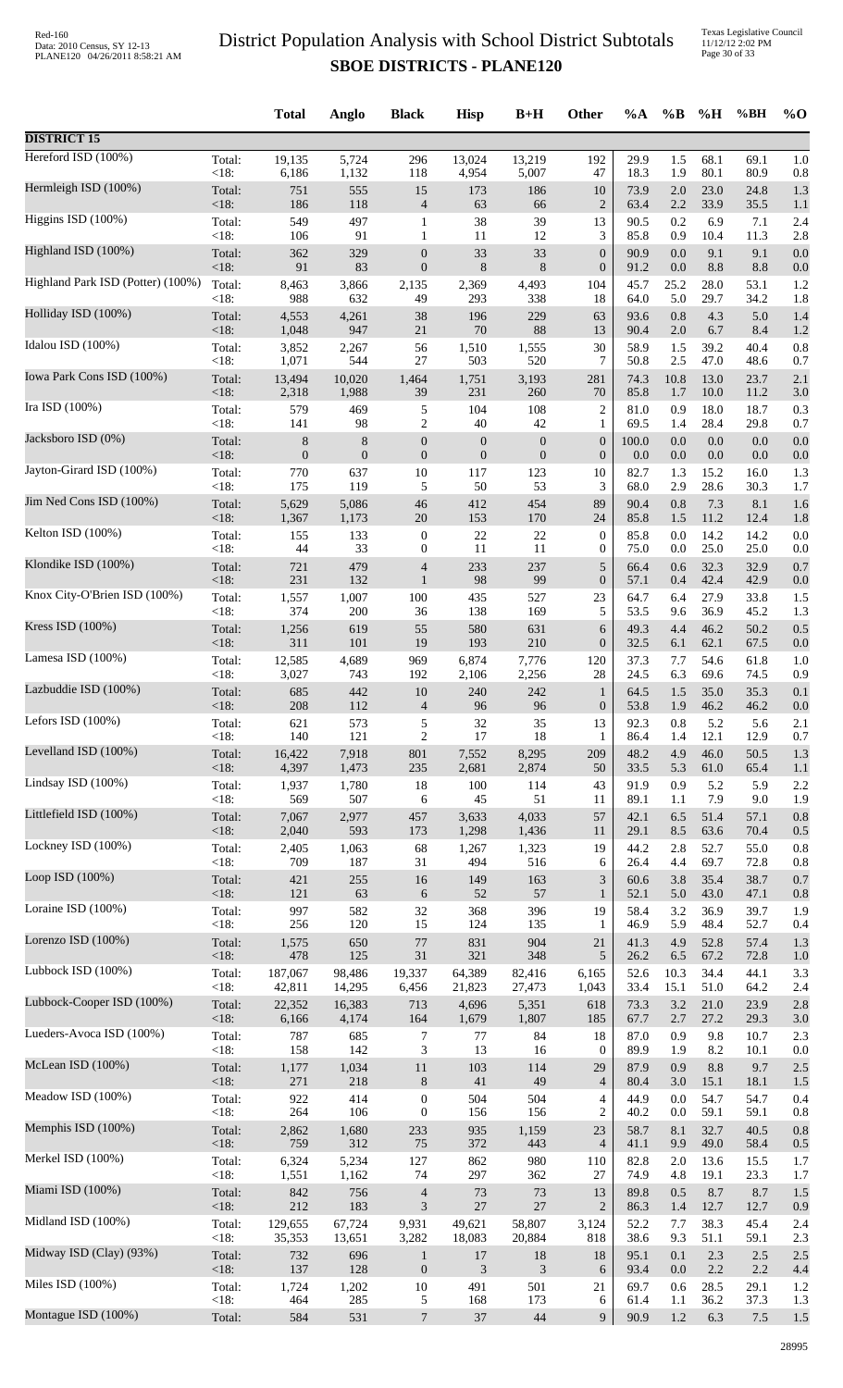|                                   |         | <b>Total</b>   | Anglo          | <b>Black</b>     | <b>Hisp</b>      | $B+H$            | Other            | %A    | $\%$ B | %H   | %BH     | $\%$ O |
|-----------------------------------|---------|----------------|----------------|------------------|------------------|------------------|------------------|-------|--------|------|---------|--------|
| <b>DISTRICT 15</b>                |         |                |                |                  |                  |                  |                  |       |        |      |         |        |
| Hereford ISD (100%)               | Total:  | 19,135         | 5,724          | 296              | 13,024           | 13,219           | 192              | 29.9  | 1.5    | 68.1 | 69.1    | 1.0    |
| Hermleigh ISD (100%)              | < 18:   | 6,186          | 1,132          | 118              | 4,954            | 5,007            | 47               | 18.3  | 1.9    | 80.1 | 80.9    | 0.8    |
|                                   | Total:  | 751            | 555            | 15               | 173              | 186              | 10               | 73.9  | 2.0    | 23.0 | 24.8    | 1.3    |
| Higgins ISD (100%)                | <18:    | 186            | 118            | $\overline{4}$   | 63               | 66               | $\overline{2}$   | 63.4  | 2.2    | 33.9 | 35.5    | 1.1    |
|                                   | Total:  | 549            | 497            | $\mathbf{1}$     | 38               | 39               | 13               | 90.5  | 0.2    | 6.9  | 7.1     | 2.4    |
| Highland ISD (100%)               | <18:    | 106            | 91             | 1                | 11               | 12               | 3                | 85.8  | 0.9    | 10.4 | 11.3    | 2.8    |
|                                   | Total:  | 362            | 329            | $\mathbf{0}$     | 33               | 33               | $\mathbf{0}$     | 90.9  | 0.0    | 9.1  | 9.1     | 0.0    |
|                                   | < 18:   | 91             | 83             | $\boldsymbol{0}$ | 8                | $\,$ 8 $\,$      | $\boldsymbol{0}$ | 91.2  | 0.0    | 8.8  | 8.8     | 0.0    |
| Highland Park ISD (Potter) (100%) | Total:  | 8,463          | 3,866          | 2,135            | 2,369            | 4,493            | 104              | 45.7  | 25.2   | 28.0 | 53.1    | 1.2    |
|                                   | <18:    | 988            | 632            | 49               | 293              | 338              | 18               | 64.0  | 5.0    | 29.7 | 34.2    | 1.8    |
| Holliday ISD (100%)               | Total:  | 4,553          | 4,261          | 38               | 196              | 229              | 63               | 93.6  | 0.8    | 4.3  | 5.0     | 1.4    |
|                                   | <18:    | 1,048          | 947            | $21\,$           | 70               | 88               | 13               | 90.4  | 2.0    | 6.7  | 8.4     | 1.2    |
| Idalou ISD (100%)                 | Total:  | 3,852          | 2,267          | 56               | 1,510            | 1,555            | 30               | 58.9  | 1.5    | 39.2 | 40.4    | 0.8    |
| Iowa Park Cons ISD (100%)         | <18:    | 1,071          | 544            | 27               | 503              | 520              | 7                | 50.8  | 2.5    | 47.0 | 48.6    | 0.7    |
|                                   | Total:  | 13,494         | 10,020         | 1,464            | 1,751            | 3,193            | 281              | 74.3  | 10.8   | 13.0 | 23.7    | 2.1    |
| Ira ISD (100%)                    | <18:    | 2,318          | 1,988          | 39               | 231              | 260              | 70               | 85.8  | 1.7    | 10.0 | 11.2    | 3.0    |
|                                   | Total:  | 579            | 469            | 5                | 104              | 108              | $\overline{2}$   | 81.0  | 0.9    | 18.0 | 18.7    | 0.3    |
| Jacksboro ISD (0%)                | <18:    | 141            | 98             | $\overline{c}$   | 40               | $42\,$           | 1                | 69.5  | 1.4    | 28.4 | 29.8    | 0.7    |
|                                   | Total:  | $\,8$          | $\,$ 8 $\,$    | $\boldsymbol{0}$ | $\boldsymbol{0}$ | $\boldsymbol{0}$ | $\boldsymbol{0}$ | 100.0 | 0.0    | 0.0  | 0.0     | 0.0    |
|                                   | <18:    | $\overline{0}$ | $\overline{0}$ | $\mathbf{0}$     | $\overline{0}$   | $\overline{0}$   | $\boldsymbol{0}$ | 0.0   | 0.0    | 0.0  | 0.0     | 0.0    |
| Jayton-Girard ISD (100%)          | Total:  | 770            | 637            | 10               | 117              | 123              | 10               | 82.7  | 1.3    | 15.2 | 16.0    | 1.3    |
|                                   | <18:    | 175            | 119            | 5                | 50               | 53               | 3                | 68.0  | 2.9    | 28.6 | 30.3    | 1.7    |
| Jim Ned Cons ISD (100%)           | Total:  | 5,629          | 5,086          | 46               | 412              | 454              | 89               | 90.4  | 0.8    | 7.3  | 8.1     | 1.6    |
|                                   | <18:    | 1,367          | 1,173          | $20\,$           | 153              | 170              | 24               | 85.8  | 1.5    | 11.2 | 12.4    | 1.8    |
| Kelton ISD (100%)                 | Total:  | 155            | 133            | $\boldsymbol{0}$ | 22               | 22               | $\boldsymbol{0}$ | 85.8  | 0.0    | 14.2 | 14.2    | 0.0    |
| Klondike ISD (100%)               | <18:    | 44             | 33             | $\boldsymbol{0}$ | 11               | 11               | $\boldsymbol{0}$ | 75.0  | 0.0    | 25.0 | 25.0    | 0.0    |
|                                   | Total:  | 721            | 479            | $\overline{4}$   | 233              | 237              | $\sqrt{5}$       | 66.4  | 0.6    | 32.3 | 32.9    | 0.7    |
| Knox City-O'Brien ISD (100%)      | <18:    | 231            | 132            | $\mathbf{1}$     | 98               | 99               | $\boldsymbol{0}$ | 57.1  | 0.4    | 42.4 | 42.9    | 0.0    |
|                                   | Total:  | 1,557          | 1,007          | 100              | 435              | 527              | 23               | 64.7  | 6.4    | 27.9 | 33.8    | 1.5    |
| Kress ISD (100%)                  | <18:    | 374            | 200            | 36               | 138              | 169              | 5                | 53.5  | 9.6    | 36.9 | 45.2    | 1.3    |
|                                   | Total:  | 1,256          | 619            | 55               | 580              | 631              | 6                | 49.3  | 4.4    | 46.2 | 50.2    | 0.5    |
|                                   | <18:    | 311            | 101            | 19               | 193              | 210              | $\boldsymbol{0}$ | 32.5  | 6.1    | 62.1 | 67.5    | 0.0    |
| Lamesa ISD (100%)                 | Total:  | 12,585         | 4,689          | 969              | 6,874            | 7,776            | 120              | 37.3  | 7.7    | 54.6 | 61.8    | 1.0    |
|                                   | <18:    | 3,027          | 743            | 192              | 2,106            | 2,256            | 28               | 24.5  | 6.3    | 69.6 | 74.5    | 0.9    |
| Lazbuddie ISD (100%)              | Total:  | 685            | 442            | 10               | 240              | 242              | $\mathbf{1}$     | 64.5  | 1.5    | 35.0 | 35.3    | 0.1    |
|                                   | $<18$ : | 208            | 112            | $\overline{4}$   | 96               | 96               | $\mathbf{0}$     | 53.8  | 1.9    | 46.2 | 46.2    | 0.0    |
| Lefors ISD (100%)                 | Total:  | 621            | 573            | 5                | 32               | 35               | 13               | 92.3  | 0.8    | 5.2  | 5.6     | 2.1    |
|                                   | < 18:   | 140            | 121            | $\overline{2}$   | 17               | 18               | $\mathbf{1}$     | 86.4  | 1.4    | 12.1 | 12.9    | 0.7    |
| Levelland ISD (100%)              | Total:  | 16,422         | 7,918          | 801              | 7,552            | 8,295            | 209              | 48.2  | 4.9    | 46.0 | 50.5    | 1.3    |
| Lindsay ISD (100%)                | <18:    | 4,397          | 1,473          | 235              | 2,681            | 2,874            | 50               | 33.5  | 5.3    | 61.0 | 65.4    | 1.1    |
|                                   | Total:  | 1,937          | 1,780          | 18               | 100              | 114              | 43               | 91.9  | 0.9    | 5.2  | 5.9     | 2.2    |
| Littlefield ISD (100%)            | < 18:   | 569            | 507            | 6                | 45               | 51               | 11               | 89.1  | 1.1    | 7.9  | 9.0     | 1.9    |
|                                   | Total:  | 7,067          | 2,977          | 457              | 3,633            | 4,033            | 57               | 42.1  | 6.5    | 51.4 | 57.1    | 0.8    |
|                                   | <18:    | 2,040          | 593            | 173              | 1,298            | 1,436            | 11               | 29.1  | 8.5    | 63.6 | 70.4    | 0.5    |
| Lockney ISD (100%)                | Total:  | 2,405          | 1,063          | 68               | 1,267            | 1,323            | 19               | 44.2  | 2.8    | 52.7 | 55.0    | 0.8    |
|                                   | <18:    | 709            | 187            | 31               | 494              | 516              | 6                | 26.4  | 4.4    | 69.7 | 72.8    | 0.8    |
| Loop ISD (100%)                   | Total:  | 421            | 255            | $16\,$           | 149              | 163              | 3                | 60.6  | 3.8    | 35.4 | 38.7    | 0.7    |
|                                   | $<18$ : | 121            | 63             | 6                | 52               | 57               | $\mathbf{1}$     | 52.1  | 5.0    | 43.0 | 47.1    | 0.8    |
| Loraine ISD (100%)                | Total:  | 997            | 582            | 32               | 368              | 396              | 19               | 58.4  | 3.2    | 36.9 | 39.7    | 1.9    |
|                                   | <18:    | 256            | 120            | 15               | 124              | 135              | 1                | 46.9  | 5.9    | 48.4 | 52.7    | 0.4    |
| Lorenzo ISD (100%)                | Total:  | 1,575          | 650            | $77$             | 831              | 904              | 21               | 41.3  | 4.9    | 52.8 | 57.4    | 1.3    |
| Lubbock ISD (100%)                | <18:    | 478            | 125            | 31               | 321              | 348              | 5                | 26.2  | 6.5    | 67.2 | 72.8    | 1.0    |
|                                   | Total:  | 187,067        | 98,486         | 19,337           | 64,389           | 82,416           | 6,165            | 52.6  | 10.3   | 34.4 | 44.1    | 3.3    |
| Lubbock-Cooper ISD (100%)         | <18:    | 42,811         | 14,295         | 6,456            | 21,823           | 27,473           | 1,043            | 33.4  | 15.1   | 51.0 | 64.2    | 2.4    |
|                                   | Total:  | 22,352         | 16,383         | 713              | 4,696            | 5,351            | 618              | 73.3  | 3.2    | 21.0 | 23.9    | 2.8    |
| Lueders-Avoca ISD (100%)          | <18:    | 6,166          | 4,174          | 164              | 1,679            | 1,807            | 185              | 67.7  | 2.7    | 27.2 | 29.3    | 3.0    |
|                                   | Total:  | 787            | 685            | 7                | $77\,$           | 84               | 18               | 87.0  | 0.9    | 9.8  | 10.7    | 2.3    |
| McLean ISD (100%)                 | <18:    | 158            | 142            | 3                | 13               | 16               | $\boldsymbol{0}$ | 89.9  | 1.9    | 8.2  | 10.1    | 0.0    |
|                                   | Total:  | 1,177          | 1,034          | 11               | 103              | 114              | 29               | 87.9  | 0.9    | 8.8  | 9.7     | 2.5    |
|                                   | <18:    | 271            | 218            | $8\phantom{1}$   | 41               | 49               | $\overline{4}$   | 80.4  | 3.0    | 15.1 | 18.1    | 1.5    |
| Meadow ISD (100%)                 | Total:  | 922            | 414            | $\boldsymbol{0}$ | 504              | 504              | $\overline{4}$   | 44.9  | 0.0    | 54.7 | 54.7    | 0.4    |
|                                   | < 18:   | 264            | 106            | $\boldsymbol{0}$ | 156              | 156              | $\overline{c}$   | 40.2  | 0.0    | 59.1 | 59.1    | 0.8    |
| Memphis ISD (100%)                | Total:  | 2,862          | 1,680          | 233              | 935              | 1,159            | 23               | 58.7  | 8.1    | 32.7 | 40.5    | 0.8    |
|                                   | <18:    | 759            | 312            | 75               | 372              | 443              | $\overline{4}$   | 41.1  | 9.9    | 49.0 | 58.4    | 0.5    |
| Merkel ISD (100%)                 | Total:  | 6,324          | 5,234          | 127              | 862              | 980              | 110              | 82.8  | 2.0    | 13.6 | 15.5    | 1.7    |
|                                   | <18:    | 1,551          | 1,162          | 74               | 297              | 362              | 27               | 74.9  | 4.8    | 19.1 | 23.3    | 1.7    |
| Miami ISD (100%)                  | Total:  | 842            | 756            | $\overline{4}$   | 73               | 73               | 13               | 89.8  | 0.5    | 8.7  | 8.7     | 1.5    |
|                                   | $<18$ : | 212            | 183            | 3                | 27               | 27               | $\overline{2}$   | 86.3  | 1.4    | 12.7 | 12.7    | 0.9    |
| Midland ISD (100%)                | Total:  | 129,655        | 67,724         | 9,931            | 49,621           | 58,807           | 3,124            | 52.2  | 7.7    | 38.3 | 45.4    | 2.4    |
| Midway ISD (Clay) (93%)           | <18:    | 35,353         | 13,651         | 3,282            | 18,083           | 20,884           | 818              | 38.6  | 9.3    | 51.1 | 59.1    | 2.3    |
|                                   | Total:  | 732            | 696            | $\mathbf{1}$     | 17               | 18               | 18               | 95.1  | 0.1    | 2.3  | $2.5\,$ | 2.5    |
| Miles ISD (100%)                  | <18:    | 137            | 128            | $\boldsymbol{0}$ | 3                | 3                | 6                | 93.4  | 0.0    | 2.2  | 2.2     | 4.4    |
|                                   | Total:  | 1,724          | 1,202          | 10               | 491              | 501              | 21               | 69.7  | 0.6    | 28.5 | 29.1    | 1.2    |
| Montague ISD (100%)               | <18:    | 464            | 285            | 5                | 168              | 173              | 6                | 61.4  | 1.1    | 36.2 | 37.3    | 1.3    |
|                                   | Total:  | 584            | 531            | $\overline{7}$   | 37               | 44               | 9                | 90.9  | 1.2    | 6.3  | $7.5\,$ | 1.5    |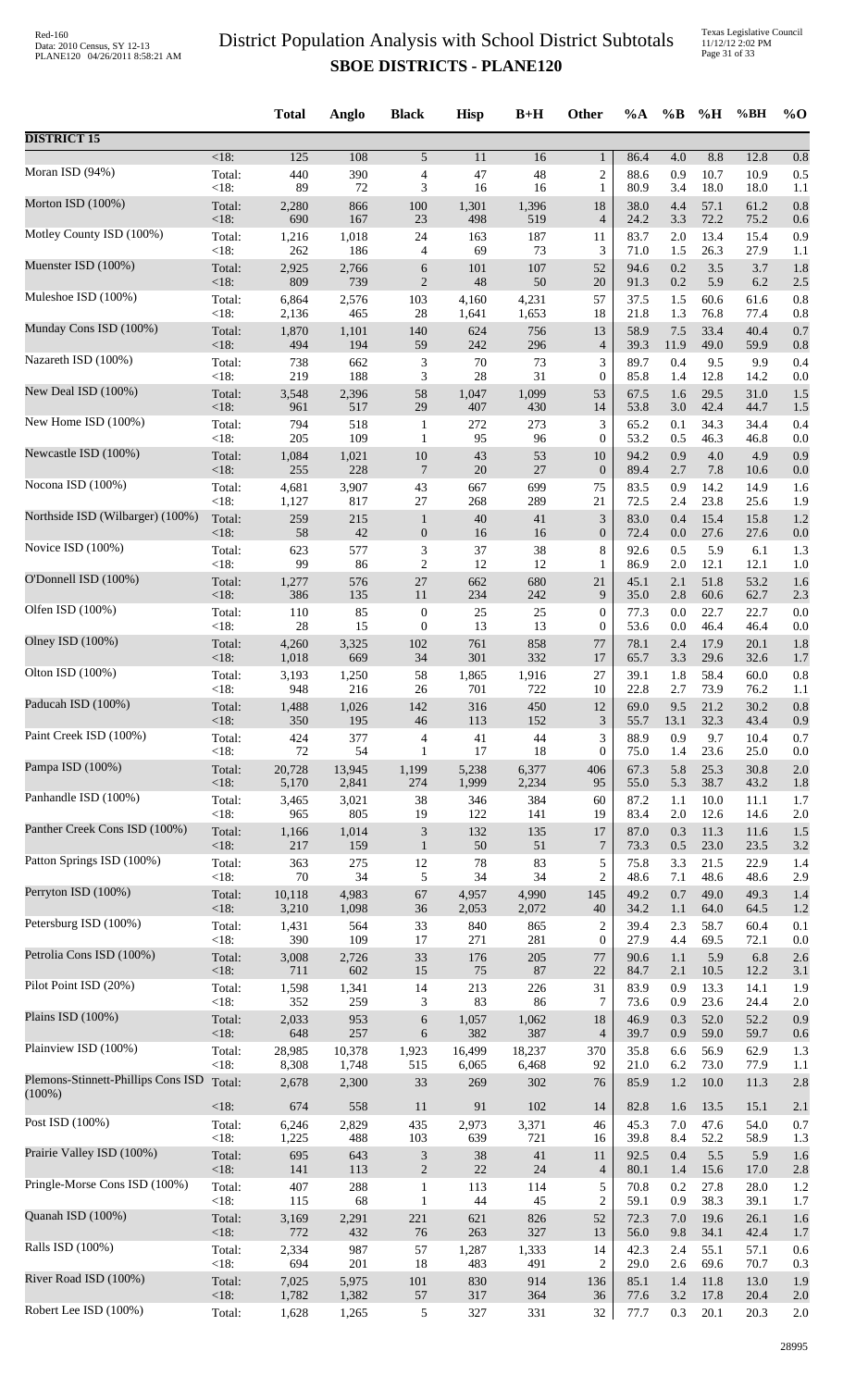Texas Legislative Council 11/12/12 2:02 PM Page 31 of 33

|                                                 |                | <b>Total</b> | Anglo        | <b>Black</b>                | <b>Hisp</b>  | $B+H$        | <b>Other</b>                | $\%A$        | $\%B$      | %H           | %BH          | $%$ <sup>O</sup> |
|-------------------------------------------------|----------------|--------------|--------------|-----------------------------|--------------|--------------|-----------------------------|--------------|------------|--------------|--------------|------------------|
| <b>DISTRICT 15</b>                              |                |              |              |                             |              |              |                             |              |            |              |              |                  |
| Moran ISD (94%)                                 | <18:           | 125          | 108          | 5                           | 11           | 16           | $\mathbf{1}$                | 86.4         | 4.0        | 8.8          | 12.8         | 0.8              |
|                                                 | Total:         | 440          | 390          | 4                           | 47           | 48           | $\overline{c}$              | 88.6         | 0.9        | 10.7         | 10.9         | 0.5              |
|                                                 | <18:           | 89           | 72           | 3                           | 16           | 16           | $\mathbf{1}$                | 80.9         | 3.4        | 18.0         | 18.0         | 1.1              |
| Morton ISD (100%)                               | Total:         | 2,280        | 866          | 100                         | 1,301        | 1,396        | 18                          | 38.0         | 4.4        | 57.1         | 61.2         | 0.8              |
|                                                 | <18:           | 690          | 167          | 23                          | 498          | 519          | $\overline{4}$              | 24.2         | 3.3        | 72.2         | 75.2         | 0.6              |
| Motley County ISD (100%)                        | Total:         | 1,216        | 1,018        | 24                          | 163          | 187          | 11                          | 83.7         | 2.0        | 13.4         | 15.4         | 0.9              |
| Muenster ISD (100%)                             | <18:           | 262          | 186          | $\overline{4}$              | 69           | 73           | 3                           | 71.0         | 1.5        | 26.3         | 27.9         | 1.1              |
|                                                 | Total:         | 2,925        | 2,766        | 6                           | 101          | 107          | 52                          | 94.6         | 0.2        | 3.5          | 3.7          | 1.8              |
| Muleshoe ISD (100%)                             | <18:           | 809          | 739          | $\overline{2}$              | 48           | 50           | 20                          | 91.3         | 0.2        | 5.9          | 6.2          | 2.5              |
|                                                 | Total:         | 6,864        | 2,576        | 103                         | 4,160        | 4,231        | 57                          | 37.5         | 1.5        | 60.6         | 61.6         | 0.8              |
|                                                 | <18:           | 2,136        | 465          | $28\,$                      | 1,641        | 1,653        | 18                          | 21.8         | 1.3        | 76.8         | 77.4         | 0.8              |
| Munday Cons ISD (100%)                          | Total:         | 1,870        | 1,101        | 140                         | 624          | 756          | 13                          | 58.9         | 7.5        | 33.4         | 40.4         | 0.7              |
|                                                 | <18:           | 494          | 194          | 59                          | 242          | 296          | $\overline{4}$              | 39.3         | 11.9       | 49.0         | 59.9         | 0.8              |
| Nazareth ISD (100%)                             | Total:         | 738          | 662          | 3                           | $70\,$       | 73           | 3                           | 89.7         | 0.4        | 9.5          | 9.9          | 0.4              |
|                                                 | <18:           | 219          | 188          | 3                           | 28           | 31           | $\boldsymbol{0}$            | 85.8         | 1.4        | 12.8         | 14.2         | 0.0              |
| New Deal ISD (100%)                             | Total:         | 3,548        | 2,396        | 58                          | 1,047        | 1,099        | 53                          | 67.5         | 1.6        | 29.5         | 31.0         | 1.5              |
| New Home ISD (100%)                             | $<18$ :        | 961          | 517          | 29                          | 407          | 430          | 14                          | 53.8         | 3.0        | 42.4         | 44.7         | 1.5              |
|                                                 | Total:         | 794          | 518          | $\mathbf{1}$                | 272          | 273          | $\ensuremath{\mathfrak{Z}}$ | 65.2         | 0.1        | 34.3         | 34.4         | 0.4              |
| Newcastle ISD (100%)                            | <18:           | 205          | 109          | $\mathbf{1}$                | 95           | 96           | $\mathbf{0}$                | 53.2         | 0.5        | 46.3         | 46.8         | 0.0              |
|                                                 | Total:         | 1,084        | 1,021        | 10                          | 43           | 53           | 10                          | 94.2         | 0.9        | $4.0\,$      | 4.9          | 0.9              |
| Nocona ISD (100%)                               | <18:           | 255          | 228          | $\overline{7}$              | $20\,$       | 27           | $\boldsymbol{0}$            | 89.4         | 2.7        | 7.8          | 10.6         | 0.0              |
|                                                 | Total:         | 4,681        | 3,907        | 43                          | 667          | 699          | 75                          | 83.5         | 0.9        | 14.2         | 14.9         | 1.6              |
|                                                 | <18:           | 1,127        | 817          | 27                          | 268          | 289          | 21                          | 72.5         | 2.4        | 23.8         | 25.6         | 1.9              |
| Northside ISD (Wilbarger) (100%)                | Total:         | 259          | 215          | $\mathbf{1}$                | 40           | 41           | $\mathfrak{Z}$              | 83.0         | 0.4        | 15.4         | 15.8         | 1.2              |
|                                                 | <18:           | 58           | 42           | $\boldsymbol{0}$            | 16           | 16           | $\boldsymbol{0}$            | 72.4         | 0.0        | 27.6         | 27.6         | 0.0              |
| Novice ISD (100%)                               | Total:         | 623          | 577          | $\mathfrak{Z}$              | 37           | 38           | 8                           | 92.6         | 0.5        | 5.9          | 6.1          | 1.3              |
|                                                 | <18:           | 99           | 86           | $\overline{c}$              | 12           | 12           | 1                           | 86.9         | 2.0        | 12.1         | 12.1         | 1.0              |
| O'Donnell ISD (100%)                            | Total:         | 1,277        | 576          | $27\,$                      | 662          | 680          | 21                          | 45.1         | 2.1        | 51.8         | 53.2         | 1.6              |
| Olfen ISD (100%)                                | <18:           | 386          | 135          | 11                          | 234          | 242          | 9                           | 35.0         | 2.8        | 60.6         | 62.7         | 2.3              |
|                                                 | Total:         | 110          | 85           | $\boldsymbol{0}$            | 25           | $25\,$       | $\boldsymbol{0}$            | 77.3         | 0.0        | 22.7         | 22.7         | 0.0              |
| Olney ISD (100%)                                | <18:           | 28           | 15           | $\boldsymbol{0}$            | 13           | 13           | $\boldsymbol{0}$            | 53.6         | 0.0        | 46.4         | 46.4         | 0.0              |
|                                                 | Total:         | 4,260        | 3,325        | 102                         | 761          | 858          | 77                          | 78.1         | 2.4        | 17.9         | 20.1         | 1.8              |
| Olton ISD (100%)                                | <18:           | 1,018        | 669          | 34<br>58                    | 301<br>1,865 | 332<br>1,916 | 17<br>27                    | 65.7<br>39.1 | 3.3<br>1.8 | 29.6<br>58.4 | 32.6<br>60.0 | 1.7              |
|                                                 | Total:<br><18: | 3,193<br>948 | 1,250<br>216 | 26                          | 701          | 722          | 10                          | 22.8         | 2.7        | 73.9         | 76.2         | 0.8<br>1.1       |
| Paducah ISD (100%)                              | Total:         | 1,488        | 1,026        | 142                         | 316          | 450          | 12                          | 69.0         | 9.5        | 21.2         | 30.2         | 0.8              |
|                                                 | $\leq$ 18:     | 350          | 195          | 46                          | 113          | 152          | 3                           | 55.7         | 13.1       | 32.3         | 43.4         | 0.9              |
| Paint Creek ISD (100%)                          | Total:         | 424          | 377          | 4                           | 41           | 44           | 3                           | 88.9         | 0.9        | 9.7          | 10.4         | 0.7              |
|                                                 | $<18$ :        | 72           | 54           | $\mathbf{1}$                | 17           | 18           | $\boldsymbol{0}$            | 75.0         | 1.4        | 23.6         | 25.0         | 0.0              |
| Pampa ISD (100%)                                | Total:         | 20,728       | 13,945       | 1,199                       | 5,238        | 6,377        | 406                         | 67.3         | 5.8        | 25.3         | 30.8         | 2.0              |
| Panhandle ISD (100%)                            | <18:           | 5,170        | 2,841        | 274                         | 1,999        | 2,234        | 95                          | 55.0         | 5.3        | 38.7         | 43.2         | 1.8              |
|                                                 | Total:         | 3,465        | 3,021        | 38                          | 346          | 384          | 60                          | 87.2         | 1.1        | 10.0         | 11.1         | 1.7              |
| Panther Creek Cons ISD (100%)                   | <18:           | 965          | 805          | 19                          | 122          | 141          | 19                          | 83.4         | 2.0        | 12.6         | 14.6         | 2.0              |
|                                                 | Total:         | 1,166        | 1,014        | $\mathfrak{Z}$              | 132          | 135          | 17                          | 87.0         | 0.3        | 11.3         | 11.6         | 1.5              |
| Patton Springs ISD (100%)                       | $<18$ :        | 217          | 159          | $\mathbf{1}$                | 50           | 51           | 7                           | 73.3         | 0.5        | 23.0         | 23.5         | 3.2              |
|                                                 | Total:         | 363          | 275          | 12                          | 78           | 83           | 5                           | 75.8         | 3.3        | 21.5         | 22.9         | 1.4              |
|                                                 | <18:           | 70           | 34           | 5                           | 34           | 34           | $\overline{c}$              | 48.6         | 7.1        | 48.6         | 48.6         | 2.9              |
| Perryton ISD (100%)                             | Total:         | 10,118       | 4,983        | 67                          | 4,957        | 4,990        | 145                         | 49.2         | 0.7        | 49.0         | 49.3         | 1.4              |
|                                                 | $<18$ :        | 3,210        | 1,098        | 36                          | 2,053        | 2,072        | 40                          | 34.2         | 1.1        | 64.0         | 64.5         | 1.2              |
| Petersburg ISD (100%)                           | Total:         | 1,431        | 564          | 33                          | 840          | 865          | $\overline{c}$              | 39.4         | 2.3        | 58.7         | 60.4         | 0.1              |
|                                                 | <18:           | 390          | 109          | 17                          | 271          | 281          | $\mathbf{0}$                | 27.9         | 4.4        | 69.5         | 72.1         | 0.0              |
| Petrolia Cons ISD (100%)                        | Total:         | 3,008        | 2,726        | 33                          | 176          | 205          | 77                          | 90.6         | 1.1        | 5.9          | 6.8          | 2.6              |
| Pilot Point ISD (20%)                           | <18:           | 711          | 602          | 15                          | 75           | 87           | 22                          | 84.7         | 2.1        | 10.5         | 12.2         | 3.1              |
|                                                 | Total:         | 1,598        | 1,341        | 14                          | 213          | 226          | 31                          | 83.9         | 0.9        | 13.3         | 14.1         | 1.9              |
| Plains ISD (100%)                               | <18:           | 352          | 259          | 3                           | 83           | 86           | 7                           | 73.6         | 0.9        | 23.6         | 24.4         | 2.0              |
|                                                 | Total:         | 2,033        | 953          | 6                           | 1,057        | 1,062        | 18                          | 46.9         | 0.3        | 52.0         | 52.2         | 0.9              |
| Plainview ISD (100%)                            | <18:           | 648          | 257          | 6                           | 382          | 387          | $\overline{4}$              | 39.7         | 0.9        | 59.0         | 59.7         | 0.6              |
|                                                 | Total:         | 28,985       | 10,378       | 1,923                       | 16,499       | 18,237       | 370                         | 35.8         | 6.6        | 56.9         | 62.9         | 1.3              |
|                                                 | <18:           | 8,308        | 1,748        | 515                         | 6,065        | 6,468        | 92                          | 21.0         | 6.2        | 73.0         | 77.9         | 1.1              |
| Plemons-Stinnett-Phillips Cons ISD<br>$(100\%)$ | Total:         | 2,678        | 2,300        | 33                          | 269          | 302          | 76                          | 85.9         | 1.2        | 10.0         | 11.3         | 2.8              |
| Post ISD (100%)                                 | <18:           | 674          | 558          | 11                          | 91           | 102          | 14                          | 82.8         | 1.6        | 13.5         | 15.1         | 2.1              |
|                                                 | Total:         | 6,246        | 2,829        | 435                         | 2,973        | 3,371        | 46                          | 45.3         | 7.0        | 47.6         | 54.0         | 0.7              |
|                                                 | <18:           | 1,225        | 488          | 103                         | 639          | 721          | 16                          | 39.8         | 8.4        | 52.2         | 58.9         | 1.3              |
| Prairie Valley ISD (100%)                       | Total:         | 695          | 643          | $\ensuremath{\mathfrak{Z}}$ | 38           | 41           | 11                          | 92.5         | 0.4        | 5.5          | 5.9          | 1.6              |
|                                                 | <18:           | 141          | 113          | $\sqrt{2}$                  | $22\,$       | 24           | $\overline{4}$              | 80.1         | 1.4        | 15.6         | 17.0         | 2.8              |
| Pringle-Morse Cons ISD (100%)                   | Total:         | 407          | 288          | $\mathbf{1}$                | 113          | 114          | 5                           | 70.8         | 0.2        | 27.8         | 28.0         | 1.2              |
|                                                 | <18:           | 115          | 68           | 1                           | 44           | 45           | $\sqrt{2}$                  | 59.1         | 0.9        | 38.3         | 39.1         | 1.7              |
| Quanah ISD (100%)                               | Total:         | 3,169        | 2,291        | 221                         | 621          | 826          | 52                          | 72.3         | 7.0        | 19.6         | 26.1         | 1.6              |
|                                                 | <18:           | 772          | 432          | 76                          | 263          | 327          | 13                          | 56.0         | 9.8        | 34.1         | 42.4         | 1.7              |
| Ralls ISD (100%)                                | Total:         | 2,334        | 987          | 57                          | 1,287        | 1,333        | 14                          | 42.3         | 2.4        | 55.1         | 57.1         | 0.6              |
| River Road ISD (100%)                           | <18:           | 694          | 201          | 18                          | 483          | 491          | $\overline{c}$              | 29.0         | 2.6        | 69.6         | 70.7         | 0.3              |
|                                                 | Total:         | 7,025        | 5,975        | 101                         | 830          | 914          | 136                         | 85.1         | 1.4        | 11.8         | 13.0         | 1.9              |
| Robert Lee ISD (100%)                           | <18:           | 1,782        | 1,382        | 57                          | 317<br>327   | 364          | 36<br>32                    | 77.6         | 3.2        | 17.8         | 20.4         | 2.0              |
|                                                 | Total:         | 1,628        | 1,265        | 5                           |              | 331          |                             | 77.7         | 0.3        | 20.1         | 20.3         | 2.0              |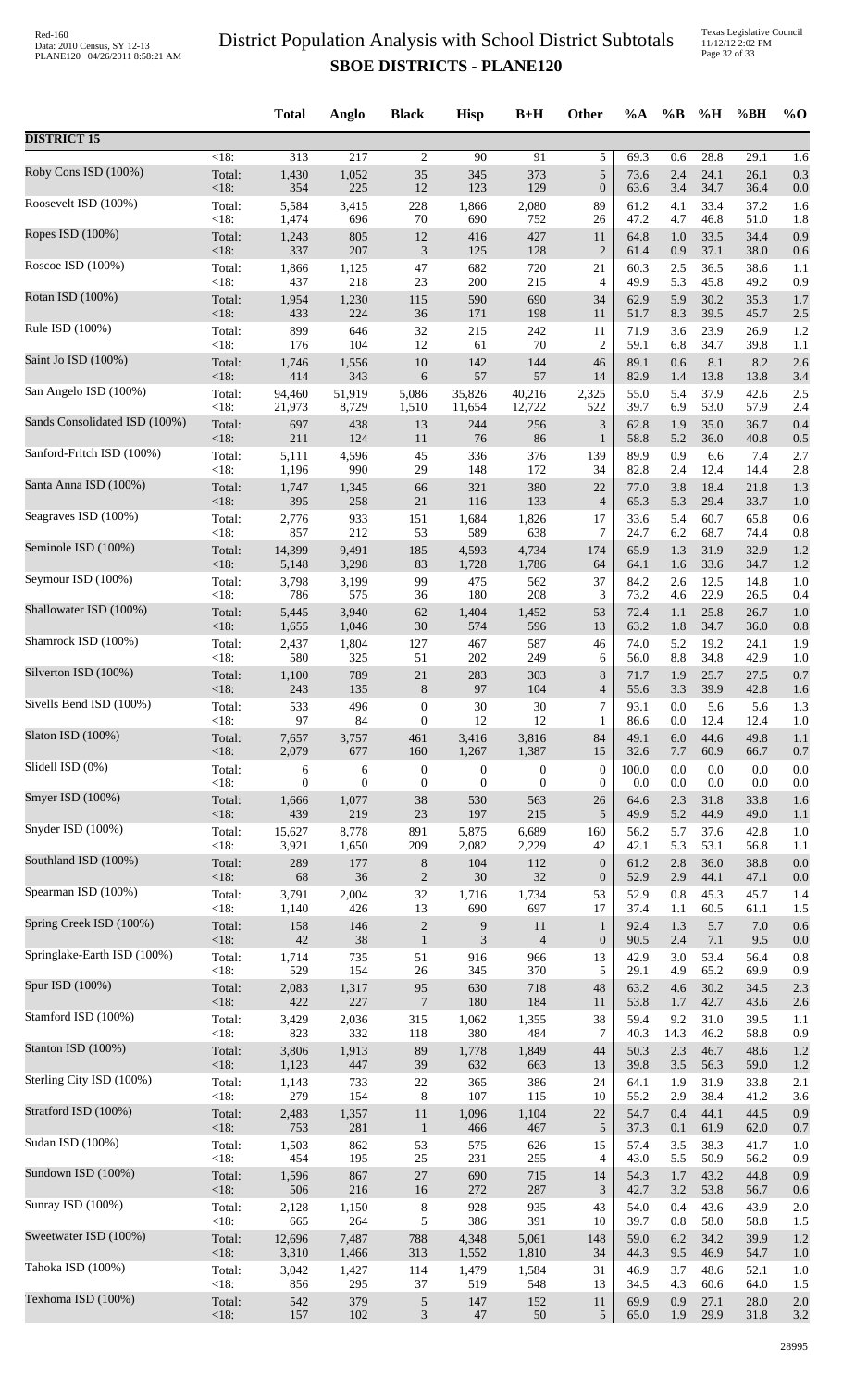|                               |                | <b>Total</b> | Anglo        | <b>Black</b>     | <b>Hisp</b>      | $B+H$            | Other              | $\%A$        | $\%$ B     | %H           | %BH          | $\%$ O     |
|-------------------------------|----------------|--------------|--------------|------------------|------------------|------------------|--------------------|--------------|------------|--------------|--------------|------------|
| <b>DISTRICT 15</b>            |                |              |              |                  |                  |                  |                    |              |            |              |              |            |
| Roby Cons ISD (100%)          | $<18$ :        | 313          | 217          | 2                | 90               | 91               | 5                  | 69.3         | 0.6        | 28.8         | 29.1         | 1.6        |
|                               | Total:         | 1,430        | 1,052        | 35               | 345              | 373              | 5                  | 73.6         | 2.4        | 24.1         | 26.1         | 0.3        |
|                               | <18:           | 354          | 225          | 12               | 123              | 129              | $\mathbf{0}$       | 63.6         | 3.4        | 34.7         | 36.4         | 0.0        |
| Roosevelt ISD (100%)          | Total:         | 5,584        | 3,415        | 228              | 1,866            | 2,080            | 89                 | 61.2         | 4.1        | 33.4         | 37.2         | 1.6        |
|                               | < 18:          | 1,474        | 696          | 70               | 690              | 752              | 26                 | 47.2         | 4.7        | 46.8         | 51.0         | 1.8        |
| Ropes ISD (100%)              | Total:         | 1,243        | 805          | 12               | 416              | 427              | 11                 | 64.8         | 1.0        | 33.5         | 34.4         | 0.9        |
|                               | $<18$ :        | 337          | 207          | $\mathfrak{Z}$   | 125              | 128              | $\overline{2}$     | 61.4         | 0.9        | 37.1         | 38.0         | 0.6        |
| Roscoe ISD (100%)             | Total:         | 1,866        | 1,125        | 47               | 682              | 720              | 21                 | 60.3         | 2.5        | 36.5         | 38.6         | 1.1        |
| Rotan ISD (100%)              | < 18:          | 437          | 218          | 23               | 200              | 215              | $\overline{4}$     | 49.9         | 5.3        | 45.8         | 49.2         | 0.9        |
|                               | Total:         | 1,954        | 1,230        | 115              | 590              | 690              | 34                 | 62.9         | 5.9        | 30.2         | 35.3         | 1.7        |
| Rule ISD (100%)               | <18:           | 433          | 224          | 36               | 171              | 198              | 11                 | 51.7         | 8.3        | 39.5         | 45.7         | 2.5        |
|                               | Total:         | 899          | 646          | 32               | 215              | 242              | 11                 | 71.9         | 3.6        | 23.9         | 26.9         | 1.2        |
| Saint Jo ISD (100%)           | <18:           | 176          | 104          | 12               | 61               | 70               | $\overline{2}$     | 59.1         | 6.8        | 34.7         | 39.8         | 1.1        |
|                               | Total:         | 1,746        | 1,556        | 10               | 142              | 144              | 46                 | 89.1         | 0.6        | 8.1          | 8.2          | 2.6        |
| San Angelo ISD (100%)         | <18:           | 414          | 343          | 6                | 57               | 57               | 14                 | 82.9         | 1.4        | 13.8         | 13.8         | 3.4        |
|                               | Total:         | 94,460       | 51,919       | 5,086            | 35,826           | 40,216           | 2,325              | 55.0         | 5.4        | 37.9         | 42.6         | 2.5        |
|                               | <18:           | 21,973       | 8,729        | 1,510            | 11,654           | 12,722           | 522                | 39.7         | 6.9        | 53.0         | 57.9         | 2.4        |
| Sands Consolidated ISD (100%) | Total:         | 697          | 438          | 13               | 244              | 256              | 3                  | 62.8         | 1.9        | 35.0         | 36.7         | 0.4        |
|                               | <18:           | 211          | 124          | 11               | 76               | 86               | 1                  | 58.8         | 5.2        | 36.0         | 40.8         | 0.5        |
| Sanford-Fritch ISD (100%)     | Total:         | 5,111        | 4,596        | 45               | 336              | 376              | 139                | 89.9         | 0.9        | 6.6          | 7.4          | 2.7        |
|                               | < 18:          | 1,196        | 990          | 29               | 148              | 172              | 34                 | 82.8         | 2.4        | 12.4         | 14.4         | 2.8        |
| Santa Anna ISD (100%)         | Total:         | 1,747        | 1,345        | 66               | 321              | 380              | 22                 | 77.0         | 3.8        | 18.4         | 21.8         | 1.3        |
|                               | <18:           | 395          | 258          | 21               | 116              | 133              | $\overline{4}$     | 65.3         | 5.3        | 29.4         | 33.7         | 1.0        |
| Seagraves ISD (100%)          | Total:<br><18: | 2,776<br>857 | 933<br>212   | 151<br>53        | 1,684<br>589     | 1,826<br>638     | 17<br>7            | 33.6<br>24.7 | 5.4<br>6.2 | 60.7<br>68.7 | 65.8         | 0.6        |
| Seminole ISD (100%)           | Total:         | 14,399       | 9,491        | 185              | 4,593            | 4,734            | 174                | 65.9         | 1.3        | 31.9         | 74.4<br>32.9 | 0.8<br>1.2 |
| Seymour ISD (100%)            | <18:           | 5,148        | 3,298        | 83               | 1,728            | 1,786            | 64                 | 64.1         | 1.6        | 33.6         | 34.7         | 1.2        |
|                               | Total:         | 3,798        | 3,199        | 99               | 475              | 562              | 37                 | 84.2         | 2.6        | 12.5         | 14.8         | 1.0        |
| Shallowater ISD (100%)        | < 18:          | 786          | 575          | 36               | 180              | 208              | 3                  | 73.2         | 4.6        | 22.9         | 26.5         | 0.4        |
|                               | Total:         | 5,445        | 3,940        | 62               | 1,404            | 1,452            | 53                 | 72.4         | 1.1        | 25.8         | 26.7         | 1.0        |
| Shamrock ISD (100%)           | <18:           | 1,655        | 1,046        | 30               | 574              | 596              | 13                 | 63.2         | 1.8        | 34.7         | 36.0         | 0.8        |
|                               | Total:         | 2,437        | 1,804        | 127              | 467              | 587              | 46                 | 74.0         | 5.2        | 19.2         | 24.1         | 1.9        |
|                               | < 18:          | 580          | 325          | 51               | 202              | 249              | 6                  | 56.0         | 8.8        | 34.8         | 42.9         | 1.0        |
| Silverton ISD (100%)          | Total:         | 1,100        | 789          | 21               | 283              | 303              | 8                  | 71.7         | 1.9        | 25.7         | 27.5         | 0.7        |
|                               | <18:           | 243          | 135          | $\,8\,$          | 97               | 104              | 4                  | 55.6         | 3.3        | 39.9         | 42.8         | 1.6        |
| Sivells Bend ISD (100%)       | Total:         | 533          | 496          | $\boldsymbol{0}$ | 30               | 30               | 7                  | 93.1         | 0.0        | 5.6          | 5.6          | 1.3        |
|                               | <18:           | 97           | 84           | $\theta$         | 12               | 12               | 1                  | 86.6         | 0.0        | 12.4         | 12.4         | 1.0        |
| Slaton ISD (100%)             | Total:         | 7,657        | 3,757        | 461              | 3,416            | 3,816            | 84                 | 49.1         | 6.0        | 44.6         | 49.8         | 1.1        |
|                               | $<18$ :        | 2,079        | 677          | 160              | 1,267            | 1,387            | 15                 | 32.6         | 7.7        | 60.9         | 66.7         | 0.7        |
| Slidell ISD (0%)              | Total:         | 6            | 6            | $\boldsymbol{0}$ | $\boldsymbol{0}$ | $\boldsymbol{0}$ | $\mathbf{0}$       | 100.0        | 0.0        | 0.0          | 0.0          | 0.0        |
| Smyer ISD (100%)              | < 18:          | 0            | $\mathbf{0}$ | $\boldsymbol{0}$ | $\boldsymbol{0}$ | $\boldsymbol{0}$ | $\mathbf{0}$       | 0.0          | 0.0        | 0.0          | 0.0          | 0.0        |
|                               | Total:         | 1,666        | 1,077        | 38               | 530              | 563              | 26                 | 64.6         | 2.3        | 31.8         | 33.8         | 1.6        |
| Snyder ISD (100%)             | <18:           | 439          | 219          | 23               | 197              | 215              | 5                  | 49.9         | 5.2        | 44.9         | 49.0         | 1.1        |
|                               | Total:         | 15,627       | 8,778        | 891              | 5,875            | 6,689            | 160                | 56.2         | 5.7        | 37.6         | 42.8         | 1.0        |
| Southland ISD (100%)          | $<18$ :        | 3,921        | 1,650        | 209              | 2,082            | 2,229            | 42                 | 42.1         | 5.3        | 53.1         | 56.8         | 1.1        |
|                               | Total:         | 289          | 177          | 8                | 104              | 112              | $\mathbf{0}$       | 61.2         | 2.8        | 36.0         | 38.8         | 0.0        |
| Spearman ISD (100%)           | <18:<br>Total: | 68<br>3,791  | 36<br>2,004  | $\sqrt{2}$<br>32 | 30<br>1,716      | 32<br>1,734      | $\mathbf{0}$<br>53 | 52.9<br>52.9 | 2.9<br>0.8 | 44.1<br>45.3 | 47.1<br>45.7 | 0.0        |
|                               | < 18:          | 1,140        | 426          | 13               | 690              | 697              | 17                 | 37.4         | 1.1        | 60.5         | 61.1         | 1.4<br>1.5 |
| Spring Creek ISD (100%)       | Total:         | 158          | 146          | $\sqrt{2}$       | $\boldsymbol{9}$ | $11\,$           | $\mathbf{1}$       | 92.4         | 1.3        | 5.7          | $7.0\,$      | 0.6        |
|                               | <18:           | 42           | 38           | $\mathbf{1}$     | 3                | $\overline{4}$   | $\mathbf{0}$       | 90.5         | 2.4        | 7.1          | 9.5          | 0.0        |
| Springlake-Earth ISD (100%)   | Total:         | 1,714        | 735          | 51               | 916              | 966              | 13                 | 42.9         | 3.0        | 53.4         | 56.4         | 0.8        |
|                               | < 18:          | 529          | 154          | 26               | 345              | 370              | 5                  | 29.1         | 4.9        | 65.2         | 69.9         | 0.9        |
| Spur ISD (100%)               | Total:         | 2,083        | 1,317        | 95               | 630              | 718              | 48                 | 63.2         | 4.6        | 30.2         | 34.5         | 2.3        |
|                               | <18:           | 422          | 227          | $\overline{7}$   | 180              | 184              | 11                 | 53.8         | 1.7        | 42.7         | 43.6         | 2.6        |
| Stamford ISD (100%)           | Total:         | 3,429        | 2,036        | 315              | 1,062            | 1,355            | 38                 | 59.4         | 9.2        | 31.0         | 39.5         | 1.1        |
|                               | < 18:          | 823          | 332          | 118              | 380              | 484              | $\tau$             | 40.3         | 14.3       | 46.2         | 58.8         | 0.9        |
| Stanton ISD (100%)            | Total:         | 3,806        | 1,913        | 89               | 1,778            | 1,849            | 44                 | 50.3         | 2.3        | 46.7         | 48.6         | 1.2        |
| Sterling City ISD (100%)      | <18:           | 1,123        | 447          | 39               | 632              | 663              | 13                 | 39.8         | 3.5        | 56.3         | 59.0         | 1.2        |
|                               | Total:         | 1,143        | 733          | $22\,$           | 365              | 386              | 24                 | 64.1         | 1.9        | 31.9         | 33.8         | 2.1        |
| Stratford ISD (100%)          | < 18:          | 279          | 154          | 8                | 107              | 115              | 10                 | 55.2         | 2.9        | 38.4         | 41.2         | 3.6        |
|                               | Total:         | 2,483        | 1,357        | 11               | 1,096            | 1,104            | 22                 | 54.7         | 0.4        | 44.1         | 44.5         | 0.9        |
| Sudan ISD (100%)              | <18:           | 753          | 281          | $\mathbf{1}$     | 466              | 467              | 5                  | 37.3         | 0.1        | 61.9         | 62.0         | 0.7        |
|                               | Total:         | 1,503        | 862          | 53               | 575              | 626              | 15                 | 57.4         | 3.5        | 38.3         | 41.7         | 1.0        |
| Sundown ISD (100%)            | <18:           | 454          | 195          | 25               | 231              | 255              | 4                  | 43.0         | 5.5        | 50.9         | 56.2         | 0.9        |
|                               | Total:         | 1,596        | 867          | $27\,$           | 690              | 715              | 14                 | 54.3         | 1.7        | 43.2         | 44.8         | 0.9        |
|                               | $<18$ :        | 506          | 216          | $16\,$           | 272              | 287              | 3                  | 42.7         | 3.2        | 53.8         | 56.7         | 0.6        |
| Sunray ISD (100%)             | Total:         | 2,128        | 1,150        | $\,$ 8 $\,$      | 928              | 935              | 43                 | 54.0         | 0.4        | 43.6         | 43.9         | 2.0        |
|                               | <18:           | 665          | 264          | 5                | 386              | 391              | 10                 | 39.7         | $0.8\,$    | 58.0         | 58.8         | 1.5        |
| Sweetwater ISD (100%)         | Total:         | 12,696       | 7,487        | 788              | 4,348            | 5,061            | 148                | 59.0         | 6.2        | 34.2         | 39.9         | 1.2        |
|                               | <18:           | 3,310        | 1,466        | 313              | 1,552            | 1,810            | 34                 | 44.3         | 9.5        | 46.9         | 54.7         | 1.0        |
| Tahoka ISD (100%)             | Total:         | 3,042        | 1,427        | 114              | 1,479            | 1,584            | 31                 | 46.9         | 3.7        | 48.6         | 52.1         | 1.0        |
|                               | <18:           | 856          | 295          | 37               | 519              | 548              | 13                 | 34.5         | 4.3        | 60.6         | 64.0         | 1.5        |
| Texhoma ISD (100%)            | Total:         | 542          | 379          | $\sqrt{5}$       | 147              | 152              | 11                 | 69.9         | 0.9        | 27.1         | 28.0         | 2.0        |
|                               | <18:           | 157          | 102          | $\mathfrak{Z}$   | 47               | 50               | 5                  | 65.0         | 1.9        | 29.9         | 31.8         | 3.2        |